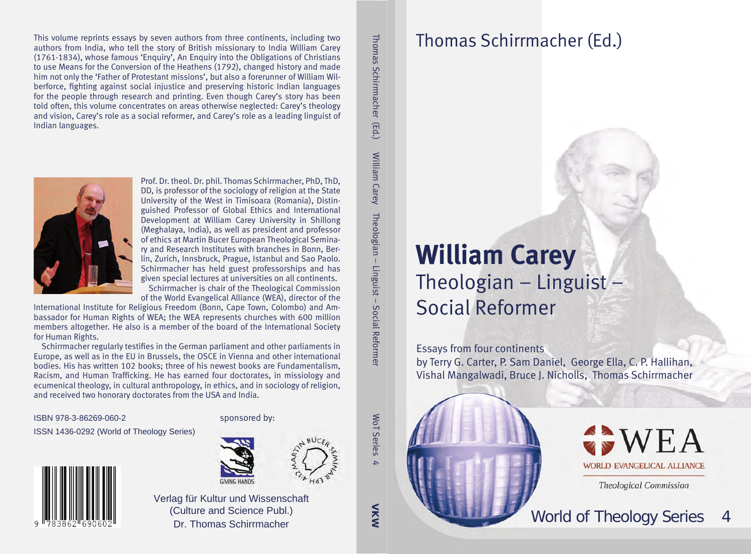This volume reprints essays by seven authors from three continents, including two authors from India, who tell the story of British missionary to India William Carey (1761-1834), whose famous 'Enquiry', An Enquiry into the Obligations of Christians to use Means for the Conversion of the Heathens (1792), changed history and made him not only the 'Father of Protestant missions', but also a forerunner of William Wilberforce, fighting against social injustice and preserving historic Indian languages for the people through research and printing. Even though Carey's story has been told often, this volume concentrates on areas otherwise neglected: Carey's theology and vision, Carey's role as a social reformer, and Carey's role as a leading linguist of Indian languages.

Thomas Schirrmacher (Ed.) Thomas Schirrmacher (Ed.) William Carey Theologian – Linguist – Social Reformer William Carey Theologian -Linguist - Social Reforme

WoT Series 4

**WoT Series** 

**NXW** 



Prof. Dr. theol. Dr. phil. Thomas Schirrmacher, PhD, ThD, DD, is professor of the sociology of religion at the State University of the West in Timisoara (Romania), Distinguished Professor of Global Ethics and International Development at William Carey University in Shillong (Meghalaya, India), as well as president and professor of ethics at Martin Bucer European Theological Seminary and Research Institutes with branches in Bonn, Berlin, Zurich, Innsbruck, Prague, Istanbul and Sao Paolo. Schirrmacher has held guest professorships and has given special lectures at universities on all continents. Schirrmacher is chair of the Theological Commission of the World Evangelical Alliance (WEA), director of the

International Institute for Religious Freedom (Bonn, Cape Town, Colombo) and Ambassador for Human Rights of WEA; the WEA represents churches with 600 million members altogether. He also is a member of the board of the International Society for Human Rights.

Schirrmacher regularly testifies in the German parliament and other parliaments in Europe, as well as in the EU in Brussels, the OSCE in Vienna and other international bodies. His has written 102 books; three of his newest books are Fundamentalism, Racism, and Human Trafficking. He has earned four doctorates, in missiology and ecumenical theology, in cultural anthropology, in ethics, and in sociology of religion, and received two honorary doctorates from the USA and India.

ISBN 978-3-86269-060-2

ISSN 1436-0292 (World of Theology Series)



sponsored by:



Verlag für Kultur und Wissenschaft (Culture and Science Publ.) Dr. Thomas Schirrmacher

Thomas Schirrmacher (Ed.)

# **William Carey** Theologian – Linguist – Social Reformer

Essays from four continents by Terry G. Carter, P. Sam Daniel, George Ella, C. P. Hallihan, Vishal Mangalwadi, Bruce J. Nicholls, Thomas Schirrmacher

World of Theology Series

**WORLD EVANGELICAL ALLIANCE** 

**Theological Commission** 

4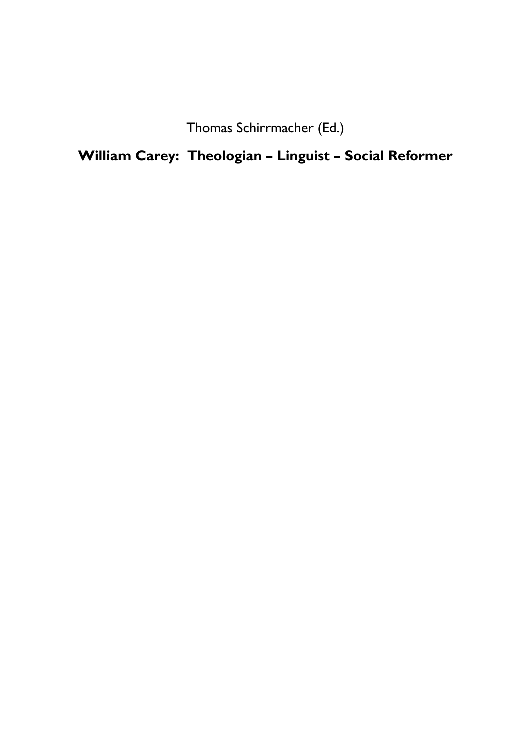Thomas Schirrmacher (Ed.)

**William Carey: Theologian – Linguist – Social Reformer**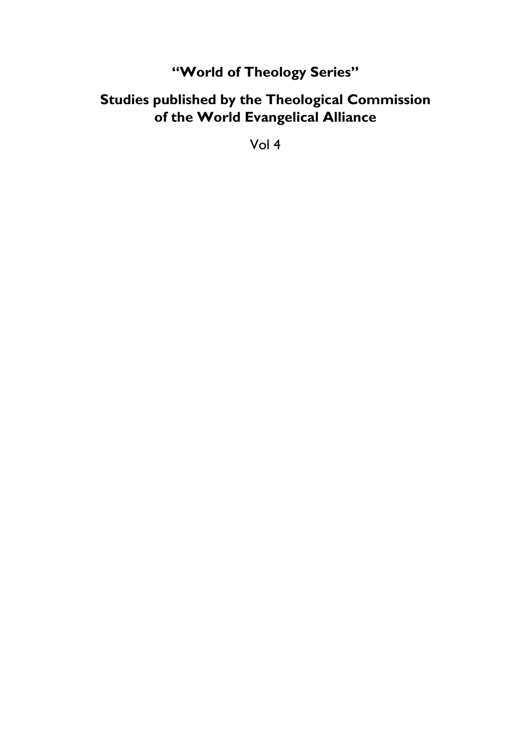## **"World of Theology Series"**

## **Studies published by the Theological Commission of the World Evangelical Alliance**

Vol 4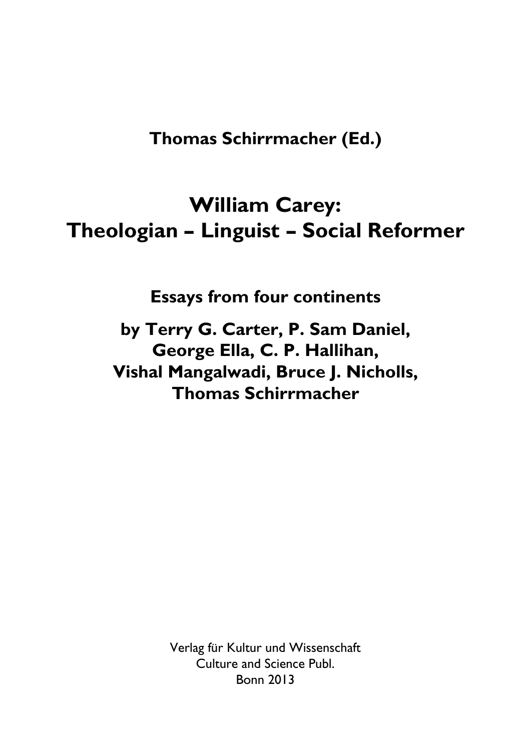**Thomas Schirrmacher (Ed.)** 

# **William Carey: Theologian – Linguist – Social Reformer**

**Essays from four continents** 

**by Terry G. Carter, P. Sam Daniel, George Ella, C. P. Hallihan, Vishal Mangalwadi, Bruce J. Nicholls, Thomas Schirrmacher** 

> Verlag für Kultur und Wissenschaft Culture and Science Publ. Bonn 2013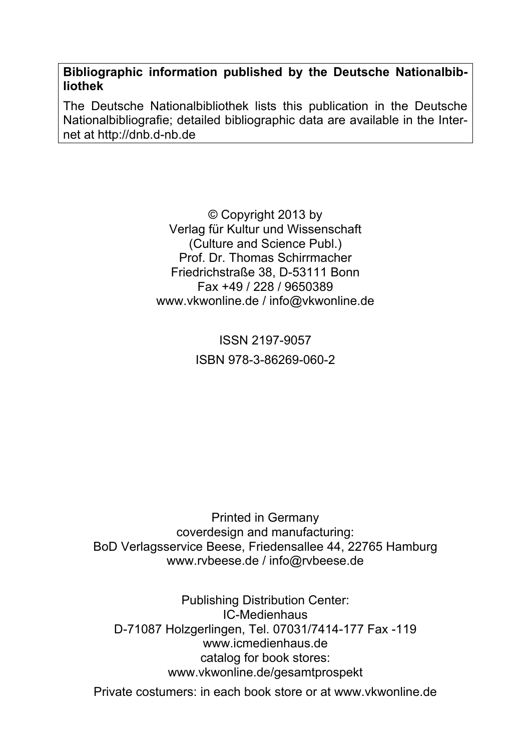#### **Bibliographic information published by the Deutsche Nationalbibliothek**

The Deutsche Nationalbibliothek lists this publication in the Deutsche Nationalbibliografie; detailed bibliographic data are available in the Internet at http://dnb.d-nb.de

> © Copyright 2013 by Verlag für Kultur und Wissenschaft (Culture and Science Publ.) Prof. Dr. Thomas Schirrmacher Friedrichstraße 38, D-53111 Bonn Fax +49 / 228 / 9650389 www.vkwonline.de / info@vkwonline.de

> > ISSN 2197-9057 ISBN 978-3-86269-060-2

Printed in Germany coverdesign and manufacturing: BoD Verlagsservice Beese, Friedensallee 44, 22765 Hamburg www.rvbeese.de / info@rvbeese.de

Publishing Distribution Center: IC-Medienhaus D-71087 Holzgerlingen, Tel. 07031/7414-177 Fax -119 www.icmedienhaus.de catalog for book stores: www.vkwonline.de/gesamtprospekt

Private costumers: in each book store or at www.vkwonline.de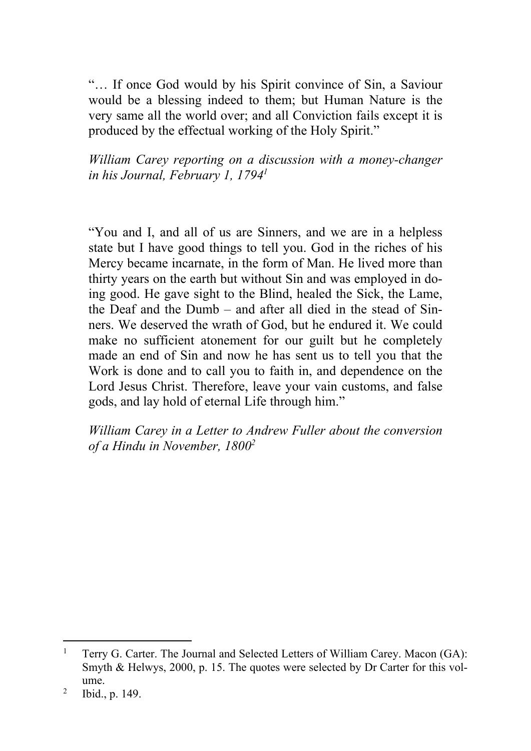"… If once God would by his Spirit convince of Sin, a Saviour would be a blessing indeed to them; but Human Nature is the very same all the world over; and all Conviction fails except it is produced by the effectual working of the Holy Spirit."

*William Carey reporting on a discussion with a money-changer in his Journal, February 1, 17941*

"You and I, and all of us are Sinners, and we are in a helpless state but I have good things to tell you. God in the riches of his Mercy became incarnate, in the form of Man. He lived more than thirty years on the earth but without Sin and was employed in doing good. He gave sight to the Blind, healed the Sick, the Lame, the Deaf and the Dumb – and after all died in the stead of Sinners. We deserved the wrath of God, but he endured it. We could make no sufficient atonement for our guilt but he completely made an end of Sin and now he has sent us to tell you that the Work is done and to call you to faith in, and dependence on the Lord Jesus Christ. Therefore, leave your vain customs, and false gods, and lay hold of eternal Life through him."

*William Carey in a Letter to Andrew Fuller about the conversion of a Hindu in November, 18002*

<sup>-</sup>1 Terry G. Carter. The Journal and Selected Letters of William Carey. Macon (GA): Smyth & Helwys, 2000, p. 15. The quotes were selected by Dr Carter for this volume.

<sup>2</sup> Ibid., p. 149.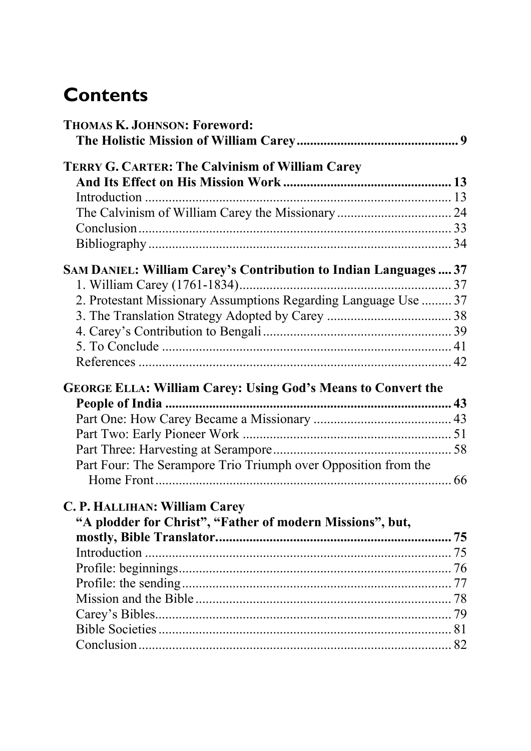# **Contents**

| <b>THOMAS K. JOHNSON: Foreword:</b>                                     |  |
|-------------------------------------------------------------------------|--|
| <b>TERRY G. CARTER: The Calvinism of William Carey</b>                  |  |
|                                                                         |  |
|                                                                         |  |
|                                                                         |  |
|                                                                         |  |
|                                                                         |  |
| <b>SAM DANIEL: William Carey's Contribution to Indian Languages  37</b> |  |
|                                                                         |  |
| 2. Protestant Missionary Assumptions Regarding Language Use  37         |  |
|                                                                         |  |
|                                                                         |  |
|                                                                         |  |
|                                                                         |  |
| <b>GEORGE ELLA: William Carey: Using God's Means to Convert the</b>     |  |
|                                                                         |  |
|                                                                         |  |
|                                                                         |  |
|                                                                         |  |
| Part Four: The Serampore Trio Triumph over Opposition from the          |  |
|                                                                         |  |
| C. P. HALLIHAN: William Carey                                           |  |
| "A plodder for Christ", "Father of modern Missions", but,               |  |
|                                                                         |  |
|                                                                         |  |
|                                                                         |  |
|                                                                         |  |
|                                                                         |  |
|                                                                         |  |
|                                                                         |  |
|                                                                         |  |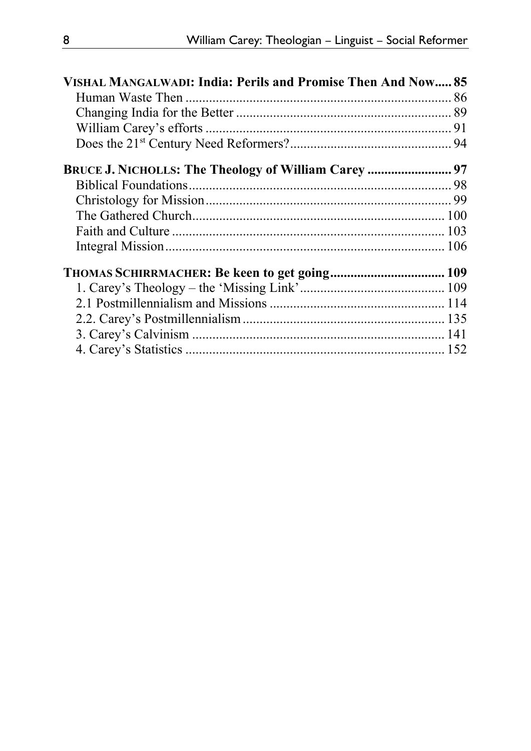| <b>VISHAL MANGALWADI: India: Perils and Promise Then And Now 85</b> |  |
|---------------------------------------------------------------------|--|
|                                                                     |  |
|                                                                     |  |
|                                                                     |  |
|                                                                     |  |
| <b>BRUCE J. NICHOLLS: The Theology of William Carey  97</b>         |  |
|                                                                     |  |
|                                                                     |  |
|                                                                     |  |
|                                                                     |  |
|                                                                     |  |
|                                                                     |  |
|                                                                     |  |
|                                                                     |  |
|                                                                     |  |
|                                                                     |  |
|                                                                     |  |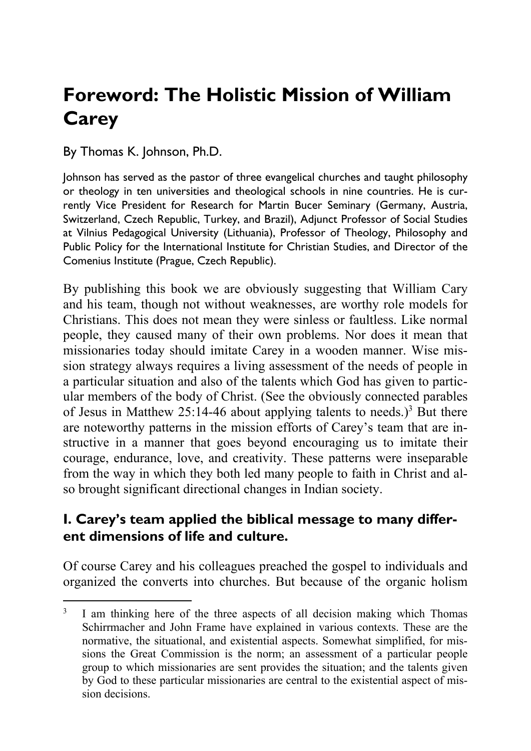# **Foreword: The Holistic Mission of William Carey**

By Thomas K. Johnson, Ph.D.

Johnson has served as the pastor of three evangelical churches and taught philosophy or theology in ten universities and theological schools in nine countries. He is currently Vice President for Research for Martin Bucer Seminary (Germany, Austria, Switzerland, Czech Republic, Turkey, and Brazil), Adjunct Professor of Social Studies at Vilnius Pedagogical University (Lithuania), Professor of Theology, Philosophy and Public Policy for the International Institute for Christian Studies, and Director of the Comenius Institute (Prague, Czech Republic).

By publishing this book we are obviously suggesting that William Cary and his team, though not without weaknesses, are worthy role models for Christians. This does not mean they were sinless or faultless. Like normal people, they caused many of their own problems. Nor does it mean that missionaries today should imitate Carey in a wooden manner. Wise mission strategy always requires a living assessment of the needs of people in a particular situation and also of the talents which God has given to particular members of the body of Christ. (See the obviously connected parables of Jesus in Matthew 25:14-46 about applying talents to needs.)<sup>3</sup> But there are noteworthy patterns in the mission efforts of Carey's team that are instructive in a manner that goes beyond encouraging us to imitate their courage, endurance, love, and creativity. These patterns were inseparable from the way in which they both led many people to faith in Christ and also brought significant directional changes in Indian society.

### **I. Carey's team applied the biblical message to many different dimensions of life and culture.**

Of course Carey and his colleagues preached the gospel to individuals and organized the converts into churches. But because of the organic holism

<sup>-</sup>3 I am thinking here of the three aspects of all decision making which Thomas Schirrmacher and John Frame have explained in various contexts. These are the normative, the situational, and existential aspects. Somewhat simplified, for missions the Great Commission is the norm; an assessment of a particular people group to which missionaries are sent provides the situation; and the talents given by God to these particular missionaries are central to the existential aspect of mission decisions.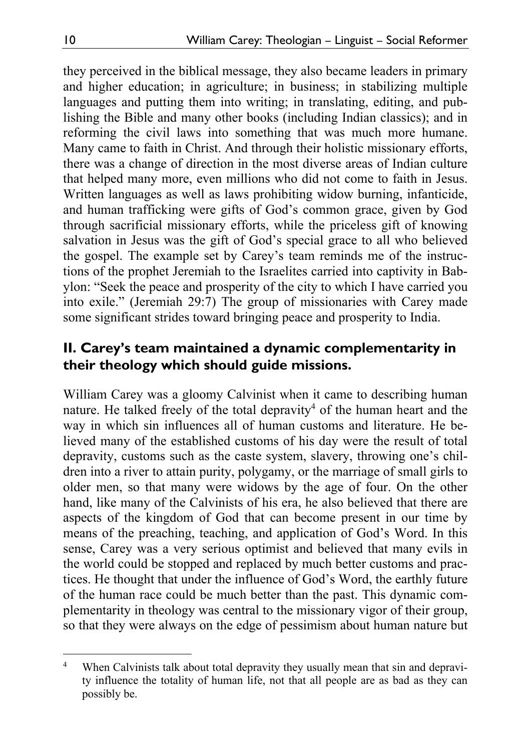they perceived in the biblical message, they also became leaders in primary and higher education; in agriculture; in business; in stabilizing multiple languages and putting them into writing; in translating, editing, and publishing the Bible and many other books (including Indian classics); and in reforming the civil laws into something that was much more humane. Many came to faith in Christ. And through their holistic missionary efforts, there was a change of direction in the most diverse areas of Indian culture that helped many more, even millions who did not come to faith in Jesus. Written languages as well as laws prohibiting widow burning, infanticide, and human trafficking were gifts of God's common grace, given by God through sacrificial missionary efforts, while the priceless gift of knowing salvation in Jesus was the gift of God's special grace to all who believed the gospel. The example set by Carey's team reminds me of the instructions of the prophet Jeremiah to the Israelites carried into captivity in Babylon: "Seek the peace and prosperity of the city to which I have carried you into exile." (Jeremiah 29:7) The group of missionaries with Carey made some significant strides toward bringing peace and prosperity to India.

### **II. Carey's team maintained a dynamic complementarity in their theology which should guide missions.**

William Carey was a gloomy Calvinist when it came to describing human nature. He talked freely of the total depravity<sup>4</sup> of the human heart and the way in which sin influences all of human customs and literature. He believed many of the established customs of his day were the result of total depravity, customs such as the caste system, slavery, throwing one's children into a river to attain purity, polygamy, or the marriage of small girls to older men, so that many were widows by the age of four. On the other hand, like many of the Calvinists of his era, he also believed that there are aspects of the kingdom of God that can become present in our time by means of the preaching, teaching, and application of God's Word. In this sense, Carey was a very serious optimist and believed that many evils in the world could be stopped and replaced by much better customs and practices. He thought that under the influence of God's Word, the earthly future of the human race could be much better than the past. This dynamic complementarity in theology was central to the missionary vigor of their group, so that they were always on the edge of pessimism about human nature but

<sup>-</sup>4 When Calvinists talk about total depravity they usually mean that sin and depravity influence the totality of human life, not that all people are as bad as they can possibly be.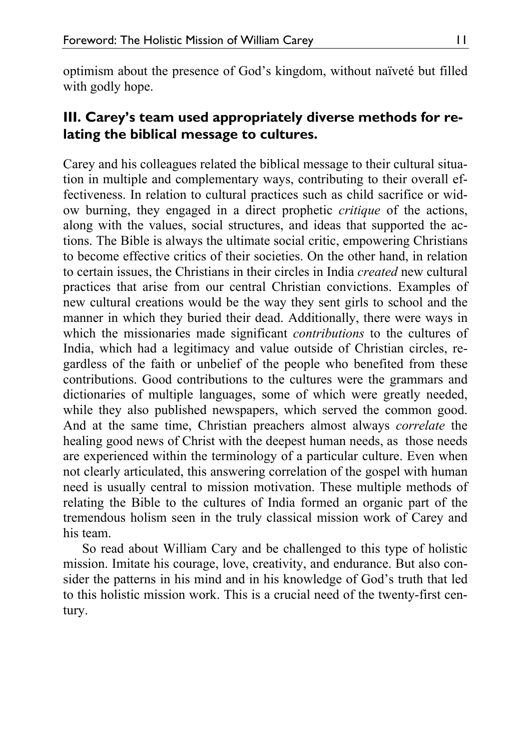optimism about the presence of God's kingdom, without naïveté but filled with godly hope.

### **III. Carey's team used appropriately diverse methods for relating the biblical message to cultures.**

Carey and his colleagues related the biblical message to their cultural situation in multiple and complementary ways, contributing to their overall effectiveness. In relation to cultural practices such as child sacrifice or widow burning, they engaged in a direct prophetic *critique* of the actions, along with the values, social structures, and ideas that supported the actions. The Bible is always the ultimate social critic, empowering Christians to become effective critics of their societies. On the other hand, in relation to certain issues, the Christians in their circles in India *created* new cultural practices that arise from our central Christian convictions. Examples of new cultural creations would be the way they sent girls to school and the manner in which they buried their dead. Additionally, there were ways in which the missionaries made significant *contributions* to the cultures of India, which had a legitimacy and value outside of Christian circles, regardless of the faith or unbelief of the people who benefited from these contributions. Good contributions to the cultures were the grammars and dictionaries of multiple languages, some of which were greatly needed, while they also published newspapers, which served the common good. And at the same time, Christian preachers almost always *correlate* the healing good news of Christ with the deepest human needs, as those needs are experienced within the terminology of a particular culture. Even when not clearly articulated, this answering correlation of the gospel with human need is usually central to mission motivation. These multiple methods of relating the Bible to the cultures of India formed an organic part of the tremendous holism seen in the truly classical mission work of Carey and his team.

So read about William Cary and be challenged to this type of holistic mission. Imitate his courage, love, creativity, and endurance. But also consider the patterns in his mind and in his knowledge of God's truth that led to this holistic mission work. This is a crucial need of the twenty-first century.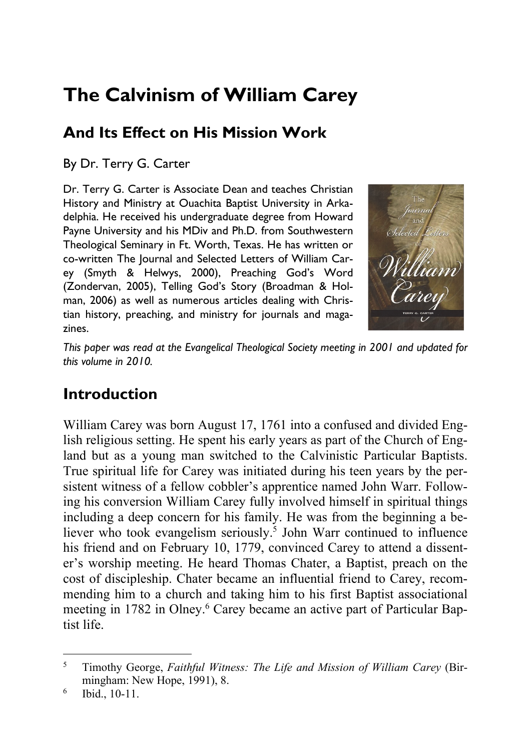# **The Calvinism of William Carey**

## **And Its Effect on His Mission Work**

#### By Dr. Terry G. Carter

Dr. Terry G. Carter is Associate Dean and teaches Christian History and Ministry at Ouachita Baptist University in Arkadelphia. He received his undergraduate degree from Howard Payne University and his MDiv and Ph.D. from Southwestern Theological Seminary in Ft. Worth, Texas. He has written or co-written The Journal and Selected Letters of William Carey (Smyth & Helwys, 2000), Preaching God's Word (Zondervan, 2005), Telling God's Story (Broadman & Holman, 2006) as well as numerous articles dealing with Christian history, preaching, and ministry for journals and magazines.



*This paper was read at the Evangelical Theological Society meeting in 2001 and updated for this volume in 2010.* 

## **Introduction**

William Carey was born August 17, 1761 into a confused and divided English religious setting. He spent his early years as part of the Church of England but as a young man switched to the Calvinistic Particular Baptists. True spiritual life for Carey was initiated during his teen years by the persistent witness of a fellow cobbler's apprentice named John Warr. Following his conversion William Carey fully involved himself in spiritual things including a deep concern for his family. He was from the beginning a believer who took evangelism seriously.<sup>5</sup> John Warr continued to influence his friend and on February 10, 1779, convinced Carey to attend a dissenter's worship meeting. He heard Thomas Chater, a Baptist, preach on the cost of discipleship. Chater became an influential friend to Carey, recommending him to a church and taking him to his first Baptist associational meeting in 1782 in Olney.<sup>6</sup> Carey became an active part of Particular Baptist life.

<sup>-</sup>5 Timothy George, *Faithful Witness: The Life and Mission of William Carey* (Birmingham: New Hope, 1991), 8.

<sup>6</sup> Ibid., 10-11.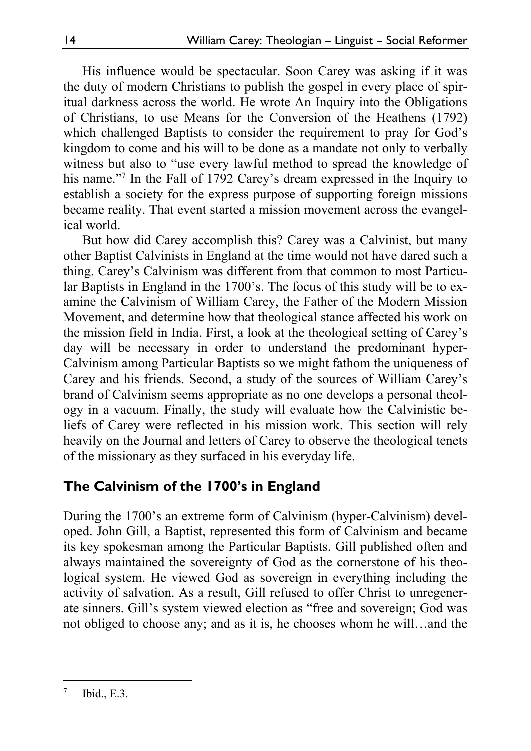His influence would be spectacular. Soon Carey was asking if it was the duty of modern Christians to publish the gospel in every place of spiritual darkness across the world. He wrote An Inquiry into the Obligations of Christians, to use Means for the Conversion of the Heathens (1792) which challenged Baptists to consider the requirement to pray for God's kingdom to come and his will to be done as a mandate not only to verbally witness but also to "use every lawful method to spread the knowledge of his name."<sup>7</sup> In the Fall of 1792 Carey's dream expressed in the Inquiry to establish a society for the express purpose of supporting foreign missions became reality. That event started a mission movement across the evangelical world.

But how did Carey accomplish this? Carey was a Calvinist, but many other Baptist Calvinists in England at the time would not have dared such a thing. Carey's Calvinism was different from that common to most Particular Baptists in England in the 1700's. The focus of this study will be to examine the Calvinism of William Carey, the Father of the Modern Mission Movement, and determine how that theological stance affected his work on the mission field in India. First, a look at the theological setting of Carey's day will be necessary in order to understand the predominant hyper-Calvinism among Particular Baptists so we might fathom the uniqueness of Carey and his friends. Second, a study of the sources of William Carey's brand of Calvinism seems appropriate as no one develops a personal theology in a vacuum. Finally, the study will evaluate how the Calvinistic beliefs of Carey were reflected in his mission work. This section will rely heavily on the Journal and letters of Carey to observe the theological tenets of the missionary as they surfaced in his everyday life.

### **The Calvinism of the 1700's in England**

During the 1700's an extreme form of Calvinism (hyper-Calvinism) developed. John Gill, a Baptist, represented this form of Calvinism and became its key spokesman among the Particular Baptists. Gill published often and always maintained the sovereignty of God as the cornerstone of his theological system. He viewed God as sovereign in everything including the activity of salvation. As a result, Gill refused to offer Christ to unregenerate sinners. Gill's system viewed election as "free and sovereign; God was not obliged to choose any; and as it is, he chooses whom he will…and the

<sup>-</sup>7 Ibid., E.3.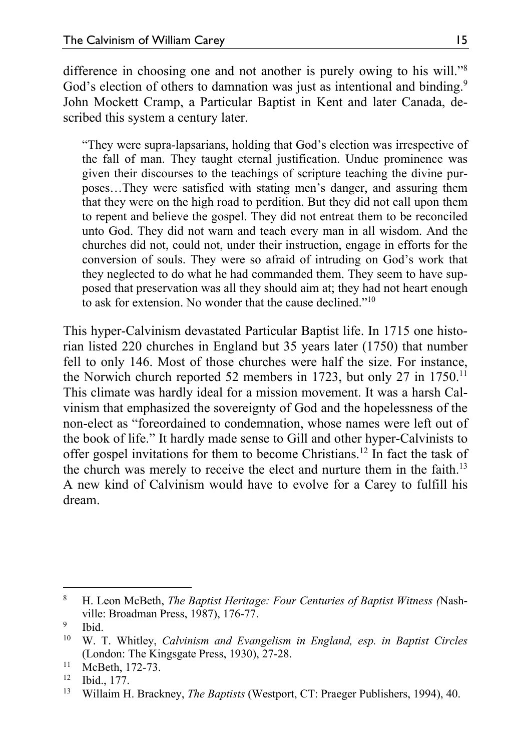difference in choosing one and not another is purely owing to his will."8 God's election of others to damnation was just as intentional and binding.<sup>9</sup> John Mockett Cramp, a Particular Baptist in Kent and later Canada, described this system a century later.

"They were supra-lapsarians, holding that God's election was irrespective of the fall of man. They taught eternal justification. Undue prominence was given their discourses to the teachings of scripture teaching the divine purposes…They were satisfied with stating men's danger, and assuring them that they were on the high road to perdition. But they did not call upon them to repent and believe the gospel. They did not entreat them to be reconciled unto God. They did not warn and teach every man in all wisdom. And the churches did not, could not, under their instruction, engage in efforts for the conversion of souls. They were so afraid of intruding on God's work that they neglected to do what he had commanded them. They seem to have supposed that preservation was all they should aim at; they had not heart enough to ask for extension. No wonder that the cause declined."10

This hyper-Calvinism devastated Particular Baptist life. In 1715 one historian listed 220 churches in England but 35 years later (1750) that number fell to only 146. Most of those churches were half the size. For instance, the Norwich church reported 52 members in 1723, but only 27 in 1750.<sup>11</sup> This climate was hardly ideal for a mission movement. It was a harsh Calvinism that emphasized the sovereignty of God and the hopelessness of the non-elect as "foreordained to condemnation, whose names were left out of the book of life." It hardly made sense to Gill and other hyper-Calvinists to offer gospel invitations for them to become Christians.12 In fact the task of the church was merely to receive the elect and nurture them in the faith.<sup>13</sup> A new kind of Calvinism would have to evolve for a Carey to fulfill his dream.

<sup>8</sup> H. Leon McBeth, *The Baptist Heritage: Four Centuries of Baptist Witness (*Nashville: Broadman Press, 1987), 176-77.

<sup>9</sup>  $\frac{9}{10}$  Ibid.

<sup>10</sup> W. T. Whitley, *Calvinism and Evangelism in England, esp. in Baptist Circles*  (London: The Kingsgate Press, 1930), 27-28.

<sup>&</sup>lt;sup>11</sup> McBeth, 172-73.

<sup>12</sup> Ibid., 177.

<sup>13</sup> Willaim H. Brackney, *The Baptists* (Westport, CT: Praeger Publishers, 1994), 40.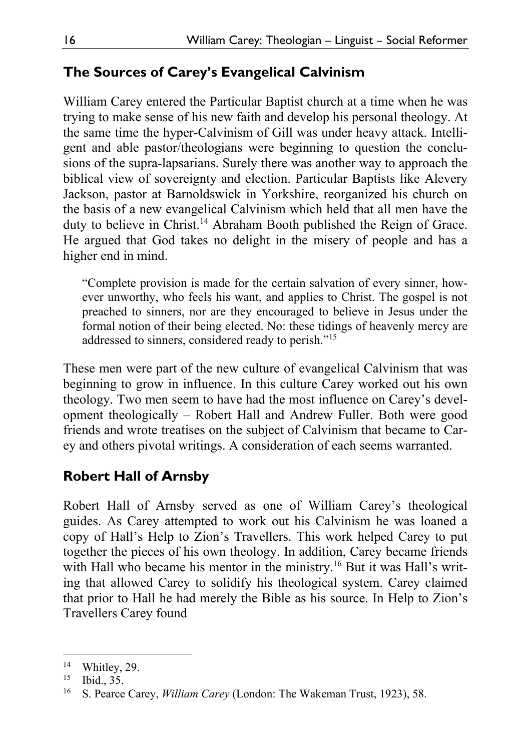## **The Sources of Carey's Evangelical Calvinism**

William Carey entered the Particular Baptist church at a time when he was trying to make sense of his new faith and develop his personal theology. At the same time the hyper-Calvinism of Gill was under heavy attack. Intelligent and able pastor/theologians were beginning to question the conclusions of the supra-lapsarians. Surely there was another way to approach the biblical view of sovereignty and election. Particular Baptists like Alevery Jackson, pastor at Barnoldswick in Yorkshire, reorganized his church on the basis of a new evangelical Calvinism which held that all men have the duty to believe in Christ.<sup>14</sup> Abraham Booth published the Reign of Grace. He argued that God takes no delight in the misery of people and has a higher end in mind.

"Complete provision is made for the certain salvation of every sinner, however unworthy, who feels his want, and applies to Christ. The gospel is not preached to sinners, nor are they encouraged to believe in Jesus under the formal notion of their being elected. No: these tidings of heavenly mercy are addressed to sinners, considered ready to perish."15

These men were part of the new culture of evangelical Calvinism that was beginning to grow in influence. In this culture Carey worked out his own theology. Two men seem to have had the most influence on Carey's development theologically – Robert Hall and Andrew Fuller. Both were good friends and wrote treatises on the subject of Calvinism that became to Carey and others pivotal writings. A consideration of each seems warranted.

## **Robert Hall of Arnsby**

Robert Hall of Arnsby served as one of William Carey's theological guides. As Carey attempted to work out his Calvinism he was loaned a copy of Hall's Help to Zion's Travellers. This work helped Carey to put together the pieces of his own theology. In addition, Carey became friends with Hall who became his mentor in the ministry.<sup>16</sup> But it was Hall's writing that allowed Carey to solidify his theological system. Carey claimed that prior to Hall he had merely the Bible as his source. In Help to Zion's Travellers Carey found

<sup>14</sup> Whitley, 29.

<sup>15</sup> Ibid., 35.

<sup>16</sup> S. Pearce Carey, *William Carey* (London: The Wakeman Trust, 1923), 58.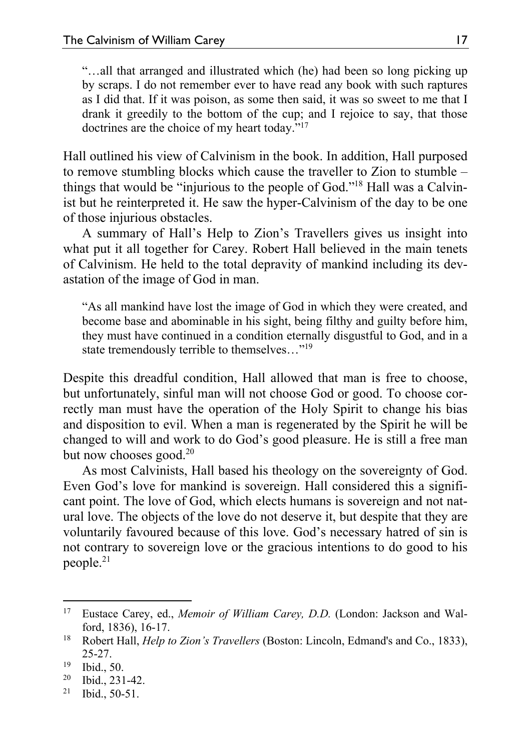"…all that arranged and illustrated which (he) had been so long picking up by scraps. I do not remember ever to have read any book with such raptures as I did that. If it was poison, as some then said, it was so sweet to me that I drank it greedily to the bottom of the cup; and I rejoice to say, that those doctrines are the choice of my heart today."17

Hall outlined his view of Calvinism in the book. In addition, Hall purposed to remove stumbling blocks which cause the traveller to Zion to stumble – things that would be "injurious to the people of God."18 Hall was a Calvinist but he reinterpreted it. He saw the hyper-Calvinism of the day to be one of those injurious obstacles.

A summary of Hall's Help to Zion's Travellers gives us insight into what put it all together for Carey. Robert Hall believed in the main tenets of Calvinism. He held to the total depravity of mankind including its devastation of the image of God in man.

"As all mankind have lost the image of God in which they were created, and become base and abominable in his sight, being filthy and guilty before him, they must have continued in a condition eternally disgustful to God, and in a state tremendously terrible to themselves…"19

Despite this dreadful condition, Hall allowed that man is free to choose, but unfortunately, sinful man will not choose God or good. To choose correctly man must have the operation of the Holy Spirit to change his bias and disposition to evil. When a man is regenerated by the Spirit he will be changed to will and work to do God's good pleasure. He is still a free man but now chooses good. $20$ 

As most Calvinists, Hall based his theology on the sovereignty of God. Even God's love for mankind is sovereign. Hall considered this a significant point. The love of God, which elects humans is sovereign and not natural love. The objects of the love do not deserve it, but despite that they are voluntarily favoured because of this love. God's necessary hatred of sin is not contrary to sovereign love or the gracious intentions to do good to his people.21

<sup>17</sup> Eustace Carey, ed., *Memoir of William Carey, D.D.* (London: Jackson and Walford, 1836), 16-17.

<sup>18</sup> Robert Hall, *Help to Zion's Travellers* (Boston: Lincoln, Edmand's and Co., 1833), 25-27.

<sup>19</sup> Ibid., 50.

<sup>20</sup> Ibid., 231-42.

 $21$  Ibid., 50-51.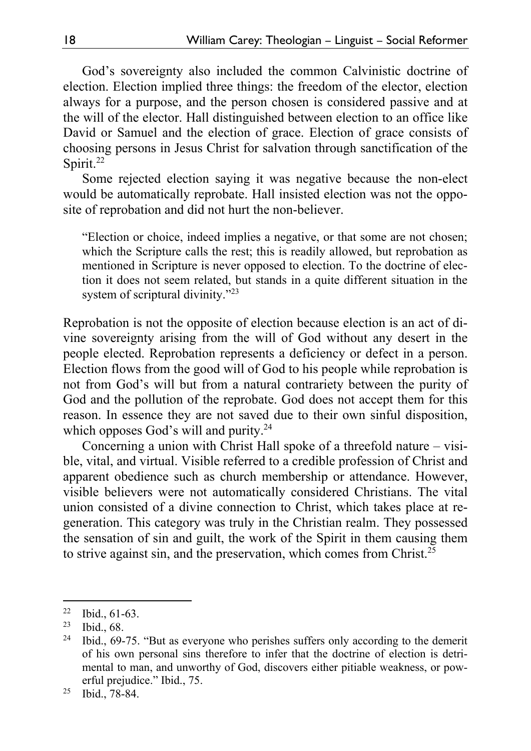God's sovereignty also included the common Calvinistic doctrine of election. Election implied three things: the freedom of the elector, election always for a purpose, and the person chosen is considered passive and at the will of the elector. Hall distinguished between election to an office like David or Samuel and the election of grace. Election of grace consists of choosing persons in Jesus Christ for salvation through sanctification of the Spirit.<sup>22</sup>

Some rejected election saying it was negative because the non-elect would be automatically reprobate. Hall insisted election was not the opposite of reprobation and did not hurt the non-believer.

"Election or choice, indeed implies a negative, or that some are not chosen; which the Scripture calls the rest; this is readily allowed, but reprobation as mentioned in Scripture is never opposed to election. To the doctrine of election it does not seem related, but stands in a quite different situation in the system of scriptural divinity."<sup>23</sup>

Reprobation is not the opposite of election because election is an act of divine sovereignty arising from the will of God without any desert in the people elected. Reprobation represents a deficiency or defect in a person. Election flows from the good will of God to his people while reprobation is not from God's will but from a natural contrariety between the purity of God and the pollution of the reprobate. God does not accept them for this reason. In essence they are not saved due to their own sinful disposition, which opposes God's will and purity.<sup>24</sup>

Concerning a union with Christ Hall spoke of a threefold nature – visible, vital, and virtual. Visible referred to a credible profession of Christ and apparent obedience such as church membership or attendance. However, visible believers were not automatically considered Christians. The vital union consisted of a divine connection to Christ, which takes place at regeneration. This category was truly in the Christian realm. They possessed the sensation of sin and guilt, the work of the Spirit in them causing them to strive against sin, and the preservation, which comes from Christ.25

<sup>22</sup> Ibid., 61-63.

<sup>23</sup> Ibid., 68.

<sup>&</sup>lt;sup>24</sup> Ibid.,  $69-75$ . "But as everyone who perishes suffers only according to the demerit of his own personal sins therefore to infer that the doctrine of election is detrimental to man, and unworthy of God, discovers either pitiable weakness, or powerful prejudice." Ibid., 75.

<sup>25</sup> Ibid., 78-84.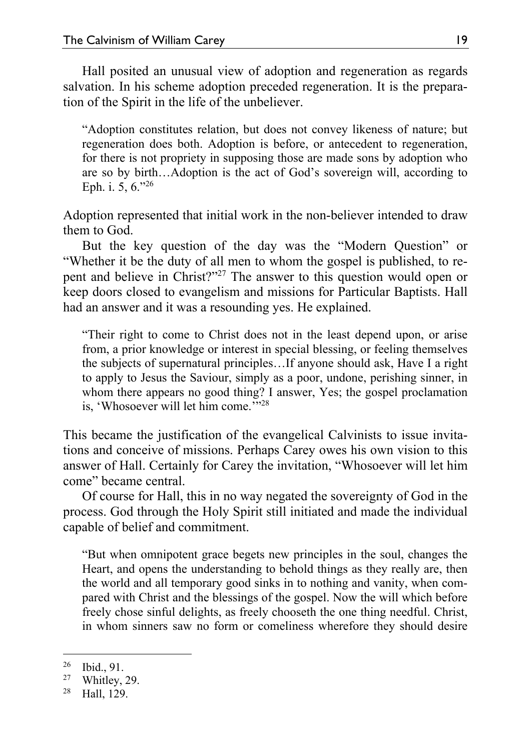Hall posited an unusual view of adoption and regeneration as regards salvation. In his scheme adoption preceded regeneration. It is the preparation of the Spirit in the life of the unbeliever.

"Adoption constitutes relation, but does not convey likeness of nature; but regeneration does both. Adoption is before, or antecedent to regeneration, for there is not propriety in supposing those are made sons by adoption who are so by birth…Adoption is the act of God's sovereign will, according to Eph. i. 5, 6."26

Adoption represented that initial work in the non-believer intended to draw them to God.

But the key question of the day was the "Modern Question" or "Whether it be the duty of all men to whom the gospel is published, to repent and believe in Christ?"27 The answer to this question would open or keep doors closed to evangelism and missions for Particular Baptists. Hall had an answer and it was a resounding yes. He explained.

"Their right to come to Christ does not in the least depend upon, or arise from, a prior knowledge or interest in special blessing, or feeling themselves the subjects of supernatural principles…If anyone should ask, Have I a right to apply to Jesus the Saviour, simply as a poor, undone, perishing sinner, in whom there appears no good thing? I answer, Yes; the gospel proclamation is, 'Whosoever will let him come."<sup>28</sup>

This became the justification of the evangelical Calvinists to issue invitations and conceive of missions. Perhaps Carey owes his own vision to this answer of Hall. Certainly for Carey the invitation, "Whosoever will let him come" became central.

Of course for Hall, this in no way negated the sovereignty of God in the process. God through the Holy Spirit still initiated and made the individual capable of belief and commitment.

"But when omnipotent grace begets new principles in the soul, changes the Heart, and opens the understanding to behold things as they really are, then the world and all temporary good sinks in to nothing and vanity, when compared with Christ and the blessings of the gospel. Now the will which before freely chose sinful delights, as freely chooseth the one thing needful. Christ, in whom sinners saw no form or comeliness wherefore they should desire

<sup>26</sup> Ibid., 91.

 $27$  Whitley, 29.

<sup>28</sup> Hall, 129.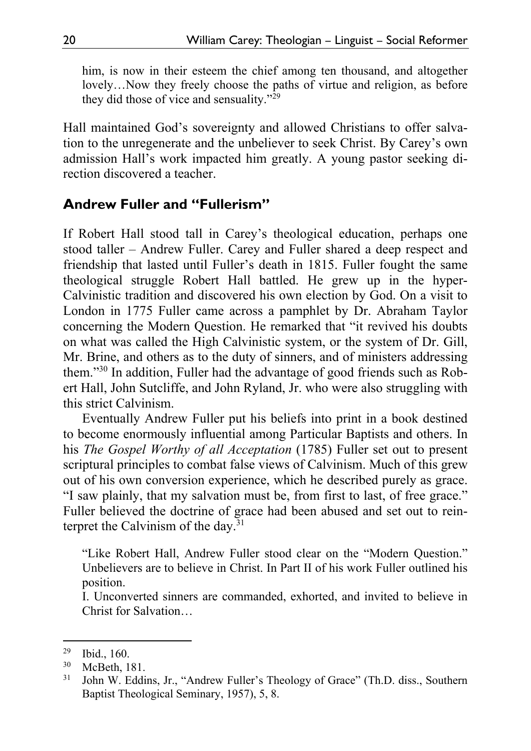him, is now in their esteem the chief among ten thousand, and altogether lovely…Now they freely choose the paths of virtue and religion, as before they did those of vice and sensuality."29

Hall maintained God's sovereignty and allowed Christians to offer salvation to the unregenerate and the unbeliever to seek Christ. By Carey's own admission Hall's work impacted him greatly. A young pastor seeking direction discovered a teacher.

#### **Andrew Fuller and "Fullerism"**

If Robert Hall stood tall in Carey's theological education, perhaps one stood taller – Andrew Fuller. Carey and Fuller shared a deep respect and friendship that lasted until Fuller's death in 1815. Fuller fought the same theological struggle Robert Hall battled. He grew up in the hyper-Calvinistic tradition and discovered his own election by God. On a visit to London in 1775 Fuller came across a pamphlet by Dr. Abraham Taylor concerning the Modern Question. He remarked that "it revived his doubts on what was called the High Calvinistic system, or the system of Dr. Gill, Mr. Brine, and others as to the duty of sinners, and of ministers addressing them."30 In addition, Fuller had the advantage of good friends such as Robert Hall, John Sutcliffe, and John Ryland, Jr. who were also struggling with this strict Calvinism.

Eventually Andrew Fuller put his beliefs into print in a book destined to become enormously influential among Particular Baptists and others. In his *The Gospel Worthy of all Acceptation* (1785) Fuller set out to present scriptural principles to combat false views of Calvinism. Much of this grew out of his own conversion experience, which he described purely as grace. "I saw plainly, that my salvation must be, from first to last, of free grace." Fuller believed the doctrine of grace had been abused and set out to reinterpret the Calvinism of the day.<sup>31</sup>

"Like Robert Hall, Andrew Fuller stood clear on the "Modern Question." Unbelievers are to believe in Christ. In Part II of his work Fuller outlined his position.

I. Unconverted sinners are commanded, exhorted, and invited to believe in Christ for Salvation…

<sup>29</sup> Ibid., 160.

<sup>30</sup> McBeth, 181.

<sup>&</sup>lt;sup>31</sup> John W. Eddins, Jr., "Andrew Fuller's Theology of Grace" (Th.D. diss., Southern Baptist Theological Seminary, 1957), 5, 8.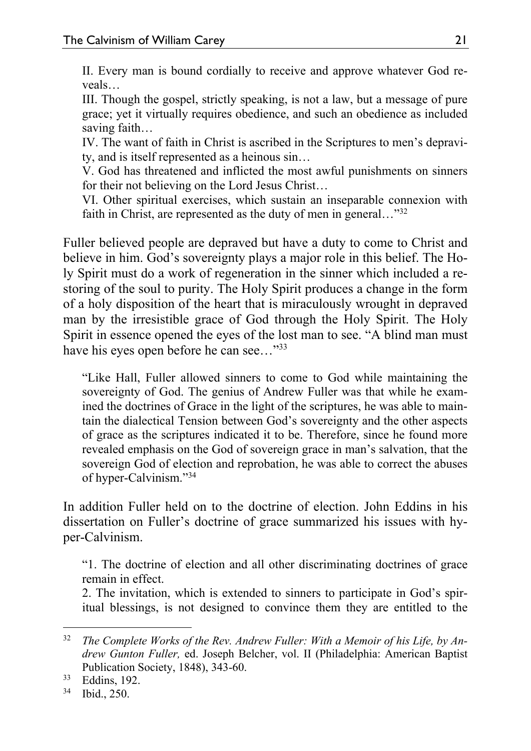II. Every man is bound cordially to receive and approve whatever God reveals…

III. Though the gospel, strictly speaking, is not a law, but a message of pure grace; yet it virtually requires obedience, and such an obedience as included saving faith…

IV. The want of faith in Christ is ascribed in the Scriptures to men's depravity, and is itself represented as a heinous sin…

V. God has threatened and inflicted the most awful punishments on sinners for their not believing on the Lord Jesus Christ…

VI. Other spiritual exercises, which sustain an inseparable connexion with faith in Christ, are represented as the duty of men in general..."<sup>32</sup>

Fuller believed people are depraved but have a duty to come to Christ and believe in him. God's sovereignty plays a major role in this belief. The Holy Spirit must do a work of regeneration in the sinner which included a restoring of the soul to purity. The Holy Spirit produces a change in the form of a holy disposition of the heart that is miraculously wrought in depraved man by the irresistible grace of God through the Holy Spirit. The Holy Spirit in essence opened the eyes of the lost man to see. "A blind man must have his eyes open before he can see..."<sup>33</sup>

"Like Hall, Fuller allowed sinners to come to God while maintaining the sovereignty of God. The genius of Andrew Fuller was that while he examined the doctrines of Grace in the light of the scriptures, he was able to maintain the dialectical Tension between God's sovereignty and the other aspects of grace as the scriptures indicated it to be. Therefore, since he found more revealed emphasis on the God of sovereign grace in man's salvation, that the sovereign God of election and reprobation, he was able to correct the abuses of hyper-Calvinism."34

In addition Fuller held on to the doctrine of election. John Eddins in his dissertation on Fuller's doctrine of grace summarized his issues with hyper-Calvinism.

"1. The doctrine of election and all other discriminating doctrines of grace remain in effect.

2. The invitation, which is extended to sinners to participate in God's spiritual blessings, is not designed to convince them they are entitled to the

<sup>32</sup> *The Complete Works of the Rev. Andrew Fuller: With a Memoir of his Life, by Andrew Gunton Fuller,* ed. Joseph Belcher, vol. II (Philadelphia: American Baptist Publication Society, 1848), 343-60.

<sup>33</sup> Eddins, 192.

<sup>34</sup> Ibid., 250.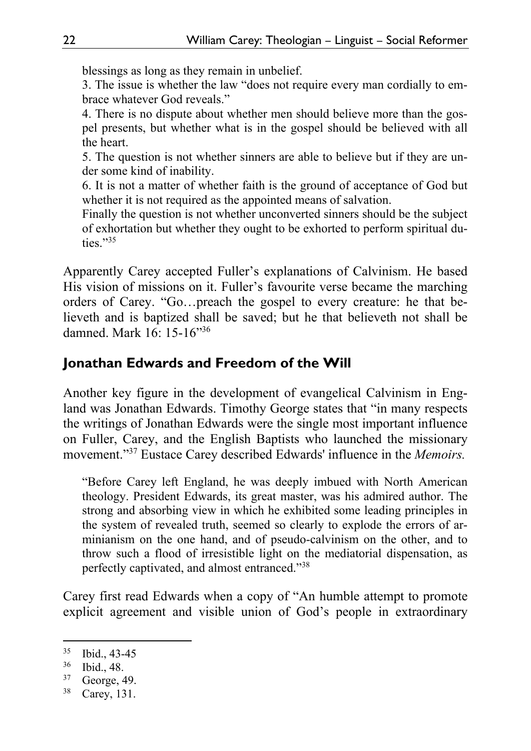blessings as long as they remain in unbelief.

3. The issue is whether the law "does not require every man cordially to embrace whatever God reveals."

4. There is no dispute about whether men should believe more than the gospel presents, but whether what is in the gospel should be believed with all the heart.

5. The question is not whether sinners are able to believe but if they are under some kind of inability.

6. It is not a matter of whether faith is the ground of acceptance of God but whether it is not required as the appointed means of salvation.

Finally the question is not whether unconverted sinners should be the subject of exhortation but whether they ought to be exhorted to perform spiritual duties $"35$ 

Apparently Carey accepted Fuller's explanations of Calvinism. He based His vision of missions on it. Fuller's favourite verse became the marching orders of Carey. "Go…preach the gospel to every creature: he that believeth and is baptized shall be saved; but he that believeth not shall be damned. Mark 16: 15-16"36

#### **Jonathan Edwards and Freedom of the Will**

Another key figure in the development of evangelical Calvinism in England was Jonathan Edwards. Timothy George states that "in many respects the writings of Jonathan Edwards were the single most important influence on Fuller, Carey, and the English Baptists who launched the missionary movement."37 Eustace Carey described Edwards' influence in the *Memoirs.*

"Before Carey left England, he was deeply imbued with North American theology. President Edwards, its great master, was his admired author. The strong and absorbing view in which he exhibited some leading principles in the system of revealed truth, seemed so clearly to explode the errors of arminianism on the one hand, and of pseudo-calvinism on the other, and to throw such a flood of irresistible light on the mediatorial dispensation, as perfectly captivated, and almost entranced."38

Carey first read Edwards when a copy of "An humble attempt to promote explicit agreement and visible union of God's people in extraordinary

<sup>35</sup> Ibid., 43-45

<sup>36</sup> Ibid., 48.

<sup>37</sup> George, 49.

<sup>38</sup> Carey, 131.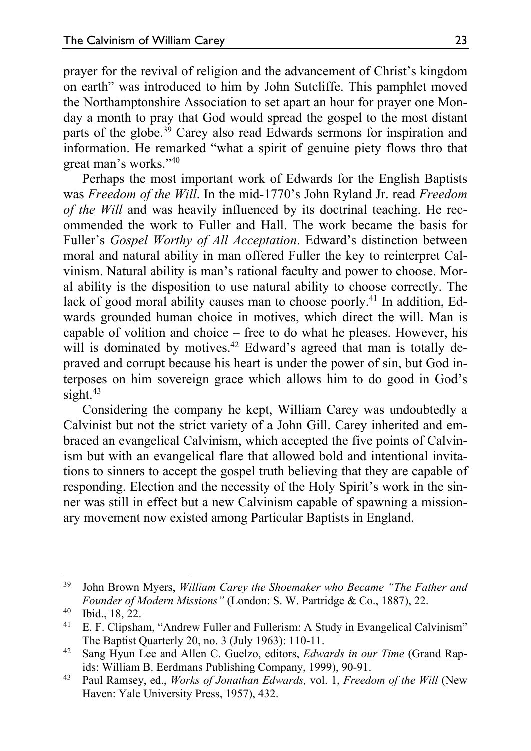prayer for the revival of religion and the advancement of Christ's kingdom on earth" was introduced to him by John Sutcliffe. This pamphlet moved the Northamptonshire Association to set apart an hour for prayer one Monday a month to pray that God would spread the gospel to the most distant parts of the globe.<sup>39</sup> Carey also read Edwards sermons for inspiration and information. He remarked "what a spirit of genuine piety flows thro that great man's works."40

Perhaps the most important work of Edwards for the English Baptists was *Freedom of the Will*. In the mid-1770's John Ryland Jr. read *Freedom of the Will* and was heavily influenced by its doctrinal teaching. He recommended the work to Fuller and Hall. The work became the basis for Fuller's *Gospel Worthy of All Acceptation*. Edward's distinction between moral and natural ability in man offered Fuller the key to reinterpret Calvinism. Natural ability is man's rational faculty and power to choose. Moral ability is the disposition to use natural ability to choose correctly. The lack of good moral ability causes man to choose poorly.<sup>41</sup> In addition, Edwards grounded human choice in motives, which direct the will. Man is capable of volition and choice – free to do what he pleases. However, his will is dominated by motives.<sup>42</sup> Edward's agreed that man is totally depraved and corrupt because his heart is under the power of sin, but God interposes on him sovereign grace which allows him to do good in God's sight. $43$ 

Considering the company he kept, William Carey was undoubtedly a Calvinist but not the strict variety of a John Gill. Carey inherited and embraced an evangelical Calvinism, which accepted the five points of Calvinism but with an evangelical flare that allowed bold and intentional invitations to sinners to accept the gospel truth believing that they are capable of responding. Election and the necessity of the Holy Spirit's work in the sinner was still in effect but a new Calvinism capable of spawning a missionary movement now existed among Particular Baptists in England.

<sup>39</sup> John Brown Myers, *William Carey the Shoemaker who Became "The Father and Founder of Modern Missions"* (London: S. W. Partridge & Co., 1887), 22.

<sup>40</sup> Ibid., 18, 22.

<sup>&</sup>lt;sup>41</sup> E. F. Clipsham, "Andrew Fuller and Fullerism: A Study in Evangelical Calvinism" The Baptist Quarterly 20, no. 3 (July 1963): 110-11.

<sup>42</sup> Sang Hyun Lee and Allen C. Guelzo, editors, *Edwards in our Time* (Grand Rapids: William B. Eerdmans Publishing Company, 1999), 90-91.

<sup>43</sup> Paul Ramsey, ed., *Works of Jonathan Edwards,* vol. 1, *Freedom of the Will* (New Haven: Yale University Press, 1957), 432.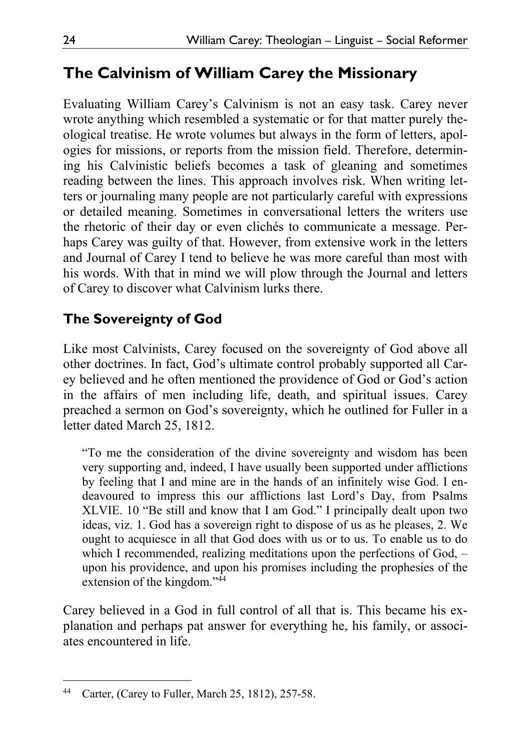## **The Calvinism of William Carey the Missionary**

Evaluating William Carey's Calvinism is not an easy task. Carey never wrote anything which resembled a systematic or for that matter purely theological treatise. He wrote volumes but always in the form of letters, apologies for missions, or reports from the mission field. Therefore, determining his Calvinistic beliefs becomes a task of gleaning and sometimes reading between the lines. This approach involves risk. When writing letters or journaling many people are not particularly careful with expressions or detailed meaning. Sometimes in conversational letters the writers use the rhetoric of their day or even clichés to communicate a message. Perhaps Carey was guilty of that. However, from extensive work in the letters and Journal of Carey I tend to believe he was more careful than most with his words. With that in mind we will plow through the Journal and letters of Carey to discover what Calvinism lurks there.

## **The Sovereignty of God**

Like most Calvinists, Carey focused on the sovereignty of God above all other doctrines. In fact, God's ultimate control probably supported all Carey believed and he often mentioned the providence of God or God's action in the affairs of men including life, death, and spiritual issues. Carey preached a sermon on God's sovereignty, which he outlined for Fuller in a letter dated March 25, 1812.

"To me the consideration of the divine sovereignty and wisdom has been very supporting and, indeed, I have usually been supported under afflictions by feeling that I and mine are in the hands of an infinitely wise God. I endeavoured to impress this our afflictions last Lord's Day, from Psalms XLVIE. 10 "Be still and know that I am God." I principally dealt upon two ideas, viz. 1. God has a sovereign right to dispose of us as he pleases, 2. We ought to acquiesce in all that God does with us or to us. To enable us to do which I recommended, realizing meditations upon the perfections of God,  $$ upon his providence, and upon his promises including the prophesies of the extension of the kingdom."<sup>44</sup>

Carey believed in a God in full control of all that is. This became his explanation and perhaps pat answer for everything he, his family, or associates encountered in life.

<sup>-</sup>44 Carter, (Carey to Fuller, March 25, 1812), 257-58.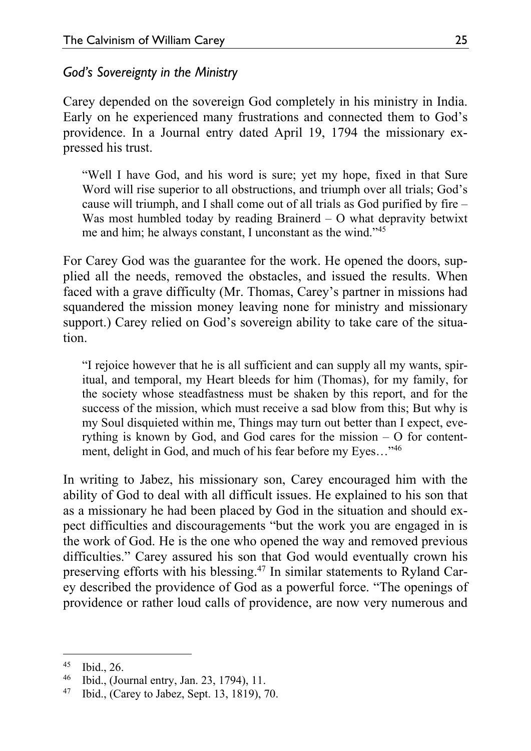#### *God's Sovereignty in the Ministry*

Carey depended on the sovereign God completely in his ministry in India. Early on he experienced many frustrations and connected them to God's providence. In a Journal entry dated April 19, 1794 the missionary expressed his trust.

"Well I have God, and his word is sure; yet my hope, fixed in that Sure Word will rise superior to all obstructions, and triumph over all trials; God's cause will triumph, and I shall come out of all trials as God purified by fire – Was most humbled today by reading Brainerd – O what depravity betwixt me and him; he always constant, I unconstant as the wind."45

For Carey God was the guarantee for the work. He opened the doors, supplied all the needs, removed the obstacles, and issued the results. When faced with a grave difficulty (Mr. Thomas, Carey's partner in missions had squandered the mission money leaving none for ministry and missionary support.) Carey relied on God's sovereign ability to take care of the situation.

"I rejoice however that he is all sufficient and can supply all my wants, spiritual, and temporal, my Heart bleeds for him (Thomas), for my family, for the society whose steadfastness must be shaken by this report, and for the success of the mission, which must receive a sad blow from this; But why is my Soul disquieted within me, Things may turn out better than I expect, everything is known by God, and God cares for the mission – O for contentment, delight in God, and much of his fear before my Eyes..."<sup>46</sup>

In writing to Jabez, his missionary son, Carey encouraged him with the ability of God to deal with all difficult issues. He explained to his son that as a missionary he had been placed by God in the situation and should expect difficulties and discouragements "but the work you are engaged in is the work of God. He is the one who opened the way and removed previous difficulties." Carey assured his son that God would eventually crown his preserving efforts with his blessing.<sup>47</sup> In similar statements to Ryland Carey described the providence of God as a powerful force. "The openings of providence or rather loud calls of providence, are now very numerous and

<sup>45</sup> Ibid., 26.

<sup>46</sup> Ibid., (Journal entry, Jan. 23, 1794), 11.

<sup>47</sup> Ibid., (Carey to Jabez, Sept. 13, 1819), 70.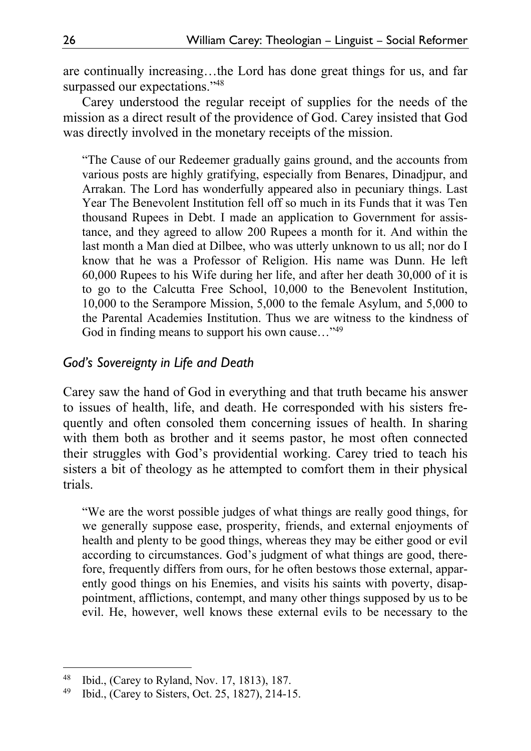are continually increasing…the Lord has done great things for us, and far surpassed our expectations."<sup>48</sup>

Carey understood the regular receipt of supplies for the needs of the mission as a direct result of the providence of God. Carey insisted that God was directly involved in the monetary receipts of the mission.

"The Cause of our Redeemer gradually gains ground, and the accounts from various posts are highly gratifying, especially from Benares, Dinadjpur, and Arrakan. The Lord has wonderfully appeared also in pecuniary things. Last Year The Benevolent Institution fell off so much in its Funds that it was Ten thousand Rupees in Debt. I made an application to Government for assistance, and they agreed to allow 200 Rupees a month for it. And within the last month a Man died at Dilbee, who was utterly unknown to us all; nor do I know that he was a Professor of Religion. His name was Dunn. He left 60,000 Rupees to his Wife during her life, and after her death 30,000 of it is to go to the Calcutta Free School, 10,000 to the Benevolent Institution, 10,000 to the Serampore Mission, 5,000 to the female Asylum, and 5,000 to the Parental Academies Institution. Thus we are witness to the kindness of God in finding means to support his own cause..."<sup>49</sup>

#### *God's Sovereignty in Life and Death*

Carey saw the hand of God in everything and that truth became his answer to issues of health, life, and death. He corresponded with his sisters frequently and often consoled them concerning issues of health. In sharing with them both as brother and it seems pastor, he most often connected their struggles with God's providential working. Carey tried to teach his sisters a bit of theology as he attempted to comfort them in their physical trials.

"We are the worst possible judges of what things are really good things, for we generally suppose ease, prosperity, friends, and external enjoyments of health and plenty to be good things, whereas they may be either good or evil according to circumstances. God's judgment of what things are good, therefore, frequently differs from ours, for he often bestows those external, apparently good things on his Enemies, and visits his saints with poverty, disappointment, afflictions, contempt, and many other things supposed by us to be evil. He, however, well knows these external evils to be necessary to the

<sup>48</sup> Ibid., (Carey to Ryland, Nov. 17, 1813), 187.

<sup>49</sup> Ibid., (Carey to Sisters, Oct. 25, 1827), 214-15.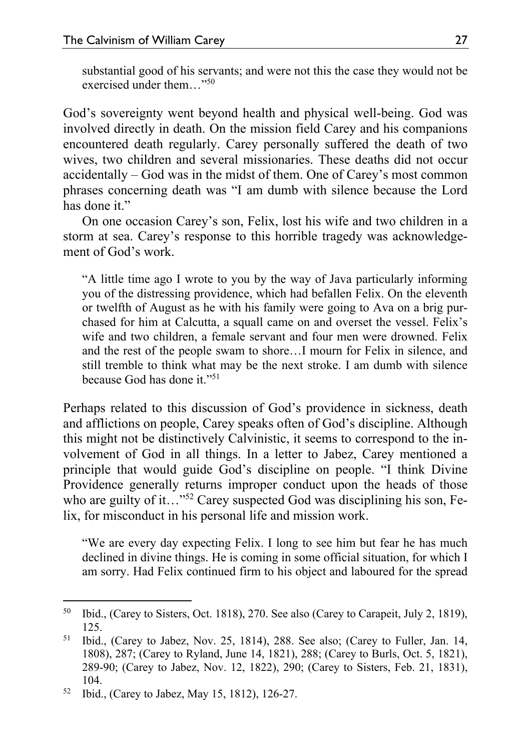substantial good of his servants; and were not this the case they would not be exercised under them…"50

God's sovereignty went beyond health and physical well-being. God was involved directly in death. On the mission field Carey and his companions encountered death regularly. Carey personally suffered the death of two wives, two children and several missionaries. These deaths did not occur accidentally – God was in the midst of them. One of Carey's most common phrases concerning death was "I am dumb with silence because the Lord has done it."

On one occasion Carey's son, Felix, lost his wife and two children in a storm at sea. Carey's response to this horrible tragedy was acknowledgement of God's work.

"A little time ago I wrote to you by the way of Java particularly informing you of the distressing providence, which had befallen Felix. On the eleventh or twelfth of August as he with his family were going to Ava on a brig purchased for him at Calcutta, a squall came on and overset the vessel. Felix's wife and two children, a female servant and four men were drowned. Felix and the rest of the people swam to shore…I mourn for Felix in silence, and still tremble to think what may be the next stroke. I am dumb with silence because God has done it."51

Perhaps related to this discussion of God's providence in sickness, death and afflictions on people, Carey speaks often of God's discipline. Although this might not be distinctively Calvinistic, it seems to correspond to the involvement of God in all things. In a letter to Jabez, Carey mentioned a principle that would guide God's discipline on people. "I think Divine Providence generally returns improper conduct upon the heads of those who are guilty of it..."<sup>52</sup> Carey suspected God was disciplining his son, Felix, for misconduct in his personal life and mission work.

"We are every day expecting Felix. I long to see him but fear he has much declined in divine things. He is coming in some official situation, for which I am sorry. Had Felix continued firm to his object and laboured for the spread

<sup>50</sup> Ibid., (Carey to Sisters, Oct. 1818), 270. See also (Carey to Carapeit, July 2, 1819), 125.

<sup>51</sup> Ibid., (Carey to Jabez, Nov. 25, 1814), 288. See also; (Carey to Fuller, Jan. 14, 1808), 287; (Carey to Ryland, June 14, 1821), 288; (Carey to Burls, Oct. 5, 1821), 289-90; (Carey to Jabez, Nov. 12, 1822), 290; (Carey to Sisters, Feb. 21, 1831), 104.

<sup>52</sup> Ibid., (Carey to Jabez, May 15, 1812), 126-27.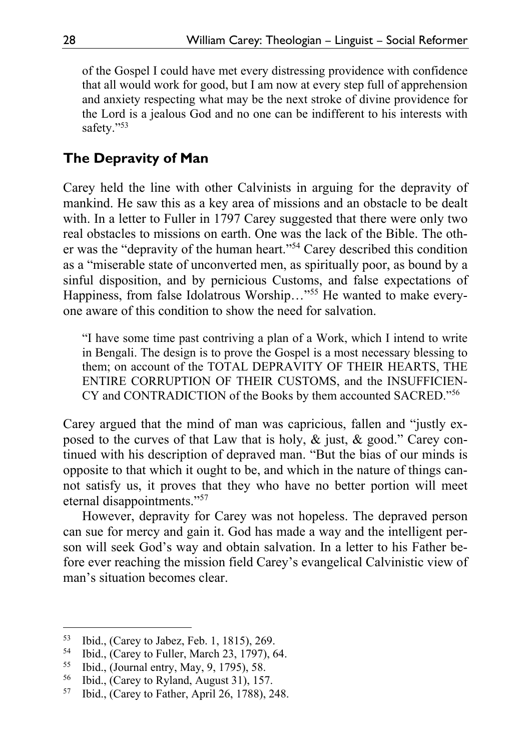of the Gospel I could have met every distressing providence with confidence that all would work for good, but I am now at every step full of apprehension and anxiety respecting what may be the next stroke of divine providence for the Lord is a jealous God and no one can be indifferent to his interests with safety."<sup>53</sup>

#### **The Depravity of Man**

Carey held the line with other Calvinists in arguing for the depravity of mankind. He saw this as a key area of missions and an obstacle to be dealt with. In a letter to Fuller in 1797 Carey suggested that there were only two real obstacles to missions on earth. One was the lack of the Bible. The other was the "depravity of the human heart."54 Carey described this condition as a "miserable state of unconverted men, as spiritually poor, as bound by a sinful disposition, and by pernicious Customs, and false expectations of Happiness, from false Idolatrous Worship..."<sup>55</sup> He wanted to make everyone aware of this condition to show the need for salvation.

"I have some time past contriving a plan of a Work, which I intend to write in Bengali. The design is to prove the Gospel is a most necessary blessing to them; on account of the TOTAL DEPRAVITY OF THEIR HEARTS, THE ENTIRE CORRUPTION OF THEIR CUSTOMS, and the INSUFFICIEN-CY and CONTRADICTION of the Books by them accounted SACRED."56

Carey argued that the mind of man was capricious, fallen and "justly exposed to the curves of that Law that is holy,  $\&$  just,  $\&$  good." Carey continued with his description of depraved man. "But the bias of our minds is opposite to that which it ought to be, and which in the nature of things cannot satisfy us, it proves that they who have no better portion will meet eternal disappointments."57

However, depravity for Carey was not hopeless. The depraved person can sue for mercy and gain it. God has made a way and the intelligent person will seek God's way and obtain salvation. In a letter to his Father before ever reaching the mission field Carey's evangelical Calvinistic view of man's situation becomes clear.

<sup>53</sup> Ibid., (Carey to Jabez, Feb. 1, 1815), 269.

<sup>54</sup> Ibid., (Carey to Fuller, March 23, 1797), 64.

<sup>55</sup> Ibid., (Journal entry, May, 9, 1795), 58.

<sup>56</sup> Ibid., (Carey to Ryland, August 31), 157.

<sup>57</sup> Ibid., (Carey to Father, April 26, 1788), 248.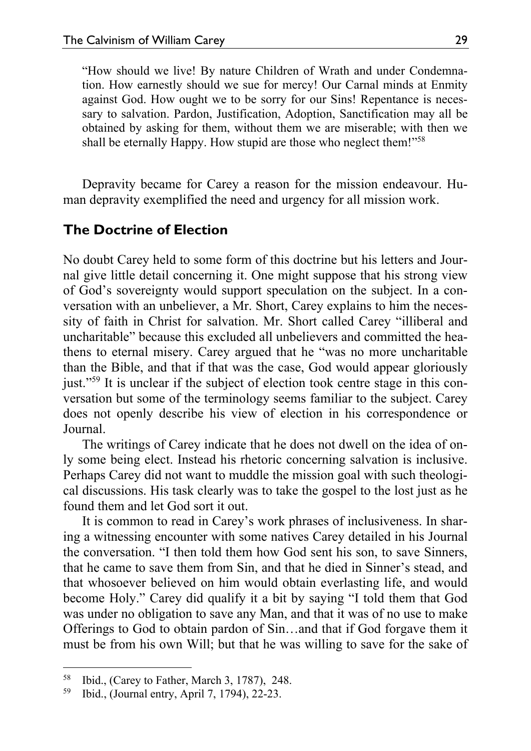"How should we live! By nature Children of Wrath and under Condemnation. How earnestly should we sue for mercy! Our Carnal minds at Enmity against God. How ought we to be sorry for our Sins! Repentance is necessary to salvation. Pardon, Justification, Adoption, Sanctification may all be obtained by asking for them, without them we are miserable; with then we shall be eternally Happy. How stupid are those who neglect them!"<sup>58</sup>

Depravity became for Carey a reason for the mission endeavour. Human depravity exemplified the need and urgency for all mission work.

#### **The Doctrine of Election**

No doubt Carey held to some form of this doctrine but his letters and Journal give little detail concerning it. One might suppose that his strong view of God's sovereignty would support speculation on the subject. In a conversation with an unbeliever, a Mr. Short, Carey explains to him the necessity of faith in Christ for salvation. Mr. Short called Carey "illiberal and uncharitable" because this excluded all unbelievers and committed the heathens to eternal misery. Carey argued that he "was no more uncharitable than the Bible, and that if that was the case, God would appear gloriously just."59 It is unclear if the subject of election took centre stage in this conversation but some of the terminology seems familiar to the subject. Carey does not openly describe his view of election in his correspondence or Journal.

The writings of Carey indicate that he does not dwell on the idea of only some being elect. Instead his rhetoric concerning salvation is inclusive. Perhaps Carey did not want to muddle the mission goal with such theological discussions. His task clearly was to take the gospel to the lost just as he found them and let God sort it out.

It is common to read in Carey's work phrases of inclusiveness. In sharing a witnessing encounter with some natives Carey detailed in his Journal the conversation. "I then told them how God sent his son, to save Sinners, that he came to save them from Sin, and that he died in Sinner's stead, and that whosoever believed on him would obtain everlasting life, and would become Holy." Carey did qualify it a bit by saying "I told them that God was under no obligation to save any Man, and that it was of no use to make Offerings to God to obtain pardon of Sin…and that if God forgave them it must be from his own Will; but that he was willing to save for the sake of

<sup>58</sup> Ibid., (Carey to Father, March 3, 1787), 248.

<sup>59</sup> Ibid., (Journal entry, April 7, 1794), 22-23.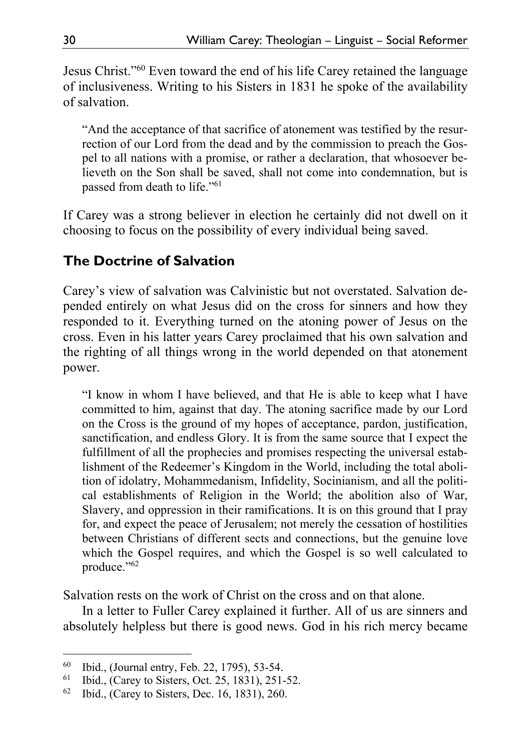Jesus Christ."60 Even toward the end of his life Carey retained the language of inclusiveness. Writing to his Sisters in 1831 he spoke of the availability of salvation.

"And the acceptance of that sacrifice of atonement was testified by the resurrection of our Lord from the dead and by the commission to preach the Gospel to all nations with a promise, or rather a declaration, that whosoever believeth on the Son shall be saved, shall not come into condemnation, but is passed from death to life."61

If Carey was a strong believer in election he certainly did not dwell on it choosing to focus on the possibility of every individual being saved.

## **The Doctrine of Salvation**

Carey's view of salvation was Calvinistic but not overstated. Salvation depended entirely on what Jesus did on the cross for sinners and how they responded to it. Everything turned on the atoning power of Jesus on the cross. Even in his latter years Carey proclaimed that his own salvation and the righting of all things wrong in the world depended on that atonement power.

"I know in whom I have believed, and that He is able to keep what I have committed to him, against that day. The atoning sacrifice made by our Lord on the Cross is the ground of my hopes of acceptance, pardon, justification, sanctification, and endless Glory. It is from the same source that I expect the fulfillment of all the prophecies and promises respecting the universal establishment of the Redeemer's Kingdom in the World, including the total abolition of idolatry, Mohammedanism, Infidelity, Socinianism, and all the political establishments of Religion in the World; the abolition also of War, Slavery, and oppression in their ramifications. It is on this ground that I pray for, and expect the peace of Jerusalem; not merely the cessation of hostilities between Christians of different sects and connections, but the genuine love which the Gospel requires, and which the Gospel is so well calculated to produce."62

Salvation rests on the work of Christ on the cross and on that alone.

In a letter to Fuller Carey explained it further. All of us are sinners and absolutely helpless but there is good news. God in his rich mercy became

<sup>60</sup> Ibid., (Journal entry, Feb. 22, 1795), 53-54.

<sup>61</sup> Ibid., (Carey to Sisters, Oct. 25, 1831), 251-52.

 $62$  Ibid., (Carey to Sisters, Dec. 16, 1831), 260.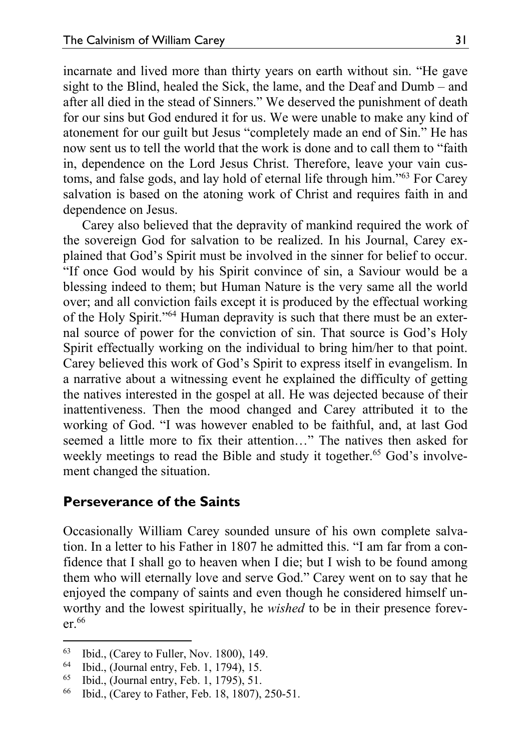incarnate and lived more than thirty years on earth without sin. "He gave sight to the Blind, healed the Sick, the lame, and the Deaf and Dumb – and after all died in the stead of Sinners." We deserved the punishment of death for our sins but God endured it for us. We were unable to make any kind of atonement for our guilt but Jesus "completely made an end of Sin." He has now sent us to tell the world that the work is done and to call them to "faith in, dependence on the Lord Jesus Christ. Therefore, leave your vain customs, and false gods, and lay hold of eternal life through him."<sup>63</sup> For Carey salvation is based on the atoning work of Christ and requires faith in and dependence on Jesus.

Carey also believed that the depravity of mankind required the work of the sovereign God for salvation to be realized. In his Journal, Carey explained that God's Spirit must be involved in the sinner for belief to occur. "If once God would by his Spirit convince of sin, a Saviour would be a blessing indeed to them; but Human Nature is the very same all the world over; and all conviction fails except it is produced by the effectual working of the Holy Spirit."64 Human depravity is such that there must be an external source of power for the conviction of sin. That source is God's Holy Spirit effectually working on the individual to bring him/her to that point. Carey believed this work of God's Spirit to express itself in evangelism. In a narrative about a witnessing event he explained the difficulty of getting the natives interested in the gospel at all. He was dejected because of their inattentiveness. Then the mood changed and Carey attributed it to the working of God. "I was however enabled to be faithful, and, at last God seemed a little more to fix their attention…" The natives then asked for weekly meetings to read the Bible and study it together.<sup>65</sup> God's involvement changed the situation.

#### **Perseverance of the Saints**

Occasionally William Carey sounded unsure of his own complete salvation. In a letter to his Father in 1807 he admitted this. "I am far from a confidence that I shall go to heaven when I die; but I wish to be found among them who will eternally love and serve God." Carey went on to say that he enjoyed the company of saints and even though he considered himself unworthy and the lowest spiritually, he *wished* to be in their presence forev $er<sup>66</sup>$ 

 $63$  Ibid., (Carey to Fuller, Nov. 1800), 149.

<sup>64</sup> Ibid., (Journal entry, Feb. 1, 1794), 15.

<sup>65</sup> Ibid., (Journal entry, Feb. 1, 1795), 51.

<sup>66</sup> Ibid., (Carey to Father, Feb. 18, 1807), 250-51.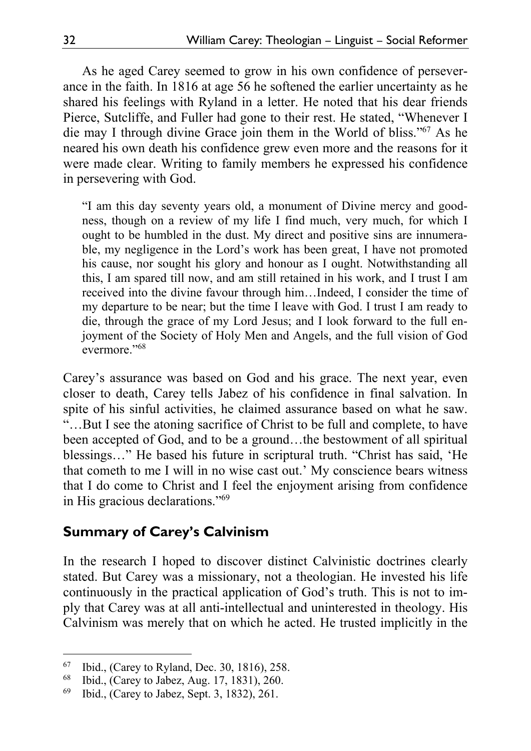As he aged Carey seemed to grow in his own confidence of perseverance in the faith. In 1816 at age 56 he softened the earlier uncertainty as he shared his feelings with Ryland in a letter. He noted that his dear friends Pierce, Sutcliffe, and Fuller had gone to their rest. He stated, "Whenever I die may I through divine Grace join them in the World of bliss."67 As he neared his own death his confidence grew even more and the reasons for it were made clear. Writing to family members he expressed his confidence in persevering with God.

"I am this day seventy years old, a monument of Divine mercy and goodness, though on a review of my life I find much, very much, for which I ought to be humbled in the dust. My direct and positive sins are innumerable, my negligence in the Lord's work has been great, I have not promoted his cause, nor sought his glory and honour as I ought. Notwithstanding all this, I am spared till now, and am still retained in his work, and I trust I am received into the divine favour through him…Indeed, I consider the time of my departure to be near; but the time I leave with God. I trust I am ready to die, through the grace of my Lord Jesus; and I look forward to the full enjoyment of the Society of Holy Men and Angels, and the full vision of God evermore."68

Carey's assurance was based on God and his grace. The next year, even closer to death, Carey tells Jabez of his confidence in final salvation. In spite of his sinful activities, he claimed assurance based on what he saw. "…But I see the atoning sacrifice of Christ to be full and complete, to have been accepted of God, and to be a ground...the bestowment of all spiritual blessings…" He based his future in scriptural truth. "Christ has said, 'He that cometh to me I will in no wise cast out.' My conscience bears witness that I do come to Christ and I feel the enjoyment arising from confidence in His gracious declarations."69

#### **Summary of Carey's Calvinism**

In the research I hoped to discover distinct Calvinistic doctrines clearly stated. But Carey was a missionary, not a theologian. He invested his life continuously in the practical application of God's truth. This is not to imply that Carey was at all anti-intellectual and uninterested in theology. His Calvinism was merely that on which he acted. He trusted implicitly in the

<sup>67</sup> Ibid., (Carey to Ryland, Dec. 30, 1816), 258.

<sup>68</sup> Ibid., (Carey to Jabez, Aug. 17, 1831), 260.

<sup>69</sup> Ibid., (Carey to Jabez, Sept. 3, 1832), 261.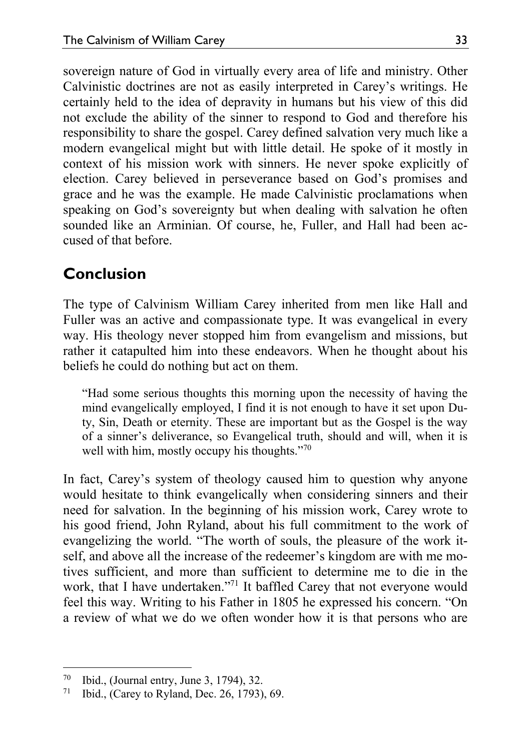sovereign nature of God in virtually every area of life and ministry. Other Calvinistic doctrines are not as easily interpreted in Carey's writings. He certainly held to the idea of depravity in humans but his view of this did not exclude the ability of the sinner to respond to God and therefore his responsibility to share the gospel. Carey defined salvation very much like a modern evangelical might but with little detail. He spoke of it mostly in context of his mission work with sinners. He never spoke explicitly of election. Carey believed in perseverance based on God's promises and grace and he was the example. He made Calvinistic proclamations when speaking on God's sovereignty but when dealing with salvation he often sounded like an Arminian. Of course, he, Fuller, and Hall had been accused of that before.

## **Conclusion**

The type of Calvinism William Carey inherited from men like Hall and Fuller was an active and compassionate type. It was evangelical in every way. His theology never stopped him from evangelism and missions, but rather it catapulted him into these endeavors. When he thought about his beliefs he could do nothing but act on them.

"Had some serious thoughts this morning upon the necessity of having the mind evangelically employed, I find it is not enough to have it set upon Duty, Sin, Death or eternity. These are important but as the Gospel is the way of a sinner's deliverance, so Evangelical truth, should and will, when it is well with him, mostly occupy his thoughts."70

In fact, Carey's system of theology caused him to question why anyone would hesitate to think evangelically when considering sinners and their need for salvation. In the beginning of his mission work, Carey wrote to his good friend, John Ryland, about his full commitment to the work of evangelizing the world. "The worth of souls, the pleasure of the work itself, and above all the increase of the redeemer's kingdom are with me motives sufficient, and more than sufficient to determine me to die in the work, that I have undertaken."<sup>71</sup> It baffled Carey that not everyone would feel this way. Writing to his Father in 1805 he expressed his concern. "On a review of what we do we often wonder how it is that persons who are

<sup>70</sup> Ibid., (Journal entry, June 3, 1794), 32.

<sup>71</sup> Ibid., (Carey to Ryland, Dec. 26, 1793), 69.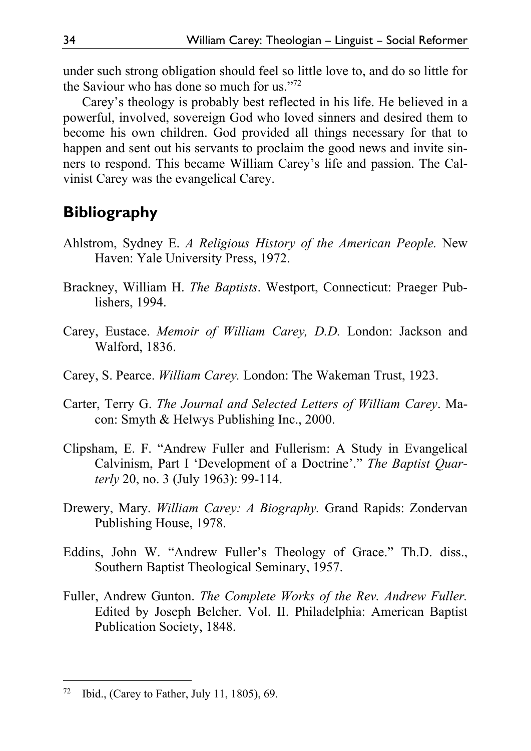under such strong obligation should feel so little love to, and do so little for the Saviour who has done so much for us."72

Carey's theology is probably best reflected in his life. He believed in a powerful, involved, sovereign God who loved sinners and desired them to become his own children. God provided all things necessary for that to happen and sent out his servants to proclaim the good news and invite sinners to respond. This became William Carey's life and passion. The Calvinist Carey was the evangelical Carey.

## **Bibliography**

- Ahlstrom, Sydney E. *A Religious History of the American People.* New Haven: Yale University Press, 1972.
- Brackney, William H. *The Baptists*. Westport, Connecticut: Praeger Publishers, 1994.
- Carey, Eustace. *Memoir of William Carey, D.D.* London: Jackson and Walford, 1836.
- Carey, S. Pearce. *William Carey.* London: The Wakeman Trust, 1923.
- Carter, Terry G. *The Journal and Selected Letters of William Carey*. Macon: Smyth & Helwys Publishing Inc., 2000.
- Clipsham, E. F. "Andrew Fuller and Fullerism: A Study in Evangelical Calvinism, Part I 'Development of a Doctrine'." *The Baptist Quarterly* 20, no. 3 (July 1963): 99-114.
- Drewery, Mary. *William Carey: A Biography.* Grand Rapids: Zondervan Publishing House, 1978.
- Eddins, John W. "Andrew Fuller's Theology of Grace." Th.D. diss., Southern Baptist Theological Seminary, 1957.
- Fuller, Andrew Gunton. *The Complete Works of the Rev. Andrew Fuller.*  Edited by Joseph Belcher. Vol. II. Philadelphia: American Baptist Publication Society, 1848.

<sup>&</sup>lt;sup>72</sup> Ibid., (Carey to Father, July 11, 1805), 69.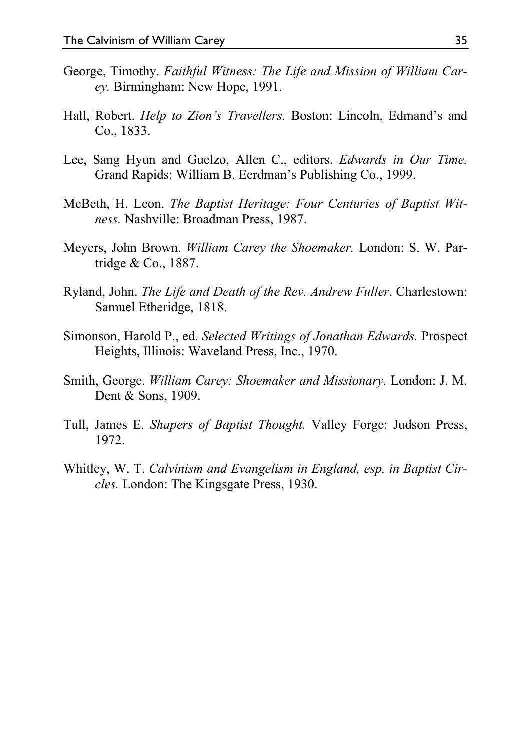- George, Timothy. *Faithful Witness: The Life and Mission of William Carey.* Birmingham: New Hope, 1991.
- Hall, Robert. *Help to Zion's Travellers.* Boston: Lincoln, Edmand's and Co., 1833.
- Lee, Sang Hyun and Guelzo, Allen C., editors. *Edwards in Our Time.* Grand Rapids: William B. Eerdman's Publishing Co., 1999.
- McBeth, H. Leon. *The Baptist Heritage: Four Centuries of Baptist Witness.* Nashville: Broadman Press, 1987.
- Meyers, John Brown. *William Carey the Shoemaker.* London: S. W. Partridge & Co., 1887.
- Ryland, John. *The Life and Death of the Rev. Andrew Fuller*. Charlestown: Samuel Etheridge, 1818.
- Simonson, Harold P., ed. *Selected Writings of Jonathan Edwards.* Prospect Heights, Illinois: Waveland Press, Inc., 1970.
- Smith, George. *William Carey: Shoemaker and Missionary.* London: J. M. Dent & Sons, 1909.
- Tull, James E. *Shapers of Baptist Thought.* Valley Forge: Judson Press, 1972.
- Whitley, W. T. *Calvinism and Evangelism in England, esp. in Baptist Circles.* London: The Kingsgate Press, 1930.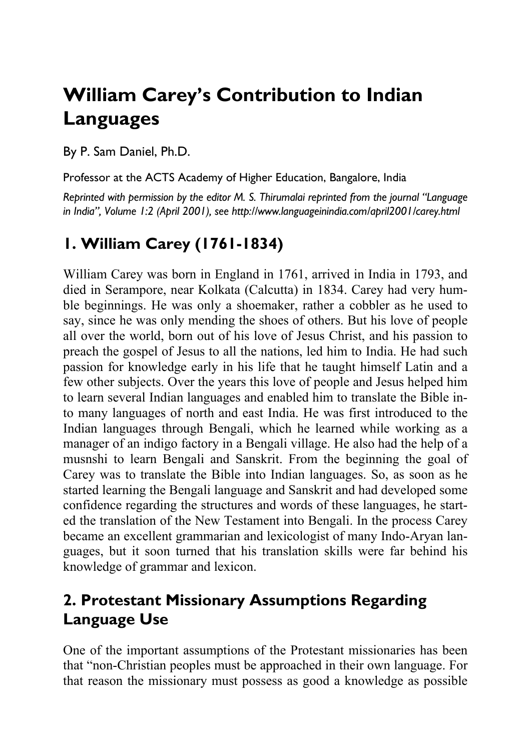# **William Carey's Contribution to Indian Languages**

By P. Sam Daniel, Ph.D.

Professor at the ACTS Academy of Higher Education, Bangalore, India

*Reprinted with permission by the editor M. S. Thirumalai reprinted from the journal "Language in India", Volume 1:2 (April 2001), see http://www.languageinindia.com/april2001/carey.html* 

## **1. William Carey (1761-1834)**

William Carey was born in England in 1761, arrived in India in 1793, and died in Serampore, near Kolkata (Calcutta) in 1834. Carey had very humble beginnings. He was only a shoemaker, rather a cobbler as he used to say, since he was only mending the shoes of others. But his love of people all over the world, born out of his love of Jesus Christ, and his passion to preach the gospel of Jesus to all the nations, led him to India. He had such passion for knowledge early in his life that he taught himself Latin and a few other subjects. Over the years this love of people and Jesus helped him to learn several Indian languages and enabled him to translate the Bible into many languages of north and east India. He was first introduced to the Indian languages through Bengali, which he learned while working as a manager of an indigo factory in a Bengali village. He also had the help of a musnshi to learn Bengali and Sanskrit. From the beginning the goal of Carey was to translate the Bible into Indian languages. So, as soon as he started learning the Bengali language and Sanskrit and had developed some confidence regarding the structures and words of these languages, he started the translation of the New Testament into Bengali. In the process Carey became an excellent grammarian and lexicologist of many Indo-Aryan languages, but it soon turned that his translation skills were far behind his knowledge of grammar and lexicon.

## **2. Protestant Missionary Assumptions Regarding Language Use**

One of the important assumptions of the Protestant missionaries has been that "non-Christian peoples must be approached in their own language. For that reason the missionary must possess as good a knowledge as possible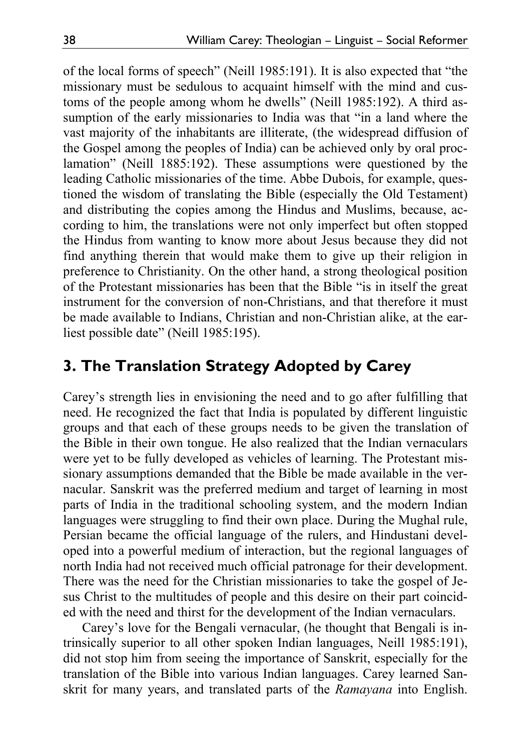of the local forms of speech" (Neill 1985:191). It is also expected that "the missionary must be sedulous to acquaint himself with the mind and customs of the people among whom he dwells" (Neill 1985:192). A third assumption of the early missionaries to India was that "in a land where the vast majority of the inhabitants are illiterate, (the widespread diffusion of the Gospel among the peoples of India) can be achieved only by oral proclamation" (Neill 1885:192). These assumptions were questioned by the leading Catholic missionaries of the time. Abbe Dubois, for example, questioned the wisdom of translating the Bible (especially the Old Testament) and distributing the copies among the Hindus and Muslims, because, according to him, the translations were not only imperfect but often stopped the Hindus from wanting to know more about Jesus because they did not find anything therein that would make them to give up their religion in preference to Christianity. On the other hand, a strong theological position of the Protestant missionaries has been that the Bible "is in itself the great instrument for the conversion of non-Christians, and that therefore it must be made available to Indians, Christian and non-Christian alike, at the earliest possible date" (Neill 1985:195).

### **3. The Translation Strategy Adopted by Carey**

Carey's strength lies in envisioning the need and to go after fulfilling that need. He recognized the fact that India is populated by different linguistic groups and that each of these groups needs to be given the translation of the Bible in their own tongue. He also realized that the Indian vernaculars were yet to be fully developed as vehicles of learning. The Protestant missionary assumptions demanded that the Bible be made available in the vernacular. Sanskrit was the preferred medium and target of learning in most parts of India in the traditional schooling system, and the modern Indian languages were struggling to find their own place. During the Mughal rule, Persian became the official language of the rulers, and Hindustani developed into a powerful medium of interaction, but the regional languages of north India had not received much official patronage for their development. There was the need for the Christian missionaries to take the gospel of Jesus Christ to the multitudes of people and this desire on their part coincided with the need and thirst for the development of the Indian vernaculars.

Carey's love for the Bengali vernacular, (he thought that Bengali is intrinsically superior to all other spoken Indian languages, Neill 1985:191), did not stop him from seeing the importance of Sanskrit, especially for the translation of the Bible into various Indian languages. Carey learned Sanskrit for many years, and translated parts of the *Ramayana* into English.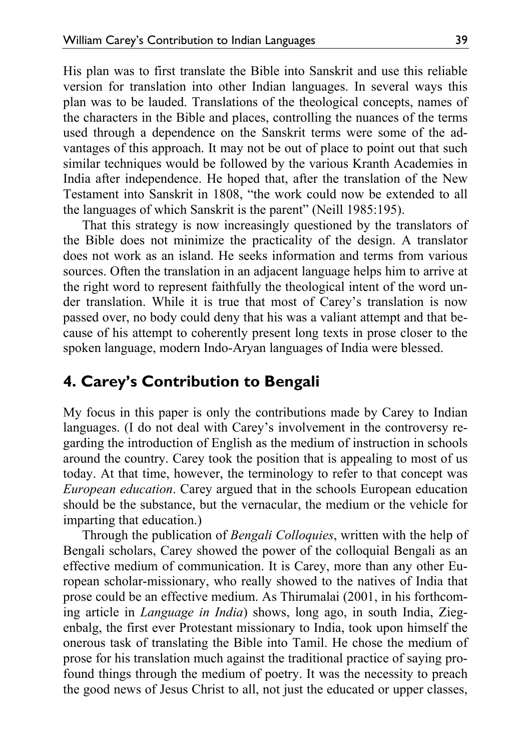His plan was to first translate the Bible into Sanskrit and use this reliable version for translation into other Indian languages. In several ways this plan was to be lauded. Translations of the theological concepts, names of the characters in the Bible and places, controlling the nuances of the terms used through a dependence on the Sanskrit terms were some of the advantages of this approach. It may not be out of place to point out that such similar techniques would be followed by the various Kranth Academies in India after independence. He hoped that, after the translation of the New Testament into Sanskrit in 1808, "the work could now be extended to all the languages of which Sanskrit is the parent" (Neill 1985:195).

That this strategy is now increasingly questioned by the translators of the Bible does not minimize the practicality of the design. A translator does not work as an island. He seeks information and terms from various sources. Often the translation in an adjacent language helps him to arrive at the right word to represent faithfully the theological intent of the word under translation. While it is true that most of Carey's translation is now passed over, no body could deny that his was a valiant attempt and that because of his attempt to coherently present long texts in prose closer to the spoken language, modern Indo-Aryan languages of India were blessed.

### **4. Carey's Contribution to Bengali**

My focus in this paper is only the contributions made by Carey to Indian languages. (I do not deal with Carey's involvement in the controversy regarding the introduction of English as the medium of instruction in schools around the country. Carey took the position that is appealing to most of us today. At that time, however, the terminology to refer to that concept was *European education*. Carey argued that in the schools European education should be the substance, but the vernacular, the medium or the vehicle for imparting that education.)

Through the publication of *Bengali Colloquies*, written with the help of Bengali scholars, Carey showed the power of the colloquial Bengali as an effective medium of communication. It is Carey, more than any other European scholar-missionary, who really showed to the natives of India that prose could be an effective medium. As Thirumalai (2001, in his forthcoming article in *Language in India*) shows, long ago, in south India, Ziegenbalg, the first ever Protestant missionary to India, took upon himself the onerous task of translating the Bible into Tamil. He chose the medium of prose for his translation much against the traditional practice of saying profound things through the medium of poetry. It was the necessity to preach the good news of Jesus Christ to all, not just the educated or upper classes,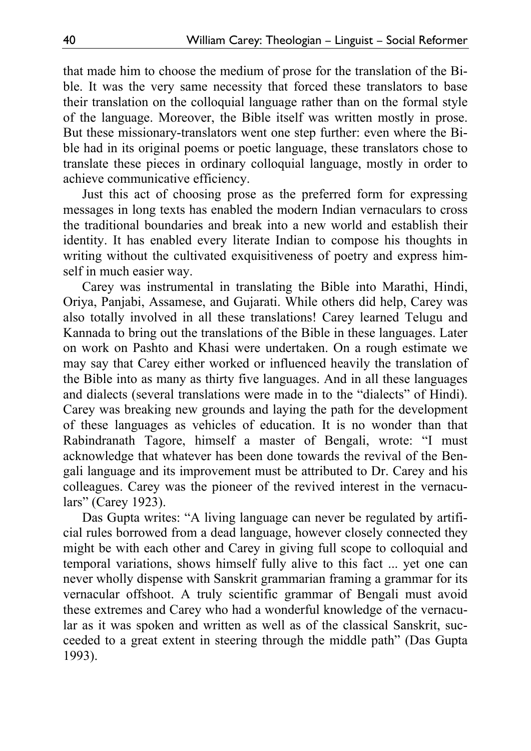that made him to choose the medium of prose for the translation of the Bible. It was the very same necessity that forced these translators to base their translation on the colloquial language rather than on the formal style of the language. Moreover, the Bible itself was written mostly in prose. But these missionary-translators went one step further: even where the Bible had in its original poems or poetic language, these translators chose to translate these pieces in ordinary colloquial language, mostly in order to achieve communicative efficiency.

Just this act of choosing prose as the preferred form for expressing messages in long texts has enabled the modern Indian vernaculars to cross the traditional boundaries and break into a new world and establish their identity. It has enabled every literate Indian to compose his thoughts in writing without the cultivated exquisitiveness of poetry and express himself in much easier way.

Carey was instrumental in translating the Bible into Marathi, Hindi, Oriya, Panjabi, Assamese, and Gujarati. While others did help, Carey was also totally involved in all these translations! Carey learned Telugu and Kannada to bring out the translations of the Bible in these languages. Later on work on Pashto and Khasi were undertaken. On a rough estimate we may say that Carey either worked or influenced heavily the translation of the Bible into as many as thirty five languages. And in all these languages and dialects (several translations were made in to the "dialects" of Hindi). Carey was breaking new grounds and laying the path for the development of these languages as vehicles of education. It is no wonder than that Rabindranath Tagore, himself a master of Bengali, wrote: "I must acknowledge that whatever has been done towards the revival of the Bengali language and its improvement must be attributed to Dr. Carey and his colleagues. Carey was the pioneer of the revived interest in the vernaculars" (Carey 1923).

Das Gupta writes: "A living language can never be regulated by artificial rules borrowed from a dead language, however closely connected they might be with each other and Carey in giving full scope to colloquial and temporal variations, shows himself fully alive to this fact ... yet one can never wholly dispense with Sanskrit grammarian framing a grammar for its vernacular offshoot. A truly scientific grammar of Bengali must avoid these extremes and Carey who had a wonderful knowledge of the vernacular as it was spoken and written as well as of the classical Sanskrit, succeeded to a great extent in steering through the middle path" (Das Gupta 1993).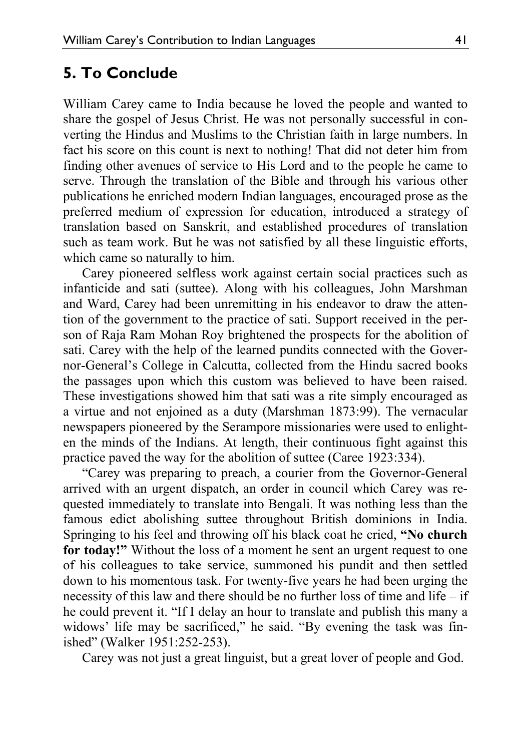### **5. To Conclude**

William Carey came to India because he loved the people and wanted to share the gospel of Jesus Christ. He was not personally successful in converting the Hindus and Muslims to the Christian faith in large numbers. In fact his score on this count is next to nothing! That did not deter him from finding other avenues of service to His Lord and to the people he came to serve. Through the translation of the Bible and through his various other publications he enriched modern Indian languages, encouraged prose as the preferred medium of expression for education, introduced a strategy of translation based on Sanskrit, and established procedures of translation such as team work. But he was not satisfied by all these linguistic efforts, which came so naturally to him.

Carey pioneered selfless work against certain social practices such as infanticide and sati (suttee). Along with his colleagues, John Marshman and Ward, Carey had been unremitting in his endeavor to draw the attention of the government to the practice of sati. Support received in the person of Raja Ram Mohan Roy brightened the prospects for the abolition of sati. Carey with the help of the learned pundits connected with the Governor-General's College in Calcutta, collected from the Hindu sacred books the passages upon which this custom was believed to have been raised. These investigations showed him that sati was a rite simply encouraged as a virtue and not enjoined as a duty (Marshman 1873:99). The vernacular newspapers pioneered by the Serampore missionaries were used to enlighten the minds of the Indians. At length, their continuous fight against this practice paved the way for the abolition of suttee (Caree 1923:334).

"Carey was preparing to preach, a courier from the Governor-General arrived with an urgent dispatch, an order in council which Carey was requested immediately to translate into Bengali. It was nothing less than the famous edict abolishing suttee throughout British dominions in India. Springing to his feel and throwing off his black coat he cried, **"No church for today!"** Without the loss of a moment he sent an urgent request to one of his colleagues to take service, summoned his pundit and then settled down to his momentous task. For twenty-five years he had been urging the necessity of this law and there should be no further loss of time and life – if he could prevent it. "If I delay an hour to translate and publish this many a widows' life may be sacrificed," he said. "By evening the task was finished" (Walker 1951:252-253).

Carey was not just a great linguist, but a great lover of people and God.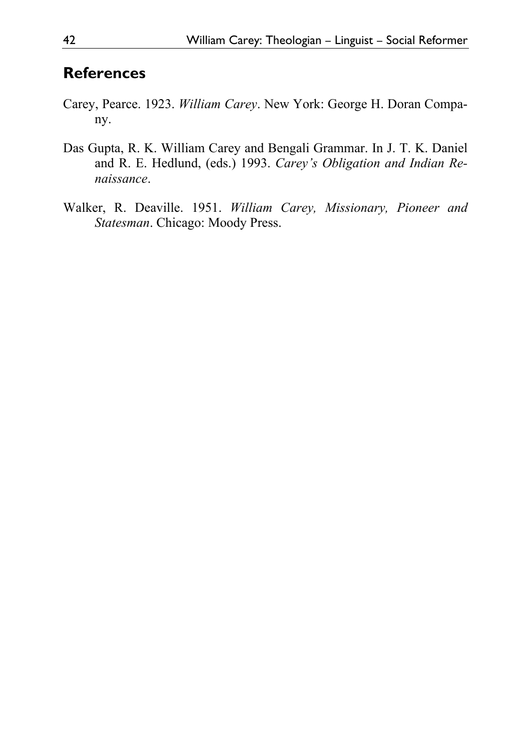### **References**

- Carey, Pearce. 1923. *William Carey*. New York: George H. Doran Company.
- Das Gupta, R. K. William Carey and Bengali Grammar. In J. T. K. Daniel and R. E. Hedlund, (eds.) 1993. *Carey's Obligation and Indian Renaissance*.
- Walker, R. Deaville. 1951. *William Carey, Missionary, Pioneer and Statesman*. Chicago: Moody Press.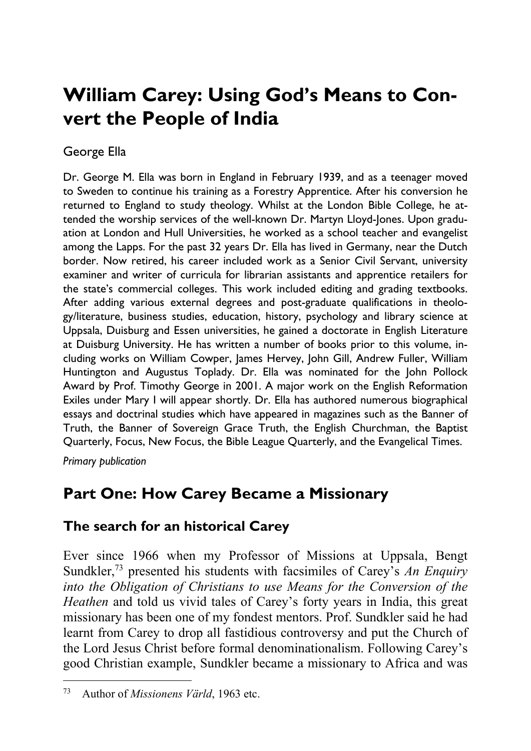# **William Carey: Using God's Means to Convert the People of India**

### George Ella

Dr. George M. Ella was born in England in February 1939, and as a teenager moved to Sweden to continue his training as a Forestry Apprentice. After his conversion he returned to England to study theology. Whilst at the London Bible College, he attended the worship services of the well-known Dr. Martyn Lloyd-Jones. Upon graduation at London and Hull Universities, he worked as a school teacher and evangelist among the Lapps. For the past 32 years Dr. Ella has lived in Germany, near the Dutch border. Now retired, his career included work as a Senior Civil Servant, university examiner and writer of curricula for librarian assistants and apprentice retailers for the state's commercial colleges. This work included editing and grading textbooks. After adding various external degrees and post-graduate qualifications in theology/literature, business studies, education, history, psychology and library science at Uppsala, Duisburg and Essen universities, he gained a doctorate in English Literature at Duisburg University. He has written a number of books prior to this volume, including works on William Cowper, James Hervey, John Gill, Andrew Fuller, William Huntington and Augustus Toplady. Dr. Ella was nominated for the John Pollock Award by Prof. Timothy George in 2001. A major work on the English Reformation Exiles under Mary I will appear shortly. Dr. Ella has authored numerous biographical essays and doctrinal studies which have appeared in magazines such as the Banner of Truth, the Banner of Sovereign Grace Truth, the English Churchman, the Baptist Quarterly, Focus, New Focus, the Bible League Quarterly, and the Evangelical Times.

*Primary publication* 

-

## **Part One: How Carey Became a Missionary**

### **The search for an historical Carey**

Ever since 1966 when my Professor of Missions at Uppsala, Bengt Sundkler,73 presented his students with facsimiles of Carey's *An Enquiry into the Obligation of Christians to use Means for the Conversion of the Heathen* and told us vivid tales of Carey's forty years in India, this great missionary has been one of my fondest mentors. Prof. Sundkler said he had learnt from Carey to drop all fastidious controversy and put the Church of the Lord Jesus Christ before formal denominationalism. Following Carey's good Christian example, Sundkler became a missionary to Africa and was

<sup>73</sup> Author of *Missionens Värld*, 1963 etc.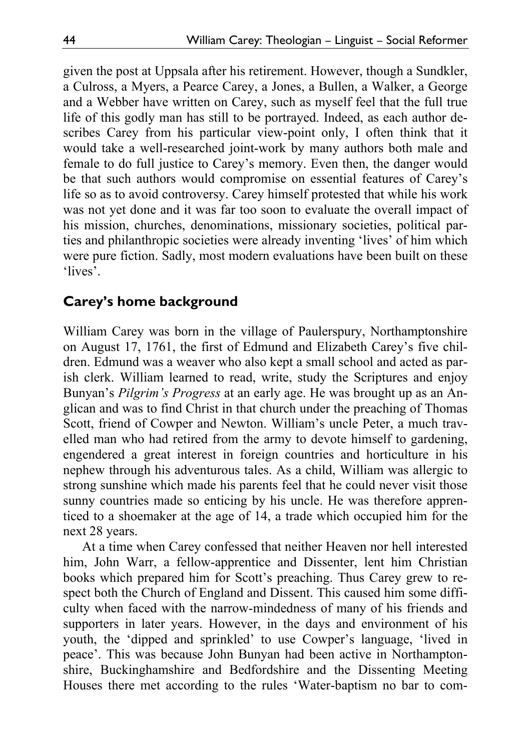given the post at Uppsala after his retirement. However, though a Sundkler, a Culross, a Myers, a Pearce Carey, a Jones, a Bullen, a Walker, a George and a Webber have written on Carey, such as myself feel that the full true life of this godly man has still to be portrayed. Indeed, as each author describes Carey from his particular view-point only, I often think that it would take a well-researched joint-work by many authors both male and female to do full justice to Carey's memory. Even then, the danger would be that such authors would compromise on essential features of Carey's life so as to avoid controversy. Carey himself protested that while his work was not yet done and it was far too soon to evaluate the overall impact of his mission, churches, denominations, missionary societies, political parties and philanthropic societies were already inventing 'lives' of him which were pure fiction. Sadly, most modern evaluations have been built on these 'lives'.

### **Carey's home background**

William Carey was born in the village of Paulerspury, Northamptonshire on August 17, 1761, the first of Edmund and Elizabeth Carey's five children. Edmund was a weaver who also kept a small school and acted as parish clerk. William learned to read, write, study the Scriptures and enjoy Bunyan's *Pilgrim's Progress* at an early age. He was brought up as an Anglican and was to find Christ in that church under the preaching of Thomas Scott, friend of Cowper and Newton. William's uncle Peter, a much travelled man who had retired from the army to devote himself to gardening, engendered a great interest in foreign countries and horticulture in his nephew through his adventurous tales. As a child, William was allergic to strong sunshine which made his parents feel that he could never visit those sunny countries made so enticing by his uncle. He was therefore apprenticed to a shoemaker at the age of 14, a trade which occupied him for the next 28 years.

At a time when Carey confessed that neither Heaven nor hell interested him, John Warr, a fellow-apprentice and Dissenter, lent him Christian books which prepared him for Scott's preaching. Thus Carey grew to respect both the Church of England and Dissent. This caused him some difficulty when faced with the narrow-mindedness of many of his friends and supporters in later years. However, in the days and environment of his youth, the 'dipped and sprinkled' to use Cowper's language, 'lived in peace'. This was because John Bunyan had been active in Northamptonshire, Buckinghamshire and Bedfordshire and the Dissenting Meeting Houses there met according to the rules 'Water-baptism no bar to com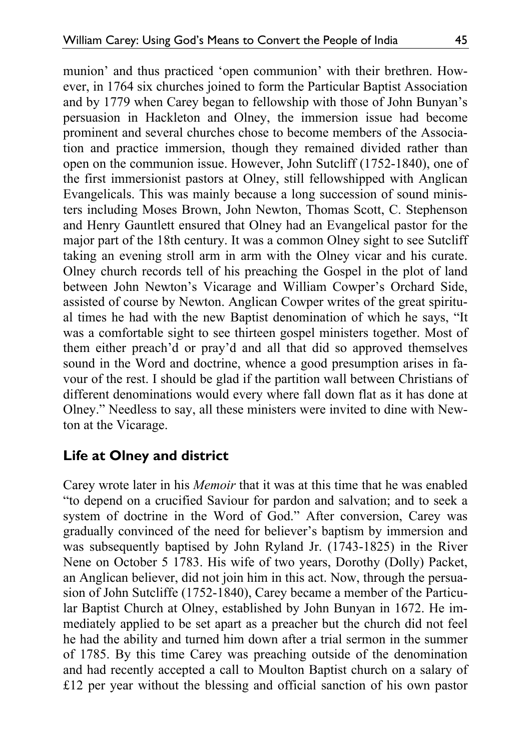munion' and thus practiced 'open communion' with their brethren. However, in 1764 six churches joined to form the Particular Baptist Association and by 1779 when Carey began to fellowship with those of John Bunyan's persuasion in Hackleton and Olney, the immersion issue had become prominent and several churches chose to become members of the Association and practice immersion, though they remained divided rather than open on the communion issue. However, John Sutcliff (1752-1840), one of the first immersionist pastors at Olney, still fellowshipped with Anglican Evangelicals. This was mainly because a long succession of sound ministers including Moses Brown, John Newton, Thomas Scott, C. Stephenson and Henry Gauntlett ensured that Olney had an Evangelical pastor for the major part of the 18th century. It was a common Olney sight to see Sutcliff taking an evening stroll arm in arm with the Olney vicar and his curate. Olney church records tell of his preaching the Gospel in the plot of land between John Newton's Vicarage and William Cowper's Orchard Side, assisted of course by Newton. Anglican Cowper writes of the great spiritual times he had with the new Baptist denomination of which he says, "It was a comfortable sight to see thirteen gospel ministers together. Most of them either preach'd or pray'd and all that did so approved themselves sound in the Word and doctrine, whence a good presumption arises in favour of the rest. I should be glad if the partition wall between Christians of different denominations would every where fall down flat as it has done at Olney." Needless to say, all these ministers were invited to dine with Newton at the Vicarage.

### **Life at Olney and district**

Carey wrote later in his *Memoir* that it was at this time that he was enabled "to depend on a crucified Saviour for pardon and salvation; and to seek a system of doctrine in the Word of God." After conversion, Carey was gradually convinced of the need for believer's baptism by immersion and was subsequently baptised by John Ryland Jr. (1743-1825) in the River Nene on October 5 1783. His wife of two years, Dorothy (Dolly) Packet, an Anglican believer, did not join him in this act. Now, through the persuasion of John Sutcliffe (1752-1840), Carey became a member of the Particular Baptist Church at Olney, established by John Bunyan in 1672. He immediately applied to be set apart as a preacher but the church did not feel he had the ability and turned him down after a trial sermon in the summer of 1785. By this time Carey was preaching outside of the denomination and had recently accepted a call to Moulton Baptist church on a salary of £12 per year without the blessing and official sanction of his own pastor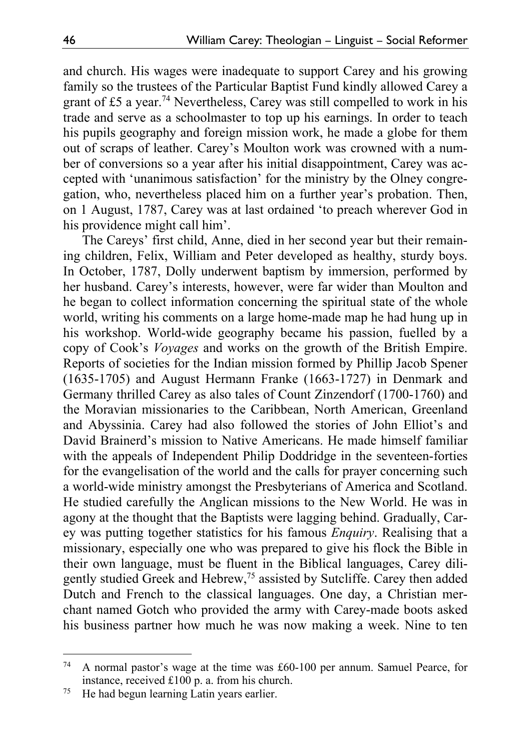and church. His wages were inadequate to support Carey and his growing family so the trustees of the Particular Baptist Fund kindly allowed Carey a grant of £5 a year.74 Nevertheless, Carey was still compelled to work in his trade and serve as a schoolmaster to top up his earnings. In order to teach his pupils geography and foreign mission work, he made a globe for them out of scraps of leather. Carey's Moulton work was crowned with a number of conversions so a year after his initial disappointment, Carey was accepted with 'unanimous satisfaction' for the ministry by the Olney congregation, who, nevertheless placed him on a further year's probation. Then, on 1 August, 1787, Carey was at last ordained 'to preach wherever God in his providence might call him'.

The Careys' first child, Anne, died in her second year but their remaining children, Felix, William and Peter developed as healthy, sturdy boys. In October, 1787, Dolly underwent baptism by immersion, performed by her husband. Carey's interests, however, were far wider than Moulton and he began to collect information concerning the spiritual state of the whole world, writing his comments on a large home-made map he had hung up in his workshop. World-wide geography became his passion, fuelled by a copy of Cook's *Voyages* and works on the growth of the British Empire. Reports of societies for the Indian mission formed by Phillip Jacob Spener (1635-1705) and August Hermann Franke (1663-1727) in Denmark and Germany thrilled Carey as also tales of Count Zinzendorf (1700-1760) and the Moravian missionaries to the Caribbean, North American, Greenland and Abyssinia. Carey had also followed the stories of John Elliot's and David Brainerd's mission to Native Americans. He made himself familiar with the appeals of Independent Philip Doddridge in the seventeen-forties for the evangelisation of the world and the calls for prayer concerning such a world-wide ministry amongst the Presbyterians of America and Scotland. He studied carefully the Anglican missions to the New World. He was in agony at the thought that the Baptists were lagging behind. Gradually, Carey was putting together statistics for his famous *Enquiry*. Realising that a missionary, especially one who was prepared to give his flock the Bible in their own language, must be fluent in the Biblical languages, Carey diligently studied Greek and Hebrew,75 assisted by Sutcliffe. Carey then added Dutch and French to the classical languages. One day, a Christian merchant named Gotch who provided the army with Carey-made boots asked his business partner how much he was now making a week. Nine to ten

-

<sup>&</sup>lt;sup>74</sup> A normal pastor's wage at the time was £60-100 per annum. Samuel Pearce, for instance, received £100 p. a. from his church.

<sup>75</sup> He had begun learning Latin years earlier.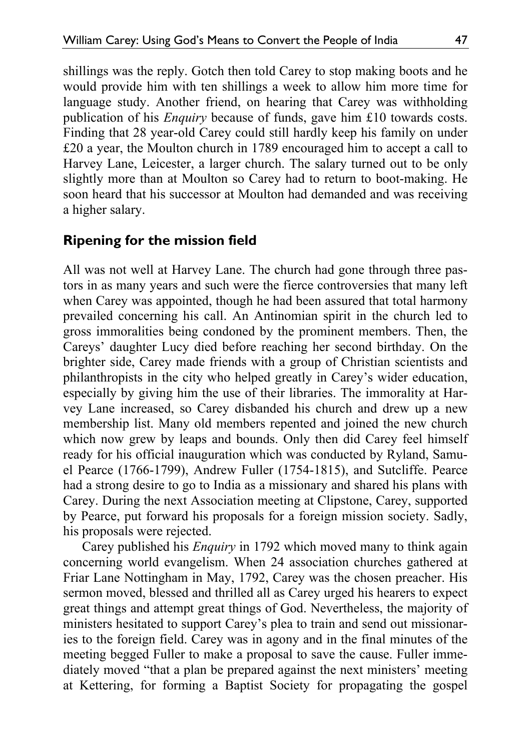shillings was the reply. Gotch then told Carey to stop making boots and he would provide him with ten shillings a week to allow him more time for language study. Another friend, on hearing that Carey was withholding publication of his *Enquiry* because of funds, gave him £10 towards costs. Finding that 28 year-old Carey could still hardly keep his family on under £20 a year, the Moulton church in 1789 encouraged him to accept a call to Harvey Lane, Leicester, a larger church. The salary turned out to be only slightly more than at Moulton so Carey had to return to boot-making. He soon heard that his successor at Moulton had demanded and was receiving a higher salary.

#### **Ripening for the mission field**

All was not well at Harvey Lane. The church had gone through three pastors in as many years and such were the fierce controversies that many left when Carey was appointed, though he had been assured that total harmony prevailed concerning his call. An Antinomian spirit in the church led to gross immoralities being condoned by the prominent members. Then, the Careys' daughter Lucy died before reaching her second birthday. On the brighter side, Carey made friends with a group of Christian scientists and philanthropists in the city who helped greatly in Carey's wider education, especially by giving him the use of their libraries. The immorality at Harvey Lane increased, so Carey disbanded his church and drew up a new membership list. Many old members repented and joined the new church which now grew by leaps and bounds. Only then did Carey feel himself ready for his official inauguration which was conducted by Ryland, Samuel Pearce (1766-1799), Andrew Fuller (1754-1815), and Sutcliffe. Pearce had a strong desire to go to India as a missionary and shared his plans with Carey. During the next Association meeting at Clipstone, Carey, supported by Pearce, put forward his proposals for a foreign mission society. Sadly, his proposals were rejected.

Carey published his *Enquiry* in 1792 which moved many to think again concerning world evangelism. When 24 association churches gathered at Friar Lane Nottingham in May, 1792, Carey was the chosen preacher. His sermon moved, blessed and thrilled all as Carey urged his hearers to expect great things and attempt great things of God. Nevertheless, the majority of ministers hesitated to support Carey's plea to train and send out missionaries to the foreign field. Carey was in agony and in the final minutes of the meeting begged Fuller to make a proposal to save the cause. Fuller immediately moved "that a plan be prepared against the next ministers' meeting at Kettering, for forming a Baptist Society for propagating the gospel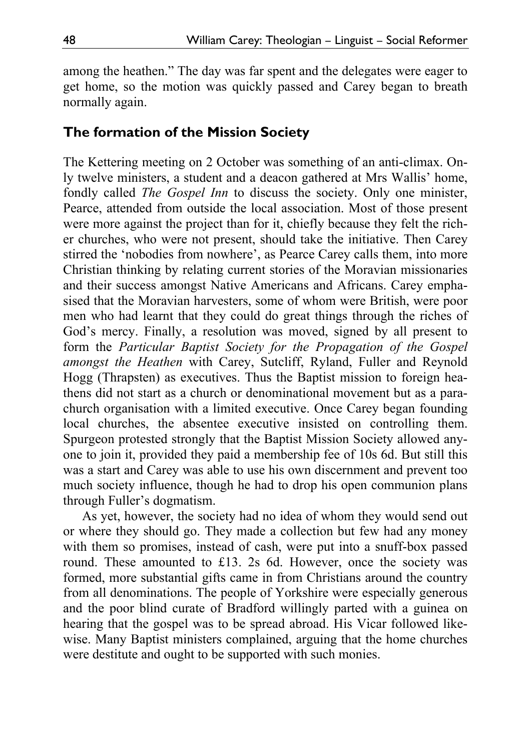among the heathen." The day was far spent and the delegates were eager to get home, so the motion was quickly passed and Carey began to breath normally again.

#### **The formation of the Mission Society**

The Kettering meeting on 2 October was something of an anti-climax. Only twelve ministers, a student and a deacon gathered at Mrs Wallis' home, fondly called *The Gospel Inn* to discuss the society. Only one minister, Pearce, attended from outside the local association. Most of those present were more against the project than for it, chiefly because they felt the richer churches, who were not present, should take the initiative. Then Carey stirred the 'nobodies from nowhere', as Pearce Carey calls them, into more Christian thinking by relating current stories of the Moravian missionaries and their success amongst Native Americans and Africans. Carey emphasised that the Moravian harvesters, some of whom were British, were poor men who had learnt that they could do great things through the riches of God's mercy. Finally, a resolution was moved, signed by all present to form the *Particular Baptist Society for the Propagation of the Gospel amongst the Heathen* with Carey, Sutcliff, Ryland, Fuller and Reynold Hogg (Thrapsten) as executives. Thus the Baptist mission to foreign heathens did not start as a church or denominational movement but as a parachurch organisation with a limited executive. Once Carey began founding local churches, the absentee executive insisted on controlling them. Spurgeon protested strongly that the Baptist Mission Society allowed anyone to join it, provided they paid a membership fee of 10s 6d. But still this was a start and Carey was able to use his own discernment and prevent too much society influence, though he had to drop his open communion plans through Fuller's dogmatism.

As yet, however, the society had no idea of whom they would send out or where they should go. They made a collection but few had any money with them so promises, instead of cash, were put into a snuff-box passed round. These amounted to £13. 2s 6d. However, once the society was formed, more substantial gifts came in from Christians around the country from all denominations. The people of Yorkshire were especially generous and the poor blind curate of Bradford willingly parted with a guinea on hearing that the gospel was to be spread abroad. His Vicar followed likewise. Many Baptist ministers complained, arguing that the home churches were destitute and ought to be supported with such monies.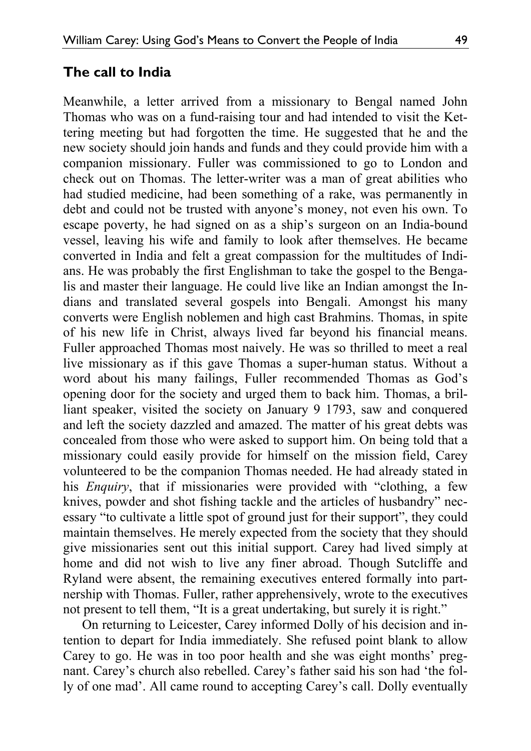#### **The call to India**

Meanwhile, a letter arrived from a missionary to Bengal named John Thomas who was on a fund-raising tour and had intended to visit the Kettering meeting but had forgotten the time. He suggested that he and the new society should join hands and funds and they could provide him with a companion missionary. Fuller was commissioned to go to London and check out on Thomas. The letter-writer was a man of great abilities who had studied medicine, had been something of a rake, was permanently in debt and could not be trusted with anyone's money, not even his own. To escape poverty, he had signed on as a ship's surgeon on an India-bound vessel, leaving his wife and family to look after themselves. He became converted in India and felt a great compassion for the multitudes of Indians. He was probably the first Englishman to take the gospel to the Bengalis and master their language. He could live like an Indian amongst the Indians and translated several gospels into Bengali. Amongst his many converts were English noblemen and high cast Brahmins. Thomas, in spite of his new life in Christ, always lived far beyond his financial means. Fuller approached Thomas most naively. He was so thrilled to meet a real live missionary as if this gave Thomas a super-human status. Without a word about his many failings, Fuller recommended Thomas as God's opening door for the society and urged them to back him. Thomas, a brilliant speaker, visited the society on January 9 1793, saw and conquered and left the society dazzled and amazed. The matter of his great debts was concealed from those who were asked to support him. On being told that a missionary could easily provide for himself on the mission field, Carey volunteered to be the companion Thomas needed. He had already stated in his *Enquiry*, that if missionaries were provided with "clothing, a few knives, powder and shot fishing tackle and the articles of husbandry" necessary "to cultivate a little spot of ground just for their support", they could maintain themselves. He merely expected from the society that they should give missionaries sent out this initial support. Carey had lived simply at home and did not wish to live any finer abroad. Though Sutcliffe and Ryland were absent, the remaining executives entered formally into partnership with Thomas. Fuller, rather apprehensively, wrote to the executives not present to tell them, "It is a great undertaking, but surely it is right."

On returning to Leicester, Carey informed Dolly of his decision and intention to depart for India immediately. She refused point blank to allow Carey to go. He was in too poor health and she was eight months' pregnant. Carey's church also rebelled. Carey's father said his son had 'the folly of one mad'. All came round to accepting Carey's call. Dolly eventually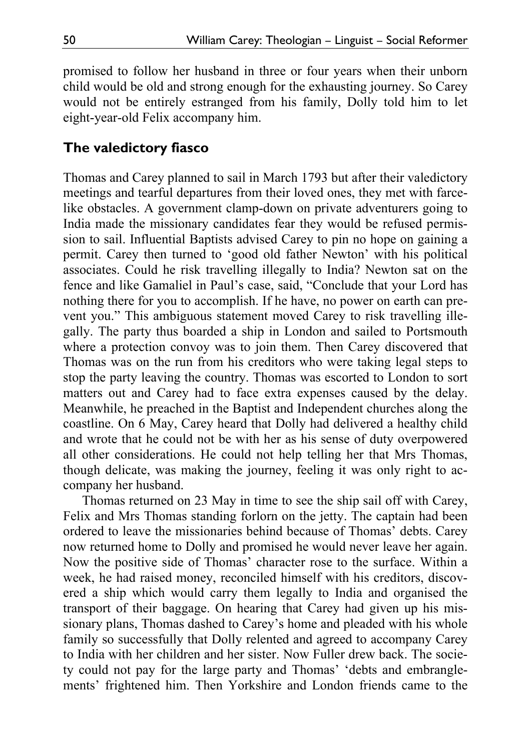promised to follow her husband in three or four years when their unborn child would be old and strong enough for the exhausting journey. So Carey would not be entirely estranged from his family, Dolly told him to let eight-year-old Felix accompany him.

### **The valedictory fiasco**

Thomas and Carey planned to sail in March 1793 but after their valedictory meetings and tearful departures from their loved ones, they met with farcelike obstacles. A government clamp-down on private adventurers going to India made the missionary candidates fear they would be refused permission to sail. Influential Baptists advised Carey to pin no hope on gaining a permit. Carey then turned to 'good old father Newton' with his political associates. Could he risk travelling illegally to India? Newton sat on the fence and like Gamaliel in Paul's case, said, "Conclude that your Lord has nothing there for you to accomplish. If he have, no power on earth can prevent you." This ambiguous statement moved Carey to risk travelling illegally. The party thus boarded a ship in London and sailed to Portsmouth where a protection convoy was to join them. Then Carey discovered that Thomas was on the run from his creditors who were taking legal steps to stop the party leaving the country. Thomas was escorted to London to sort matters out and Carey had to face extra expenses caused by the delay. Meanwhile, he preached in the Baptist and Independent churches along the coastline. On 6 May, Carey heard that Dolly had delivered a healthy child and wrote that he could not be with her as his sense of duty overpowered all other considerations. He could not help telling her that Mrs Thomas, though delicate, was making the journey, feeling it was only right to accompany her husband.

Thomas returned on 23 May in time to see the ship sail off with Carey, Felix and Mrs Thomas standing forlorn on the jetty. The captain had been ordered to leave the missionaries behind because of Thomas' debts. Carey now returned home to Dolly and promised he would never leave her again. Now the positive side of Thomas' character rose to the surface. Within a week, he had raised money, reconciled himself with his creditors, discovered a ship which would carry them legally to India and organised the transport of their baggage. On hearing that Carey had given up his missionary plans, Thomas dashed to Carey's home and pleaded with his whole family so successfully that Dolly relented and agreed to accompany Carey to India with her children and her sister. Now Fuller drew back. The society could not pay for the large party and Thomas' 'debts and embranglements' frightened him. Then Yorkshire and London friends came to the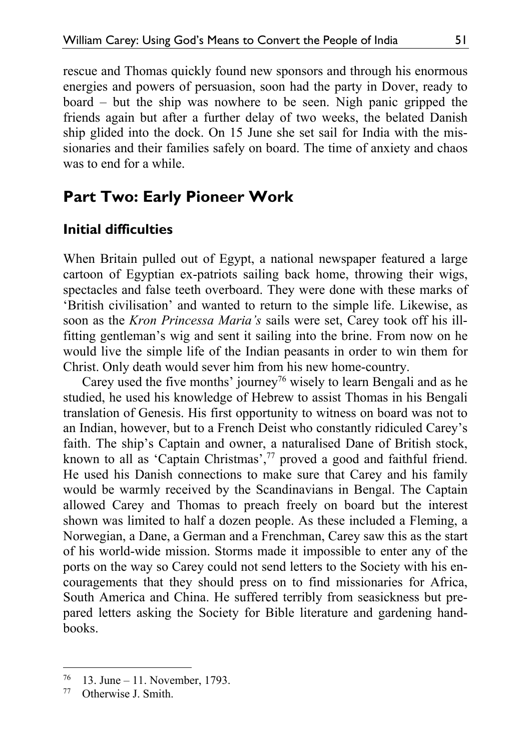rescue and Thomas quickly found new sponsors and through his enormous energies and powers of persuasion, soon had the party in Dover, ready to board – but the ship was nowhere to be seen. Nigh panic gripped the friends again but after a further delay of two weeks, the belated Danish ship glided into the dock. On 15 June she set sail for India with the missionaries and their families safely on board. The time of anxiety and chaos was to end for a while.

### **Part Two: Early Pioneer Work**

#### **Initial difficulties**

When Britain pulled out of Egypt, a national newspaper featured a large cartoon of Egyptian ex-patriots sailing back home, throwing their wigs, spectacles and false teeth overboard. They were done with these marks of 'British civilisation' and wanted to return to the simple life. Likewise, as soon as the *Kron Princessa Maria's* sails were set, Carey took off his illfitting gentleman's wig and sent it sailing into the brine. From now on he would live the simple life of the Indian peasants in order to win them for Christ. Only death would sever him from his new home-country.

Carey used the five months' journey<sup>76</sup> wisely to learn Bengali and as he studied, he used his knowledge of Hebrew to assist Thomas in his Bengali translation of Genesis. His first opportunity to witness on board was not to an Indian, however, but to a French Deist who constantly ridiculed Carey's faith. The ship's Captain and owner, a naturalised Dane of British stock, known to all as 'Captain Christmas',<sup>77</sup> proved a good and faithful friend. He used his Danish connections to make sure that Carey and his family would be warmly received by the Scandinavians in Bengal. The Captain allowed Carey and Thomas to preach freely on board but the interest shown was limited to half a dozen people. As these included a Fleming, a Norwegian, a Dane, a German and a Frenchman, Carey saw this as the start of his world-wide mission. Storms made it impossible to enter any of the ports on the way so Carey could not send letters to the Society with his encouragements that they should press on to find missionaries for Africa, South America and China. He suffered terribly from seasickness but prepared letters asking the Society for Bible literature and gardening handbooks.

-

<sup>76 13.</sup> June – 11. November, 1793.

<sup>77</sup> Otherwise J. Smith.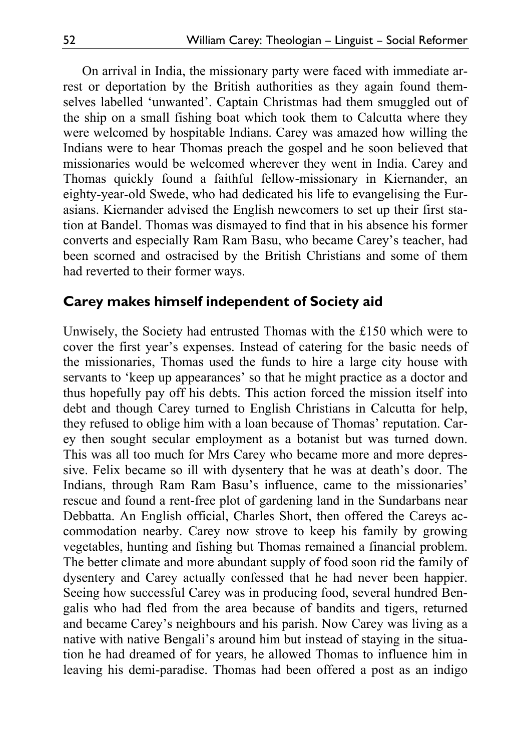On arrival in India, the missionary party were faced with immediate arrest or deportation by the British authorities as they again found themselves labelled 'unwanted'. Captain Christmas had them smuggled out of the ship on a small fishing boat which took them to Calcutta where they were welcomed by hospitable Indians. Carey was amazed how willing the Indians were to hear Thomas preach the gospel and he soon believed that missionaries would be welcomed wherever they went in India. Carey and Thomas quickly found a faithful fellow-missionary in Kiernander, an eighty-year-old Swede, who had dedicated his life to evangelising the Eurasians. Kiernander advised the English newcomers to set up their first station at Bandel. Thomas was dismayed to find that in his absence his former converts and especially Ram Ram Basu, who became Carey's teacher, had been scorned and ostracised by the British Christians and some of them had reverted to their former ways.

### **Carey makes himself independent of Society aid**

Unwisely, the Society had entrusted Thomas with the £150 which were to cover the first year's expenses. Instead of catering for the basic needs of the missionaries, Thomas used the funds to hire a large city house with servants to 'keep up appearances' so that he might practice as a doctor and thus hopefully pay off his debts. This action forced the mission itself into debt and though Carey turned to English Christians in Calcutta for help, they refused to oblige him with a loan because of Thomas' reputation. Carey then sought secular employment as a botanist but was turned down. This was all too much for Mrs Carey who became more and more depressive. Felix became so ill with dysentery that he was at death's door. The Indians, through Ram Ram Basu's influence, came to the missionaries' rescue and found a rent-free plot of gardening land in the Sundarbans near Debbatta. An English official, Charles Short, then offered the Careys accommodation nearby. Carey now strove to keep his family by growing vegetables, hunting and fishing but Thomas remained a financial problem. The better climate and more abundant supply of food soon rid the family of dysentery and Carey actually confessed that he had never been happier. Seeing how successful Carey was in producing food, several hundred Bengalis who had fled from the area because of bandits and tigers, returned and became Carey's neighbours and his parish. Now Carey was living as a native with native Bengali's around him but instead of staying in the situation he had dreamed of for years, he allowed Thomas to influence him in leaving his demi-paradise. Thomas had been offered a post as an indigo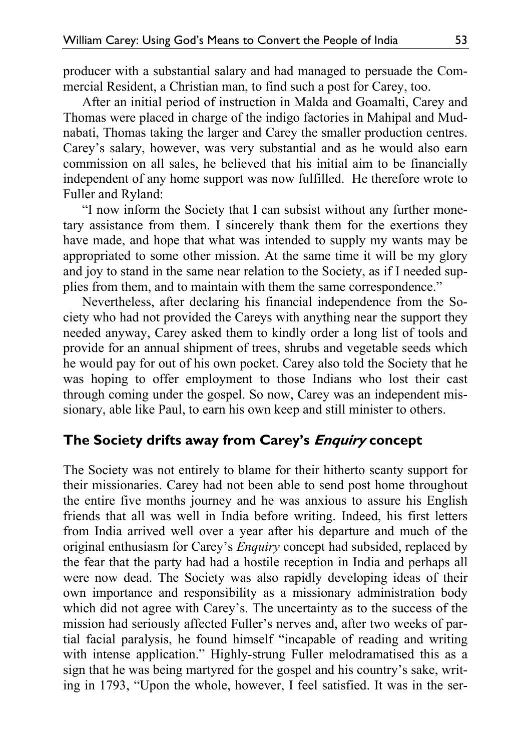producer with a substantial salary and had managed to persuade the Commercial Resident, a Christian man, to find such a post for Carey, too.

After an initial period of instruction in Malda and Goamalti, Carey and Thomas were placed in charge of the indigo factories in Mahipal and Mudnabati, Thomas taking the larger and Carey the smaller production centres. Carey's salary, however, was very substantial and as he would also earn commission on all sales, he believed that his initial aim to be financially independent of any home support was now fulfilled. He therefore wrote to Fuller and Ryland:

"I now inform the Society that I can subsist without any further monetary assistance from them. I sincerely thank them for the exertions they have made, and hope that what was intended to supply my wants may be appropriated to some other mission. At the same time it will be my glory and joy to stand in the same near relation to the Society, as if I needed supplies from them, and to maintain with them the same correspondence."

Nevertheless, after declaring his financial independence from the Society who had not provided the Careys with anything near the support they needed anyway, Carey asked them to kindly order a long list of tools and provide for an annual shipment of trees, shrubs and vegetable seeds which he would pay for out of his own pocket. Carey also told the Society that he was hoping to offer employment to those Indians who lost their cast through coming under the gospel. So now, Carey was an independent missionary, able like Paul, to earn his own keep and still minister to others.

#### **The Society drifts away from Carey's Enquiry concept**

The Society was not entirely to blame for their hitherto scanty support for their missionaries. Carey had not been able to send post home throughout the entire five months journey and he was anxious to assure his English friends that all was well in India before writing. Indeed, his first letters from India arrived well over a year after his departure and much of the original enthusiasm for Carey's *Enquiry* concept had subsided, replaced by the fear that the party had had a hostile reception in India and perhaps all were now dead. The Society was also rapidly developing ideas of their own importance and responsibility as a missionary administration body which did not agree with Carey's. The uncertainty as to the success of the mission had seriously affected Fuller's nerves and, after two weeks of partial facial paralysis, he found himself "incapable of reading and writing with intense application." Highly-strung Fuller melodramatised this as a sign that he was being martyred for the gospel and his country's sake, writing in 1793, "Upon the whole, however, I feel satisfied. It was in the ser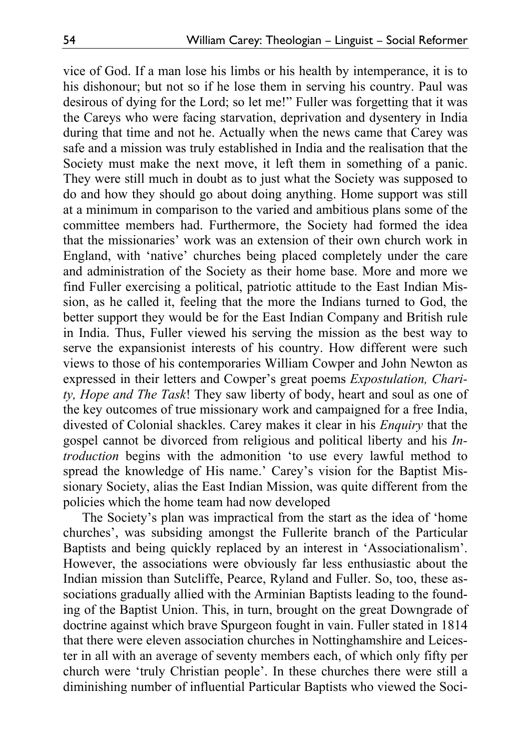vice of God. If a man lose his limbs or his health by intemperance, it is to his dishonour; but not so if he lose them in serving his country. Paul was desirous of dying for the Lord; so let me!" Fuller was forgetting that it was the Careys who were facing starvation, deprivation and dysentery in India during that time and not he. Actually when the news came that Carey was safe and a mission was truly established in India and the realisation that the Society must make the next move, it left them in something of a panic. They were still much in doubt as to just what the Society was supposed to do and how they should go about doing anything. Home support was still at a minimum in comparison to the varied and ambitious plans some of the committee members had. Furthermore, the Society had formed the idea that the missionaries' work was an extension of their own church work in England, with 'native' churches being placed completely under the care and administration of the Society as their home base. More and more we find Fuller exercising a political, patriotic attitude to the East Indian Mission, as he called it, feeling that the more the Indians turned to God, the better support they would be for the East Indian Company and British rule in India. Thus, Fuller viewed his serving the mission as the best way to serve the expansionist interests of his country. How different were such views to those of his contemporaries William Cowper and John Newton as expressed in their letters and Cowper's great poems *Expostulation, Charity, Hope and The Task*! They saw liberty of body, heart and soul as one of the key outcomes of true missionary work and campaigned for a free India, divested of Colonial shackles. Carey makes it clear in his *Enquiry* that the gospel cannot be divorced from religious and political liberty and his *Introduction* begins with the admonition 'to use every lawful method to spread the knowledge of His name.' Carey's vision for the Baptist Missionary Society, alias the East Indian Mission, was quite different from the policies which the home team had now developed

The Society's plan was impractical from the start as the idea of 'home churches', was subsiding amongst the Fullerite branch of the Particular Baptists and being quickly replaced by an interest in 'Associationalism'. However, the associations were obviously far less enthusiastic about the Indian mission than Sutcliffe, Pearce, Ryland and Fuller. So, too, these associations gradually allied with the Arminian Baptists leading to the founding of the Baptist Union. This, in turn, brought on the great Downgrade of doctrine against which brave Spurgeon fought in vain. Fuller stated in 1814 that there were eleven association churches in Nottinghamshire and Leicester in all with an average of seventy members each, of which only fifty per church were 'truly Christian people'. In these churches there were still a diminishing number of influential Particular Baptists who viewed the Soci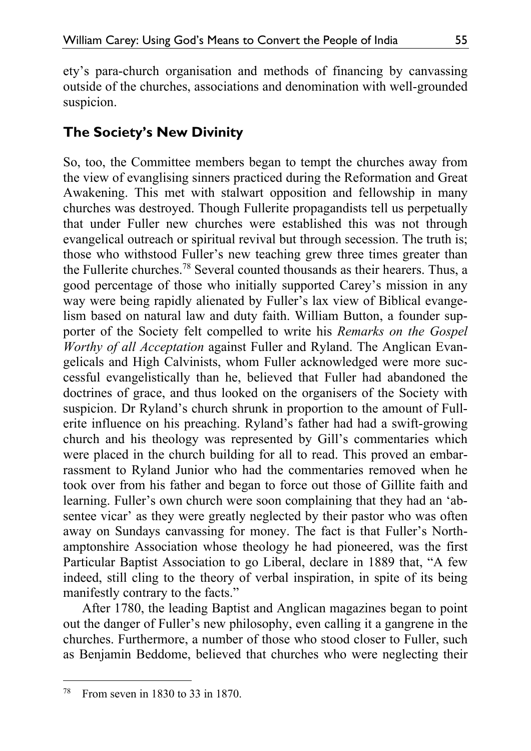ety's para-church organisation and methods of financing by canvassing outside of the churches, associations and denomination with well-grounded suspicion.

## **The Society's New Divinity**

So, too, the Committee members began to tempt the churches away from the view of evanglising sinners practiced during the Reformation and Great Awakening. This met with stalwart opposition and fellowship in many churches was destroyed. Though Fullerite propagandists tell us perpetually that under Fuller new churches were established this was not through evangelical outreach or spiritual revival but through secession. The truth is; those who withstood Fuller's new teaching grew three times greater than the Fullerite churches.78 Several counted thousands as their hearers. Thus, a good percentage of those who initially supported Carey's mission in any way were being rapidly alienated by Fuller's lax view of Biblical evangelism based on natural law and duty faith. William Button, a founder supporter of the Society felt compelled to write his *Remarks on the Gospel Worthy of all Acceptation* against Fuller and Ryland. The Anglican Evangelicals and High Calvinists, whom Fuller acknowledged were more successful evangelistically than he, believed that Fuller had abandoned the doctrines of grace, and thus looked on the organisers of the Society with suspicion. Dr Ryland's church shrunk in proportion to the amount of Fullerite influence on his preaching. Ryland's father had had a swift-growing church and his theology was represented by Gill's commentaries which were placed in the church building for all to read. This proved an embarrassment to Ryland Junior who had the commentaries removed when he took over from his father and began to force out those of Gillite faith and learning. Fuller's own church were soon complaining that they had an 'absentee vicar' as they were greatly neglected by their pastor who was often away on Sundays canvassing for money. The fact is that Fuller's Northamptonshire Association whose theology he had pioneered, was the first Particular Baptist Association to go Liberal, declare in 1889 that, "A few indeed, still cling to the theory of verbal inspiration, in spite of its being manifestly contrary to the facts."

After 1780, the leading Baptist and Anglican magazines began to point out the danger of Fuller's new philosophy, even calling it a gangrene in the churches. Furthermore, a number of those who stood closer to Fuller, such as Benjamin Beddome, believed that churches who were neglecting their

<sup>-</sup>78 From seven in 1830 to 33 in 1870.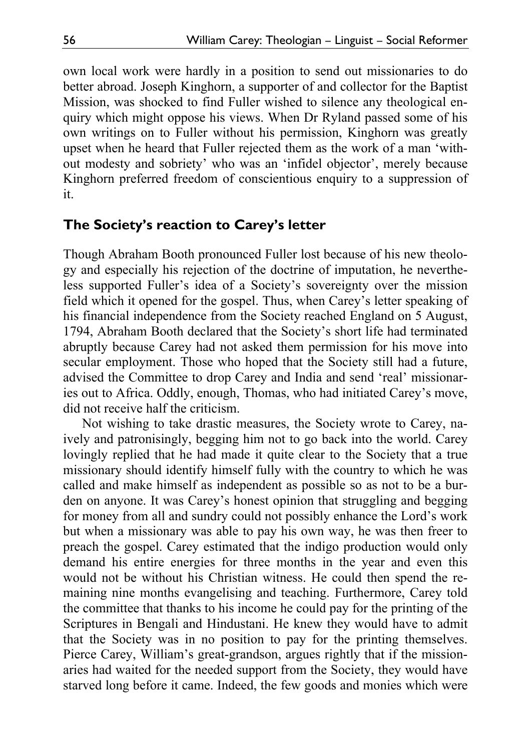own local work were hardly in a position to send out missionaries to do better abroad. Joseph Kinghorn, a supporter of and collector for the Baptist Mission, was shocked to find Fuller wished to silence any theological enquiry which might oppose his views. When Dr Ryland passed some of his own writings on to Fuller without his permission, Kinghorn was greatly upset when he heard that Fuller rejected them as the work of a man 'without modesty and sobriety' who was an 'infidel objector', merely because Kinghorn preferred freedom of conscientious enquiry to a suppression of it.

#### **The Society's reaction to Carey's letter**

Though Abraham Booth pronounced Fuller lost because of his new theology and especially his rejection of the doctrine of imputation, he nevertheless supported Fuller's idea of a Society's sovereignty over the mission field which it opened for the gospel. Thus, when Carey's letter speaking of his financial independence from the Society reached England on 5 August, 1794, Abraham Booth declared that the Society's short life had terminated abruptly because Carey had not asked them permission for his move into secular employment. Those who hoped that the Society still had a future, advised the Committee to drop Carey and India and send 'real' missionaries out to Africa. Oddly, enough, Thomas, who had initiated Carey's move, did not receive half the criticism.

Not wishing to take drastic measures, the Society wrote to Carey, naively and patronisingly, begging him not to go back into the world. Carey lovingly replied that he had made it quite clear to the Society that a true missionary should identify himself fully with the country to which he was called and make himself as independent as possible so as not to be a burden on anyone. It was Carey's honest opinion that struggling and begging for money from all and sundry could not possibly enhance the Lord's work but when a missionary was able to pay his own way, he was then freer to preach the gospel. Carey estimated that the indigo production would only demand his entire energies for three months in the year and even this would not be without his Christian witness. He could then spend the remaining nine months evangelising and teaching. Furthermore, Carey told the committee that thanks to his income he could pay for the printing of the Scriptures in Bengali and Hindustani. He knew they would have to admit that the Society was in no position to pay for the printing themselves. Pierce Carey, William's great-grandson, argues rightly that if the missionaries had waited for the needed support from the Society, they would have starved long before it came. Indeed, the few goods and monies which were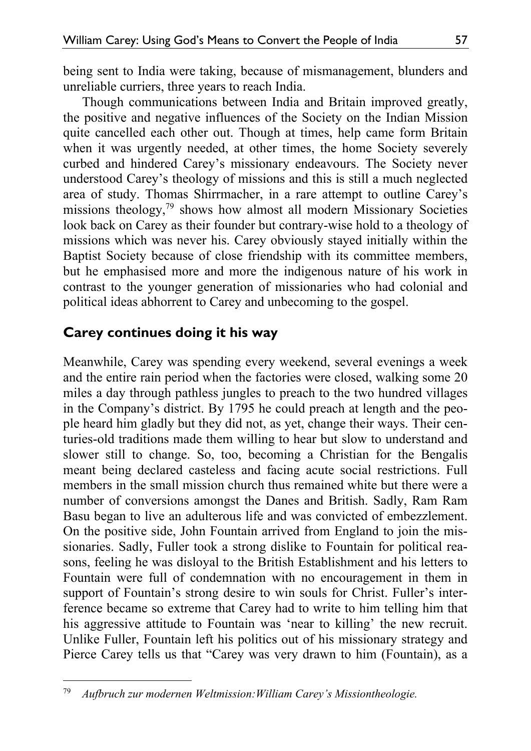being sent to India were taking, because of mismanagement, blunders and unreliable curriers, three years to reach India.

Though communications between India and Britain improved greatly, the positive and negative influences of the Society on the Indian Mission quite cancelled each other out. Though at times, help came form Britain when it was urgently needed, at other times, the home Society severely curbed and hindered Carey's missionary endeavours. The Society never understood Carey's theology of missions and this is still a much neglected area of study. Thomas Shirrmacher, in a rare attempt to outline Carey's missions theology,<sup>79</sup> shows how almost all modern Missionary Societies look back on Carey as their founder but contrary-wise hold to a theology of missions which was never his. Carey obviously stayed initially within the Baptist Society because of close friendship with its committee members, but he emphasised more and more the indigenous nature of his work in contrast to the younger generation of missionaries who had colonial and political ideas abhorrent to Carey and unbecoming to the gospel.

### **Carey continues doing it his way**

Meanwhile, Carey was spending every weekend, several evenings a week and the entire rain period when the factories were closed, walking some 20 miles a day through pathless jungles to preach to the two hundred villages in the Company's district. By 1795 he could preach at length and the people heard him gladly but they did not, as yet, change their ways. Their centuries-old traditions made them willing to hear but slow to understand and slower still to change. So, too, becoming a Christian for the Bengalis meant being declared casteless and facing acute social restrictions. Full members in the small mission church thus remained white but there were a number of conversions amongst the Danes and British. Sadly, Ram Ram Basu began to live an adulterous life and was convicted of embezzlement. On the positive side, John Fountain arrived from England to join the missionaries. Sadly, Fuller took a strong dislike to Fountain for political reasons, feeling he was disloyal to the British Establishment and his letters to Fountain were full of condemnation with no encouragement in them in support of Fountain's strong desire to win souls for Christ. Fuller's interference became so extreme that Carey had to write to him telling him that his aggressive attitude to Fountain was 'near to killing' the new recruit. Unlike Fuller, Fountain left his politics out of his missionary strategy and Pierce Carey tells us that "Carey was very drawn to him (Fountain), as a

<sup>-</sup><sup>79</sup> *Aufbruch zur modernen Weltmission:William Carey's Missiontheologie.*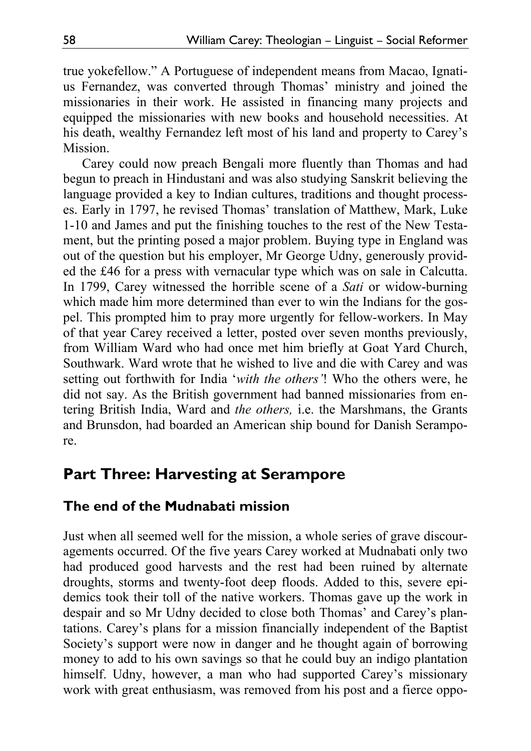true yokefellow." A Portuguese of independent means from Macao, Ignatius Fernandez, was converted through Thomas' ministry and joined the missionaries in their work. He assisted in financing many projects and equipped the missionaries with new books and household necessities. At his death, wealthy Fernandez left most of his land and property to Carey's Mission.

Carey could now preach Bengali more fluently than Thomas and had begun to preach in Hindustani and was also studying Sanskrit believing the language provided a key to Indian cultures, traditions and thought processes. Early in 1797, he revised Thomas' translation of Matthew, Mark, Luke 1-10 and James and put the finishing touches to the rest of the New Testament, but the printing posed a major problem. Buying type in England was out of the question but his employer, Mr George Udny, generously provided the £46 for a press with vernacular type which was on sale in Calcutta. In 1799, Carey witnessed the horrible scene of a *Sati* or widow-burning which made him more determined than ever to win the Indians for the gospel. This prompted him to pray more urgently for fellow-workers. In May of that year Carey received a letter, posted over seven months previously, from William Ward who had once met him briefly at Goat Yard Church, Southwark. Ward wrote that he wished to live and die with Carey and was setting out forthwith for India '*with the others'*! Who the others were, he did not say. As the British government had banned missionaries from entering British India, Ward and *the others,* i.e. the Marshmans, the Grants and Brunsdon, had boarded an American ship bound for Danish Serampore.

### **Part Three: Harvesting at Serampore**

### **The end of the Mudnabati mission**

Just when all seemed well for the mission, a whole series of grave discouragements occurred. Of the five years Carey worked at Mudnabati only two had produced good harvests and the rest had been ruined by alternate droughts, storms and twenty-foot deep floods. Added to this, severe epidemics took their toll of the native workers. Thomas gave up the work in despair and so Mr Udny decided to close both Thomas' and Carey's plantations. Carey's plans for a mission financially independent of the Baptist Society's support were now in danger and he thought again of borrowing money to add to his own savings so that he could buy an indigo plantation himself. Udny, however, a man who had supported Carey's missionary work with great enthusiasm, was removed from his post and a fierce oppo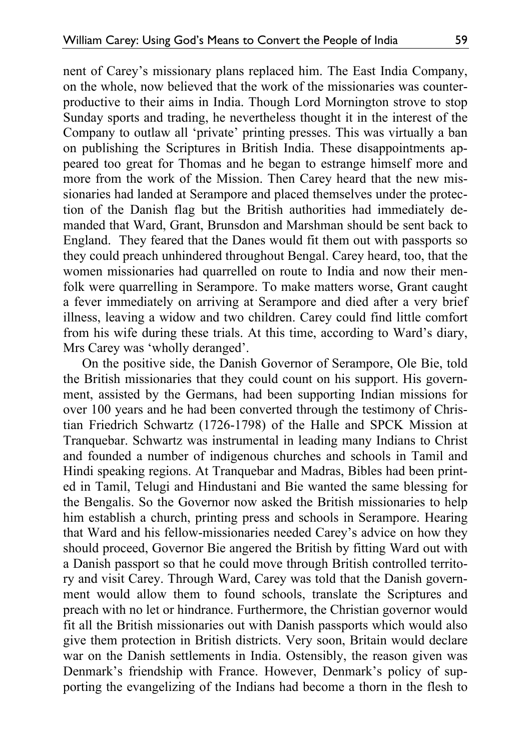nent of Carey's missionary plans replaced him. The East India Company, on the whole, now believed that the work of the missionaries was counterproductive to their aims in India. Though Lord Mornington strove to stop Sunday sports and trading, he nevertheless thought it in the interest of the Company to outlaw all 'private' printing presses. This was virtually a ban on publishing the Scriptures in British India. These disappointments appeared too great for Thomas and he began to estrange himself more and more from the work of the Mission. Then Carey heard that the new missionaries had landed at Serampore and placed themselves under the protection of the Danish flag but the British authorities had immediately demanded that Ward, Grant, Brunsdon and Marshman should be sent back to England. They feared that the Danes would fit them out with passports so they could preach unhindered throughout Bengal. Carey heard, too, that the women missionaries had quarrelled on route to India and now their menfolk were quarrelling in Serampore. To make matters worse, Grant caught a fever immediately on arriving at Serampore and died after a very brief illness, leaving a widow and two children. Carey could find little comfort from his wife during these trials. At this time, according to Ward's diary, Mrs Carey was 'wholly deranged'.

On the positive side, the Danish Governor of Serampore, Ole Bie, told the British missionaries that they could count on his support. His government, assisted by the Germans, had been supporting Indian missions for over 100 years and he had been converted through the testimony of Christian Friedrich Schwartz (1726-1798) of the Halle and SPCK Mission at Tranquebar. Schwartz was instrumental in leading many Indians to Christ and founded a number of indigenous churches and schools in Tamil and Hindi speaking regions. At Tranquebar and Madras, Bibles had been printed in Tamil, Telugi and Hindustani and Bie wanted the same blessing for the Bengalis. So the Governor now asked the British missionaries to help him establish a church, printing press and schools in Serampore. Hearing that Ward and his fellow-missionaries needed Carey's advice on how they should proceed, Governor Bie angered the British by fitting Ward out with a Danish passport so that he could move through British controlled territory and visit Carey. Through Ward, Carey was told that the Danish government would allow them to found schools, translate the Scriptures and preach with no let or hindrance. Furthermore, the Christian governor would fit all the British missionaries out with Danish passports which would also give them protection in British districts. Very soon, Britain would declare war on the Danish settlements in India. Ostensibly, the reason given was Denmark's friendship with France. However, Denmark's policy of supporting the evangelizing of the Indians had become a thorn in the flesh to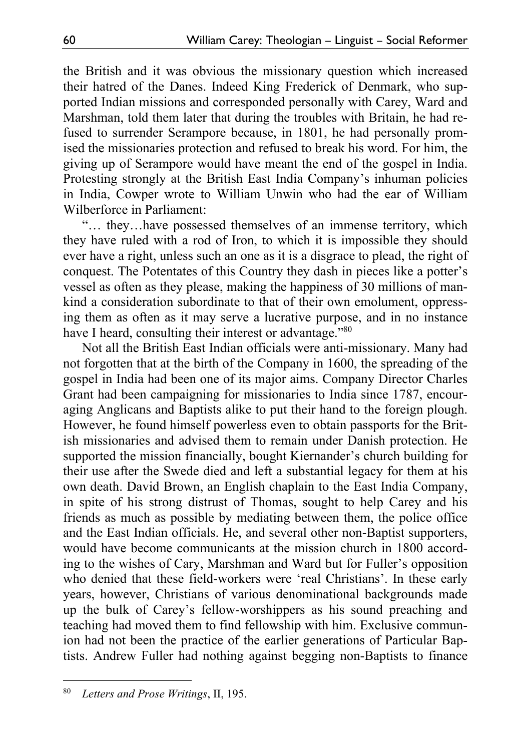the British and it was obvious the missionary question which increased their hatred of the Danes. Indeed King Frederick of Denmark, who supported Indian missions and corresponded personally with Carey, Ward and Marshman, told them later that during the troubles with Britain, he had refused to surrender Serampore because, in 1801, he had personally promised the missionaries protection and refused to break his word. For him, the giving up of Serampore would have meant the end of the gospel in India. Protesting strongly at the British East India Company's inhuman policies in India, Cowper wrote to William Unwin who had the ear of William Wilberforce in Parliament:

"… they…have possessed themselves of an immense territory, which they have ruled with a rod of Iron, to which it is impossible they should ever have a right, unless such an one as it is a disgrace to plead, the right of conquest. The Potentates of this Country they dash in pieces like a potter's vessel as often as they please, making the happiness of 30 millions of mankind a consideration subordinate to that of their own emolument, oppressing them as often as it may serve a lucrative purpose, and in no instance have I heard, consulting their interest or advantage."<sup>80</sup>

Not all the British East Indian officials were anti-missionary. Many had not forgotten that at the birth of the Company in 1600, the spreading of the gospel in India had been one of its major aims. Company Director Charles Grant had been campaigning for missionaries to India since 1787, encouraging Anglicans and Baptists alike to put their hand to the foreign plough. However, he found himself powerless even to obtain passports for the British missionaries and advised them to remain under Danish protection. He supported the mission financially, bought Kiernander's church building for their use after the Swede died and left a substantial legacy for them at his own death. David Brown, an English chaplain to the East India Company, in spite of his strong distrust of Thomas, sought to help Carey and his friends as much as possible by mediating between them, the police office and the East Indian officials. He, and several other non-Baptist supporters, would have become communicants at the mission church in 1800 according to the wishes of Cary, Marshman and Ward but for Fuller's opposition who denied that these field-workers were 'real Christians'. In these early years, however, Christians of various denominational backgrounds made up the bulk of Carey's fellow-worshippers as his sound preaching and teaching had moved them to find fellowship with him. Exclusive communion had not been the practice of the earlier generations of Particular Baptists. Andrew Fuller had nothing against begging non-Baptists to finance

-

<sup>80</sup> *Letters and Prose Writings*, II, 195.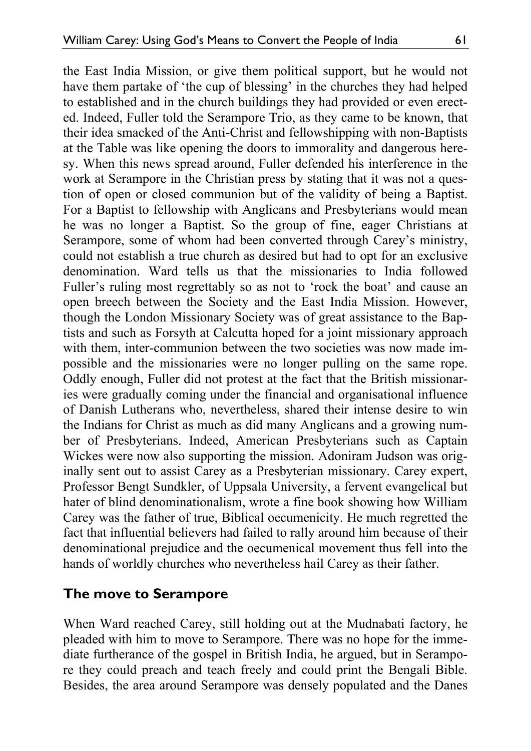the East India Mission, or give them political support, but he would not have them partake of 'the cup of blessing' in the churches they had helped to established and in the church buildings they had provided or even erected. Indeed, Fuller told the Serampore Trio, as they came to be known, that their idea smacked of the Anti-Christ and fellowshipping with non-Baptists at the Table was like opening the doors to immorality and dangerous heresy. When this news spread around, Fuller defended his interference in the work at Serampore in the Christian press by stating that it was not a question of open or closed communion but of the validity of being a Baptist. For a Baptist to fellowship with Anglicans and Presbyterians would mean he was no longer a Baptist. So the group of fine, eager Christians at Serampore, some of whom had been converted through Carey's ministry, could not establish a true church as desired but had to opt for an exclusive denomination. Ward tells us that the missionaries to India followed Fuller's ruling most regrettably so as not to 'rock the boat' and cause an open breech between the Society and the East India Mission. However, though the London Missionary Society was of great assistance to the Baptists and such as Forsyth at Calcutta hoped for a joint missionary approach with them, inter-communion between the two societies was now made impossible and the missionaries were no longer pulling on the same rope. Oddly enough, Fuller did not protest at the fact that the British missionaries were gradually coming under the financial and organisational influence of Danish Lutherans who, nevertheless, shared their intense desire to win the Indians for Christ as much as did many Anglicans and a growing number of Presbyterians. Indeed, American Presbyterians such as Captain Wickes were now also supporting the mission. Adoniram Judson was originally sent out to assist Carey as a Presbyterian missionary. Carey expert, Professor Bengt Sundkler, of Uppsala University, a fervent evangelical but hater of blind denominationalism, wrote a fine book showing how William Carey was the father of true, Biblical oecumenicity. He much regretted the fact that influential believers had failed to rally around him because of their denominational prejudice and the oecumenical movement thus fell into the hands of worldly churches who nevertheless hail Carey as their father.

### **The move to Serampore**

When Ward reached Carey, still holding out at the Mudnabati factory, he pleaded with him to move to Serampore. There was no hope for the immediate furtherance of the gospel in British India, he argued, but in Serampore they could preach and teach freely and could print the Bengali Bible. Besides, the area around Serampore was densely populated and the Danes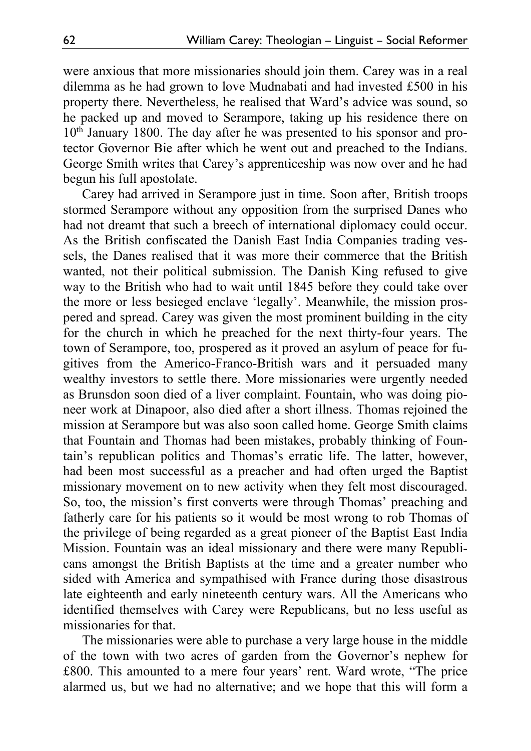were anxious that more missionaries should join them. Carey was in a real dilemma as he had grown to love Mudnabati and had invested £500 in his property there. Nevertheless, he realised that Ward's advice was sound, so he packed up and moved to Serampore, taking up his residence there on  $10<sup>th</sup>$  January 1800. The day after he was presented to his sponsor and protector Governor Bie after which he went out and preached to the Indians. George Smith writes that Carey's apprenticeship was now over and he had begun his full apostolate.

Carey had arrived in Serampore just in time. Soon after, British troops stormed Serampore without any opposition from the surprised Danes who had not dreamt that such a breech of international diplomacy could occur. As the British confiscated the Danish East India Companies trading vessels, the Danes realised that it was more their commerce that the British wanted, not their political submission. The Danish King refused to give way to the British who had to wait until 1845 before they could take over the more or less besieged enclave 'legally'. Meanwhile, the mission prospered and spread. Carey was given the most prominent building in the city for the church in which he preached for the next thirty-four years. The town of Serampore, too, prospered as it proved an asylum of peace for fugitives from the Americo-Franco-British wars and it persuaded many wealthy investors to settle there. More missionaries were urgently needed as Brunsdon soon died of a liver complaint. Fountain, who was doing pioneer work at Dinapoor, also died after a short illness. Thomas rejoined the mission at Serampore but was also soon called home. George Smith claims that Fountain and Thomas had been mistakes, probably thinking of Fountain's republican politics and Thomas's erratic life. The latter, however, had been most successful as a preacher and had often urged the Baptist missionary movement on to new activity when they felt most discouraged. So, too, the mission's first converts were through Thomas' preaching and fatherly care for his patients so it would be most wrong to rob Thomas of the privilege of being regarded as a great pioneer of the Baptist East India Mission. Fountain was an ideal missionary and there were many Republicans amongst the British Baptists at the time and a greater number who sided with America and sympathised with France during those disastrous late eighteenth and early nineteenth century wars. All the Americans who identified themselves with Carey were Republicans, but no less useful as missionaries for that.

The missionaries were able to purchase a very large house in the middle of the town with two acres of garden from the Governor's nephew for £800. This amounted to a mere four years' rent. Ward wrote, "The price alarmed us, but we had no alternative; and we hope that this will form a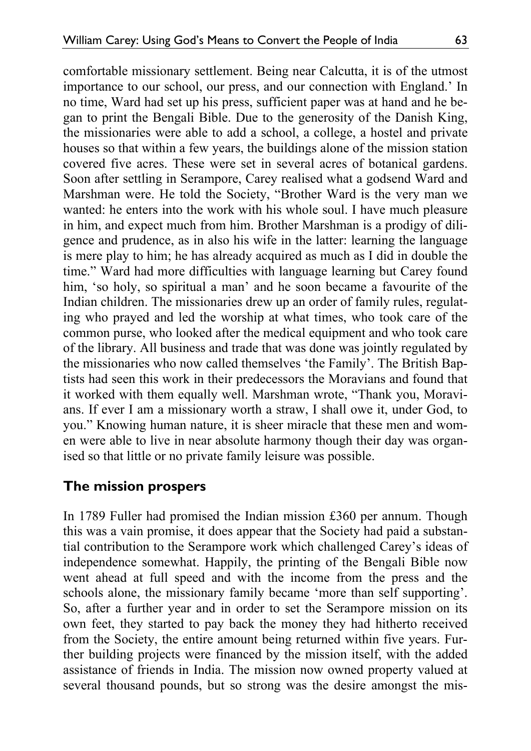comfortable missionary settlement. Being near Calcutta, it is of the utmost importance to our school, our press, and our connection with England.' In no time, Ward had set up his press, sufficient paper was at hand and he began to print the Bengali Bible. Due to the generosity of the Danish King, the missionaries were able to add a school, a college, a hostel and private houses so that within a few years, the buildings alone of the mission station covered five acres. These were set in several acres of botanical gardens. Soon after settling in Serampore, Carey realised what a godsend Ward and Marshman were. He told the Society, "Brother Ward is the very man we wanted: he enters into the work with his whole soul. I have much pleasure in him, and expect much from him. Brother Marshman is a prodigy of diligence and prudence, as in also his wife in the latter: learning the language is mere play to him; he has already acquired as much as I did in double the time." Ward had more difficulties with language learning but Carey found him, 'so holy, so spiritual a man' and he soon became a favourite of the Indian children. The missionaries drew up an order of family rules, regulating who prayed and led the worship at what times, who took care of the common purse, who looked after the medical equipment and who took care of the library. All business and trade that was done was jointly regulated by the missionaries who now called themselves 'the Family'. The British Baptists had seen this work in their predecessors the Moravians and found that it worked with them equally well. Marshman wrote, "Thank you, Moravians. If ever I am a missionary worth a straw, I shall owe it, under God, to you." Knowing human nature, it is sheer miracle that these men and women were able to live in near absolute harmony though their day was organ-

#### **The mission prospers**

In 1789 Fuller had promised the Indian mission £360 per annum. Though this was a vain promise, it does appear that the Society had paid a substantial contribution to the Serampore work which challenged Carey's ideas of independence somewhat. Happily, the printing of the Bengali Bible now went ahead at full speed and with the income from the press and the schools alone, the missionary family became 'more than self supporting'. So, after a further year and in order to set the Serampore mission on its own feet, they started to pay back the money they had hitherto received from the Society, the entire amount being returned within five years. Further building projects were financed by the mission itself, with the added assistance of friends in India. The mission now owned property valued at several thousand pounds, but so strong was the desire amongst the mis-

ised so that little or no private family leisure was possible.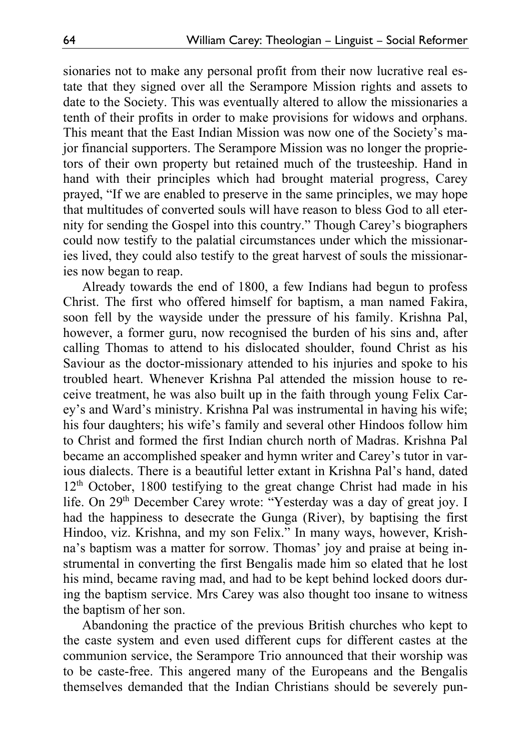sionaries not to make any personal profit from their now lucrative real estate that they signed over all the Serampore Mission rights and assets to date to the Society. This was eventually altered to allow the missionaries a tenth of their profits in order to make provisions for widows and orphans. This meant that the East Indian Mission was now one of the Society's major financial supporters. The Serampore Mission was no longer the proprietors of their own property but retained much of the trusteeship. Hand in hand with their principles which had brought material progress, Carey prayed, "If we are enabled to preserve in the same principles, we may hope that multitudes of converted souls will have reason to bless God to all eternity for sending the Gospel into this country." Though Carey's biographers could now testify to the palatial circumstances under which the missionaries lived, they could also testify to the great harvest of souls the missionaries now began to reap.

Already towards the end of 1800, a few Indians had begun to profess Christ. The first who offered himself for baptism, a man named Fakira, soon fell by the wayside under the pressure of his family. Krishna Pal, however, a former guru, now recognised the burden of his sins and, after calling Thomas to attend to his dislocated shoulder, found Christ as his Saviour as the doctor-missionary attended to his injuries and spoke to his troubled heart. Whenever Krishna Pal attended the mission house to receive treatment, he was also built up in the faith through young Felix Carey's and Ward's ministry. Krishna Pal was instrumental in having his wife; his four daughters; his wife's family and several other Hindoos follow him to Christ and formed the first Indian church north of Madras. Krishna Pal became an accomplished speaker and hymn writer and Carey's tutor in various dialects. There is a beautiful letter extant in Krishna Pal's hand, dated  $12<sup>th</sup>$  October, 1800 testifying to the great change Christ had made in his life. On 29<sup>th</sup> December Carey wrote: "Yesterday was a day of great joy. I had the happiness to desecrate the Gunga (River), by baptising the first Hindoo, viz. Krishna, and my son Felix." In many ways, however, Krishna's baptism was a matter for sorrow. Thomas' joy and praise at being instrumental in converting the first Bengalis made him so elated that he lost his mind, became raving mad, and had to be kept behind locked doors during the baptism service. Mrs Carey was also thought too insane to witness the baptism of her son.

Abandoning the practice of the previous British churches who kept to the caste system and even used different cups for different castes at the communion service, the Serampore Trio announced that their worship was to be caste-free. This angered many of the Europeans and the Bengalis themselves demanded that the Indian Christians should be severely pun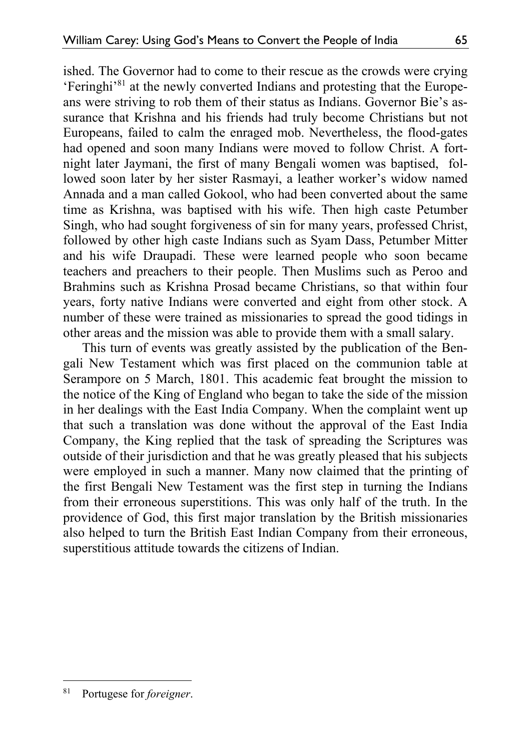ished. The Governor had to come to their rescue as the crowds were crying 'Feringhi'81 at the newly converted Indians and protesting that the Europeans were striving to rob them of their status as Indians. Governor Bie's assurance that Krishna and his friends had truly become Christians but not Europeans, failed to calm the enraged mob. Nevertheless, the flood-gates had opened and soon many Indians were moved to follow Christ. A fortnight later Jaymani, the first of many Bengali women was baptised, followed soon later by her sister Rasmayi, a leather worker's widow named Annada and a man called Gokool, who had been converted about the same time as Krishna, was baptised with his wife. Then high caste Petumber Singh, who had sought forgiveness of sin for many years, professed Christ, followed by other high caste Indians such as Syam Dass, Petumber Mitter and his wife Draupadi. These were learned people who soon became teachers and preachers to their people. Then Muslims such as Peroo and Brahmins such as Krishna Prosad became Christians, so that within four years, forty native Indians were converted and eight from other stock. A number of these were trained as missionaries to spread the good tidings in other areas and the mission was able to provide them with a small salary.

This turn of events was greatly assisted by the publication of the Bengali New Testament which was first placed on the communion table at Serampore on 5 March, 1801. This academic feat brought the mission to the notice of the King of England who began to take the side of the mission in her dealings with the East India Company. When the complaint went up that such a translation was done without the approval of the East India Company, the King replied that the task of spreading the Scriptures was outside of their jurisdiction and that he was greatly pleased that his subjects were employed in such a manner. Many now claimed that the printing of the first Bengali New Testament was the first step in turning the Indians from their erroneous superstitions. This was only half of the truth. In the providence of God, this first major translation by the British missionaries also helped to turn the British East Indian Company from their erroneous, superstitious attitude towards the citizens of Indian.

-

<sup>81</sup> Portugese for *foreigner*.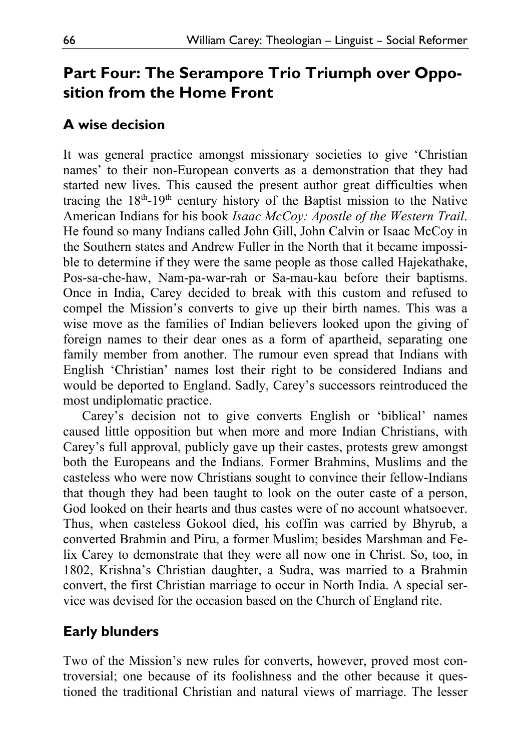## **Part Four: The Serampore Trio Triumph over Opposition from the Home Front**

## **A wise decision**

It was general practice amongst missionary societies to give 'Christian names' to their non-European converts as a demonstration that they had started new lives. This caused the present author great difficulties when tracing the  $18<sup>th</sup> - 19<sup>th</sup>$  century history of the Baptist mission to the Native American Indians for his book *Isaac McCoy: Apostle of the Western Trail*. He found so many Indians called John Gill, John Calvin or Isaac McCoy in the Southern states and Andrew Fuller in the North that it became impossible to determine if they were the same people as those called Hajekathake, Pos-sa-che-haw, Nam-pa-war-rah or Sa-mau-kau before their baptisms. Once in India, Carey decided to break with this custom and refused to compel the Mission's converts to give up their birth names. This was a wise move as the families of Indian believers looked upon the giving of foreign names to their dear ones as a form of apartheid, separating one family member from another. The rumour even spread that Indians with English 'Christian' names lost their right to be considered Indians and would be deported to England. Sadly, Carey's successors reintroduced the most undiplomatic practice.

Carey's decision not to give converts English or 'biblical' names caused little opposition but when more and more Indian Christians, with Carey's full approval, publicly gave up their castes, protests grew amongst both the Europeans and the Indians. Former Brahmins, Muslims and the casteless who were now Christians sought to convince their fellow-Indians that though they had been taught to look on the outer caste of a person, God looked on their hearts and thus castes were of no account whatsoever. Thus, when casteless Gokool died, his coffin was carried by Bhyrub, a converted Brahmin and Piru, a former Muslim; besides Marshman and Felix Carey to demonstrate that they were all now one in Christ. So, too, in 1802, Krishna's Christian daughter, a Sudra, was married to a Brahmin convert, the first Christian marriage to occur in North India. A special service was devised for the occasion based on the Church of England rite.

## **Early blunders**

Two of the Mission's new rules for converts, however, proved most controversial; one because of its foolishness and the other because it questioned the traditional Christian and natural views of marriage. The lesser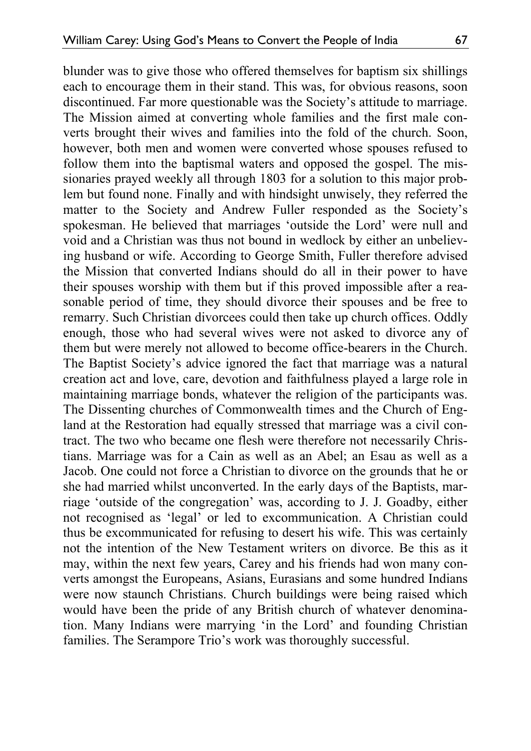blunder was to give those who offered themselves for baptism six shillings each to encourage them in their stand. This was, for obvious reasons, soon discontinued. Far more questionable was the Society's attitude to marriage. The Mission aimed at converting whole families and the first male converts brought their wives and families into the fold of the church. Soon, however, both men and women were converted whose spouses refused to follow them into the baptismal waters and opposed the gospel. The missionaries prayed weekly all through 1803 for a solution to this major problem but found none. Finally and with hindsight unwisely, they referred the matter to the Society and Andrew Fuller responded as the Society's spokesman. He believed that marriages 'outside the Lord' were null and void and a Christian was thus not bound in wedlock by either an unbelieving husband or wife. According to George Smith, Fuller therefore advised the Mission that converted Indians should do all in their power to have their spouses worship with them but if this proved impossible after a reasonable period of time, they should divorce their spouses and be free to remarry. Such Christian divorcees could then take up church offices. Oddly enough, those who had several wives were not asked to divorce any of them but were merely not allowed to become office-bearers in the Church. The Baptist Society's advice ignored the fact that marriage was a natural creation act and love, care, devotion and faithfulness played a large role in maintaining marriage bonds, whatever the religion of the participants was. The Dissenting churches of Commonwealth times and the Church of England at the Restoration had equally stressed that marriage was a civil contract. The two who became one flesh were therefore not necessarily Christians. Marriage was for a Cain as well as an Abel; an Esau as well as a Jacob. One could not force a Christian to divorce on the grounds that he or she had married whilst unconverted. In the early days of the Baptists, marriage 'outside of the congregation' was, according to J. J. Goadby, either not recognised as 'legal' or led to excommunication. A Christian could thus be excommunicated for refusing to desert his wife. This was certainly not the intention of the New Testament writers on divorce. Be this as it may, within the next few years, Carey and his friends had won many converts amongst the Europeans, Asians, Eurasians and some hundred Indians were now staunch Christians. Church buildings were being raised which would have been the pride of any British church of whatever denomination. Many Indians were marrying 'in the Lord' and founding Christian families. The Serampore Trio's work was thoroughly successful.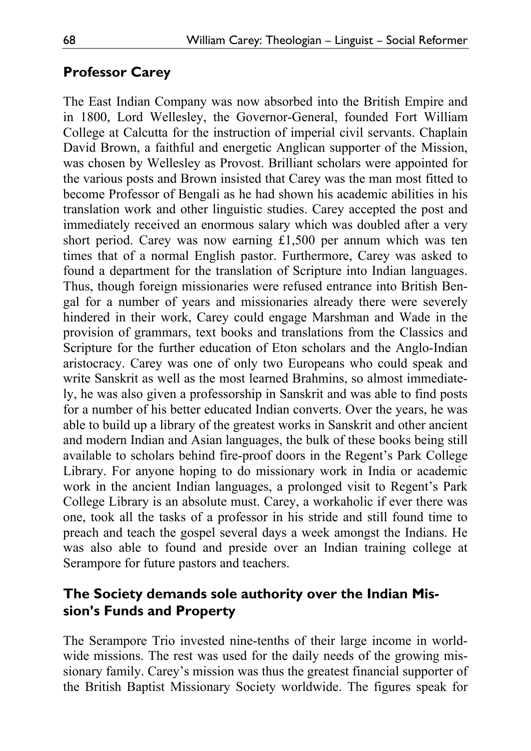### **Professor Carey**

The East Indian Company was now absorbed into the British Empire and in 1800, Lord Wellesley, the Governor-General, founded Fort William College at Calcutta for the instruction of imperial civil servants. Chaplain David Brown, a faithful and energetic Anglican supporter of the Mission, was chosen by Wellesley as Provost. Brilliant scholars were appointed for the various posts and Brown insisted that Carey was the man most fitted to become Professor of Bengali as he had shown his academic abilities in his translation work and other linguistic studies. Carey accepted the post and immediately received an enormous salary which was doubled after a very short period. Carey was now earning £1,500 per annum which was ten times that of a normal English pastor. Furthermore, Carey was asked to found a department for the translation of Scripture into Indian languages. Thus, though foreign missionaries were refused entrance into British Bengal for a number of years and missionaries already there were severely hindered in their work, Carey could engage Marshman and Wade in the provision of grammars, text books and translations from the Classics and Scripture for the further education of Eton scholars and the Anglo-Indian aristocracy. Carey was one of only two Europeans who could speak and write Sanskrit as well as the most learned Brahmins, so almost immediately, he was also given a professorship in Sanskrit and was able to find posts for a number of his better educated Indian converts. Over the years, he was able to build up a library of the greatest works in Sanskrit and other ancient and modern Indian and Asian languages, the bulk of these books being still available to scholars behind fire-proof doors in the Regent's Park College Library. For anyone hoping to do missionary work in India or academic work in the ancient Indian languages, a prolonged visit to Regent's Park College Library is an absolute must. Carey, a workaholic if ever there was one, took all the tasks of a professor in his stride and still found time to preach and teach the gospel several days a week amongst the Indians. He was also able to found and preside over an Indian training college at Serampore for future pastors and teachers.

### **The Society demands sole authority over the Indian Mission's Funds and Property**

The Serampore Trio invested nine-tenths of their large income in worldwide missions. The rest was used for the daily needs of the growing missionary family. Carey's mission was thus the greatest financial supporter of the British Baptist Missionary Society worldwide. The figures speak for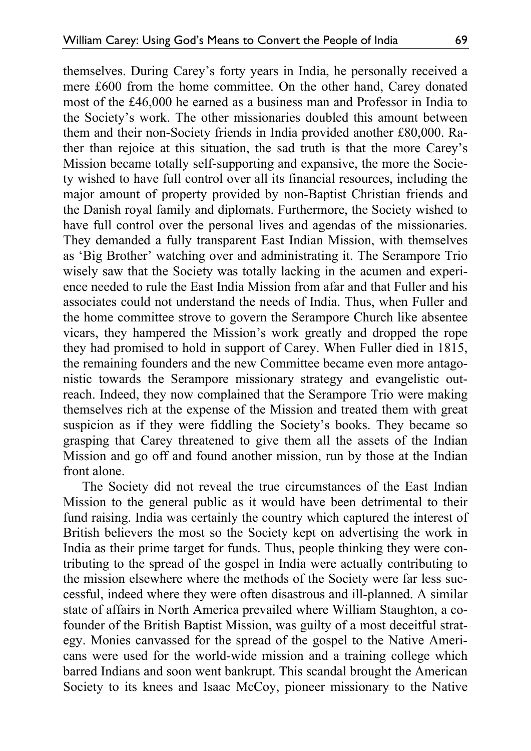themselves. During Carey's forty years in India, he personally received a mere £600 from the home committee. On the other hand, Carey donated most of the £46,000 he earned as a business man and Professor in India to the Society's work. The other missionaries doubled this amount between them and their non-Society friends in India provided another £80,000. Rather than rejoice at this situation, the sad truth is that the more Carey's Mission became totally self-supporting and expansive, the more the Society wished to have full control over all its financial resources, including the major amount of property provided by non-Baptist Christian friends and the Danish royal family and diplomats. Furthermore, the Society wished to have full control over the personal lives and agendas of the missionaries. They demanded a fully transparent East Indian Mission, with themselves as 'Big Brother' watching over and administrating it. The Serampore Trio wisely saw that the Society was totally lacking in the acumen and experience needed to rule the East India Mission from afar and that Fuller and his associates could not understand the needs of India. Thus, when Fuller and the home committee strove to govern the Serampore Church like absentee vicars, they hampered the Mission's work greatly and dropped the rope they had promised to hold in support of Carey. When Fuller died in 1815, the remaining founders and the new Committee became even more antagonistic towards the Serampore missionary strategy and evangelistic outreach. Indeed, they now complained that the Serampore Trio were making themselves rich at the expense of the Mission and treated them with great suspicion as if they were fiddling the Society's books. They became so grasping that Carey threatened to give them all the assets of the Indian

The Society did not reveal the true circumstances of the East Indian Mission to the general public as it would have been detrimental to their fund raising. India was certainly the country which captured the interest of British believers the most so the Society kept on advertising the work in India as their prime target for funds. Thus, people thinking they were contributing to the spread of the gospel in India were actually contributing to the mission elsewhere where the methods of the Society were far less successful, indeed where they were often disastrous and ill-planned. A similar state of affairs in North America prevailed where William Staughton, a cofounder of the British Baptist Mission, was guilty of a most deceitful strategy. Monies canvassed for the spread of the gospel to the Native Americans were used for the world-wide mission and a training college which barred Indians and soon went bankrupt. This scandal brought the American Society to its knees and Isaac McCoy, pioneer missionary to the Native

Mission and go off and found another mission, run by those at the Indian

front alone.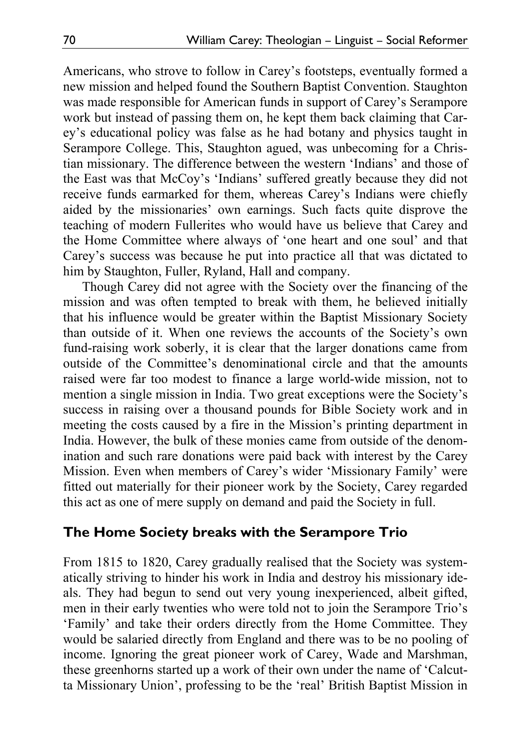Americans, who strove to follow in Carey's footsteps, eventually formed a new mission and helped found the Southern Baptist Convention. Staughton was made responsible for American funds in support of Carey's Serampore work but instead of passing them on, he kept them back claiming that Carey's educational policy was false as he had botany and physics taught in Serampore College. This, Staughton agued, was unbecoming for a Christian missionary. The difference between the western 'Indians' and those of the East was that McCoy's 'Indians' suffered greatly because they did not receive funds earmarked for them, whereas Carey's Indians were chiefly aided by the missionaries' own earnings. Such facts quite disprove the teaching of modern Fullerites who would have us believe that Carey and the Home Committee where always of 'one heart and one soul' and that Carey's success was because he put into practice all that was dictated to him by Staughton, Fuller, Ryland, Hall and company.

Though Carey did not agree with the Society over the financing of the mission and was often tempted to break with them, he believed initially that his influence would be greater within the Baptist Missionary Society than outside of it. When one reviews the accounts of the Society's own fund-raising work soberly, it is clear that the larger donations came from outside of the Committee's denominational circle and that the amounts raised were far too modest to finance a large world-wide mission, not to mention a single mission in India. Two great exceptions were the Society's success in raising over a thousand pounds for Bible Society work and in meeting the costs caused by a fire in the Mission's printing department in India. However, the bulk of these monies came from outside of the denomination and such rare donations were paid back with interest by the Carey Mission. Even when members of Carey's wider 'Missionary Family' were fitted out materially for their pioneer work by the Society, Carey regarded this act as one of mere supply on demand and paid the Society in full.

#### **The Home Society breaks with the Serampore Trio**

From 1815 to 1820, Carey gradually realised that the Society was systematically striving to hinder his work in India and destroy his missionary ideals. They had begun to send out very young inexperienced, albeit gifted, men in their early twenties who were told not to join the Serampore Trio's 'Family' and take their orders directly from the Home Committee. They would be salaried directly from England and there was to be no pooling of income. Ignoring the great pioneer work of Carey, Wade and Marshman, these greenhorns started up a work of their own under the name of 'Calcutta Missionary Union', professing to be the 'real' British Baptist Mission in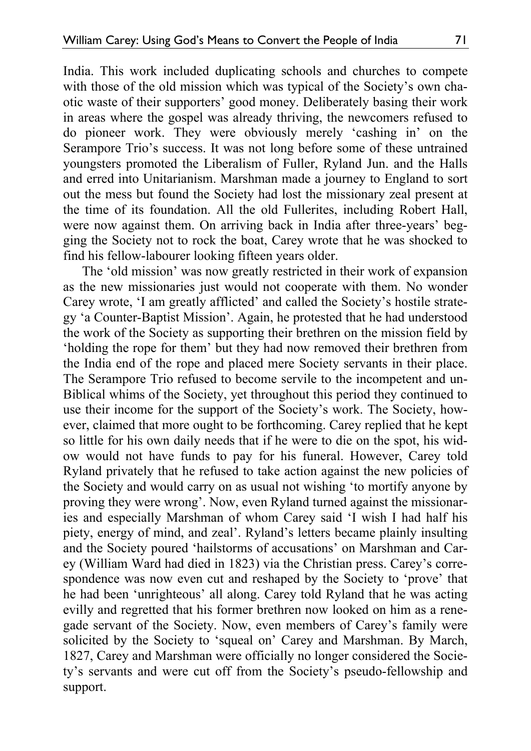India. This work included duplicating schools and churches to compete with those of the old mission which was typical of the Society's own chaotic waste of their supporters' good money. Deliberately basing their work in areas where the gospel was already thriving, the newcomers refused to do pioneer work. They were obviously merely 'cashing in' on the Serampore Trio's success. It was not long before some of these untrained youngsters promoted the Liberalism of Fuller, Ryland Jun. and the Halls and erred into Unitarianism. Marshman made a journey to England to sort out the mess but found the Society had lost the missionary zeal present at the time of its foundation. All the old Fullerites, including Robert Hall, were now against them. On arriving back in India after three-years' begging the Society not to rock the boat, Carey wrote that he was shocked to find his fellow-labourer looking fifteen years older.

The 'old mission' was now greatly restricted in their work of expansion as the new missionaries just would not cooperate with them. No wonder Carey wrote, 'I am greatly afflicted' and called the Society's hostile strategy 'a Counter-Baptist Mission'. Again, he protested that he had understood the work of the Society as supporting their brethren on the mission field by 'holding the rope for them' but they had now removed their brethren from the India end of the rope and placed mere Society servants in their place. The Serampore Trio refused to become servile to the incompetent and un-Biblical whims of the Society, yet throughout this period they continued to use their income for the support of the Society's work. The Society, however, claimed that more ought to be forthcoming. Carey replied that he kept so little for his own daily needs that if he were to die on the spot, his widow would not have funds to pay for his funeral. However, Carey told Ryland privately that he refused to take action against the new policies of the Society and would carry on as usual not wishing 'to mortify anyone by proving they were wrong'. Now, even Ryland turned against the missionaries and especially Marshman of whom Carey said 'I wish I had half his piety, energy of mind, and zeal'. Ryland's letters became plainly insulting and the Society poured 'hailstorms of accusations' on Marshman and Carey (William Ward had died in 1823) via the Christian press. Carey's correspondence was now even cut and reshaped by the Society to 'prove' that he had been 'unrighteous' all along. Carey told Ryland that he was acting evilly and regretted that his former brethren now looked on him as a renegade servant of the Society. Now, even members of Carey's family were solicited by the Society to 'squeal on' Carey and Marshman. By March, 1827, Carey and Marshman were officially no longer considered the Society's servants and were cut off from the Society's pseudo-fellowship and support.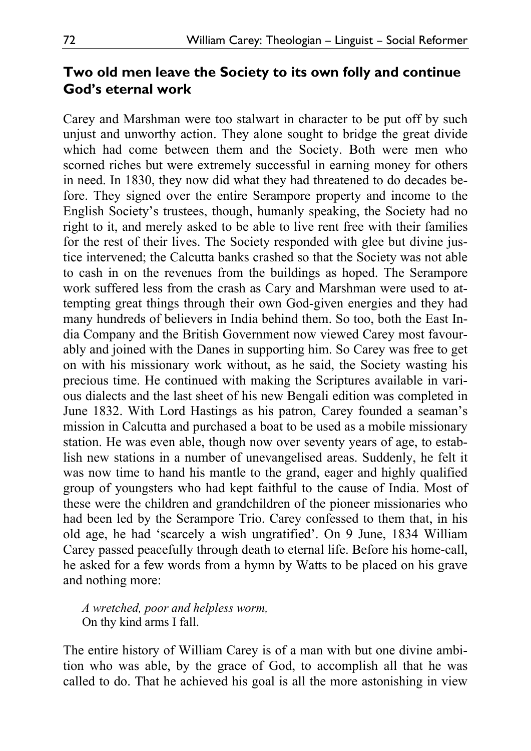#### **Two old men leave the Society to its own folly and continue God's eternal work**

Carey and Marshman were too stalwart in character to be put off by such unjust and unworthy action. They alone sought to bridge the great divide which had come between them and the Society. Both were men who scorned riches but were extremely successful in earning money for others in need. In 1830, they now did what they had threatened to do decades before. They signed over the entire Serampore property and income to the English Society's trustees, though, humanly speaking, the Society had no right to it, and merely asked to be able to live rent free with their families for the rest of their lives. The Society responded with glee but divine justice intervened; the Calcutta banks crashed so that the Society was not able to cash in on the revenues from the buildings as hoped. The Serampore work suffered less from the crash as Cary and Marshman were used to attempting great things through their own God-given energies and they had many hundreds of believers in India behind them. So too, both the East India Company and the British Government now viewed Carey most favourably and joined with the Danes in supporting him. So Carey was free to get on with his missionary work without, as he said, the Society wasting his precious time. He continued with making the Scriptures available in various dialects and the last sheet of his new Bengali edition was completed in June 1832. With Lord Hastings as his patron, Carey founded a seaman's mission in Calcutta and purchased a boat to be used as a mobile missionary station. He was even able, though now over seventy years of age, to establish new stations in a number of unevangelised areas. Suddenly, he felt it was now time to hand his mantle to the grand, eager and highly qualified group of youngsters who had kept faithful to the cause of India. Most of these were the children and grandchildren of the pioneer missionaries who had been led by the Serampore Trio. Carey confessed to them that, in his old age, he had 'scarcely a wish ungratified'. On 9 June, 1834 William Carey passed peacefully through death to eternal life. Before his home-call, he asked for a few words from a hymn by Watts to be placed on his grave and nothing more:

*A wretched, poor and helpless worm,* On thy kind arms I fall.

The entire history of William Carey is of a man with but one divine ambition who was able, by the grace of God, to accomplish all that he was called to do. That he achieved his goal is all the more astonishing in view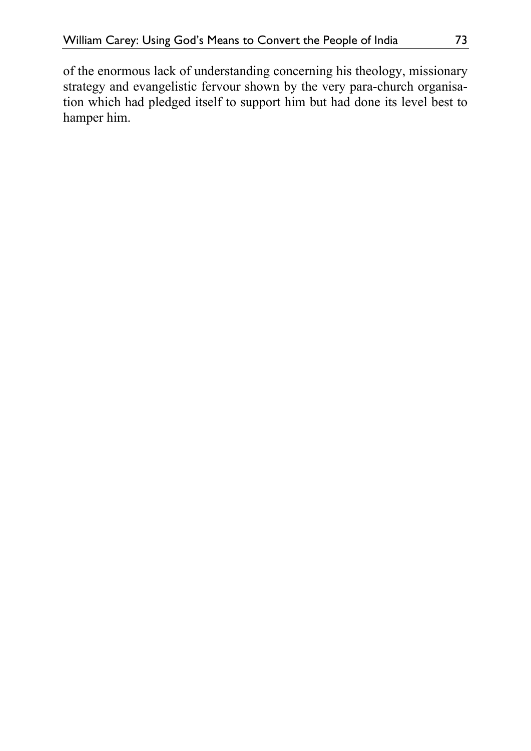of the enormous lack of understanding concerning his theology, missionary strategy and evangelistic fervour shown by the very para-church organisation which had pledged itself to support him but had done its level best to hamper him.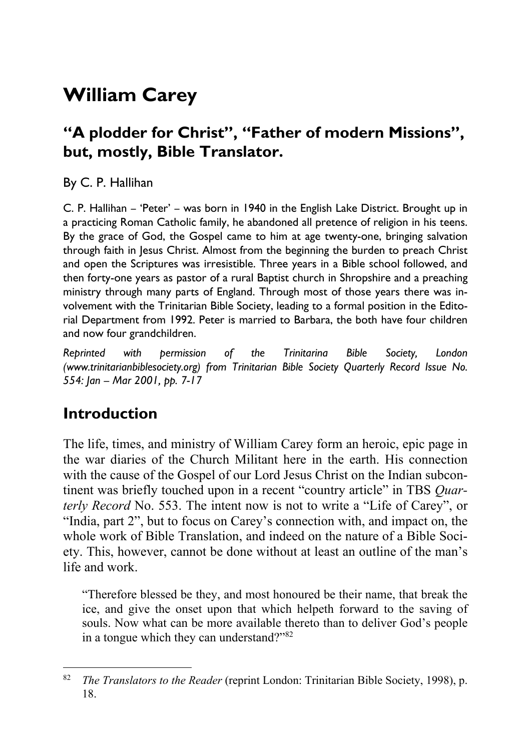# **William Carey**

# **"A plodder for Christ", "Father of modern Missions", but, mostly, Bible Translator.**

By C. P. Hallihan

C. P. Hallihan – 'Peter' – was born in 1940 in the English Lake District. Brought up in a practicing Roman Catholic family, he abandoned all pretence of religion in his teens. By the grace of God, the Gospel came to him at age twenty-one, bringing salvation through faith in Jesus Christ. Almost from the beginning the burden to preach Christ and open the Scriptures was irresistible. Three years in a Bible school followed, and then forty-one years as pastor of a rural Baptist church in Shropshire and a preaching ministry through many parts of England. Through most of those years there was involvement with the Trinitarian Bible Society, leading to a formal position in the Editorial Department from 1992. Peter is married to Barbara, the both have four children and now four grandchildren.

*Reprinted with permission of the Trinitarina Bible Society, London (www.trinitarianbiblesociety.org) from Trinitarian Bible Society Quarterly Record Issue No. 554: Jan – Mar 2001, pp. 7-17* 

# **Introduction**

The life, times, and ministry of William Carey form an heroic, epic page in the war diaries of the Church Militant here in the earth. His connection with the cause of the Gospel of our Lord Jesus Christ on the Indian subcontinent was briefly touched upon in a recent "country article" in TBS *Quarterly Record* No. 553. The intent now is not to write a "Life of Carey", or "India, part 2", but to focus on Carey's connection with, and impact on, the whole work of Bible Translation, and indeed on the nature of a Bible Society. This, however, cannot be done without at least an outline of the man's life and work.

"Therefore blessed be they, and most honoured be their name, that break the ice, and give the onset upon that which helpeth forward to the saving of souls. Now what can be more available thereto than to deliver God's people in a tongue which they can understand?"82

<sup>-</sup><sup>82</sup> *The Translators to the Reader* (reprint London: Trinitarian Bible Society, 1998), p. 18.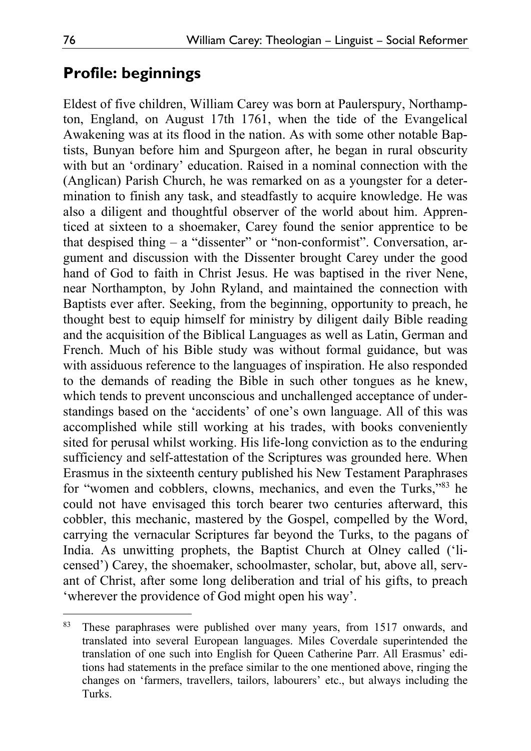# **Profile: beginnings**

Eldest of five children, William Carey was born at Paulerspury, Northampton, England, on August 17th 1761, when the tide of the Evangelical Awakening was at its flood in the nation. As with some other notable Baptists, Bunyan before him and Spurgeon after, he began in rural obscurity with but an 'ordinary' education. Raised in a nominal connection with the (Anglican) Parish Church, he was remarked on as a youngster for a determination to finish any task, and steadfastly to acquire knowledge. He was also a diligent and thoughtful observer of the world about him. Apprenticed at sixteen to a shoemaker, Carey found the senior apprentice to be that despised thing  $-$  a "dissenter" or "non-conformist". Conversation, argument and discussion with the Dissenter brought Carey under the good hand of God to faith in Christ Jesus. He was baptised in the river Nene, near Northampton, by John Ryland, and maintained the connection with Baptists ever after. Seeking, from the beginning, opportunity to preach, he thought best to equip himself for ministry by diligent daily Bible reading and the acquisition of the Biblical Languages as well as Latin, German and French. Much of his Bible study was without formal guidance, but was with assiduous reference to the languages of inspiration. He also responded to the demands of reading the Bible in such other tongues as he knew, which tends to prevent unconscious and unchallenged acceptance of understandings based on the 'accidents' of one's own language. All of this was accomplished while still working at his trades, with books conveniently sited for perusal whilst working. His life-long conviction as to the enduring sufficiency and self-attestation of the Scriptures was grounded here. When Erasmus in the sixteenth century published his New Testament Paraphrases for "women and cobblers, clowns, mechanics, and even the Turks,"83 he could not have envisaged this torch bearer two centuries afterward, this cobbler, this mechanic, mastered by the Gospel, compelled by the Word, carrying the vernacular Scriptures far beyond the Turks, to the pagans of India. As unwitting prophets, the Baptist Church at Olney called ('licensed') Carey, the shoemaker, schoolmaster, scholar, but, above all, servant of Christ, after some long deliberation and trial of his gifts, to preach 'wherever the providence of God might open his way'.

<sup>&</sup>lt;sup>83</sup> These paraphrases were published over many years, from 1517 onwards, and translated into several European languages. Miles Coverdale superintended the translation of one such into English for Queen Catherine Parr. All Erasmus' editions had statements in the preface similar to the one mentioned above, ringing the changes on 'farmers, travellers, tailors, labourers' etc., but always including the Turks.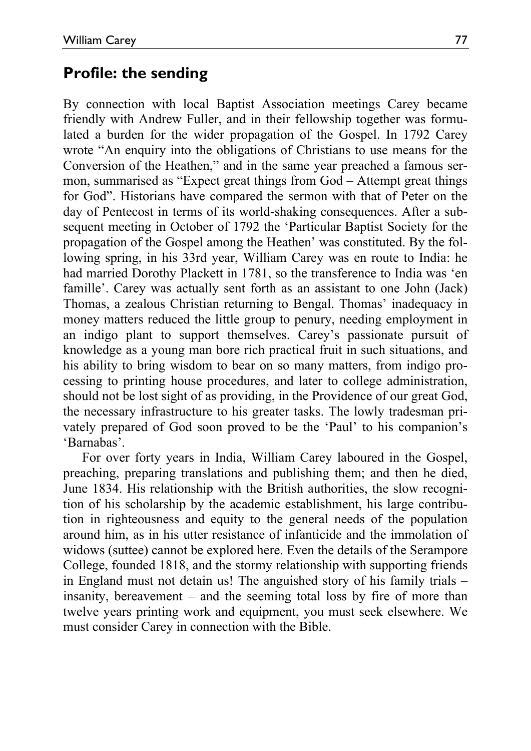#### **Profile: the sending**

By connection with local Baptist Association meetings Carey became friendly with Andrew Fuller, and in their fellowship together was formulated a burden for the wider propagation of the Gospel. In 1792 Carey wrote "An enquiry into the obligations of Christians to use means for the Conversion of the Heathen," and in the same year preached a famous sermon, summarised as "Expect great things from God – Attempt great things for God". Historians have compared the sermon with that of Peter on the day of Pentecost in terms of its world-shaking consequences. After a subsequent meeting in October of 1792 the 'Particular Baptist Society for the propagation of the Gospel among the Heathen' was constituted. By the following spring, in his 33rd year, William Carey was en route to India: he had married Dorothy Plackett in 1781, so the transference to India was 'en famille'. Carey was actually sent forth as an assistant to one John (Jack) Thomas, a zealous Christian returning to Bengal. Thomas' inadequacy in money matters reduced the little group to penury, needing employment in an indigo plant to support themselves. Carey's passionate pursuit of knowledge as a young man bore rich practical fruit in such situations, and his ability to bring wisdom to bear on so many matters, from indigo processing to printing house procedures, and later to college administration, should not be lost sight of as providing, in the Providence of our great God, the necessary infrastructure to his greater tasks. The lowly tradesman privately prepared of God soon proved to be the 'Paul' to his companion's 'Barnabas'.

For over forty years in India, William Carey laboured in the Gospel, preaching, preparing translations and publishing them; and then he died, June 1834. His relationship with the British authorities, the slow recognition of his scholarship by the academic establishment, his large contribution in righteousness and equity to the general needs of the population around him, as in his utter resistance of infanticide and the immolation of widows (suttee) cannot be explored here. Even the details of the Serampore College, founded 1818, and the stormy relationship with supporting friends in England must not detain us! The anguished story of his family trials – insanity, bereavement – and the seeming total loss by fire of more than twelve years printing work and equipment, you must seek elsewhere. We must consider Carey in connection with the Bible.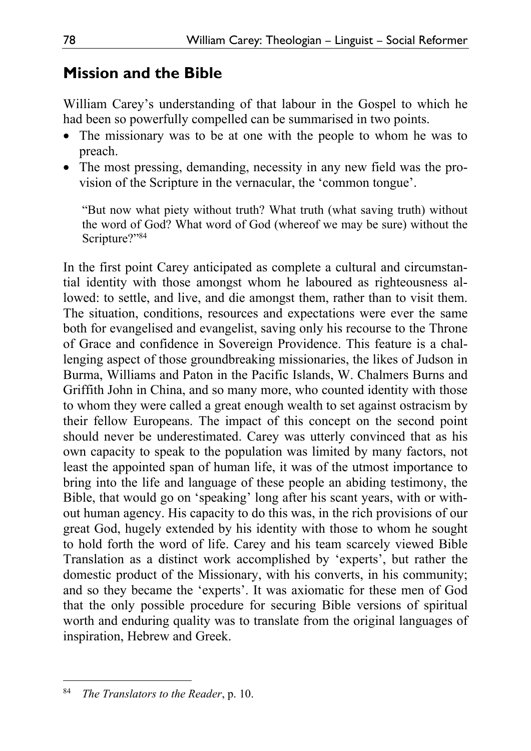## **Mission and the Bible**

William Carey's understanding of that labour in the Gospel to which he had been so powerfully compelled can be summarised in two points.

- The missionary was to be at one with the people to whom he was to preach.
- The most pressing, demanding, necessity in any new field was the provision of the Scripture in the vernacular, the 'common tongue'.

"But now what piety without truth? What truth (what saving truth) without the word of God? What word of God (whereof we may be sure) without the Scripture?"84

In the first point Carey anticipated as complete a cultural and circumstantial identity with those amongst whom he laboured as righteousness allowed: to settle, and live, and die amongst them, rather than to visit them. The situation, conditions, resources and expectations were ever the same both for evangelised and evangelist, saving only his recourse to the Throne of Grace and confidence in Sovereign Providence. This feature is a challenging aspect of those groundbreaking missionaries, the likes of Judson in Burma, Williams and Paton in the Pacific Islands, W. Chalmers Burns and Griffith John in China, and so many more, who counted identity with those to whom they were called a great enough wealth to set against ostracism by their fellow Europeans. The impact of this concept on the second point should never be underestimated. Carey was utterly convinced that as his own capacity to speak to the population was limited by many factors, not least the appointed span of human life, it was of the utmost importance to bring into the life and language of these people an abiding testimony, the Bible, that would go on 'speaking' long after his scant years, with or without human agency. His capacity to do this was, in the rich provisions of our great God, hugely extended by his identity with those to whom he sought to hold forth the word of life. Carey and his team scarcely viewed Bible Translation as a distinct work accomplished by 'experts', but rather the domestic product of the Missionary, with his converts, in his community; and so they became the 'experts'. It was axiomatic for these men of God that the only possible procedure for securing Bible versions of spiritual worth and enduring quality was to translate from the original languages of inspiration, Hebrew and Greek.

<sup>-</sup><sup>84</sup> *The Translators to the Reader*, p. 10.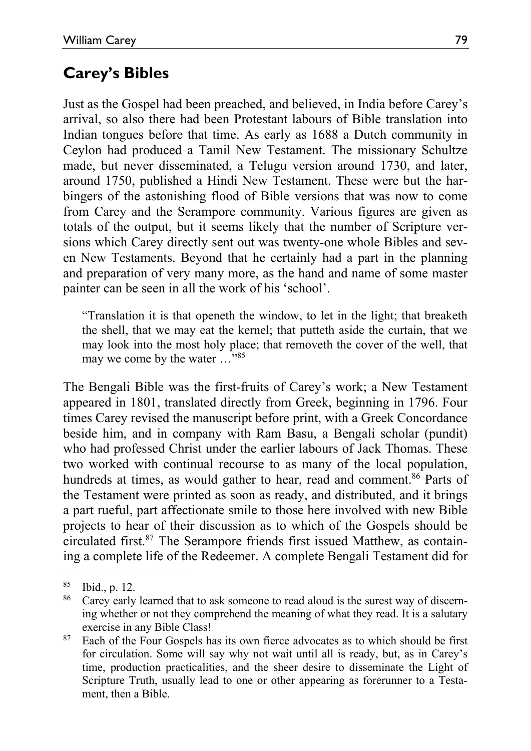## **Carey's Bibles**

Just as the Gospel had been preached, and believed, in India before Carey's arrival, so also there had been Protestant labours of Bible translation into Indian tongues before that time. As early as 1688 a Dutch community in Ceylon had produced a Tamil New Testament. The missionary Schultze made, but never disseminated, a Telugu version around 1730, and later, around 1750, published a Hindi New Testament. These were but the harbingers of the astonishing flood of Bible versions that was now to come from Carey and the Serampore community. Various figures are given as totals of the output, but it seems likely that the number of Scripture versions which Carey directly sent out was twenty-one whole Bibles and seven New Testaments. Beyond that he certainly had a part in the planning and preparation of very many more, as the hand and name of some master painter can be seen in all the work of his 'school'.

"Translation it is that openeth the window, to let in the light; that breaketh the shell, that we may eat the kernel; that putteth aside the curtain, that we may look into the most holy place; that removeth the cover of the well, that may we come by the water …"85

The Bengali Bible was the first-fruits of Carey's work; a New Testament appeared in 1801, translated directly from Greek, beginning in 1796. Four times Carey revised the manuscript before print, with a Greek Concordance beside him, and in company with Ram Basu, a Bengali scholar (pundit) who had professed Christ under the earlier labours of Jack Thomas. These two worked with continual recourse to as many of the local population, hundreds at times, as would gather to hear, read and comment.<sup>86</sup> Parts of the Testament were printed as soon as ready, and distributed, and it brings a part rueful, part affectionate smile to those here involved with new Bible projects to hear of their discussion as to which of the Gospels should be circulated first.87 The Serampore friends first issued Matthew, as containing a complete life of the Redeemer. A complete Bengali Testament did for

<sup>85</sup> Ibid., p. 12.

<sup>&</sup>lt;sup>86</sup> Carey early learned that to ask someone to read aloud is the surest way of discerning whether or not they comprehend the meaning of what they read. It is a salutary exercise in any Bible Class!

<sup>&</sup>lt;sup>87</sup> Each of the Four Gospels has its own fierce advocates as to which should be first for circulation. Some will say why not wait until all is ready, but, as in Carey's time, production practicalities, and the sheer desire to disseminate the Light of Scripture Truth, usually lead to one or other appearing as forerunner to a Testament, then a Bible.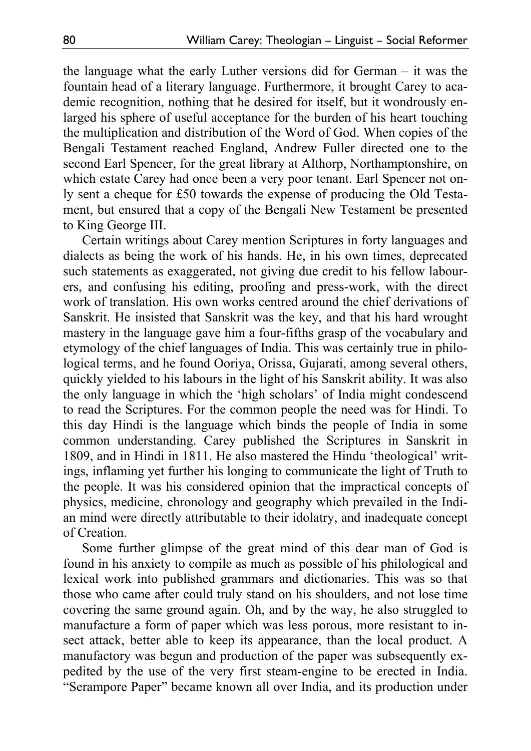the language what the early Luther versions did for German – it was the fountain head of a literary language. Furthermore, it brought Carey to academic recognition, nothing that he desired for itself, but it wondrously enlarged his sphere of useful acceptance for the burden of his heart touching the multiplication and distribution of the Word of God. When copies of the Bengali Testament reached England, Andrew Fuller directed one to the second Earl Spencer, for the great library at Althorp, Northamptonshire, on which estate Carey had once been a very poor tenant. Earl Spencer not only sent a cheque for £50 towards the expense of producing the Old Testament, but ensured that a copy of the Bengali New Testament be presented to King George III.

Certain writings about Carey mention Scriptures in forty languages and dialects as being the work of his hands. He, in his own times, deprecated such statements as exaggerated, not giving due credit to his fellow labourers, and confusing his editing, proofing and press-work, with the direct work of translation. His own works centred around the chief derivations of Sanskrit. He insisted that Sanskrit was the key, and that his hard wrought mastery in the language gave him a four-fifths grasp of the vocabulary and etymology of the chief languages of India. This was certainly true in philological terms, and he found Ooriya, Orissa, Gujarati, among several others, quickly yielded to his labours in the light of his Sanskrit ability. It was also the only language in which the 'high scholars' of India might condescend to read the Scriptures. For the common people the need was for Hindi. To this day Hindi is the language which binds the people of India in some common understanding. Carey published the Scriptures in Sanskrit in 1809, and in Hindi in 1811. He also mastered the Hindu 'theological' writings, inflaming yet further his longing to communicate the light of Truth to the people. It was his considered opinion that the impractical concepts of physics, medicine, chronology and geography which prevailed in the Indian mind were directly attributable to their idolatry, and inadequate concept of Creation.

Some further glimpse of the great mind of this dear man of God is found in his anxiety to compile as much as possible of his philological and lexical work into published grammars and dictionaries. This was so that those who came after could truly stand on his shoulders, and not lose time covering the same ground again. Oh, and by the way, he also struggled to manufacture a form of paper which was less porous, more resistant to insect attack, better able to keep its appearance, than the local product. A manufactory was begun and production of the paper was subsequently expedited by the use of the very first steam-engine to be erected in India. "Serampore Paper" became known all over India, and its production under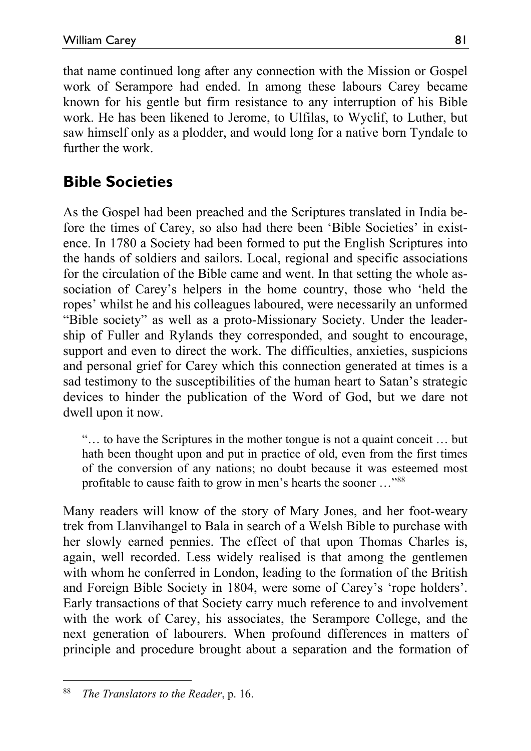that name continued long after any connection with the Mission or Gospel work of Serampore had ended. In among these labours Carey became known for his gentle but firm resistance to any interruption of his Bible work. He has been likened to Jerome, to Ulfilas, to Wyclif, to Luther, but saw himself only as a plodder, and would long for a native born Tyndale to further the work.

# **Bible Societies**

As the Gospel had been preached and the Scriptures translated in India before the times of Carey, so also had there been 'Bible Societies' in existence. In 1780 a Society had been formed to put the English Scriptures into the hands of soldiers and sailors. Local, regional and specific associations for the circulation of the Bible came and went. In that setting the whole association of Carey's helpers in the home country, those who 'held the ropes' whilst he and his colleagues laboured, were necessarily an unformed "Bible society" as well as a proto-Missionary Society. Under the leadership of Fuller and Rylands they corresponded, and sought to encourage, support and even to direct the work. The difficulties, anxieties, suspicions and personal grief for Carey which this connection generated at times is a sad testimony to the susceptibilities of the human heart to Satan's strategic devices to hinder the publication of the Word of God, but we dare not dwell upon it now.

"… to have the Scriptures in the mother tongue is not a quaint conceit … but hath been thought upon and put in practice of old, even from the first times of the conversion of any nations; no doubt because it was esteemed most profitable to cause faith to grow in men's hearts the sooner …"88

Many readers will know of the story of Mary Jones, and her foot-weary trek from Llanvihangel to Bala in search of a Welsh Bible to purchase with her slowly earned pennies. The effect of that upon Thomas Charles is, again, well recorded. Less widely realised is that among the gentlemen with whom he conferred in London, leading to the formation of the British and Foreign Bible Society in 1804, were some of Carey's 'rope holders'. Early transactions of that Society carry much reference to and involvement with the work of Carey, his associates, the Serampore College, and the next generation of labourers. When profound differences in matters of principle and procedure brought about a separation and the formation of

<sup>-</sup><sup>88</sup> *The Translators to the Reader*, p. 16.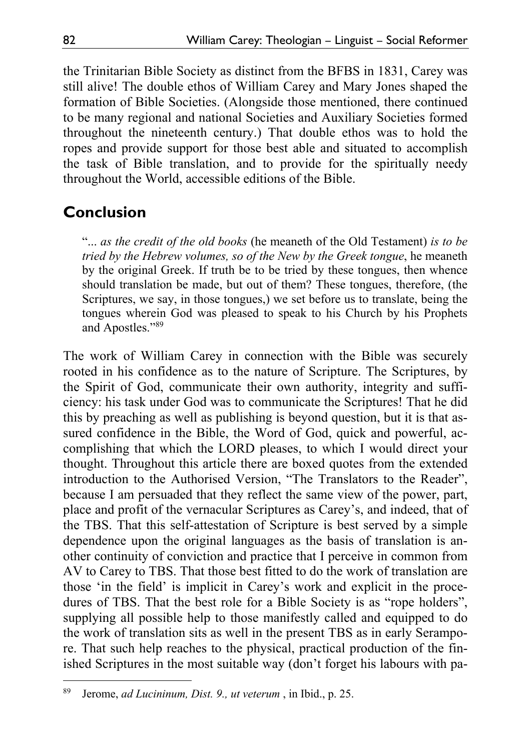the Trinitarian Bible Society as distinct from the BFBS in 1831, Carey was still alive! The double ethos of William Carey and Mary Jones shaped the formation of Bible Societies. (Alongside those mentioned, there continued to be many regional and national Societies and Auxiliary Societies formed throughout the nineteenth century.) That double ethos was to hold the ropes and provide support for those best able and situated to accomplish the task of Bible translation, and to provide for the spiritually needy throughout the World, accessible editions of the Bible.

## **Conclusion**

"... *as the credit of the old books* (he meaneth of the Old Testament) *is to be tried by the Hebrew volumes, so of the New by the Greek tongue*, he meaneth by the original Greek. If truth be to be tried by these tongues, then whence should translation be made, but out of them? These tongues, therefore, (the Scriptures, we say, in those tongues,) we set before us to translate, being the tongues wherein God was pleased to speak to his Church by his Prophets and Apostles."89

The work of William Carey in connection with the Bible was securely rooted in his confidence as to the nature of Scripture. The Scriptures, by the Spirit of God, communicate their own authority, integrity and sufficiency: his task under God was to communicate the Scriptures! That he did this by preaching as well as publishing is beyond question, but it is that assured confidence in the Bible, the Word of God, quick and powerful, accomplishing that which the LORD pleases, to which I would direct your thought. Throughout this article there are boxed quotes from the extended introduction to the Authorised Version, "The Translators to the Reader", because I am persuaded that they reflect the same view of the power, part, place and profit of the vernacular Scriptures as Carey's, and indeed, that of the TBS. That this self-attestation of Scripture is best served by a simple dependence upon the original languages as the basis of translation is another continuity of conviction and practice that I perceive in common from AV to Carey to TBS. That those best fitted to do the work of translation are those 'in the field' is implicit in Carey's work and explicit in the procedures of TBS. That the best role for a Bible Society is as "rope holders", supplying all possible help to those manifestly called and equipped to do the work of translation sits as well in the present TBS as in early Serampore. That such help reaches to the physical, practical production of the finished Scriptures in the most suitable way (don't forget his labours with pa-

<sup>89</sup> Jerome, *ad Lucininum, Dist. 9., ut veterum* , in Ibid., p. 25.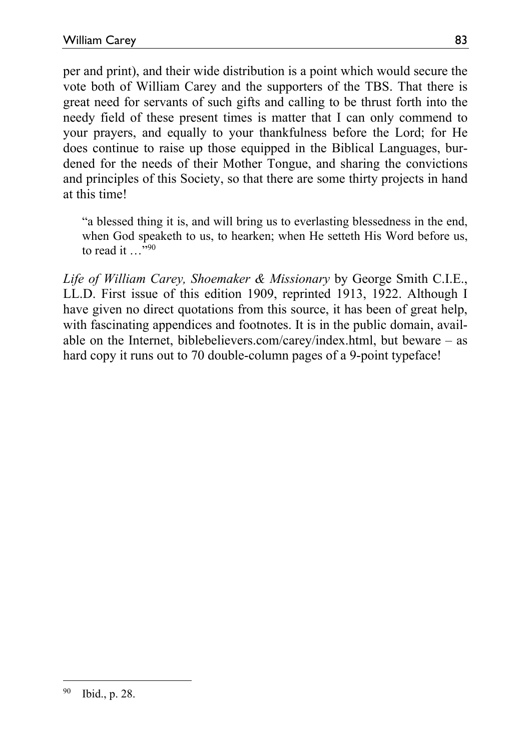per and print), and their wide distribution is a point which would secure the vote both of William Carey and the supporters of the TBS. That there is great need for servants of such gifts and calling to be thrust forth into the needy field of these present times is matter that I can only commend to your prayers, and equally to your thankfulness before the Lord; for He does continue to raise up those equipped in the Biblical Languages, burdened for the needs of their Mother Tongue, and sharing the convictions and principles of this Society, so that there are some thirty projects in hand at this time!

"a blessed thing it is, and will bring us to everlasting blessedness in the end, when God speaketh to us, to hearken; when He setteth His Word before us, to read it  $\cdots$ <sup>990</sup>

*Life of William Carey, Shoemaker & Missionary* by George Smith C.I.E., LL.D. First issue of this edition 1909, reprinted 1913, 1922. Although I have given no direct quotations from this source, it has been of great help, with fascinating appendices and footnotes. It is in the public domain, available on the Internet, biblebelievers.com/carey/index.html, but beware – as hard copy it runs out to 70 double-column pages of a 9-point typeface!

<sup>90</sup> Ibid., p. 28.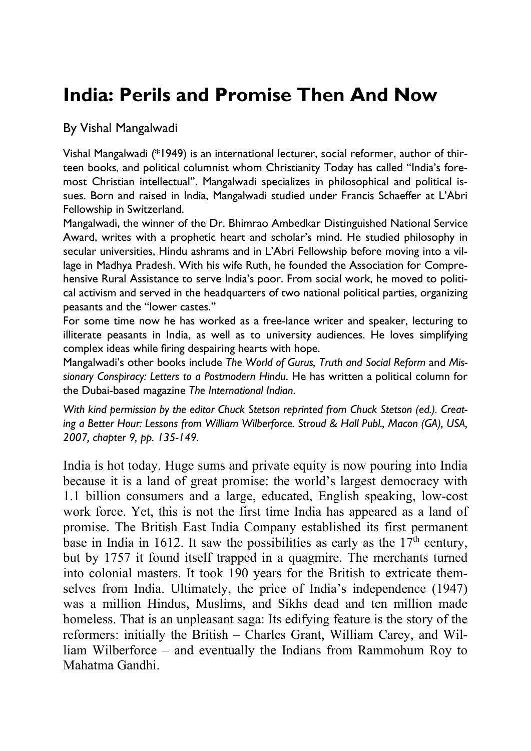# **India: Perils and Promise Then And Now**

#### By Vishal Mangalwadi

Vishal Mangalwadi (\*1949) is an international lecturer, social reformer, author of thirteen books, and political columnist whom Christianity Today has called "India's foremost Christian intellectual". Mangalwadi specializes in philosophical and political issues. Born and raised in India, Mangalwadi studied under Francis Schaeffer at L'Abri Fellowship in Switzerland.

Mangalwadi, the winner of the Dr. Bhimrao Ambedkar Distinguished National Service Award, writes with a prophetic heart and scholar's mind. He studied philosophy in secular universities, Hindu ashrams and in L'Abri Fellowship before moving into a village in Madhya Pradesh. With his wife Ruth, he founded the Association for Comprehensive Rural Assistance to serve India's poor. From social work, he moved to political activism and served in the headquarters of two national political parties, organizing peasants and the "lower castes."

For some time now he has worked as a free-lance writer and speaker, lecturing to illiterate peasants in India, as well as to university audiences. He loves simplifying complex ideas while firing despairing hearts with hope.

Mangalwadi's other books include *The World of Gurus, Truth and Social Reform* and *Missionary Conspiracy: Letters to a Postmodern Hindu*. He has written a political column for the Dubai-based magazine *The International Indian*.

*With kind permission by the editor Chuck Stetson reprinted from Chuck Stetson (ed.). Creating a Better Hour: Lessons from William Wilberforce. Stroud & Hall Publ., Macon (GA), USA, 2007, chapter 9, pp. 135-149.* 

India is hot today. Huge sums and private equity is now pouring into India because it is a land of great promise: the world's largest democracy with 1.1 billion consumers and a large, educated, English speaking, low-cost work force. Yet, this is not the first time India has appeared as a land of promise. The British East India Company established its first permanent base in India in 1612. It saw the possibilities as early as the  $17<sup>th</sup>$  century, but by 1757 it found itself trapped in a quagmire. The merchants turned into colonial masters. It took 190 years for the British to extricate themselves from India. Ultimately, the price of India's independence (1947) was a million Hindus, Muslims, and Sikhs dead and ten million made homeless. That is an unpleasant saga: Its edifying feature is the story of the reformers: initially the British – Charles Grant, William Carey, and William Wilberforce – and eventually the Indians from Rammohum Roy to Mahatma Gandhi.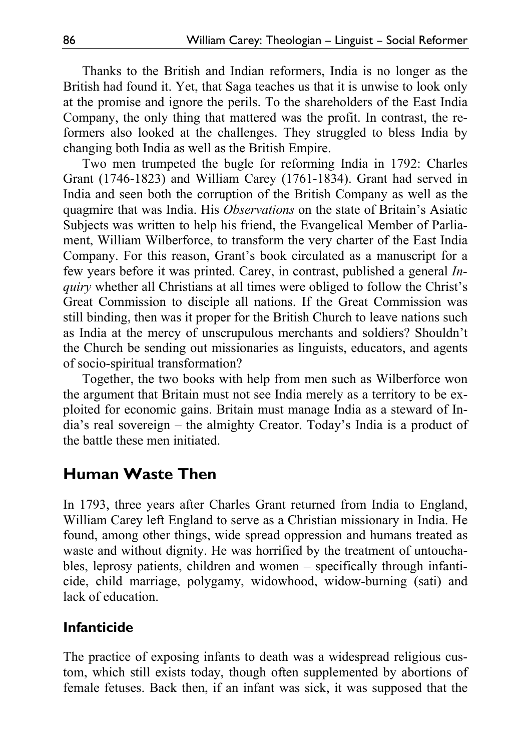Thanks to the British and Indian reformers, India is no longer as the British had found it. Yet, that Saga teaches us that it is unwise to look only at the promise and ignore the perils. To the shareholders of the East India Company, the only thing that mattered was the profit. In contrast, the reformers also looked at the challenges. They struggled to bless India by changing both India as well as the British Empire.

Two men trumpeted the bugle for reforming India in 1792: Charles Grant (1746-1823) and William Carey (1761-1834). Grant had served in India and seen both the corruption of the British Company as well as the quagmire that was India. His *Observations* on the state of Britain's Asiatic Subjects was written to help his friend, the Evangelical Member of Parliament, William Wilberforce, to transform the very charter of the East India Company. For this reason, Grant's book circulated as a manuscript for a few years before it was printed. Carey, in contrast, published a general *Inquiry* whether all Christians at all times were obliged to follow the Christ's Great Commission to disciple all nations. If the Great Commission was still binding, then was it proper for the British Church to leave nations such as India at the mercy of unscrupulous merchants and soldiers? Shouldn't the Church be sending out missionaries as linguists, educators, and agents of socio-spiritual transformation?

Together, the two books with help from men such as Wilberforce won the argument that Britain must not see India merely as a territory to be exploited for economic gains. Britain must manage India as a steward of India's real sovereign – the almighty Creator. Today's India is a product of the battle these men initiated.

#### **Human Waste Then**

In 1793, three years after Charles Grant returned from India to England, William Carey left England to serve as a Christian missionary in India. He found, among other things, wide spread oppression and humans treated as waste and without dignity. He was horrified by the treatment of untouchables, leprosy patients, children and women – specifically through infanticide, child marriage, polygamy, widowhood, widow-burning (sati) and lack of education.

#### **Infanticide**

The practice of exposing infants to death was a widespread religious custom, which still exists today, though often supplemented by abortions of female fetuses. Back then, if an infant was sick, it was supposed that the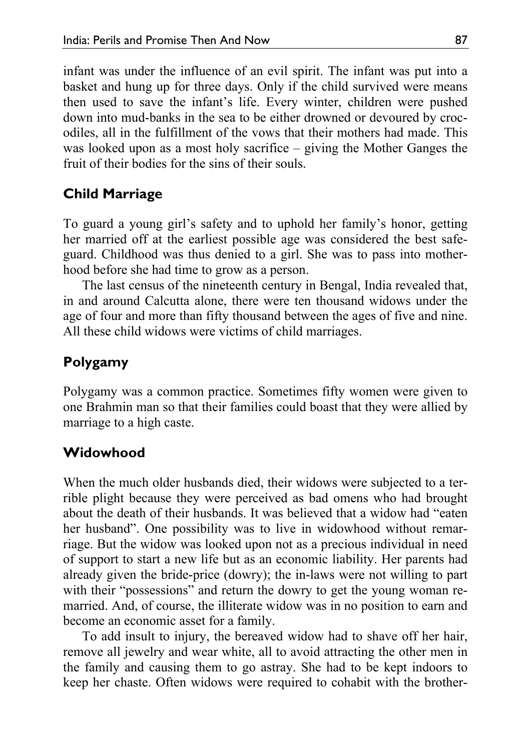infant was under the influence of an evil spirit. The infant was put into a basket and hung up for three days. Only if the child survived were means then used to save the infant's life. Every winter, children were pushed down into mud-banks in the sea to be either drowned or devoured by crocodiles, all in the fulfillment of the vows that their mothers had made. This was looked upon as a most holy sacrifice – giving the Mother Ganges the fruit of their bodies for the sins of their souls.

#### **Child Marriage**

To guard a young girl's safety and to uphold her family's honor, getting her married off at the earliest possible age was considered the best safeguard. Childhood was thus denied to a girl. She was to pass into motherhood before she had time to grow as a person.

The last census of the nineteenth century in Bengal, India revealed that, in and around Calcutta alone, there were ten thousand widows under the age of four and more than fifty thousand between the ages of five and nine. All these child widows were victims of child marriages.

#### **Polygamy**

Polygamy was a common practice. Sometimes fifty women were given to one Brahmin man so that their families could boast that they were allied by marriage to a high caste.

#### **Widowhood**

When the much older husbands died, their widows were subjected to a terrible plight because they were perceived as bad omens who had brought about the death of their husbands. It was believed that a widow had "eaten her husband". One possibility was to live in widowhood without remarriage. But the widow was looked upon not as a precious individual in need of support to start a new life but as an economic liability. Her parents had already given the bride-price (dowry); the in-laws were not willing to part with their "possessions" and return the dowry to get the young woman remarried. And, of course, the illiterate widow was in no position to earn and become an economic asset for a family.

To add insult to injury, the bereaved widow had to shave off her hair, remove all jewelry and wear white, all to avoid attracting the other men in the family and causing them to go astray. She had to be kept indoors to keep her chaste. Often widows were required to cohabit with the brother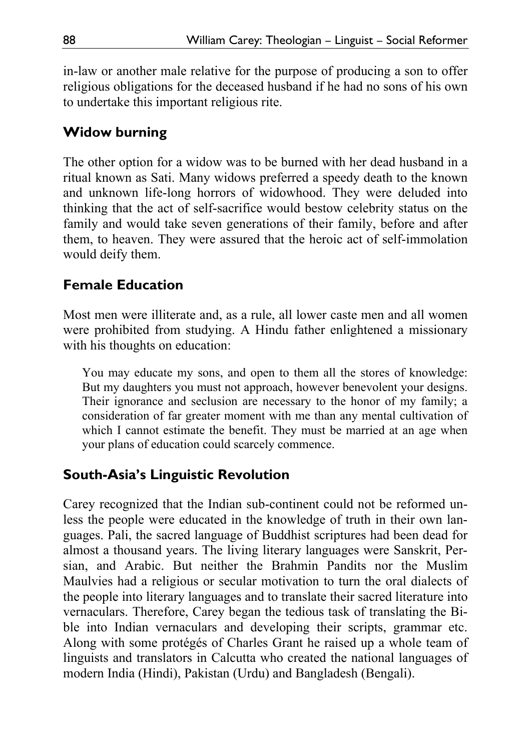in-law or another male relative for the purpose of producing a son to offer religious obligations for the deceased husband if he had no sons of his own to undertake this important religious rite.

## **Widow burning**

The other option for a widow was to be burned with her dead husband in a ritual known as Sati. Many widows preferred a speedy death to the known and unknown life-long horrors of widowhood. They were deluded into thinking that the act of self-sacrifice would bestow celebrity status on the family and would take seven generations of their family, before and after them, to heaven. They were assured that the heroic act of self-immolation would deify them.

### **Female Education**

Most men were illiterate and, as a rule, all lower caste men and all women were prohibited from studying. A Hindu father enlightened a missionary with his thoughts on education:

You may educate my sons, and open to them all the stores of knowledge: But my daughters you must not approach, however benevolent your designs. Their ignorance and seclusion are necessary to the honor of my family; a consideration of far greater moment with me than any mental cultivation of which I cannot estimate the benefit. They must be married at an age when your plans of education could scarcely commence.

### **South-Asia's Linguistic Revolution**

Carey recognized that the Indian sub-continent could not be reformed unless the people were educated in the knowledge of truth in their own languages. Pali, the sacred language of Buddhist scriptures had been dead for almost a thousand years. The living literary languages were Sanskrit, Persian, and Arabic. But neither the Brahmin Pandits nor the Muslim Maulvies had a religious or secular motivation to turn the oral dialects of the people into literary languages and to translate their sacred literature into vernaculars. Therefore, Carey began the tedious task of translating the Bible into Indian vernaculars and developing their scripts, grammar etc. Along with some protégés of Charles Grant he raised up a whole team of linguists and translators in Calcutta who created the national languages of modern India (Hindi), Pakistan (Urdu) and Bangladesh (Bengali).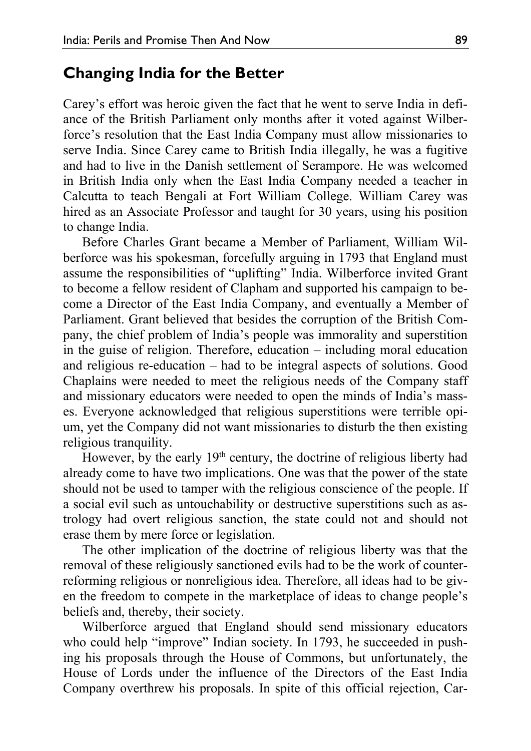#### **Changing India for the Better**

Carey's effort was heroic given the fact that he went to serve India in defiance of the British Parliament only months after it voted against Wilberforce's resolution that the East India Company must allow missionaries to serve India. Since Carey came to British India illegally, he was a fugitive and had to live in the Danish settlement of Serampore. He was welcomed in British India only when the East India Company needed a teacher in Calcutta to teach Bengali at Fort William College. William Carey was hired as an Associate Professor and taught for 30 years, using his position to change India.

Before Charles Grant became a Member of Parliament, William Wilberforce was his spokesman, forcefully arguing in 1793 that England must assume the responsibilities of "uplifting" India. Wilberforce invited Grant to become a fellow resident of Clapham and supported his campaign to become a Director of the East India Company, and eventually a Member of Parliament. Grant believed that besides the corruption of the British Company, the chief problem of India's people was immorality and superstition in the guise of religion. Therefore, education – including moral education and religious re-education – had to be integral aspects of solutions. Good Chaplains were needed to meet the religious needs of the Company staff and missionary educators were needed to open the minds of India's masses. Everyone acknowledged that religious superstitions were terrible opium, yet the Company did not want missionaries to disturb the then existing religious tranquility.

However, by the early 19<sup>th</sup> century, the doctrine of religious liberty had already come to have two implications. One was that the power of the state should not be used to tamper with the religious conscience of the people. If a social evil such as untouchability or destructive superstitions such as astrology had overt religious sanction, the state could not and should not erase them by mere force or legislation.

The other implication of the doctrine of religious liberty was that the removal of these religiously sanctioned evils had to be the work of counterreforming religious or nonreligious idea. Therefore, all ideas had to be given the freedom to compete in the marketplace of ideas to change people's beliefs and, thereby, their society.

Wilberforce argued that England should send missionary educators who could help "improve" Indian society. In 1793, he succeeded in pushing his proposals through the House of Commons, but unfortunately, the House of Lords under the influence of the Directors of the East India Company overthrew his proposals. In spite of this official rejection, Car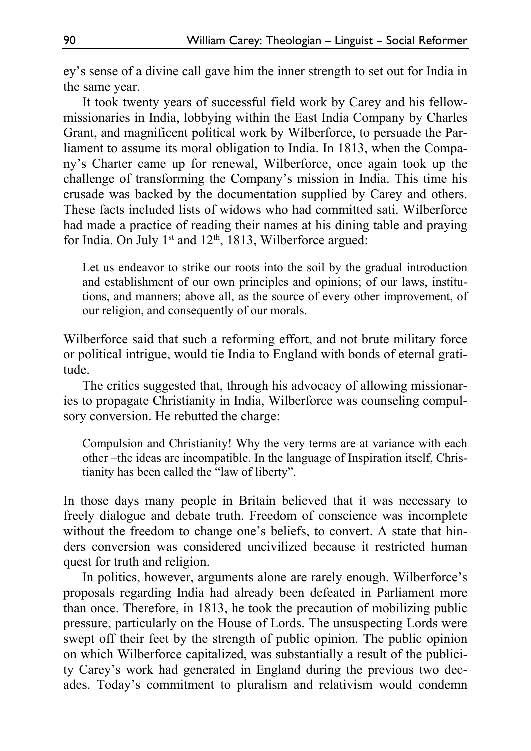ey's sense of a divine call gave him the inner strength to set out for India in the same year.

It took twenty years of successful field work by Carey and his fellowmissionaries in India, lobbying within the East India Company by Charles Grant, and magnificent political work by Wilberforce, to persuade the Parliament to assume its moral obligation to India. In 1813, when the Company's Charter came up for renewal, Wilberforce, once again took up the challenge of transforming the Company's mission in India. This time his crusade was backed by the documentation supplied by Carey and others. These facts included lists of widows who had committed sati. Wilberforce had made a practice of reading their names at his dining table and praying for India. On July  $1<sup>st</sup>$  and  $12<sup>th</sup>$ , 1813, Wilberforce argued:

Let us endeavor to strike our roots into the soil by the gradual introduction and establishment of our own principles and opinions; of our laws, institutions, and manners; above all, as the source of every other improvement, of our religion, and consequently of our morals.

Wilberforce said that such a reforming effort, and not brute military force or political intrigue, would tie India to England with bonds of eternal gratitude.

The critics suggested that, through his advocacy of allowing missionaries to propagate Christianity in India, Wilberforce was counseling compulsory conversion. He rebutted the charge:

Compulsion and Christianity! Why the very terms are at variance with each other –the ideas are incompatible. In the language of Inspiration itself, Christianity has been called the "law of liberty".

In those days many people in Britain believed that it was necessary to freely dialogue and debate truth. Freedom of conscience was incomplete without the freedom to change one's beliefs, to convert. A state that hinders conversion was considered uncivilized because it restricted human quest for truth and religion.

In politics, however, arguments alone are rarely enough. Wilberforce's proposals regarding India had already been defeated in Parliament more than once. Therefore, in 1813, he took the precaution of mobilizing public pressure, particularly on the House of Lords. The unsuspecting Lords were swept off their feet by the strength of public opinion. The public opinion on which Wilberforce capitalized, was substantially a result of the publicity Carey's work had generated in England during the previous two decades. Today's commitment to pluralism and relativism would condemn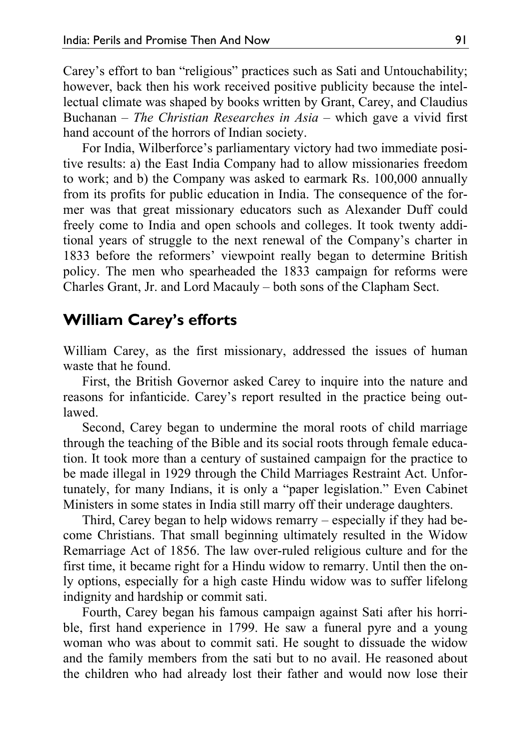Carey's effort to ban "religious" practices such as Sati and Untouchability; however, back then his work received positive publicity because the intellectual climate was shaped by books written by Grant, Carey, and Claudius Buchanan – *The Christian Researches in Asia –* which gave a vivid first hand account of the horrors of Indian society.

For India, Wilberforce's parliamentary victory had two immediate positive results: a) the East India Company had to allow missionaries freedom to work; and b) the Company was asked to earmark Rs. 100,000 annually from its profits for public education in India. The consequence of the former was that great missionary educators such as Alexander Duff could freely come to India and open schools and colleges. It took twenty additional years of struggle to the next renewal of the Company's charter in 1833 before the reformers' viewpoint really began to determine British policy. The men who spearheaded the 1833 campaign for reforms were Charles Grant, Jr. and Lord Macauly – both sons of the Clapham Sect.

#### **William Carey's efforts**

William Carey, as the first missionary, addressed the issues of human waste that he found.

First, the British Governor asked Carey to inquire into the nature and reasons for infanticide. Carey's report resulted in the practice being outlawed.

Second, Carey began to undermine the moral roots of child marriage through the teaching of the Bible and its social roots through female education. It took more than a century of sustained campaign for the practice to be made illegal in 1929 through the Child Marriages Restraint Act. Unfortunately, for many Indians, it is only a "paper legislation." Even Cabinet Ministers in some states in India still marry off their underage daughters.

Third, Carey began to help widows remarry – especially if they had become Christians. That small beginning ultimately resulted in the Widow Remarriage Act of 1856. The law over-ruled religious culture and for the first time, it became right for a Hindu widow to remarry. Until then the only options, especially for a high caste Hindu widow was to suffer lifelong indignity and hardship or commit sati.

Fourth, Carey began his famous campaign against Sati after his horrible, first hand experience in 1799. He saw a funeral pyre and a young woman who was about to commit sati. He sought to dissuade the widow and the family members from the sati but to no avail. He reasoned about the children who had already lost their father and would now lose their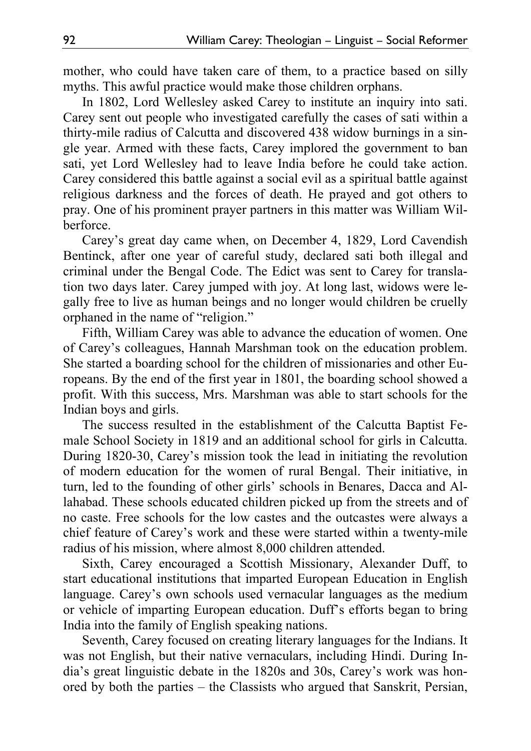mother, who could have taken care of them, to a practice based on silly myths. This awful practice would make those children orphans.

In 1802, Lord Wellesley asked Carey to institute an inquiry into sati. Carey sent out people who investigated carefully the cases of sati within a thirty-mile radius of Calcutta and discovered 438 widow burnings in a single year. Armed with these facts, Carey implored the government to ban sati, yet Lord Wellesley had to leave India before he could take action. Carey considered this battle against a social evil as a spiritual battle against religious darkness and the forces of death. He prayed and got others to pray. One of his prominent prayer partners in this matter was William Wilberforce.

Carey's great day came when, on December 4, 1829, Lord Cavendish Bentinck, after one year of careful study, declared sati both illegal and criminal under the Bengal Code. The Edict was sent to Carey for translation two days later. Carey jumped with joy. At long last, widows were legally free to live as human beings and no longer would children be cruelly orphaned in the name of "religion."

Fifth, William Carey was able to advance the education of women. One of Carey's colleagues, Hannah Marshman took on the education problem. She started a boarding school for the children of missionaries and other Europeans. By the end of the first year in 1801, the boarding school showed a profit. With this success, Mrs. Marshman was able to start schools for the Indian boys and girls.

The success resulted in the establishment of the Calcutta Baptist Female School Society in 1819 and an additional school for girls in Calcutta. During 1820-30, Carey's mission took the lead in initiating the revolution of modern education for the women of rural Bengal. Their initiative, in turn, led to the founding of other girls' schools in Benares, Dacca and Allahabad. These schools educated children picked up from the streets and of no caste. Free schools for the low castes and the outcastes were always a chief feature of Carey's work and these were started within a twenty-mile radius of his mission, where almost 8,000 children attended.

Sixth, Carey encouraged a Scottish Missionary, Alexander Duff, to start educational institutions that imparted European Education in English language. Carey's own schools used vernacular languages as the medium or vehicle of imparting European education. Duff's efforts began to bring India into the family of English speaking nations.

Seventh, Carey focused on creating literary languages for the Indians. It was not English, but their native vernaculars, including Hindi. During India's great linguistic debate in the 1820s and 30s, Carey's work was honored by both the parties – the Classists who argued that Sanskrit, Persian,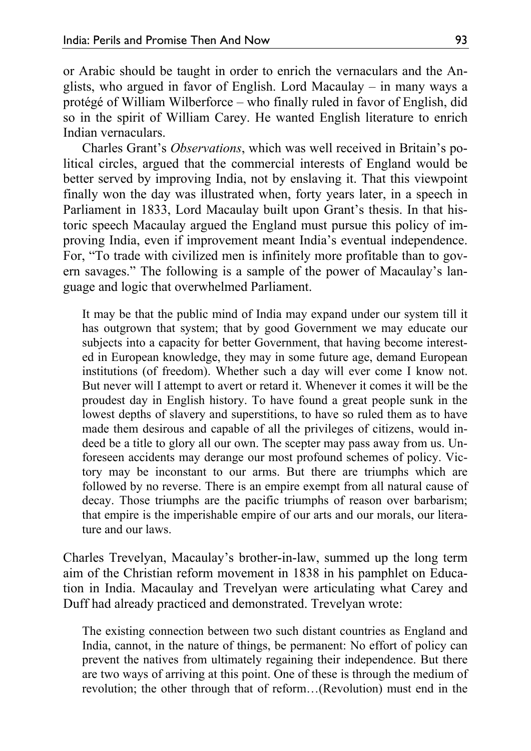or Arabic should be taught in order to enrich the vernaculars and the Anglists, who argued in favor of English. Lord Macaulay – in many ways a protégé of William Wilberforce – who finally ruled in favor of English, did so in the spirit of William Carey. He wanted English literature to enrich Indian vernaculars.

Charles Grant's *Observations*, which was well received in Britain's political circles, argued that the commercial interests of England would be better served by improving India, not by enslaving it. That this viewpoint finally won the day was illustrated when, forty years later, in a speech in Parliament in 1833, Lord Macaulay built upon Grant's thesis. In that historic speech Macaulay argued the England must pursue this policy of improving India, even if improvement meant India's eventual independence. For, "To trade with civilized men is infinitely more profitable than to govern savages." The following is a sample of the power of Macaulay's language and logic that overwhelmed Parliament.

It may be that the public mind of India may expand under our system till it has outgrown that system; that by good Government we may educate our subjects into a capacity for better Government, that having become interested in European knowledge, they may in some future age, demand European institutions (of freedom). Whether such a day will ever come I know not. But never will I attempt to avert or retard it. Whenever it comes it will be the proudest day in English history. To have found a great people sunk in the lowest depths of slavery and superstitions, to have so ruled them as to have made them desirous and capable of all the privileges of citizens, would indeed be a title to glory all our own. The scepter may pass away from us. Unforeseen accidents may derange our most profound schemes of policy. Victory may be inconstant to our arms. But there are triumphs which are followed by no reverse. There is an empire exempt from all natural cause of decay. Those triumphs are the pacific triumphs of reason over barbarism; that empire is the imperishable empire of our arts and our morals, our literature and our laws.

Charles Trevelyan, Macaulay's brother-in-law, summed up the long term aim of the Christian reform movement in 1838 in his pamphlet on Education in India. Macaulay and Trevelyan were articulating what Carey and Duff had already practiced and demonstrated. Trevelyan wrote:

The existing connection between two such distant countries as England and India, cannot, in the nature of things, be permanent: No effort of policy can prevent the natives from ultimately regaining their independence. But there are two ways of arriving at this point. One of these is through the medium of revolution; the other through that of reform…(Revolution) must end in the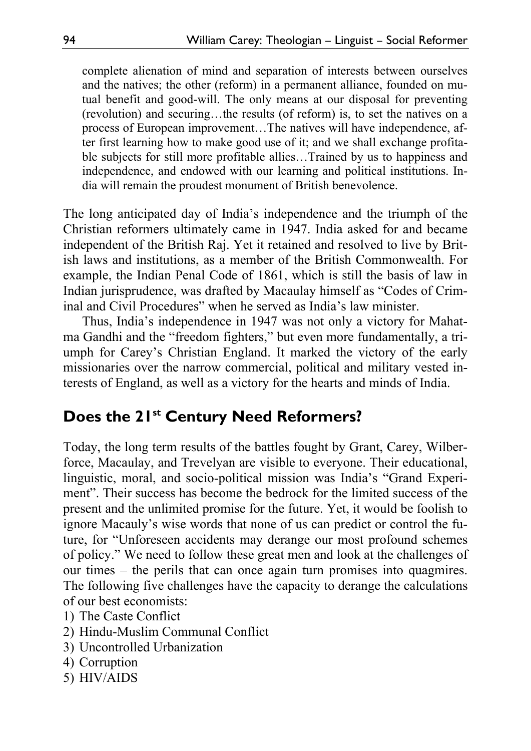complete alienation of mind and separation of interests between ourselves and the natives; the other (reform) in a permanent alliance, founded on mutual benefit and good-will. The only means at our disposal for preventing (revolution) and securing…the results (of reform) is, to set the natives on a process of European improvement…The natives will have independence, after first learning how to make good use of it; and we shall exchange profitable subjects for still more profitable allies…Trained by us to happiness and independence, and endowed with our learning and political institutions. India will remain the proudest monument of British benevolence.

The long anticipated day of India's independence and the triumph of the Christian reformers ultimately came in 1947. India asked for and became independent of the British Raj. Yet it retained and resolved to live by British laws and institutions, as a member of the British Commonwealth. For example, the Indian Penal Code of 1861, which is still the basis of law in Indian jurisprudence, was drafted by Macaulay himself as "Codes of Criminal and Civil Procedures" when he served as India's law minister.

Thus, India's independence in 1947 was not only a victory for Mahatma Gandhi and the "freedom fighters," but even more fundamentally, a triumph for Carey's Christian England. It marked the victory of the early missionaries over the narrow commercial, political and military vested interests of England, as well as a victory for the hearts and minds of India.

## **Does the 21st Century Need Reformers?**

Today, the long term results of the battles fought by Grant, Carey, Wilberforce, Macaulay, and Trevelyan are visible to everyone. Their educational, linguistic, moral, and socio-political mission was India's "Grand Experiment". Their success has become the bedrock for the limited success of the present and the unlimited promise for the future. Yet, it would be foolish to ignore Macauly's wise words that none of us can predict or control the future, for "Unforeseen accidents may derange our most profound schemes of policy." We need to follow these great men and look at the challenges of our times – the perils that can once again turn promises into quagmires. The following five challenges have the capacity to derange the calculations of our best economists:

- 1) The Caste Conflict
- 2) Hindu-Muslim Communal Conflict
- 3) Uncontrolled Urbanization
- 4) Corruption
- 5) HIV/AIDS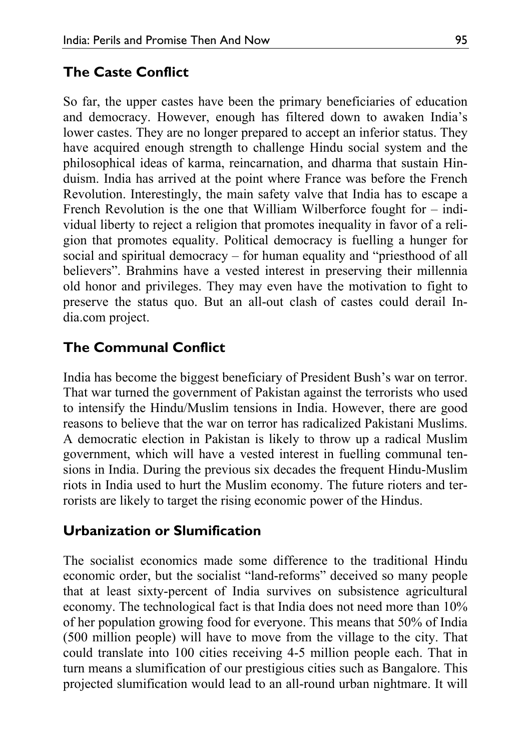#### **The Caste Conflict**

So far, the upper castes have been the primary beneficiaries of education and democracy. However, enough has filtered down to awaken India's lower castes. They are no longer prepared to accept an inferior status. They have acquired enough strength to challenge Hindu social system and the philosophical ideas of karma, reincarnation, and dharma that sustain Hinduism. India has arrived at the point where France was before the French Revolution. Interestingly, the main safety valve that India has to escape a French Revolution is the one that William Wilberforce fought for – individual liberty to reject a religion that promotes inequality in favor of a religion that promotes equality. Political democracy is fuelling a hunger for social and spiritual democracy – for human equality and "priesthood of all believers". Brahmins have a vested interest in preserving their millennia old honor and privileges. They may even have the motivation to fight to preserve the status quo. But an all-out clash of castes could derail India.com project.

### **The Communal Conflict**

India has become the biggest beneficiary of President Bush's war on terror. That war turned the government of Pakistan against the terrorists who used to intensify the Hindu/Muslim tensions in India. However, there are good reasons to believe that the war on terror has radicalized Pakistani Muslims. A democratic election in Pakistan is likely to throw up a radical Muslim government, which will have a vested interest in fuelling communal tensions in India. During the previous six decades the frequent Hindu-Muslim riots in India used to hurt the Muslim economy. The future rioters and terrorists are likely to target the rising economic power of the Hindus.

#### **Urbanization or Slumification**

The socialist economics made some difference to the traditional Hindu economic order, but the socialist "land-reforms" deceived so many people that at least sixty-percent of India survives on subsistence agricultural economy. The technological fact is that India does not need more than 10% of her population growing food for everyone. This means that 50% of India (500 million people) will have to move from the village to the city. That could translate into 100 cities receiving 4-5 million people each. That in turn means a slumification of our prestigious cities such as Bangalore. This projected slumification would lead to an all-round urban nightmare. It will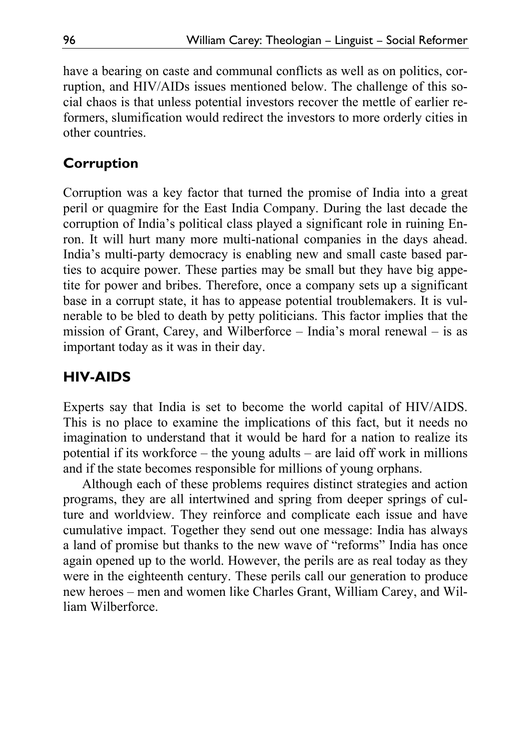have a bearing on caste and communal conflicts as well as on politics, corruption, and HIV/AIDs issues mentioned below. The challenge of this social chaos is that unless potential investors recover the mettle of earlier reformers, slumification would redirect the investors to more orderly cities in other countries.

## **Corruption**

Corruption was a key factor that turned the promise of India into a great peril or quagmire for the East India Company. During the last decade the corruption of India's political class played a significant role in ruining Enron. It will hurt many more multi-national companies in the days ahead. India's multi-party democracy is enabling new and small caste based parties to acquire power. These parties may be small but they have big appetite for power and bribes. Therefore, once a company sets up a significant base in a corrupt state, it has to appease potential troublemakers. It is vulnerable to be bled to death by petty politicians. This factor implies that the mission of Grant, Carey, and Wilberforce – India's moral renewal – is as important today as it was in their day.

# **HIV-AIDS**

Experts say that India is set to become the world capital of HIV/AIDS. This is no place to examine the implications of this fact, but it needs no imagination to understand that it would be hard for a nation to realize its potential if its workforce – the young adults – are laid off work in millions and if the state becomes responsible for millions of young orphans.

Although each of these problems requires distinct strategies and action programs, they are all intertwined and spring from deeper springs of culture and worldview. They reinforce and complicate each issue and have cumulative impact. Together they send out one message: India has always a land of promise but thanks to the new wave of "reforms" India has once again opened up to the world. However, the perils are as real today as they were in the eighteenth century. These perils call our generation to produce new heroes – men and women like Charles Grant, William Carey, and William Wilberforce.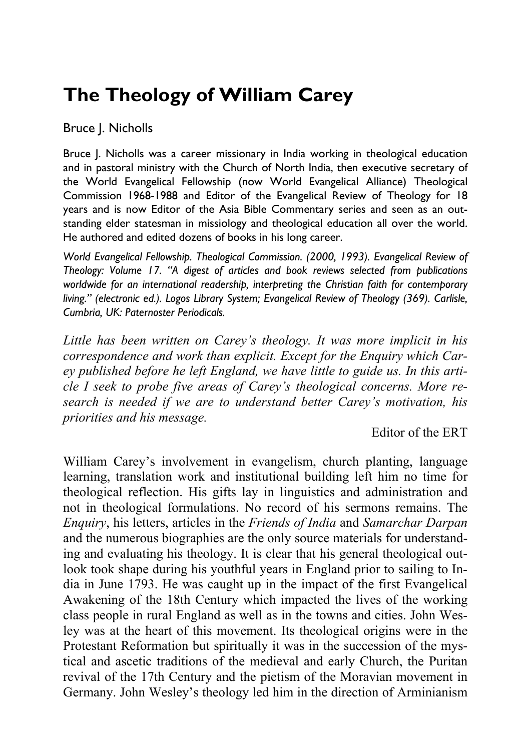# **The Theology of William Carey**

Bruce J. Nicholls

Bruce J. Nicholls was a career missionary in India working in theological education and in pastoral ministry with the Church of North India, then executive secretary of the World Evangelical Fellowship (now World Evangelical Alliance) Theological Commission 1968-1988 and Editor of the Evangelical Review of Theology for 18 years and is now Editor of the Asia Bible Commentary series and seen as an outstanding elder statesman in missiology and theological education all over the world. He authored and edited dozens of books in his long career.

*World Evangelical Fellowship. Theological Commission. (2000, 1993). Evangelical Review of Theology: Volume 17. "A digest of articles and book reviews selected from publications worldwide for an international readership, interpreting the Christian faith for contemporary living." (electronic ed.). Logos Library System; Evangelical Review of Theology (369). Carlisle, Cumbria, UK: Paternoster Periodicals.* 

*Little has been written on Carey's theology. It was more implicit in his correspondence and work than explicit. Except for the Enquiry which Carey published before he left England, we have little to guide us. In this article I seek to probe five areas of Carey's theological concerns. More research is needed if we are to understand better Carey's motivation, his priorities and his message.* 

Editor of the ERT

William Carey's involvement in evangelism, church planting, language learning, translation work and institutional building left him no time for theological reflection. His gifts lay in linguistics and administration and not in theological formulations. No record of his sermons remains. The *Enquiry*, his letters, articles in the *Friends of India* and *Samarchar Darpan* and the numerous biographies are the only source materials for understanding and evaluating his theology. It is clear that his general theological outlook took shape during his youthful years in England prior to sailing to India in June 1793. He was caught up in the impact of the first Evangelical Awakening of the 18th Century which impacted the lives of the working class people in rural England as well as in the towns and cities. John Wesley was at the heart of this movement. Its theological origins were in the Protestant Reformation but spiritually it was in the succession of the mystical and ascetic traditions of the medieval and early Church, the Puritan revival of the 17th Century and the pietism of the Moravian movement in Germany. John Wesley's theology led him in the direction of Arminianism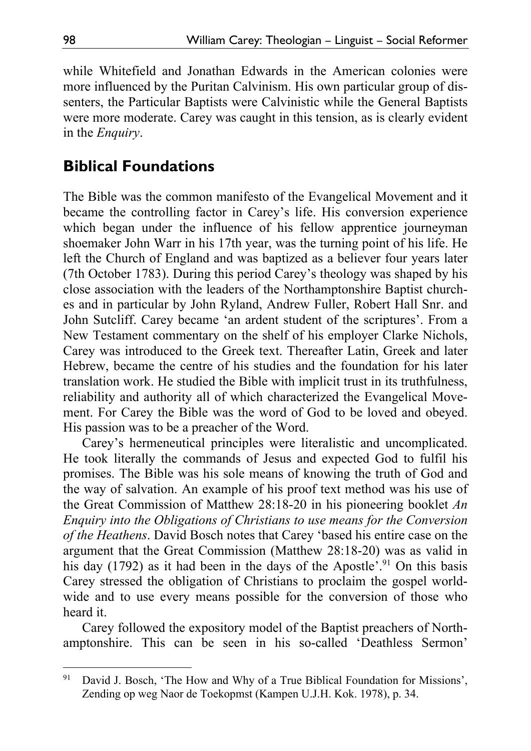while Whitefield and Jonathan Edwards in the American colonies were more influenced by the Puritan Calvinism. His own particular group of dissenters, the Particular Baptists were Calvinistic while the General Baptists were more moderate. Carey was caught in this tension, as is clearly evident in the *Enquiry*.

# **Biblical Foundations**

The Bible was the common manifesto of the Evangelical Movement and it became the controlling factor in Carey's life. His conversion experience which began under the influence of his fellow apprentice journeyman shoemaker John Warr in his 17th year, was the turning point of his life. He left the Church of England and was baptized as a believer four years later (7th October 1783). During this period Carey's theology was shaped by his close association with the leaders of the Northamptonshire Baptist churches and in particular by John Ryland, Andrew Fuller, Robert Hall Snr. and John Sutcliff. Carey became 'an ardent student of the scriptures'. From a New Testament commentary on the shelf of his employer Clarke Nichols, Carey was introduced to the Greek text. Thereafter Latin, Greek and later Hebrew, became the centre of his studies and the foundation for his later translation work. He studied the Bible with implicit trust in its truthfulness, reliability and authority all of which characterized the Evangelical Movement. For Carey the Bible was the word of God to be loved and obeyed. His passion was to be a preacher of the Word.

Carey's hermeneutical principles were literalistic and uncomplicated. He took literally the commands of Jesus and expected God to fulfil his promises. The Bible was his sole means of knowing the truth of God and the way of salvation. An example of his proof text method was his use of the Great Commission of Matthew 28:18-20 in his pioneering booklet *An Enquiry into the Obligations of Christians to use means for the Conversion of the Heathens*. David Bosch notes that Carey 'based his entire case on the argument that the Great Commission (Matthew 28:18-20) was as valid in his day (1792) as it had been in the days of the Apostle'.<sup>91</sup> On this basis Carey stressed the obligation of Christians to proclaim the gospel worldwide and to use every means possible for the conversion of those who heard it.

Carey followed the expository model of the Baptist preachers of Northamptonshire. This can be seen in his so-called 'Deathless Sermon'

<sup>-</sup><sup>91</sup> David J. Bosch, 'The How and Why of a True Biblical Foundation for Missions', Zending op weg Naor de Toekopmst (Kampen U.J.H. Kok. 1978), p. 34.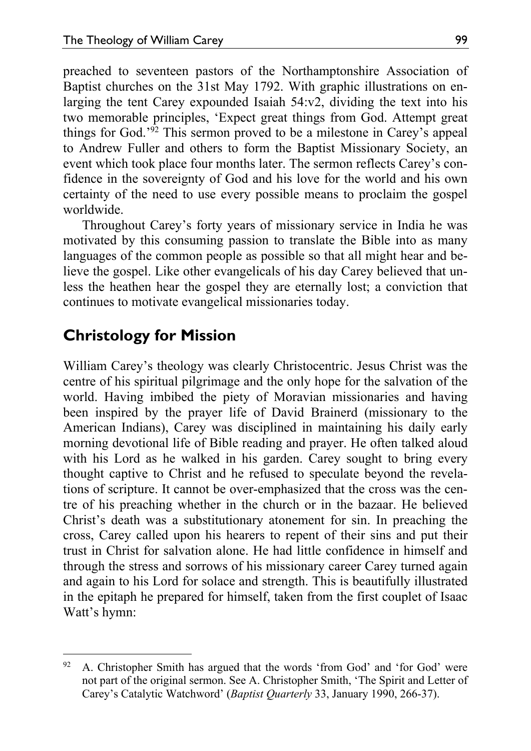preached to seventeen pastors of the Northamptonshire Association of Baptist churches on the 31st May 1792. With graphic illustrations on enlarging the tent Carey expounded Isaiah 54:v2, dividing the text into his two memorable principles, 'Expect great things from God. Attempt great things for God.'92 This sermon proved to be a milestone in Carey's appeal to Andrew Fuller and others to form the Baptist Missionary Society, an event which took place four months later. The sermon reflects Carey's confidence in the sovereignty of God and his love for the world and his own certainty of the need to use every possible means to proclaim the gospel worldwide.

Throughout Carey's forty years of missionary service in India he was motivated by this consuming passion to translate the Bible into as many languages of the common people as possible so that all might hear and believe the gospel. Like other evangelicals of his day Carey believed that unless the heathen hear the gospel they are eternally lost; a conviction that continues to motivate evangelical missionaries today.

#### **Christology for Mission**

William Carey's theology was clearly Christocentric. Jesus Christ was the centre of his spiritual pilgrimage and the only hope for the salvation of the world. Having imbibed the piety of Moravian missionaries and having been inspired by the prayer life of David Brainerd (missionary to the American Indians), Carey was disciplined in maintaining his daily early morning devotional life of Bible reading and prayer. He often talked aloud with his Lord as he walked in his garden. Carey sought to bring every thought captive to Christ and he refused to speculate beyond the revelations of scripture. It cannot be over-emphasized that the cross was the centre of his preaching whether in the church or in the bazaar. He believed Christ's death was a substitutionary atonement for sin. In preaching the cross, Carey called upon his hearers to repent of their sins and put their trust in Christ for salvation alone. He had little confidence in himself and through the stress and sorrows of his missionary career Carey turned again and again to his Lord for solace and strength. This is beautifully illustrated in the epitaph he prepared for himself, taken from the first couplet of Isaac Watt's hymn:

<sup>-</sup> $92$  A. Christopher Smith has argued that the words 'from God' and 'for God' were not part of the original sermon. See A. Christopher Smith, 'The Spirit and Letter of Carey's Catalytic Watchword' (*Baptist Quarterly* 33, January 1990, 266-37).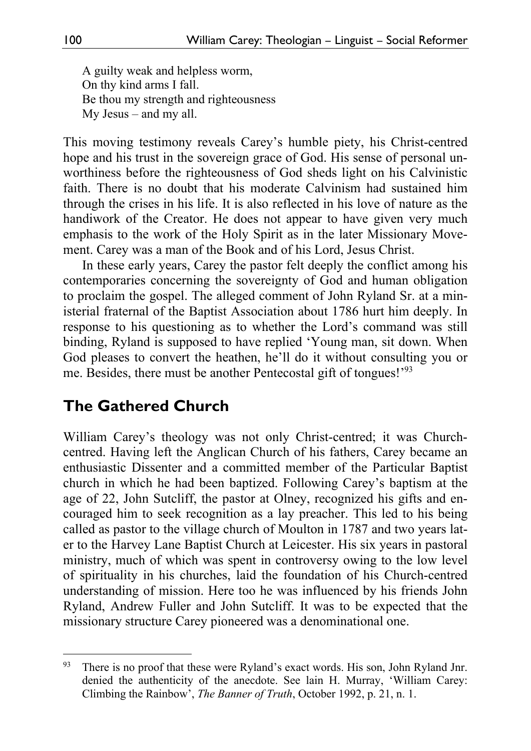A guilty weak and helpless worm, On thy kind arms I fall. Be thou my strength and righteousness My Jesus – and my all.

This moving testimony reveals Carey's humble piety, his Christ-centred hope and his trust in the sovereign grace of God. His sense of personal unworthiness before the righteousness of God sheds light on his Calvinistic faith. There is no doubt that his moderate Calvinism had sustained him through the crises in his life. It is also reflected in his love of nature as the handiwork of the Creator. He does not appear to have given very much emphasis to the work of the Holy Spirit as in the later Missionary Movement. Carey was a man of the Book and of his Lord, Jesus Christ.

In these early years, Carey the pastor felt deeply the conflict among his contemporaries concerning the sovereignty of God and human obligation to proclaim the gospel. The alleged comment of John Ryland Sr. at a ministerial fraternal of the Baptist Association about 1786 hurt him deeply. In response to his questioning as to whether the Lord's command was still binding, Ryland is supposed to have replied 'Young man, sit down. When God pleases to convert the heathen, he'll do it without consulting you or me. Besides, there must be another Pentecostal gift of tongues!'<sup>93</sup>

## **The Gathered Church**

William Carey's theology was not only Christ-centred; it was Churchcentred. Having left the Anglican Church of his fathers, Carey became an enthusiastic Dissenter and a committed member of the Particular Baptist church in which he had been baptized. Following Carey's baptism at the age of 22, John Sutcliff, the pastor at Olney, recognized his gifts and encouraged him to seek recognition as a lay preacher. This led to his being called as pastor to the village church of Moulton in 1787 and two years later to the Harvey Lane Baptist Church at Leicester. His six years in pastoral ministry, much of which was spent in controversy owing to the low level of spirituality in his churches, laid the foundation of his Church-centred understanding of mission. Here too he was influenced by his friends John Ryland, Andrew Fuller and John Sutcliff. It was to be expected that the missionary structure Carey pioneered was a denominational one.

<sup>&</sup>lt;sup>93</sup> There is no proof that these were Ryland's exact words. His son, John Ryland Jnr. denied the authenticity of the anecdote. See lain H. Murray, 'William Carey: Climbing the Rainbow', *The Banner of Truth*, October 1992, p. 21, n. 1.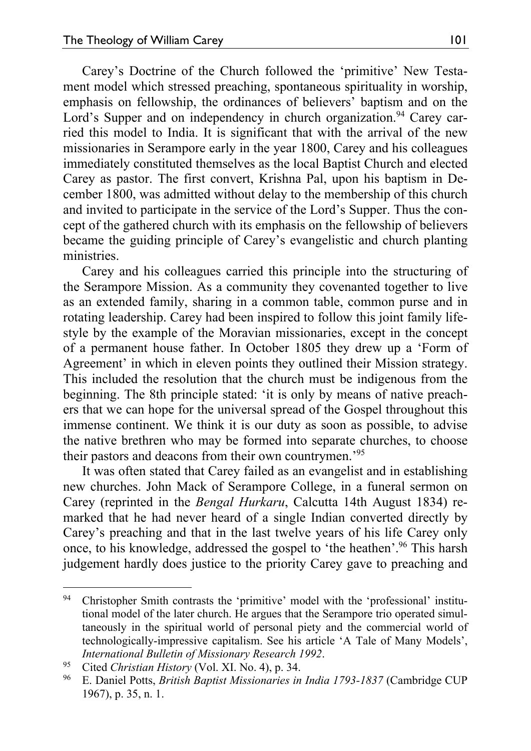Carey's Doctrine of the Church followed the 'primitive' New Testament model which stressed preaching, spontaneous spirituality in worship, emphasis on fellowship, the ordinances of believers' baptism and on the Lord's Supper and on independency in church organization.<sup>94</sup> Carey carried this model to India. It is significant that with the arrival of the new missionaries in Serampore early in the year 1800, Carey and his colleagues immediately constituted themselves as the local Baptist Church and elected Carey as pastor. The first convert, Krishna Pal, upon his baptism in December 1800, was admitted without delay to the membership of this church and invited to participate in the service of the Lord's Supper. Thus the concept of the gathered church with its emphasis on the fellowship of believers became the guiding principle of Carey's evangelistic and church planting ministries.

Carey and his colleagues carried this principle into the structuring of the Serampore Mission. As a community they covenanted together to live as an extended family, sharing in a common table, common purse and in rotating leadership. Carey had been inspired to follow this joint family lifestyle by the example of the Moravian missionaries, except in the concept of a permanent house father. In October 1805 they drew up a 'Form of Agreement' in which in eleven points they outlined their Mission strategy. This included the resolution that the church must be indigenous from the beginning. The 8th principle stated: 'it is only by means of native preachers that we can hope for the universal spread of the Gospel throughout this immense continent. We think it is our duty as soon as possible, to advise the native brethren who may be formed into separate churches, to choose their pastors and deacons from their own countrymen.'95

It was often stated that Carey failed as an evangelist and in establishing new churches. John Mack of Serampore College, in a funeral sermon on Carey (reprinted in the *Bengal Hurkaru*, Calcutta 14th August 1834) remarked that he had never heard of a single Indian converted directly by Carey's preaching and that in the last twelve years of his life Carey only once, to his knowledge, addressed the gospel to 'the heathen'.96 This harsh judgement hardly does justice to the priority Carey gave to preaching and

<sup>94</sup> Christopher Smith contrasts the 'primitive' model with the 'professional' institutional model of the later church. He argues that the Serampore trio operated simultaneously in the spiritual world of personal piety and the commercial world of technologically-impressive capitalism. See his article 'A Tale of Many Models', *International Bulletin of Missionary Research 1992.*<br><sup>95</sup> Cited *Christian History* (Vol. XI. No. 4), p. 34.

<sup>96</sup> E. Daniel Potts, *British Baptist Missionaries in India 1793-1837* (Cambridge CUP 1967), p. 35, n. 1.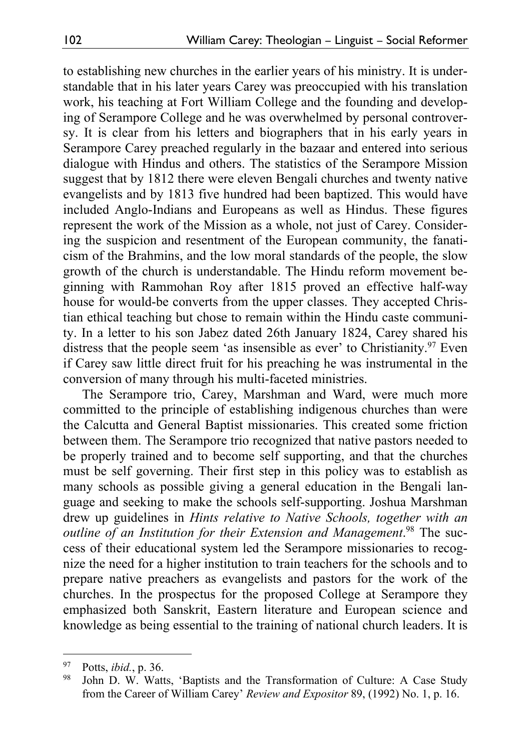to establishing new churches in the earlier years of his ministry. It is understandable that in his later years Carey was preoccupied with his translation work, his teaching at Fort William College and the founding and developing of Serampore College and he was overwhelmed by personal controversy. It is clear from his letters and biographers that in his early years in Serampore Carey preached regularly in the bazaar and entered into serious dialogue with Hindus and others. The statistics of the Serampore Mission suggest that by 1812 there were eleven Bengali churches and twenty native evangelists and by 1813 five hundred had been baptized. This would have included Anglo-Indians and Europeans as well as Hindus. These figures represent the work of the Mission as a whole, not just of Carey. Considering the suspicion and resentment of the European community, the fanaticism of the Brahmins, and the low moral standards of the people, the slow growth of the church is understandable. The Hindu reform movement beginning with Rammohan Roy after 1815 proved an effective half-way house for would-be converts from the upper classes. They accepted Christian ethical teaching but chose to remain within the Hindu caste community. In a letter to his son Jabez dated 26th January 1824, Carey shared his distress that the people seem 'as insensible as ever' to Christianity.<sup>97</sup> Even if Carey saw little direct fruit for his preaching he was instrumental in the conversion of many through his multi-faceted ministries.

The Serampore trio, Carey, Marshman and Ward, were much more committed to the principle of establishing indigenous churches than were the Calcutta and General Baptist missionaries. This created some friction between them. The Serampore trio recognized that native pastors needed to be properly trained and to become self supporting, and that the churches must be self governing. Their first step in this policy was to establish as many schools as possible giving a general education in the Bengali language and seeking to make the schools self-supporting. Joshua Marshman drew up guidelines in *Hints relative to Native Schools, together with an outline of an Institution for their Extension and Management*. 98 The success of their educational system led the Serampore missionaries to recognize the need for a higher institution to train teachers for the schools and to prepare native preachers as evangelists and pastors for the work of the churches. In the prospectus for the proposed College at Serampore they emphasized both Sanskrit, Eastern literature and European science and knowledge as being essential to the training of national church leaders. It is

<sup>97</sup> Potts, *ibid.*, p. 36.

<sup>98</sup> John D. W. Watts, 'Baptists and the Transformation of Culture: A Case Study from the Career of William Carey' *Review and Expositor* 89, (1992) No. 1, p. 16.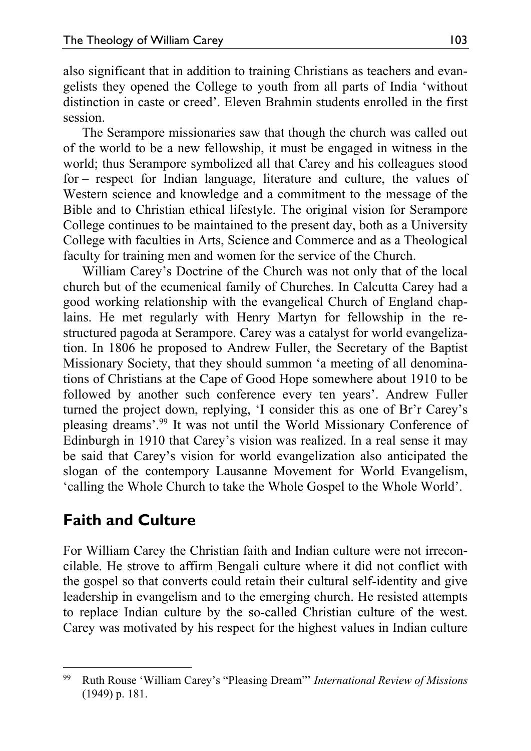also significant that in addition to training Christians as teachers and evangelists they opened the College to youth from all parts of India 'without distinction in caste or creed'. Eleven Brahmin students enrolled in the first session.

The Serampore missionaries saw that though the church was called out of the world to be a new fellowship, it must be engaged in witness in the world; thus Serampore symbolized all that Carey and his colleagues stood for – respect for Indian language, literature and culture, the values of Western science and knowledge and a commitment to the message of the Bible and to Christian ethical lifestyle. The original vision for Serampore College continues to be maintained to the present day, both as a University College with faculties in Arts, Science and Commerce and as a Theological faculty for training men and women for the service of the Church.

William Carey's Doctrine of the Church was not only that of the local church but of the ecumenical family of Churches. In Calcutta Carey had a good working relationship with the evangelical Church of England chaplains. He met regularly with Henry Martyn for fellowship in the restructured pagoda at Serampore. Carey was a catalyst for world evangelization. In 1806 he proposed to Andrew Fuller, the Secretary of the Baptist Missionary Society, that they should summon 'a meeting of all denominations of Christians at the Cape of Good Hope somewhere about 1910 to be followed by another such conference every ten years'. Andrew Fuller turned the project down, replying, 'I consider this as one of Br'r Carey's pleasing dreams'.99 It was not until the World Missionary Conference of Edinburgh in 1910 that Carey's vision was realized. In a real sense it may be said that Carey's vision for world evangelization also anticipated the slogan of the contempory Lausanne Movement for World Evangelism, 'calling the Whole Church to take the Whole Gospel to the Whole World'.

# **Faith and Culture**

For William Carey the Christian faith and Indian culture were not irreconcilable. He strove to affirm Bengali culture where it did not conflict with the gospel so that converts could retain their cultural self-identity and give leadership in evangelism and to the emerging church. He resisted attempts to replace Indian culture by the so-called Christian culture of the west. Carey was motivated by his respect for the highest values in Indian culture

<sup>-</sup>99 Ruth Rouse 'William Carey's "Pleasing Dream"' *International Review of Missions* (1949) p. 181.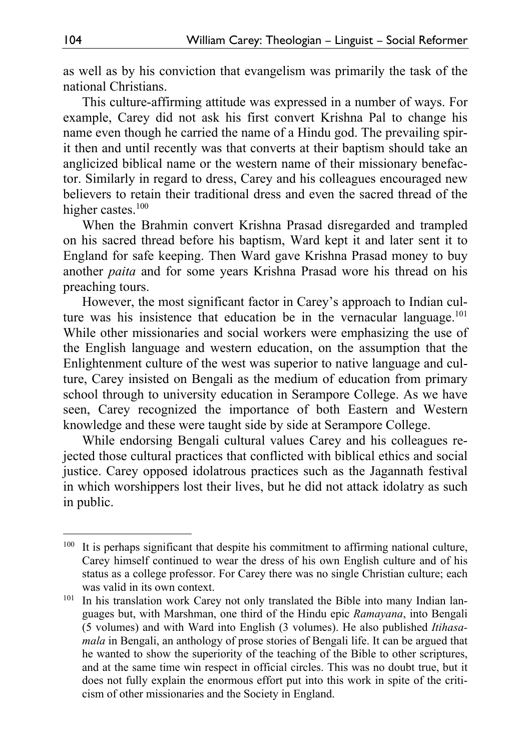as well as by his conviction that evangelism was primarily the task of the national Christians.

This culture-affirming attitude was expressed in a number of ways. For example, Carey did not ask his first convert Krishna Pal to change his name even though he carried the name of a Hindu god. The prevailing spirit then and until recently was that converts at their baptism should take an anglicized biblical name or the western name of their missionary benefactor. Similarly in regard to dress, Carey and his colleagues encouraged new believers to retain their traditional dress and even the sacred thread of the higher castes.<sup>100</sup>

When the Brahmin convert Krishna Prasad disregarded and trampled on his sacred thread before his baptism, Ward kept it and later sent it to England for safe keeping. Then Ward gave Krishna Prasad money to buy another *paita* and for some years Krishna Prasad wore his thread on his preaching tours.

However, the most significant factor in Carey's approach to Indian culture was his insistence that education be in the vernacular language.<sup>101</sup> While other missionaries and social workers were emphasizing the use of the English language and western education, on the assumption that the Enlightenment culture of the west was superior to native language and culture, Carey insisted on Bengali as the medium of education from primary school through to university education in Serampore College. As we have seen, Carey recognized the importance of both Eastern and Western knowledge and these were taught side by side at Serampore College.

While endorsing Bengali cultural values Carey and his colleagues rejected those cultural practices that conflicted with biblical ethics and social justice. Carey opposed idolatrous practices such as the Jagannath festival in which worshippers lost their lives, but he did not attack idolatry as such in public.

<sup>&</sup>lt;sup>100</sup> It is perhaps significant that despite his commitment to affirming national culture, Carey himself continued to wear the dress of his own English culture and of his status as a college professor. For Carey there was no single Christian culture; each was valid in its own context.

<sup>&</sup>lt;sup>101</sup> In his translation work Carey not only translated the Bible into many Indian languages but, with Marshman, one third of the Hindu epic *Ramayana*, into Bengali (5 volumes) and with Ward into English (3 volumes). He also published *Itihasamala* in Bengali, an anthology of prose stories of Bengali life. It can be argued that he wanted to show the superiority of the teaching of the Bible to other scriptures, and at the same time win respect in official circles. This was no doubt true, but it does not fully explain the enormous effort put into this work in spite of the criticism of other missionaries and the Society in England.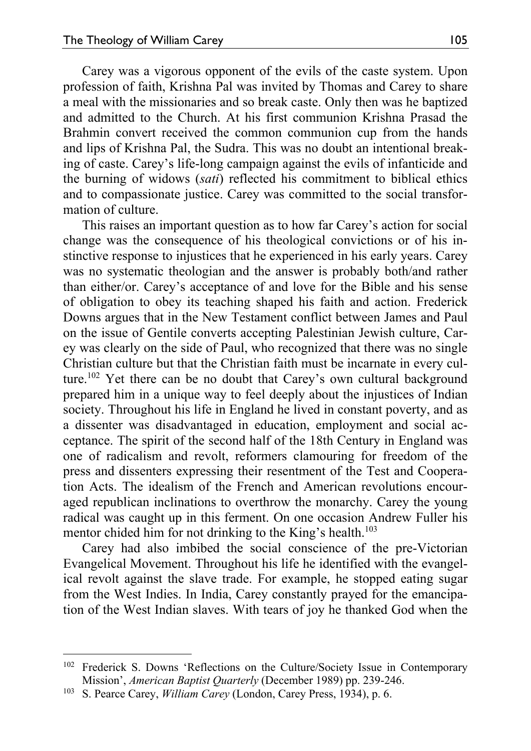Carey was a vigorous opponent of the evils of the caste system. Upon profession of faith, Krishna Pal was invited by Thomas and Carey to share a meal with the missionaries and so break caste. Only then was he baptized and admitted to the Church. At his first communion Krishna Prasad the Brahmin convert received the common communion cup from the hands and lips of Krishna Pal, the Sudra. This was no doubt an intentional breaking of caste. Carey's life-long campaign against the evils of infanticide and the burning of widows (*sati*) reflected his commitment to biblical ethics and to compassionate justice. Carey was committed to the social transformation of culture.

This raises an important question as to how far Carey's action for social change was the consequence of his theological convictions or of his instinctive response to injustices that he experienced in his early years. Carey was no systematic theologian and the answer is probably both/and rather than either/or. Carey's acceptance of and love for the Bible and his sense of obligation to obey its teaching shaped his faith and action. Frederick Downs argues that in the New Testament conflict between James and Paul on the issue of Gentile converts accepting Palestinian Jewish culture, Carey was clearly on the side of Paul, who recognized that there was no single Christian culture but that the Christian faith must be incarnate in every culture.<sup>102</sup> Yet there can be no doubt that Carey's own cultural background prepared him in a unique way to feel deeply about the injustices of Indian society. Throughout his life in England he lived in constant poverty, and as a dissenter was disadvantaged in education, employment and social acceptance. The spirit of the second half of the 18th Century in England was one of radicalism and revolt, reformers clamouring for freedom of the press and dissenters expressing their resentment of the Test and Cooperation Acts. The idealism of the French and American revolutions encouraged republican inclinations to overthrow the monarchy. Carey the young radical was caught up in this ferment. On one occasion Andrew Fuller his mentor chided him for not drinking to the King's health.<sup>103</sup>

Carey had also imbibed the social conscience of the pre-Victorian Evangelical Movement. Throughout his life he identified with the evangelical revolt against the slave trade. For example, he stopped eating sugar from the West Indies. In India, Carey constantly prayed for the emancipation of the West Indian slaves. With tears of joy he thanked God when the

<sup>&</sup>lt;sup>102</sup> Frederick S. Downs 'Reflections on the Culture/Society Issue in Contemporary Mission', *American Baptist Quarterly* (December 1989) pp. 239-246.

<sup>103</sup> S. Pearce Carey, *William Carey* (London, Carey Press, 1934), p. 6.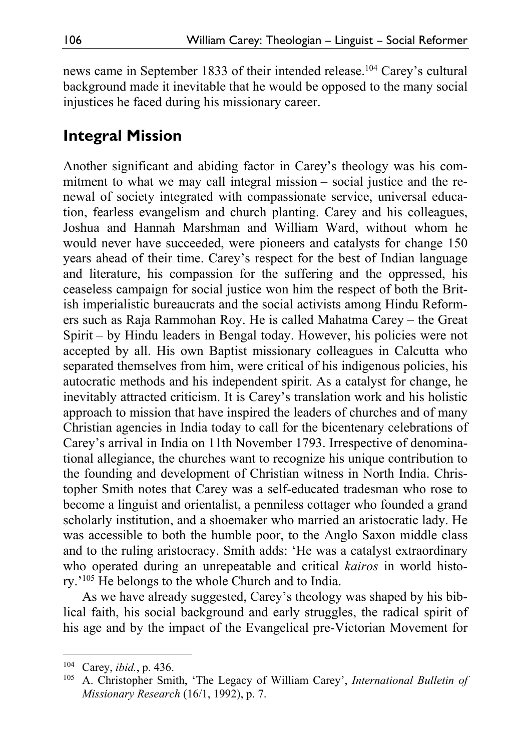news came in September 1833 of their intended release.<sup>104</sup> Carey's cultural background made it inevitable that he would be opposed to the many social injustices he faced during his missionary career.

## **Integral Mission**

Another significant and abiding factor in Carey's theology was his commitment to what we may call integral mission – social justice and the renewal of society integrated with compassionate service, universal education, fearless evangelism and church planting. Carey and his colleagues, Joshua and Hannah Marshman and William Ward, without whom he would never have succeeded, were pioneers and catalysts for change 150 years ahead of their time. Carey's respect for the best of Indian language and literature, his compassion for the suffering and the oppressed, his ceaseless campaign for social justice won him the respect of both the British imperialistic bureaucrats and the social activists among Hindu Reformers such as Raja Rammohan Roy. He is called Mahatma Carey – the Great Spirit – by Hindu leaders in Bengal today. However, his policies were not accepted by all. His own Baptist missionary colleagues in Calcutta who separated themselves from him, were critical of his indigenous policies, his autocratic methods and his independent spirit. As a catalyst for change, he inevitably attracted criticism. It is Carey's translation work and his holistic approach to mission that have inspired the leaders of churches and of many Christian agencies in India today to call for the bicentenary celebrations of Carey's arrival in India on 11th November 1793. Irrespective of denominational allegiance, the churches want to recognize his unique contribution to the founding and development of Christian witness in North India. Christopher Smith notes that Carey was a self-educated tradesman who rose to become a linguist and orientalist, a penniless cottager who founded a grand scholarly institution, and a shoemaker who married an aristocratic lady. He was accessible to both the humble poor, to the Anglo Saxon middle class and to the ruling aristocracy. Smith adds: 'He was a catalyst extraordinary who operated during an unrepeatable and critical *kairos* in world history.'105 He belongs to the whole Church and to India.

As we have already suggested, Carey's theology was shaped by his biblical faith, his social background and early struggles, the radical spirit of his age and by the impact of the Evangelical pre-Victorian Movement for

<sup>104</sup> Carey, *ibid.*, p. 436.

<sup>105</sup> A. Christopher Smith, 'The Legacy of William Carey', *International Bulletin of Missionary Research* (16/1, 1992), p. 7.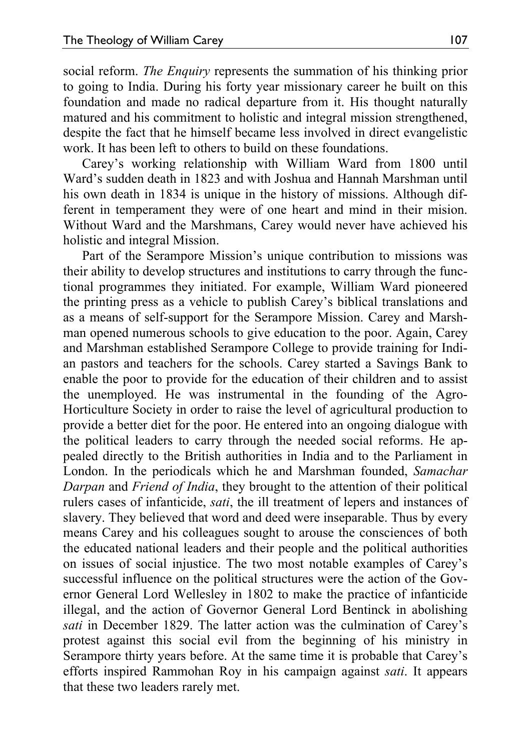social reform. *The Enquiry* represents the summation of his thinking prior to going to India. During his forty year missionary career he built on this foundation and made no radical departure from it. His thought naturally matured and his commitment to holistic and integral mission strengthened, despite the fact that he himself became less involved in direct evangelistic work. It has been left to others to build on these foundations.

Carey's working relationship with William Ward from 1800 until Ward's sudden death in 1823 and with Joshua and Hannah Marshman until his own death in 1834 is unique in the history of missions. Although different in temperament they were of one heart and mind in their mision. Without Ward and the Marshmans, Carey would never have achieved his holistic and integral Mission.

Part of the Serampore Mission's unique contribution to missions was their ability to develop structures and institutions to carry through the functional programmes they initiated. For example, William Ward pioneered the printing press as a vehicle to publish Carey's biblical translations and as a means of self-support for the Serampore Mission. Carey and Marshman opened numerous schools to give education to the poor. Again, Carey and Marshman established Serampore College to provide training for Indian pastors and teachers for the schools. Carey started a Savings Bank to enable the poor to provide for the education of their children and to assist the unemployed. He was instrumental in the founding of the Agro-Horticulture Society in order to raise the level of agricultural production to provide a better diet for the poor. He entered into an ongoing dialogue with the political leaders to carry through the needed social reforms. He appealed directly to the British authorities in India and to the Parliament in London. In the periodicals which he and Marshman founded, *Samachar Darpan* and *Friend of India*, they brought to the attention of their political rulers cases of infanticide, *sati*, the ill treatment of lepers and instances of slavery. They believed that word and deed were inseparable. Thus by every means Carey and his colleagues sought to arouse the consciences of both the educated national leaders and their people and the political authorities on issues of social injustice. The two most notable examples of Carey's successful influence on the political structures were the action of the Governor General Lord Wellesley in 1802 to make the practice of infanticide illegal, and the action of Governor General Lord Bentinck in abolishing *sati* in December 1829. The latter action was the culmination of Carey's protest against this social evil from the beginning of his ministry in Serampore thirty years before. At the same time it is probable that Carey's efforts inspired Rammohan Roy in his campaign against *sati*. It appears that these two leaders rarely met.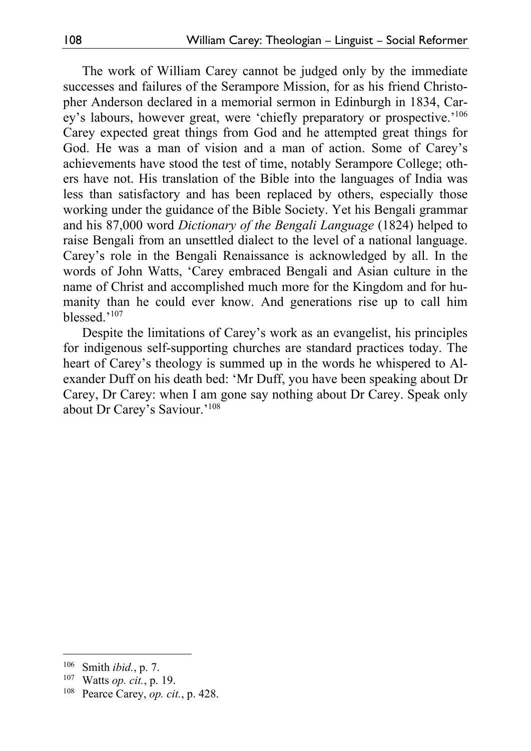The work of William Carey cannot be judged only by the immediate successes and failures of the Serampore Mission, for as his friend Christopher Anderson declared in a memorial sermon in Edinburgh in 1834, Carey's labours, however great, were 'chiefly preparatory or prospective.'<sup>106</sup> Carey expected great things from God and he attempted great things for God. He was a man of vision and a man of action. Some of Carey's achievements have stood the test of time, notably Serampore College; others have not. His translation of the Bible into the languages of India was less than satisfactory and has been replaced by others, especially those working under the guidance of the Bible Society. Yet his Bengali grammar and his 87,000 word *Dictionary of the Bengali Language* (1824) helped to raise Bengali from an unsettled dialect to the level of a national language. Carey's role in the Bengali Renaissance is acknowledged by all. In the words of John Watts, 'Carey embraced Bengali and Asian culture in the name of Christ and accomplished much more for the Kingdom and for humanity than he could ever know. And generations rise up to call him blessed.'107

Despite the limitations of Carey's work as an evangelist, his principles for indigenous self-supporting churches are standard practices today. The heart of Carey's theology is summed up in the words he whispered to Alexander Duff on his death bed: 'Mr Duff, you have been speaking about Dr Carey, Dr Carey: when I am gone say nothing about Dr Carey. Speak only about Dr Carey's Saviour.'108

<sup>106</sup> Smith *ibid.*, p. 7.

<sup>107</sup> Watts *op. cit.*, p. 19.

<sup>108</sup> Pearce Carey, *op. cit.*, p. 428.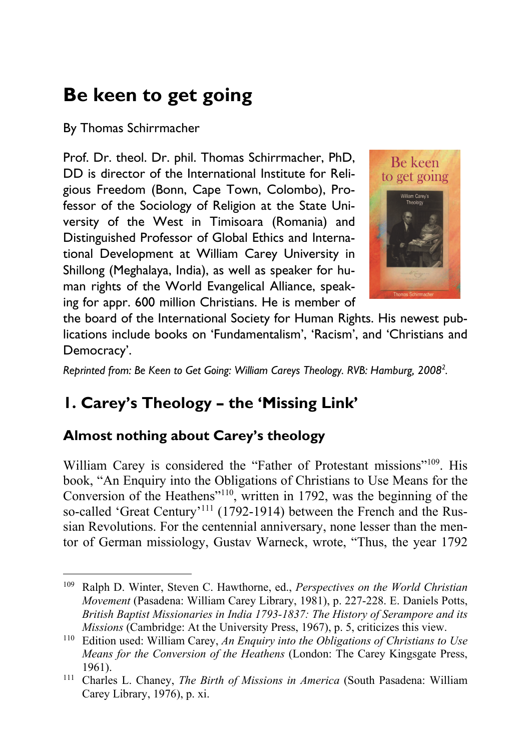# **Be keen to get going**

By Thomas Schirrmacher

Prof. Dr. theol. Dr. phil. Thomas Schirrmacher, PhD, DD is director of the International Institute for Religious Freedom (Bonn, Cape Town, Colombo), Professor of the Sociology of Religion at the State University of the West in Timisoara (Romania) and Distinguished Professor of Global Ethics and International Development at William Carey University in Shillong (Meghalaya, India), as well as speaker for human rights of the World Evangelical Alliance, speaking for appr. 600 million Christians. He is member of



the board of the International Society for Human Rights. His newest publications include books on 'Fundamentalism', 'Racism', and 'Christians and Democracy'.

Reprinted from: Be Keen to Get Going: William Careys Theology. RVB: Hamburg, 2008<sup>2</sup>.

# **1. Carey's Theology – the 'Missing Link'**

# **Almost nothing about Carey's theology**

William Carey is considered the "Father of Protestant missions"<sup>109</sup>. His book, "An Enquiry into the Obligations of Christians to Use Means for the Conversion of the Heathens"110, written in 1792, was the beginning of the so-called 'Great Century'111 (1792-1914) between the French and the Russian Revolutions. For the centennial anniversary, none lesser than the mentor of German missiology, Gustav Warneck, wrote, "Thus, the year 1792

<sup>-</sup>109 Ralph D. Winter, Steven C. Hawthorne, ed., *Perspectives on the World Christian Movement* (Pasadena: William Carey Library, 1981), p. 227-228. E. Daniels Potts, *British Baptist Missionaries in India 1793-1837: The History of Serampore and its Missions* (Cambridge: At the University Press, 1967), p. 5, criticizes this view.

<sup>110</sup> Edition used: William Carey, *An Enquiry into the Obligations of Christians to Use Means for the Conversion of the Heathens* (London: The Carey Kingsgate Press, 1961).

<sup>111</sup> Charles L. Chaney, *The Birth of Missions in America* (South Pasadena: William Carey Library, 1976), p. xi.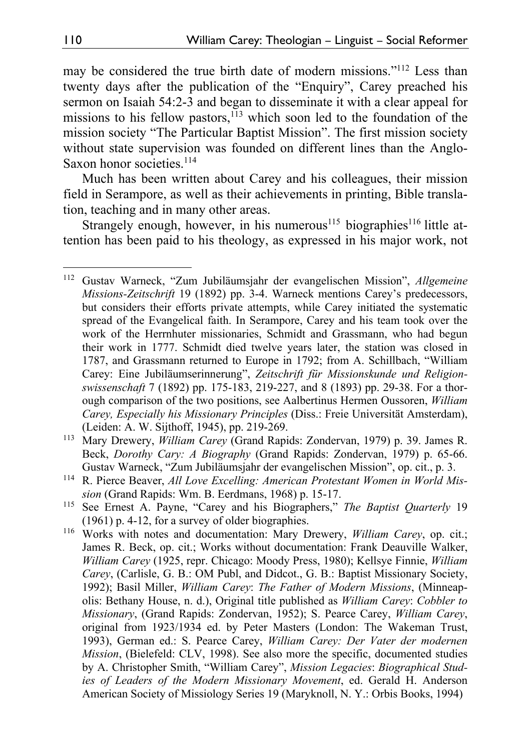may be considered the true birth date of modern missions."112 Less than twenty days after the publication of the "Enquiry", Carey preached his sermon on Isaiah 54:2-3 and began to disseminate it with a clear appeal for missions to his fellow pastors, $113$  which soon led to the foundation of the mission society "The Particular Baptist Mission". The first mission society without state supervision was founded on different lines than the Anglo-Saxon honor societies.<sup>114</sup>

Much has been written about Carey and his colleagues, their mission field in Serampore, as well as their achievements in printing, Bible translation, teaching and in many other areas.

Strangely enough, however, in his numerous<sup>115</sup> biographies<sup>116</sup> little attention has been paid to his theology, as expressed in his major work, not

<sup>112</sup> Gustav Warneck, "Zum Jubiläumsjahr der evangelischen Mission", *Allgemeine Missions-Zeitschrift* 19 (1892) pp. 3-4. Warneck mentions Carey's predecessors, but considers their efforts private attempts, while Carey initiated the systematic spread of the Evangelical faith. In Serampore, Carey and his team took over the work of the Herrnhuter missionaries, Schmidt and Grassmann, who had begun their work in 1777. Schmidt died twelve years later, the station was closed in 1787, and Grassmann returned to Europe in 1792; from A. Schillbach, "William Carey: Eine Jubiläumserinnerung", *Zeitschrift für Missionskunde und Religionswissenschaft* 7 (1892) pp. 175-183, 219-227, and 8 (1893) pp. 29-38. For a thorough comparison of the two positions, see Aalbertinus Hermen Oussoren, *William Carey, Especially his Missionary Principles* (Diss.: Freie Universität Amsterdam), (Leiden: A. W. Sijthoff, 1945), pp. 219-269.

<sup>113</sup> Mary Drewery, *William Carey* (Grand Rapids: Zondervan, 1979) p. 39. James R. Beck, *Dorothy Cary: A Biography* (Grand Rapids: Zondervan, 1979) p. 65-66. Gustav Warneck, "Zum Jubiläumsjahr der evangelischen Mission", op. cit., p. 3.

<sup>&</sup>lt;sup>114</sup> R. Pierce Beaver, *All Love Excelling: American Protestant Women in World Mission* (Grand Rapids: Wm. B. Eerdmans, 1968) p. 15-17.

<sup>115</sup> See Ernest A. Payne, "Carey and his Biographers," *The Baptist Quarterly* 19 (1961) p. 4-12, for a survey of older biographies.

<sup>116</sup> Works with notes and documentation: Mary Drewery, *William Carey*, op. cit.; James R. Beck, op. cit.; Works without documentation: Frank Deauville Walker, *William Carey* (1925, repr. Chicago: Moody Press, 1980); Kellsye Finnie, *William Carey*, (Carlisle, G. B.: OM Publ, and Didcot., G. B.: Baptist Missionary Society, 1992); Basil Miller, *William Carey*: *The Father of Modern Missions*, (Minneapolis: Bethany House, n. d.), Original title published as *William Carey*: *Cobbler to Missionary*, (Grand Rapids: Zondervan, 1952); S. Pearce Carey, *William Carey*, original from 1923/1934 ed. by Peter Masters (London: The Wakeman Trust, 1993), German ed.: S. Pearce Carey, *William Carey: Der Vater der modernen Mission*, (Bielefeld: CLV, 1998). See also more the specific, documented studies by A. Christopher Smith, "William Carey", *Mission Legacies*: *Biographical Studies of Leaders of the Modern Missionary Movement*, ed. Gerald H. Anderson American Society of Missiology Series 19 (Maryknoll, N. Y.: Orbis Books, 1994)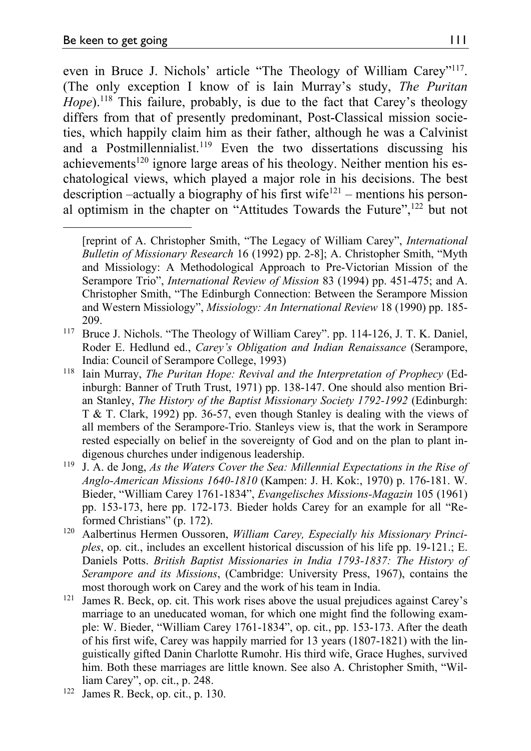-

even in Bruce J. Nichols' article "The Theology of William Carey"<sup>117</sup>. (The only exception I know of is Iain Murray's study, *The Puritan Hope*).<sup>118</sup> This failure, probably, is due to the fact that Carey's theology differs from that of presently predominant, Post-Classical mission societies, which happily claim him as their father, although he was a Calvinist and a Postmillennialist.<sup>119</sup> Even the two dissertations discussing his achievements<sup>120</sup> ignore large areas of his theology. Neither mention his eschatological views, which played a major role in his decisions. The best description –actually a biography of his first wife<sup>121</sup> – mentions his personal optimism in the chapter on "Attitudes Towards the Future",122 but not

 <sup>[</sup>reprint of A. Christopher Smith, "The Legacy of William Carey", *International Bulletin of Missionary Research* 16 (1992) pp. 2-8]; A. Christopher Smith, "Myth and Missiology: A Methodological Approach to Pre-Victorian Mission of the Serampore Trio", *International Review of Mission* 83 (1994) pp. 451-475; and A. Christopher Smith, "The Edinburgh Connection: Between the Serampore Mission and Western Missiology", *Missiology: An International Review* 18 (1990) pp. 185- 209.

<sup>&</sup>lt;sup>117</sup> Bruce J. Nichols. "The Theology of William Carey". pp. 114-126, J. T. K. Daniel, Roder E. Hedlund ed., *Carey's Obligation and Indian Renaissance* (Serampore, India: Council of Serampore College, 1993)

<sup>118</sup> Iain Murray, *The Puritan Hope: Revival and the Interpretation of Prophecy* (Edinburgh: Banner of Truth Trust, 1971) pp. 138-147. One should also mention Brian Stanley, *The History of the Baptist Missionary Society 1792-1992* (Edinburgh: T & T. Clark, 1992) pp. 36-57, even though Stanley is dealing with the views of all members of the Serampore-Trio. Stanleys view is, that the work in Serampore rested especially on belief in the sovereignty of God and on the plan to plant indigenous churches under indigenous leadership.

<sup>119</sup> J. A. de Jong, *As the Waters Cover the Sea: Millennial Expectations in the Rise of Anglo-American Missions 1640-1810* (Kampen: J. H. Kok:, 1970) p. 176-181. W. Bieder, "William Carey 1761-1834", *Evangelisches Missions-Magazin* 105 (1961) pp. 153-173, here pp. 172-173. Bieder holds Carey for an example for all "Reformed Christians" (p. 172).

<sup>120</sup> Aalbertinus Hermen Oussoren, *William Carey, Especially his Missionary Principles*, op. cit., includes an excellent historical discussion of his life pp. 19-121.; E. Daniels Potts. *British Baptist Missionaries in India 1793-1837: The History of Serampore and its Missions*, (Cambridge: University Press, 1967), contains the most thorough work on Carey and the work of his team in India.

<sup>&</sup>lt;sup>121</sup> James R. Beck, op. cit. This work rises above the usual prejudices against Carey's marriage to an uneducated woman, for which one might find the following example: W. Bieder, "William Carey 1761-1834", op. cit., pp. 153-173. After the death of his first wife, Carey was happily married for 13 years (1807-1821) with the linguistically gifted Danin Charlotte Rumohr. His third wife, Grace Hughes, survived him. Both these marriages are little known. See also A. Christopher Smith, "William Carey", op. cit., p. 248.

<sup>122</sup> James R. Beck, op. cit., p. 130.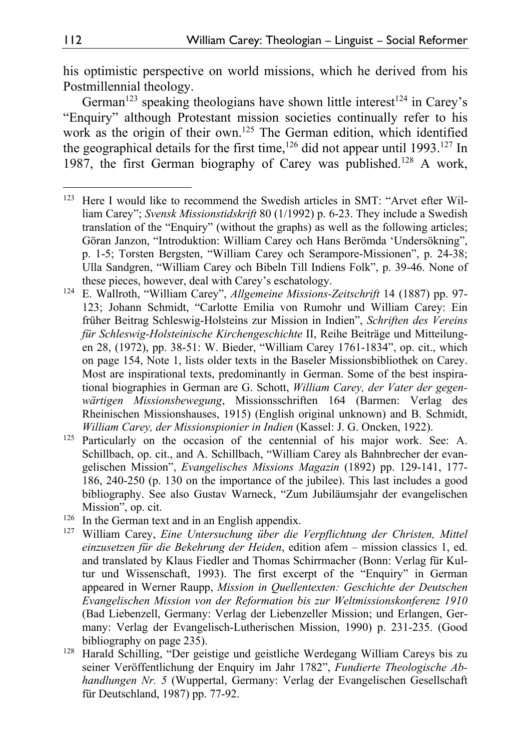his optimistic perspective on world missions, which he derived from his Postmillennial theology.

German<sup>123</sup> speaking theologians have shown little interest<sup>124</sup> in Carey's "Enquiry" although Protestant mission societies continually refer to his work as the origin of their own.<sup>125</sup> The German edition, which identified the geographical details for the first time,<sup>126</sup> did not appear until 1993.<sup>127</sup> In 1987, the first German biography of Carey was published.<sup>128</sup> A work,

- <sup>126</sup> In the German text and in an English appendix.
- 127 William Carey, *Eine Untersuchung über die Verpflichtung der Christen, Mittel einzusetzen für die Bekehrung der Heiden*, edition afem – mission classics 1, ed. and translated by Klaus Fiedler and Thomas Schirrmacher (Bonn: Verlag für Kultur und Wissenschaft, 1993). The first excerpt of the "Enquiry" in German appeared in Werner Raupp, *Mission in Quellentexten: Geschichte der Deutschen Evangelischen Mission von der Reformation bis zur Weltmissionskonferenz 1910* (Bad Liebenzell, Germany: Verlag der Liebenzeller Mission; und Erlangen, Germany: Verlag der Evangelisch-Lutherischen Mission, 1990) p. 231-235. (Good bibliography on page 235).
- 128 Harald Schilling, "Der geistige und geistliche Werdegang William Careys bis zu seiner Veröffentlichung der Enquiry im Jahr 1782", *Fundierte Theologische Abhandlungen Nr. 5* (Wuppertal, Germany: Verlag der Evangelischen Gesellschaft für Deutschland, 1987) pp. 77-92.

<sup>123</sup> Here I would like to recommend the Swedish articles in SMT: "Arvet efter William Carey"; *Svensk Missionstidskrift* 80 (1/1992) p. 6-23. They include a Swedish translation of the "Enquiry" (without the graphs) as well as the following articles; Göran Janzon, "Introduktion: William Carey och Hans Berömda 'Undersökning", p. 1-5; Torsten Bergsten, "William Carey och Serampore-Missionen", p. 24-38; Ulla Sandgren, "William Carey och Bibeln Till Indiens Folk", p. 39-46. None of these pieces, however, deal with Carey's eschatology.

<sup>124</sup> E. Wallroth, "William Carey", *Allgemeine Missions-Zeitschrift* 14 (1887) pp. 97- 123; Johann Schmidt, "Carlotte Emilia von Rumohr und William Carey: Ein früher Beitrag Schleswig-Holsteins zur Mission in Indien", *Schriften des Vereins für Schleswig-Holsteinische Kirchengeschichte* II, Reihe Beiträge und Mitteilungen 28, (1972), pp. 38-51: W. Bieder, "William Carey 1761-1834", op. cit., which on page 154, Note 1, lists older texts in the Baseler Missionsbibliothek on Carey. Most are inspirational texts, predominantly in German. Some of the best inspirational biographies in German are G. Schott, *William Carey, der Vater der gegenwärtigen Missionsbewegung*, Missionsschriften 164 (Barmen: Verlag des Rheinischen Missionshauses, 1915) (English original unknown) and B. Schmidt, *William Carey, der Missionspionier in Indien* (Kassel: J. G. Oncken, 1922).

<sup>&</sup>lt;sup>125</sup> Particularly on the occasion of the centennial of his major work. See: A. Schillbach, op. cit., and A. Schillbach, "William Carey als Bahnbrecher der evangelischen Mission", *Evangelisches Missions Magazin* (1892) pp. 129-141, 177- 186, 240-250 (p. 130 on the importance of the jubilee). This last includes a good bibliography. See also Gustav Warneck, "Zum Jubiläumsjahr der evangelischen Mission", op. cit.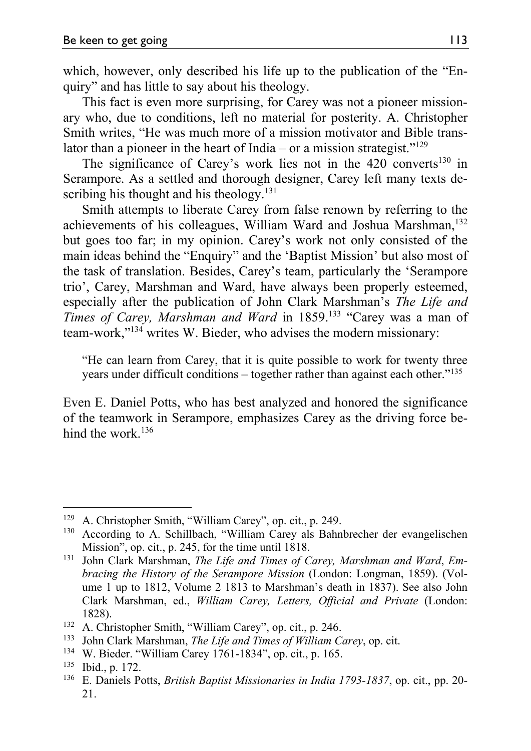which, however, only described his life up to the publication of the "Enquiry" and has little to say about his theology.

This fact is even more surprising, for Carey was not a pioneer missionary who, due to conditions, left no material for posterity. A. Christopher Smith writes, "He was much more of a mission motivator and Bible translator than a pioneer in the heart of India – or a mission strategist."<sup>129</sup>

The significance of Carey's work lies not in the  $420$  converts<sup>130</sup> in Serampore. As a settled and thorough designer, Carey left many texts describing his thought and his theology. $131$ 

Smith attempts to liberate Carey from false renown by referring to the achievements of his colleagues, William Ward and Joshua Marshman,<sup>132</sup> but goes too far; in my opinion. Carey's work not only consisted of the main ideas behind the "Enquiry" and the 'Baptist Mission' but also most of the task of translation. Besides, Carey's team, particularly the 'Serampore trio', Carey, Marshman and Ward, have always been properly esteemed, especially after the publication of John Clark Marshman's *The Life and Times of Carey, Marshman and Ward* in 1859.133 "Carey was a man of team-work,"134 writes W. Bieder, who advises the modern missionary:

"He can learn from Carey, that it is quite possible to work for twenty three years under difficult conditions – together rather than against each other."135

Even E. Daniel Potts, who has best analyzed and honored the significance of the teamwork in Serampore, emphasizes Carey as the driving force behind the work.<sup>136</sup>

<sup>129</sup> A. Christopher Smith, "William Carey", op. cit., p. 249.

<sup>130</sup> According to A. Schillbach, "William Carey als Bahnbrecher der evangelischen Mission", op. cit., p. 245, for the time until 1818.

<sup>131</sup> John Clark Marshman, *The Life and Times of Carey, Marshman and Ward*, *Embracing the History of the Serampore Mission* (London: Longman, 1859). (Volume 1 up to 1812, Volume 2 1813 to Marshman's death in 1837). See also John Clark Marshman, ed., *William Carey, Letters, Official and Private* (London: 1828).

<sup>132</sup> A. Christopher Smith, "William Carey", op. cit., p. 246.

<sup>133</sup> John Clark Marshman, *The Life and Times of William Carey*, op. cit.

<sup>134</sup> W. Bieder. "William Carey 1761-1834", op. cit., p. 165.

<sup>135</sup> Ibid., p. 172.

<sup>136</sup> E. Daniels Potts, *British Baptist Missionaries in India 1793-1837*, op. cit., pp. 20- 21.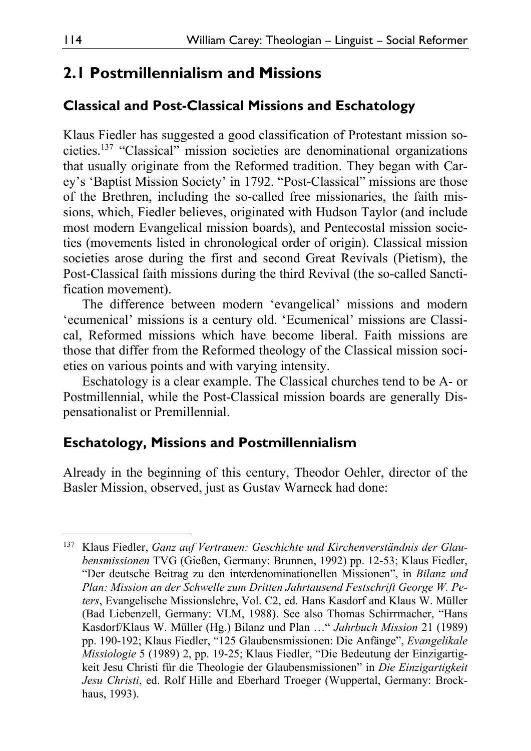# **2.1 Postmillennialism and Missions**

## **Classical and Post-Classical Missions and Eschatology**

Klaus Fiedler has suggested a good classification of Protestant mission societies.137 "Classical" mission societies are denominational organizations that usually originate from the Reformed tradition. They began with Carey's 'Baptist Mission Society' in 1792. "Post-Classical" missions are those of the Brethren, including the so-called free missionaries, the faith missions, which, Fiedler believes, originated with Hudson Taylor (and include most modern Evangelical mission boards), and Pentecostal mission societies (movements listed in chronological order of origin). Classical mission societies arose during the first and second Great Revivals (Pietism), the Post-Classical faith missions during the third Revival (the so-called Sanctification movement).

The difference between modern 'evangelical' missions and modern 'ecumenical' missions is a century old. 'Ecumenical' missions are Classical, Reformed missions which have become liberal. Faith missions are those that differ from the Reformed theology of the Classical mission societies on various points and with varying intensity.

Eschatology is a clear example. The Classical churches tend to be A- or Postmillennial, while the Post-Classical mission boards are generally Dispensationalist or Premillennial.

## **Eschatology, Missions and Postmillennialism**

Already in the beginning of this century, Theodor Oehler, director of the Basler Mission, observed, just as Gustav Warneck had done:

<sup>-</sup>137 Klaus Fiedler, *Ganz auf Vertrauen: Geschichte und Kirchenverständnis der Glaubensmissionen* TVG (Gießen, Germany: Brunnen, 1992) pp. 12-53; Klaus Fiedler, "Der deutsche Beitrag zu den interdenominationellen Missionen", in *Bilanz und Plan: Mission an der Schwelle zum Dritten Jahrtausend Festschrift George W. Peters*, Evangelische Missionslehre, Vol. C2, ed. Hans Kasdorf and Klaus W. Müller (Bad Liebenzell, Germany: VLM, 1988). See also Thomas Schirrmacher, "Hans Kasdorf/Klaus W. Müller (Hg.) Bilanz und Plan …" *Jahrbuch Mission* 21 (1989) pp. 190-192; Klaus Fiedler, "125 Glaubensmissionen: Die Anfänge", *Evangelikale Missiologie* 5 (1989) 2, pp. 19-25; Klaus Fiedler, "Die Bedeutung der Einzigartigkeit Jesu Christi für die Theologie der Glaubensmissionen" in *Die Einzigartigkeit Jesu Christi*, ed. Rolf Hille and Eberhard Troeger (Wuppertal, Germany: Brockhaus, 1993).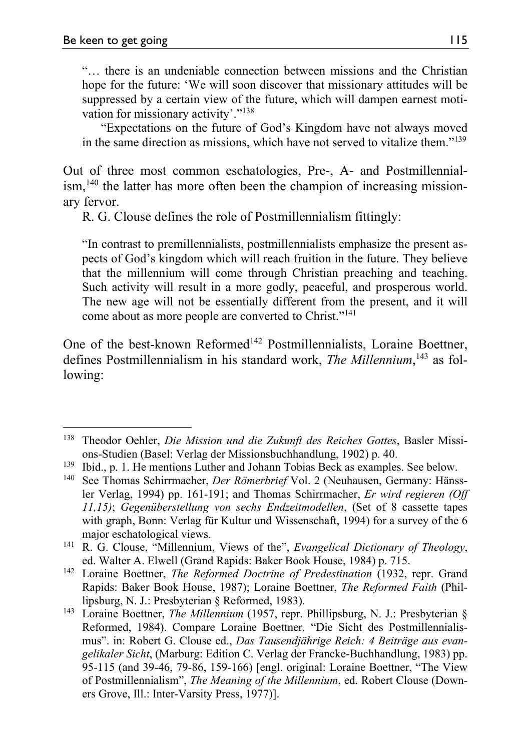-

"… there is an undeniable connection between missions and the Christian hope for the future: 'We will soon discover that missionary attitudes will be suppressed by a certain view of the future, which will dampen earnest motivation for missionary activity'."<sup>138</sup>

"Expectations on the future of God's Kingdom have not always moved in the same direction as missions, which have not served to vitalize them."139

Out of three most common eschatologies, Pre-, A- and Postmillennialism,<sup>140</sup> the latter has more often been the champion of increasing missionary fervor.

R. G. Clouse defines the role of Postmillennialism fittingly:

"In contrast to premillennialists, postmillennialists emphasize the present aspects of God's kingdom which will reach fruition in the future. They believe that the millennium will come through Christian preaching and teaching. Such activity will result in a more godly, peaceful, and prosperous world. The new age will not be essentially different from the present, and it will come about as more people are converted to Christ."141

One of the best-known Reformed<sup>142</sup> Postmillennialists, Loraine Boettner, defines Postmillennialism in his standard work, *The Millennium*, 143 as following:

<sup>138</sup> Theodor Oehler, *Die Mission und die Zukunft des Reiches Gottes*, Basler Missions-Studien (Basel: Verlag der Missionsbuchhandlung, 1902) p. 40.

<sup>&</sup>lt;sup>139</sup> Ibid., p. 1. He mentions Luther and Johann Tobias Beck as examples. See below.<br><sup>140</sup> See Thomas Schirrmacher, *Der Römerbrief* Vol. 2 (Neuhausen, Germany: Häns

<sup>140</sup> See Thomas Schirrmacher, *Der Römerbrief* Vol. 2 (Neuhausen, Germany: Hänssler Verlag, 1994) pp. 161-191; and Thomas Schirrmacher, *Er wird regieren (Off 11,15)*; *Gegenüberstellung von sechs Endzeitmodellen*, (Set of 8 cassette tapes with graph, Bonn: Verlag für Kultur und Wissenschaft, 1994) for a survey of the 6 major eschatological views.

<sup>141</sup> R. G. Clouse, "Millennium, Views of the", *Evangelical Dictionary of Theology*, ed. Walter A. Elwell (Grand Rapids: Baker Book House, 1984) p. 715.

<sup>142</sup> Loraine Boettner, *The Reformed Doctrine of Predestination* (1932, repr. Grand Rapids: Baker Book House, 1987); Loraine Boettner, *The Reformed Faith* (Phillipsburg, N. J.: Presbyterian § Reformed, 1983).

<sup>143</sup> Loraine Boettner, *The Millennium* (1957, repr. Phillipsburg, N. J.: Presbyterian § Reformed, 1984). Compare Loraine Boettner. "Die Sicht des Postmillennialismus". in: Robert G. Clouse ed., *Das Tausendjährige Reich: 4 Beiträge aus evangelikaler Sicht*, (Marburg: Edition C. Verlag der Francke-Buchhandlung, 1983) pp. 95-115 (and 39-46, 79-86, 159-166) [engl. original: Loraine Boettner, "The View of Postmillennialism", *The Meaning of the Millennium*, ed. Robert Clouse (Downers Grove, Ill.: Inter-Varsity Press, 1977)].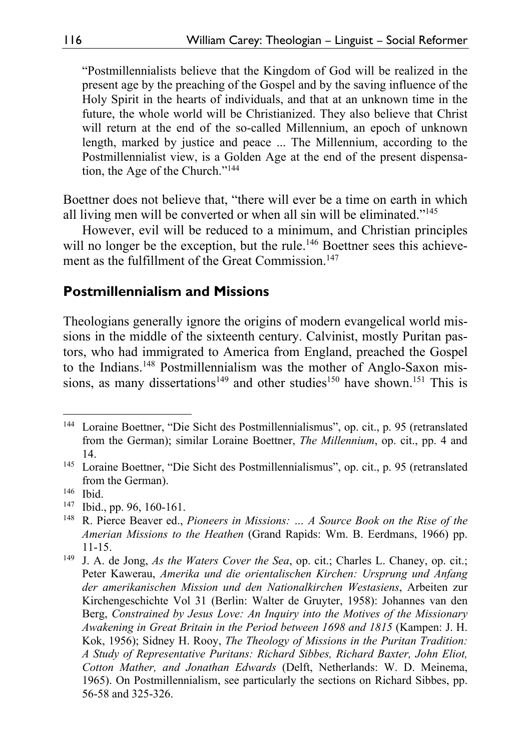"Postmillennialists believe that the Kingdom of God will be realized in the present age by the preaching of the Gospel and by the saving influence of the Holy Spirit in the hearts of individuals, and that at an unknown time in the future, the whole world will be Christianized. They also believe that Christ will return at the end of the so-called Millennium, an epoch of unknown length, marked by justice and peace ... The Millennium, according to the Postmillennialist view, is a Golden Age at the end of the present dispensation, the Age of the Church."144

Boettner does not believe that, "there will ever be a time on earth in which all living men will be converted or when all sin will be eliminated."145

However, evil will be reduced to a minimum, and Christian principles will no longer be the exception, but the rule.<sup>146</sup> Boettner sees this achievement as the fulfillment of the Great Commission.<sup>147</sup>

#### **Postmillennialism and Missions**

Theologians generally ignore the origins of modern evangelical world missions in the middle of the sixteenth century. Calvinist, mostly Puritan pastors, who had immigrated to America from England, preached the Gospel to the Indians.<sup>148</sup> Postmillennialism was the mother of Anglo-Saxon missions, as many dissertations<sup>149</sup> and other studies<sup>150</sup> have shown.<sup>151</sup> This is

<sup>144</sup> Loraine Boettner, "Die Sicht des Postmillennialismus", op. cit., p. 95 (retranslated from the German); similar Loraine Boettner, *The Millennium*, op. cit., pp. 4 and 14.

<sup>145</sup> Loraine Boettner, "Die Sicht des Postmillennialismus", op. cit., p. 95 (retranslated from the German).

<sup>146</sup> Ibid.

<sup>147</sup> Ibid., pp. 96, 160-161.

<sup>148</sup> R. Pierce Beaver ed., *Pioneers in Missions: … A Source Book on the Rise of the Amerian Missions to the Heathen* (Grand Rapids: Wm. B. Eerdmans, 1966) pp. 11-15.

<sup>149</sup> J. A. de Jong, *As the Waters Cover the Sea*, op. cit.; Charles L. Chaney, op. cit.; Peter Kawerau, *Amerika und die orientalischen Kirchen: Ursprung und Anfang der amerikanischen Mission und den Nationalkirchen Westasiens*, Arbeiten zur Kirchengeschichte Vol 31 (Berlin: Walter de Gruyter, 1958): Johannes van den Berg, *Constrained by Jesus Love: An Inquiry into the Motives of the Missionary Awakening in Great Britain in the Period between 1698 and 1815* (Kampen: J. H. Kok, 1956); Sidney H. Rooy, *The Theology of Missions in the Puritan Tradition: A Study of Representative Puritans: Richard Sibbes, Richard Baxter, John Eliot, Cotton Mather, and Jonathan Edwards* (Delft, Netherlands: W. D. Meinema, 1965). On Postmillennialism, see particularly the sections on Richard Sibbes, pp. 56-58 and 325-326.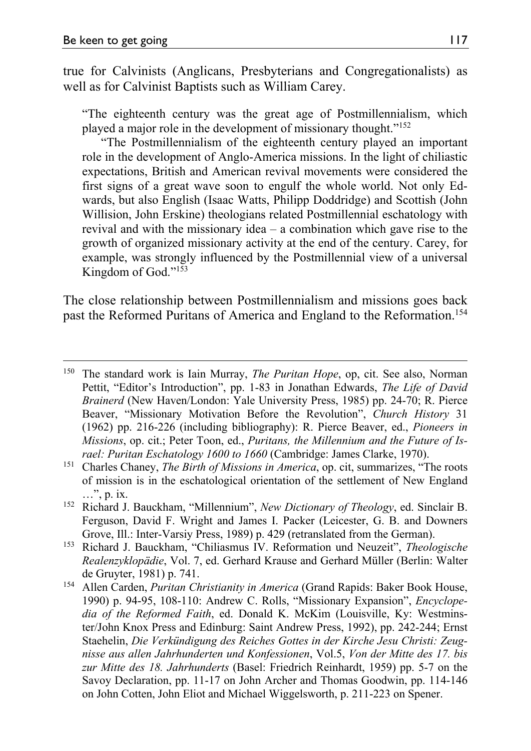-

true for Calvinists (Anglicans, Presbyterians and Congregationalists) as well as for Calvinist Baptists such as William Carey.

"The eighteenth century was the great age of Postmillennialism, which played a major role in the development of missionary thought."152

"The Postmillennialism of the eighteenth century played an important role in the development of Anglo-America missions. In the light of chiliastic expectations, British and American revival movements were considered the first signs of a great wave soon to engulf the whole world. Not only Edwards, but also English (Isaac Watts, Philipp Doddridge) and Scottish (John Willision, John Erskine) theologians related Postmillennial eschatology with revival and with the missionary idea – a combination which gave rise to the growth of organized missionary activity at the end of the century. Carey, for example, was strongly influenced by the Postmillennial view of a universal Kingdom of God."153

The close relationship between Postmillennialism and missions goes back past the Reformed Puritans of America and England to the Reformation.<sup>154</sup>

<sup>150</sup> The standard work is Iain Murray, *The Puritan Hope*, op, cit. See also, Norman Pettit, "Editor's Introduction", pp. 1-83 in Jonathan Edwards, *The Life of David Brainerd* (New Haven/London: Yale University Press, 1985) pp. 24-70; R. Pierce Beaver, "Missionary Motivation Before the Revolution", *Church History* 31 (1962) pp. 216-226 (including bibliography): R. Pierce Beaver, ed., *Pioneers in Missions*, op. cit.; Peter Toon, ed., *Puritans, the Millennium and the Future of Israel: Puritan Eschatology 1600 to 1660* (Cambridge: James Clarke, 1970).

<sup>&</sup>lt;sup>151</sup> Charles Chaney, *The Birth of Missions in America*, op. cit, summarizes, "The roots of mission is in the eschatological orientation of the settlement of New England …", p. ix.

<sup>152</sup> Richard J. Bauckham, "Millennium", *New Dictionary of Theology*, ed. Sinclair B. Ferguson, David F. Wright and James I. Packer (Leicester, G. B. and Downers Grove, Ill.: Inter-Varsiy Press, 1989) p. 429 (retranslated from the German).

<sup>153</sup> Richard J. Bauckham, "Chiliasmus IV. Reformation und Neuzeit", *Theologische Realenzyklopädie*, Vol. 7, ed. Gerhard Krause and Gerhard Müller (Berlin: Walter de Gruyter, 1981) p. 741.

<sup>154</sup> Allen Carden, *Puritan Christianity in America* (Grand Rapids: Baker Book House, 1990) p. 94-95, 108-110: Andrew C. Rolls, "Missionary Expansion", *Encyclopedia of the Reformed Faith*, ed. Donald K. McKim (Louisville, Ky: Westminster/John Knox Press and Edinburg: Saint Andrew Press, 1992), pp. 242-244; Ernst Staehelin, *Die Verkündigung des Reiches Gottes in der Kirche Jesu Christi: Zeugnisse aus allen Jahrhunderten und Konfessionen*, Vol.5, *Von der Mitte des 17. bis zur Mitte des 18. Jahrhunderts* (Basel: Friedrich Reinhardt, 1959) pp. 5-7 on the Savoy Declaration, pp. 11-17 on John Archer and Thomas Goodwin, pp. 114-146 on John Cotten, John Eliot and Michael Wiggelsworth, p. 211-223 on Spener.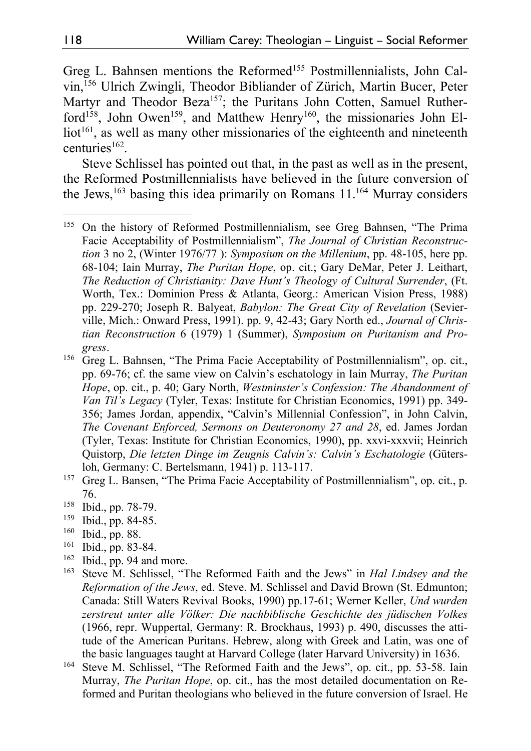Greg L. Bahnsen mentions the Reformed<sup>155</sup> Postmillennialists, John Calvin,156 Ulrich Zwingli, Theodor Bibliander of Zürich, Martin Bucer, Peter Martyr and Theodor Beza<sup>157</sup>; the Puritans John Cotten, Samuel Rutherford<sup>158</sup>, John Owen<sup>159</sup>, and Matthew Henry<sup>160</sup>, the missionaries John El $liot<sup>161</sup>$ , as well as many other missionaries of the eighteenth and nineteenth centuries<sup>162</sup>.

Steve Schlissel has pointed out that, in the past as well as in the present, the Reformed Postmillennialists have believed in the future conversion of the Jews,  $163$  basing this idea primarily on Romans  $11$ ,  $164$  Murray considers

- $^{159}$  Ibid., pp. 84-85.
- Ibid., pp. 88.
- $^{161}$  Ibid., pp. 83-84.<br> $^{162}$  Ibid nn 94 and
- Ibid., pp. 94 and more.
- 163 Steve M. Schlissel, "The Reformed Faith and the Jews" in *Hal Lindsey and the Reformation of the Jews*, ed. Steve. M. Schlissel and David Brown (St. Edmunton; Canada: Still Waters Revival Books, 1990) pp.17-61; Werner Keller, *Und wurden zerstreut unter alle Völker: Die nachbiblische Geschichte des jüdischen Volkes* (1966, repr. Wuppertal, Germany: R. Brockhaus, 1993) p. 490, discusses the attitude of the American Puritans. Hebrew, along with Greek and Latin, was one of the basic languages taught at Harvard College (later Harvard University) in 1636.
- 164 Steve M. Schlissel, "The Reformed Faith and the Jews", op. cit., pp. 53-58. Iain Murray, *The Puritan Hope*, op. cit., has the most detailed documentation on Reformed and Puritan theologians who believed in the future conversion of Israel. He

<sup>&</sup>lt;sup>155</sup> On the history of Reformed Postmillennialism, see Greg Bahnsen, "The Prima Facie Acceptability of Postmillennialism", *The Journal of Christian Reconstruction* 3 no 2, (Winter 1976/77 ): *Symposium on the Millenium*, pp. 48-105, here pp. 68-104; Iain Murray, *The Puritan Hope*, op. cit.; Gary DeMar, Peter J. Leithart, *The Reduction of Christianity: Dave Hunt's Theology of Cultural Surrender*, (Ft. Worth, Tex.: Dominion Press & Atlanta, Georg.: American Vision Press, 1988) pp. 229-270; Joseph R. Balyeat, *Babylon: The Great City of Revelation* (Sevierville, Mich.: Onward Press, 1991). pp. 9, 42-43; Gary North ed., *Journal of Christian Reconstruction* 6 (1979) 1 (Summer), *Symposium on Puritanism and Pro-*

*gress*. 156 Greg L. Bahnsen, "The Prima Facie Acceptability of Postmillennialism", op. cit., pp. 69-76; cf. the same view on Calvin's eschatology in Iain Murray, *The Puritan Hope*, op. cit., p. 40; Gary North, *Westminster's Confession: The Abandonment of Van Til's Legacy* (Tyler, Texas: Institute for Christian Economics, 1991) pp. 349- 356; James Jordan, appendix, "Calvin's Millennial Confession", in John Calvin, *The Covenant Enforced, Sermons on Deuteronomy 27 and 28*, ed. James Jordan (Tyler, Texas: Institute for Christian Economics, 1990), pp. xxvi-xxxvii; Heinrich Quistorp, *Die letzten Dinge im Zeugnis Calvin's: Calvin's Eschatologie* (Gütersloh, Germany: C. Bertelsmann, 1941) p. 113-117.

<sup>&</sup>lt;sup>157</sup> Greg L. Bansen, "The Prima Facie Acceptability of Postmillennialism", op. cit., p. 76.

<sup>158</sup> Ibid., pp. 78-79.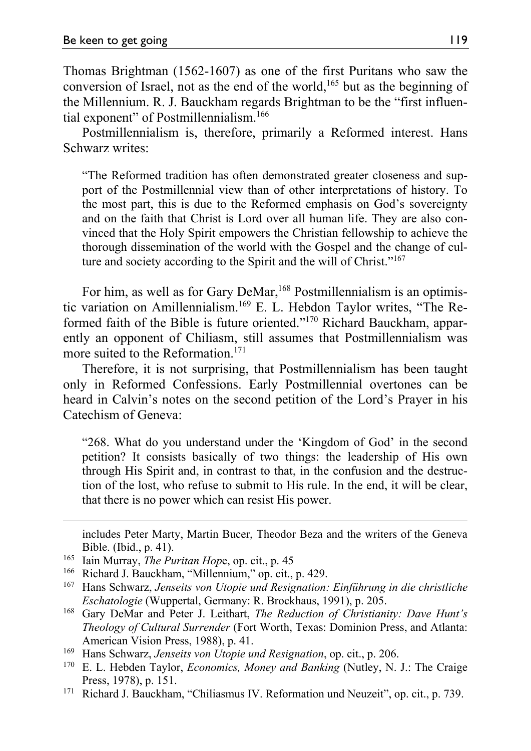Thomas Brightman (1562-1607) as one of the first Puritans who saw the conversion of Israel, not as the end of the world,165 but as the beginning of the Millennium. R. J. Bauckham regards Brightman to be the "first influential exponent" of Postmillennialism.166

Postmillennialism is, therefore, primarily a Reformed interest. Hans Schwarz writes:

"The Reformed tradition has often demonstrated greater closeness and support of the Postmillennial view than of other interpretations of history. To the most part, this is due to the Reformed emphasis on God's sovereignty and on the faith that Christ is Lord over all human life. They are also convinced that the Holy Spirit empowers the Christian fellowship to achieve the thorough dissemination of the world with the Gospel and the change of culture and society according to the Spirit and the will of Christ."<sup>167</sup>

For him, as well as for Gary DeMar,<sup>168</sup> Postmillennialism is an optimistic variation on Amillennialism.169 E. L. Hebdon Taylor writes, "The Reformed faith of the Bible is future oriented."170 Richard Bauckham, apparently an opponent of Chiliasm, still assumes that Postmillennialism was more suited to the Reformation.<sup>171</sup>

Therefore, it is not surprising, that Postmillennialism has been taught only in Reformed Confessions. Early Postmillennial overtones can be heard in Calvin's notes on the second petition of the Lord's Prayer in his Catechism of Geneva:

"268. What do you understand under the 'Kingdom of God' in the second petition? It consists basically of two things: the leadership of His own through His Spirit and, in contrast to that, in the confusion and the destruction of the lost, who refuse to submit to His rule. In the end, it will be clear, that there is no power which can resist His power.

includes Peter Marty, Martin Bucer, Theodor Beza and the writers of the Geneva Bible. (Ibid., p. 41).

<sup>165</sup> Iain Murray, *The Puritan Hop*e, op. cit., p. 45

<sup>166</sup> Richard J. Bauckham, "Millennium," op. cit., p. 429.

<sup>167</sup> Hans Schwarz, *Jenseits von Utopie und Resignation: Einführung in die christliche Eschatologie* (Wuppertal, Germany: R. Brockhaus, 1991), p. 205.

<sup>168</sup> Gary DeMar and Peter J. Leithart, *The Reduction of Christianity: Dave Hunt's Theology of Cultural Surrender* (Fort Worth, Texas: Dominion Press, and Atlanta: American Vision Press, 1988), p. 41.

<sup>169</sup> Hans Schwarz, *Jenseits von Utopie und Resignation*, op. cit., p. 206.

<sup>170</sup> E. L. Hebden Taylor, *Economics, Money and Banking* (Nutley, N. J.: The Craige Press, 1978), p. 151.

<sup>171</sup> Richard J. Bauckham, "Chiliasmus IV. Reformation und Neuzeit", op. cit., p. 739.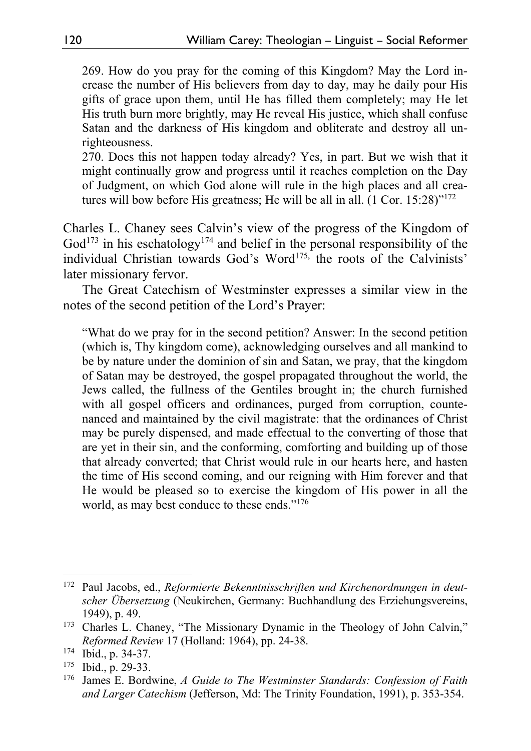269. How do you pray for the coming of this Kingdom? May the Lord increase the number of His believers from day to day, may he daily pour His gifts of grace upon them, until He has filled them completely; may He let His truth burn more brightly, may He reveal His justice, which shall confuse Satan and the darkness of His kingdom and obliterate and destroy all unrighteousness.

270. Does this not happen today already? Yes, in part. But we wish that it might continually grow and progress until it reaches completion on the Day of Judgment, on which God alone will rule in the high places and all creatures will bow before His greatness; He will be all in all.  $(1 \text{ Cor. } 15:28)^{172}$ 

Charles L. Chaney sees Calvin's view of the progress of the Kingdom of  $God<sup>173</sup>$  in his eschatology<sup>174</sup> and belief in the personal responsibility of the individual Christian towards God's Word<sup>175,</sup> the roots of the Calvinists' later missionary fervor.

The Great Catechism of Westminster expresses a similar view in the notes of the second petition of the Lord's Prayer:

"What do we pray for in the second petition? Answer: In the second petition (which is, Thy kingdom come), acknowledging ourselves and all mankind to be by nature under the dominion of sin and Satan, we pray, that the kingdom of Satan may be destroyed, the gospel propagated throughout the world, the Jews called, the fullness of the Gentiles brought in; the church furnished with all gospel officers and ordinances, purged from corruption, countenanced and maintained by the civil magistrate: that the ordinances of Christ may be purely dispensed, and made effectual to the converting of those that are yet in their sin, and the conforming, comforting and building up of those that already converted; that Christ would rule in our hearts here, and hasten the time of His second coming, and our reigning with Him forever and that He would be pleased so to exercise the kingdom of His power in all the world, as may best conduce to these ends."<sup>176</sup>

<sup>172</sup> Paul Jacobs, ed., *Reformierte Bekenntnisschriften und Kirchenordnungen in deutscher Übersetzung* (Neukirchen, Germany: Buchhandlung des Erziehungsvereins, 1949), p. 49.

<sup>&</sup>lt;sup>173</sup> Charles L. Chaney, "The Missionary Dynamic in the Theology of John Calvin," *Reformed Review* 17 (Holland: 1964), pp. 24-38.

<sup>174</sup> Ibid., p. 34-37.

 $^{175}$  Ibid., p. 29-33.<br> $^{176}$  James E Bord

James E. Bordwine, *A Guide to The Westminster Standards: Confession of Faith and Larger Catechism* (Jefferson, Md: The Trinity Foundation, 1991), p. 353-354.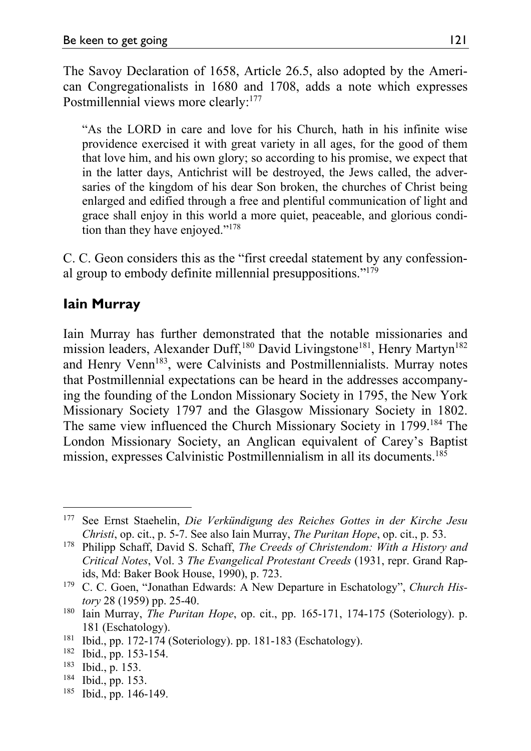The Savoy Declaration of 1658, Article 26.5, also adopted by the American Congregationalists in 1680 and 1708, adds a note which expresses Postmillennial views more clearly:<sup>177</sup>

"As the LORD in care and love for his Church, hath in his infinite wise providence exercised it with great variety in all ages, for the good of them that love him, and his own glory; so according to his promise, we expect that in the latter days, Antichrist will be destroyed, the Jews called, the adversaries of the kingdom of his dear Son broken, the churches of Christ being enlarged and edified through a free and plentiful communication of light and grace shall enjoy in this world a more quiet, peaceable, and glorious condition than they have enjoyed."178

C. C. Geon considers this as the "first creedal statement by any confessional group to embody definite millennial presuppositions."<sup>179</sup>

### **Iain Murray**

Iain Murray has further demonstrated that the notable missionaries and mission leaders, Alexander Duff,<sup>180</sup> David Livingstone<sup>181</sup>, Henry Martyn<sup>182</sup> and Henry Venn<sup>183</sup>, were Calvinists and Postmillennialists. Murray notes that Postmillennial expectations can be heard in the addresses accompanying the founding of the London Missionary Society in 1795, the New York Missionary Society 1797 and the Glasgow Missionary Society in 1802. The same view influenced the Church Missionary Society in 1799.<sup>184</sup> The London Missionary Society, an Anglican equivalent of Carey's Baptist mission, expresses Calvinistic Postmillennialism in all its documents.<sup>185</sup>

-

185 Ibid., pp. 146-149.

<sup>177</sup> See Ernst Staehelin, *Die Verkündigung des Reiches Gottes in der Kirche Jesu Christi*, op. cit., p. 5-7. See also Iain Murray, *The Puritan Hope*, op. cit., p. 53.

<sup>178</sup> Philipp Schaff, David S. Schaff, *The Creeds of Christendom: With a History and Critical Notes*, Vol. 3 *The Evangelical Protestant Creeds* (1931, repr. Grand Rapids, Md: Baker Book House, 1990), p. 723.

<sup>179</sup> C. C. Goen, "Jonathan Edwards: A New Departure in Eschatology", *Church History* 28 (1959) pp. 25-40.

<sup>180</sup> Iain Murray, *The Puritan Hope*, op. cit., pp. 165-171, 174-175 (Soteriology). p. 181 (Eschatology).

<sup>&</sup>lt;sup>181</sup> Ibid., pp. 172-174 (Soteriology). pp. 181-183 (Eschatology).<br><sup>182</sup> Ibid., pp. 153-154

Ibid., pp. 153-154.

<sup>183</sup> Ibid., p. 153.

<sup>184</sup> Ibid., pp. 153.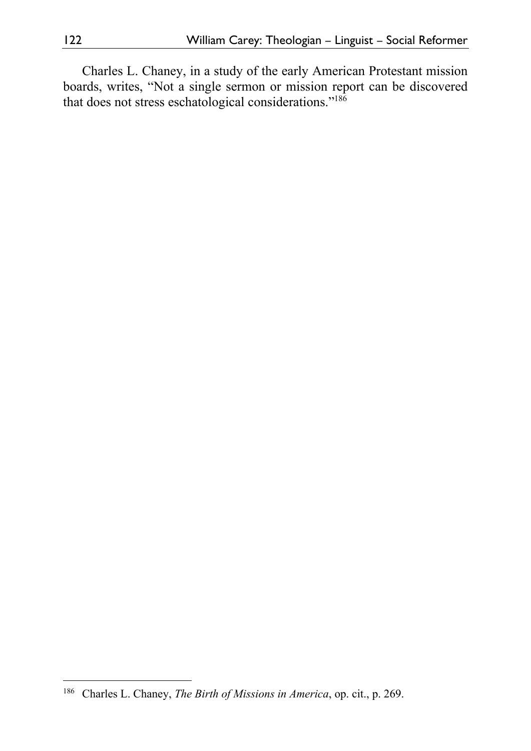Charles L. Chaney, in a study of the early American Protestant mission boards, writes, "Not a single sermon or mission report can be discovered that does not stress eschatological considerations."<sup>186</sup>

<sup>186</sup> Charles L. Chaney, *The Birth of Missions in America*, op. cit., p. 269.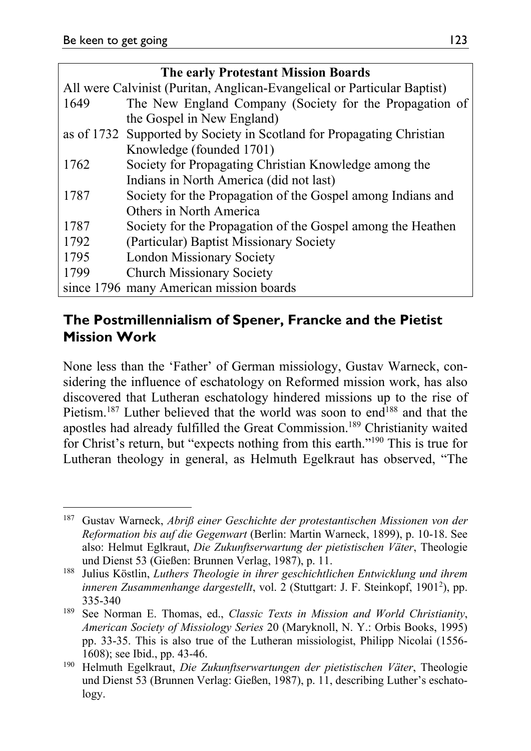| <b>The early Protestant Mission Boards</b>                               |                                                                       |
|--------------------------------------------------------------------------|-----------------------------------------------------------------------|
| All were Calvinist (Puritan, Anglican-Evangelical or Particular Baptist) |                                                                       |
| 1649                                                                     | The New England Company (Society for the Propagation of               |
|                                                                          | the Gospel in New England)                                            |
|                                                                          | as of 1732 Supported by Society in Scotland for Propagating Christian |
|                                                                          | Knowledge (founded 1701)                                              |
| 1762                                                                     | Society for Propagating Christian Knowledge among the                 |
|                                                                          | Indians in North America (did not last)                               |
| 1787                                                                     | Society for the Propagation of the Gospel among Indians and           |
|                                                                          | Others in North America                                               |
| 1787                                                                     | Society for the Propagation of the Gospel among the Heathen           |
| 1792                                                                     | (Particular) Baptist Missionary Society                               |
| 1795                                                                     | <b>London Missionary Society</b>                                      |
| 1799                                                                     | <b>Church Missionary Society</b>                                      |
|                                                                          | since 1796 many American mission boards                               |
|                                                                          |                                                                       |

## **The Postmillennialism of Spener, Francke and the Pietist Mission Work**

None less than the 'Father' of German missiology, Gustav Warneck, considering the influence of eschatology on Reformed mission work, has also discovered that Lutheran eschatology hindered missions up to the rise of Pietism.<sup>187</sup> Luther believed that the world was soon to end<sup>188</sup> and that the apostles had already fulfilled the Great Commission.<sup>189</sup> Christianity waited for Christ's return, but "expects nothing from this earth."190 This is true for Lutheran theology in general, as Helmuth Egelkraut has observed, "The

<sup>-</sup>187 Gustav Warneck, *Abriß einer Geschichte der protestantischen Missionen von der Reformation bis auf die Gegenwart* (Berlin: Martin Warneck, 1899), p. 10-18. See also: Helmut Eglkraut, *Die Zukunftserwartung der pietistischen Väter*, Theologie und Dienst 53 (Gießen: Brunnen Verlag, 1987), p. 11.

<sup>188</sup> Julius Köstlin, *Luthers Theologie in ihrer geschichtlichen Entwicklung und ihrem*  inneren Zusammenhange dargestellt, vol. 2 (Stuttgart: J. F. Steinkopf, 1901<sup>2</sup>), pp. 335-340

<sup>189</sup> See Norman E. Thomas, ed., *Classic Texts in Mission and World Christianity*, *American Society of Missiology Series* 20 (Maryknoll, N. Y.: Orbis Books, 1995) pp. 33-35. This is also true of the Lutheran missiologist, Philipp Nicolai (1556- 1608); see Ibid., pp. 43-46.

<sup>190</sup> Helmuth Egelkraut, *Die Zukunftserwartungen der pietistischen Väter*, Theologie und Dienst 53 (Brunnen Verlag: Gießen, 1987), p. 11, describing Luther's eschatology.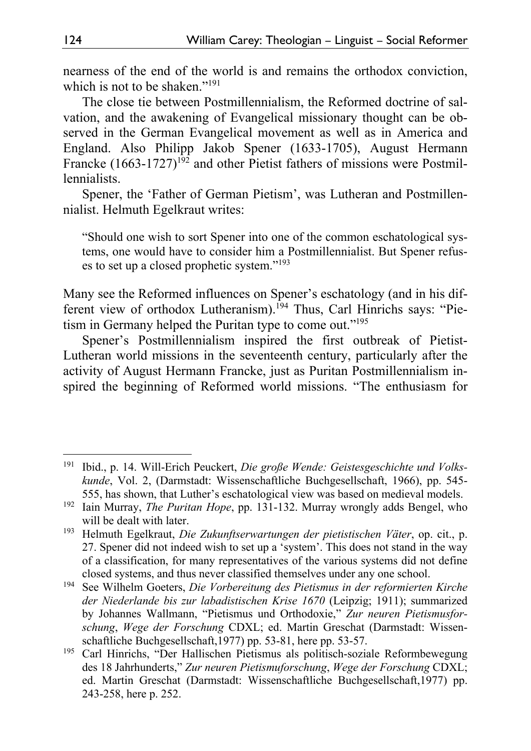nearness of the end of the world is and remains the orthodox conviction, which is not to be shaken."<sup>191</sup>

The close tie between Postmillennialism, the Reformed doctrine of salvation, and the awakening of Evangelical missionary thought can be observed in the German Evangelical movement as well as in America and England. Also Philipp Jakob Spener (1633-1705), August Hermann Francke  $(1663-1727)^{192}$  and other Pietist fathers of missions were Postmillennialists.

Spener, the 'Father of German Pietism', was Lutheran and Postmillennialist. Helmuth Egelkraut writes:

"Should one wish to sort Spener into one of the common eschatological systems, one would have to consider him a Postmillennialist. But Spener refuses to set up a closed prophetic system."193

Many see the Reformed influences on Spener's eschatology (and in his different view of orthodox Lutheranism).<sup>194</sup> Thus, Carl Hinrichs says: "Pietism in Germany helped the Puritan type to come out."<sup>195</sup>

Spener's Postmillennialism inspired the first outbreak of Pietist-Lutheran world missions in the seventeenth century, particularly after the activity of August Hermann Francke, just as Puritan Postmillennialism inspired the beginning of Reformed world missions. "The enthusiasm for

<sup>191</sup> Ibid., p. 14. Will-Erich Peuckert, *Die große Wende: Geistesgeschichte und Volkskunde*, Vol. 2, (Darmstadt: Wissenschaftliche Buchgesellschaft, 1966), pp. 545- 555, has shown, that Luther's eschatological view was based on medieval models.

<sup>192</sup> Iain Murray, *The Puritan Hope*, pp. 131-132. Murray wrongly adds Bengel, who will be dealt with later.

<sup>193</sup> Helmuth Egelkraut, *Die Zukunftserwartungen der pietistischen Väter*, op. cit., p. 27. Spener did not indeed wish to set up a 'system'. This does not stand in the way of a classification, for many representatives of the various systems did not define closed systems, and thus never classified themselves under any one school.

<sup>194</sup> See Wilhelm Goeters, *Die Vorbereitung des Pietismus in der reformierten Kirche der Niederlande bis zur labadistischen Krise 1670* (Leipzig; 1911); summarized by Johannes Wallmann, "Pietismus und Orthodoxie," *Zur neuren Pietismusforschung*, *Wege der Forschung* CDXL; ed. Martin Greschat (Darmstadt: Wissenschaftliche Buchgesellschaft,1977) pp. 53-81, here pp. 53-57.

<sup>195</sup> Carl Hinrichs, "Der Hallischen Pietismus als politisch-soziale Reformbewegung des 18 Jahrhunderts," *Zur neuren Pietismuforschung*, *Wege der Forschung* CDXL; ed. Martin Greschat (Darmstadt: Wissenschaftliche Buchgesellschaft,1977) pp. 243-258, here p. 252.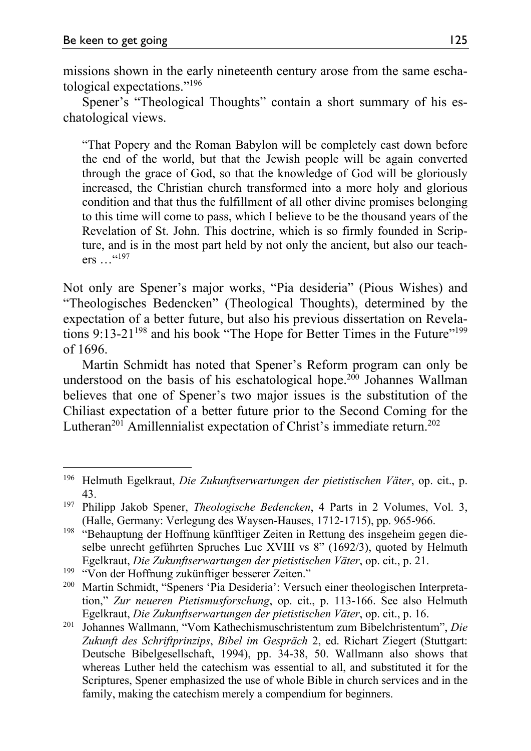-

missions shown in the early nineteenth century arose from the same eschatological expectations."196

Spener's "Theological Thoughts" contain a short summary of his eschatological views.

"That Popery and the Roman Babylon will be completely cast down before the end of the world, but that the Jewish people will be again converted through the grace of God, so that the knowledge of God will be gloriously increased, the Christian church transformed into a more holy and glorious condition and that thus the fulfillment of all other divine promises belonging to this time will come to pass, which I believe to be the thousand years of the Revelation of St. John. This doctrine, which is so firmly founded in Scripture, and is in the most part held by not only the ancient, but also our teachers ...<sup>"197</sup>

Not only are Spener's major works, "Pia desideria" (Pious Wishes) and "Theologisches Bedencken" (Theological Thoughts), determined by the expectation of a better future, but also his previous dissertation on Revelations 9:13-21<sup>198</sup> and his book "The Hope for Better Times in the Future"<sup>199</sup> of 1696.

Martin Schmidt has noted that Spener's Reform program can only be understood on the basis of his eschatological hope.<sup>200</sup> Johannes Wallman believes that one of Spener's two major issues is the substitution of the Chiliast expectation of a better future prior to the Second Coming for the Lutheran<sup>201</sup> Amillennialist expectation of Christ's immediate return.<sup>202</sup>

<sup>199</sup> "Von der Hoffnung zukünftiger besserer Zeiten."

<sup>196</sup> Helmuth Egelkraut, *Die Zukunftserwartungen der pietistischen Väter*, op. cit., p. 43.

<sup>197</sup> Philipp Jakob Spener, *Theologische Bedencken*, 4 Parts in 2 Volumes, Vol. 3, (Halle, Germany: Verlegung des Waysen-Hauses, 1712-1715), pp. 965-966.

<sup>&</sup>lt;sup>198</sup> "Behauptung der Hoffnung künfftiger Zeiten in Rettung des insgeheim gegen dieselbe unrecht geführten Spruches Luc XVIII vs 8" (1692/3), quoted by Helmuth Egelkraut, *Die Zukunftserwartungen der pietistischen Väter*, op. cit., p. 21.

<sup>200</sup> Martin Schmidt, "Speners 'Pia Desideria': Versuch einer theologischen Interpretation," *Zur neueren Pietismusforschung*, op. cit., p. 113-166. See also Helmuth Egelkraut, *Die Zukunftserwartungen der pietistischen Väter*, op. cit., p. 16.

<sup>201</sup> Johannes Wallmann, "Vom Kathechismuschristentum zum Bibelchristentum", *Die Zukunft des Schriftprinzips*, *Bibel im Gespräch* 2, ed. Richart Ziegert (Stuttgart: Deutsche Bibelgesellschaft, 1994), pp. 34-38, 50. Wallmann also shows that whereas Luther held the catechism was essential to all, and substituted it for the Scriptures, Spener emphasized the use of whole Bible in church services and in the family, making the catechism merely a compendium for beginners.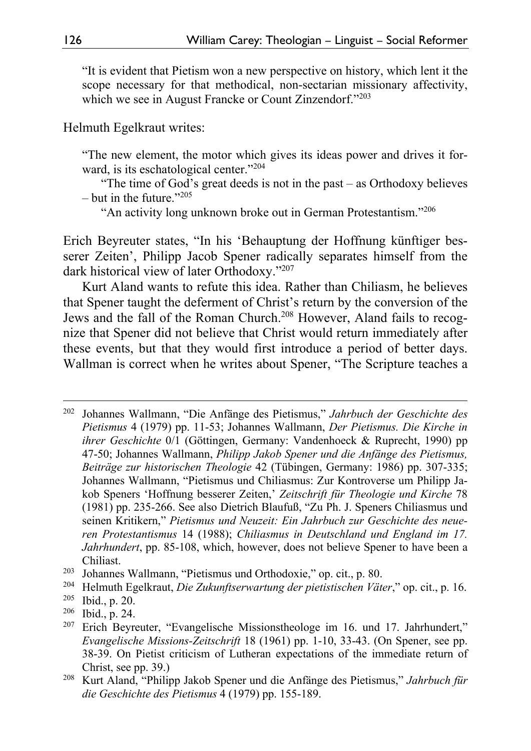"It is evident that Pietism won a new perspective on history, which lent it the scope necessary for that methodical, non-sectarian missionary affectivity, which we see in August Francke or Count Zinzendorf."<sup>203</sup>

#### Helmuth Egelkraut writes:

"The new element, the motor which gives its ideas power and drives it forward, is its eschatological center."<sup>204</sup>

"The time of God's great deeds is not in the past – as Orthodoxy believes – but in the future." $205$ 

"An activity long unknown broke out in German Protestantism."<sup>206</sup>

Erich Beyreuter states, "In his 'Behauptung der Hoffnung künftiger besserer Zeiten', Philipp Jacob Spener radically separates himself from the dark historical view of later Orthodoxy."<sup>207</sup>

Kurt Aland wants to refute this idea. Rather than Chiliasm, he believes that Spener taught the deferment of Christ's return by the conversion of the Jews and the fall of the Roman Church.<sup>208</sup> However, Aland fails to recognize that Spener did not believe that Christ would return immediately after these events, but that they would first introduce a period of better days. Wallman is correct when he writes about Spener, "The Scripture teaches a

203 Johannes Wallmann, "Pietismus und Orthodoxie," op. cit., p. 80.

 $\frac{205}{206}$  Ibid., p. 20.

 $\overline{a}$ 

<sup>202</sup> Johannes Wallmann, "Die Anfänge des Pietismus," *Jahrbuch der Geschichte des Pietismus* 4 (1979) pp. 11-53; Johannes Wallmann, *Der Pietismus. Die Kirche in ihrer Geschichte* 0/1 (Göttingen, Germany: Vandenhoeck & Ruprecht, 1990) pp 47-50; Johannes Wallmann, *Philipp Jakob Spener und die Anfänge des Pietismus, Beiträge zur historischen Theologie* 42 (Tübingen, Germany: 1986) pp. 307-335; Johannes Wallmann, "Pietismus und Chiliasmus: Zur Kontroverse um Philipp Jakob Speners 'Hoffnung besserer Zeiten,' *Zeitschrift für Theologie und Kirche* 78 (1981) pp. 235-266. See also Dietrich Blaufuß, "Zu Ph. J. Speners Chiliasmus und seinen Kritikern," *Pietismus und Neuzeit: Ein Jahrbuch zur Geschichte des neueren Protestantismus* 14 (1988); *Chiliasmus in Deutschland und England im 17. Jahrhundert*, pp. 85-108, which, however, does not believe Spener to have been a Chiliast.

<sup>204</sup> Helmuth Egelkraut, *Die Zukunftserwartung der pietistischen Väter*," op. cit., p. 16.

Ibid., p. 24.

<sup>&</sup>lt;sup>207</sup> Erich Beyreuter, "Evangelische Missionstheologe im 16. und 17. Jahrhundert," *Evangelische Missions-Zeitschrift* 18 (1961) pp. 1-10, 33-43. (On Spener, see pp. 38-39. On Pietist criticism of Lutheran expectations of the immediate return of Christ, see pp. 39.)

<sup>208</sup> Kurt Aland, "Philipp Jakob Spener und die Anfänge des Pietismus," *Jahrbuch für die Geschichte des Pietismus* 4 (1979) pp. 155-189.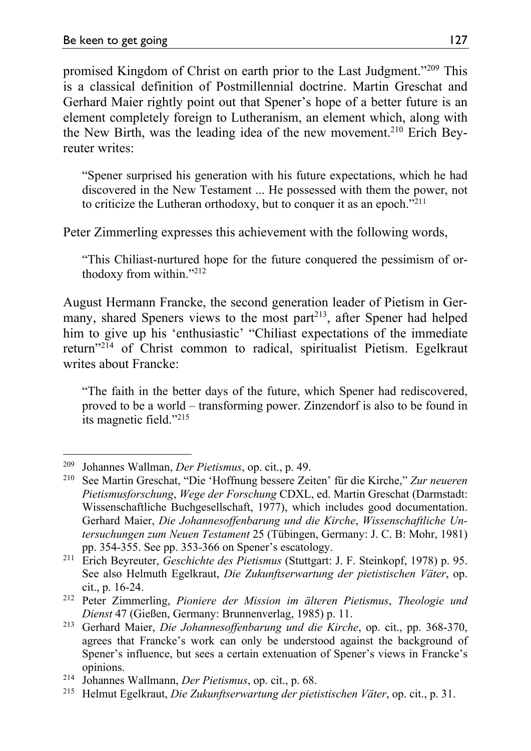promised Kingdom of Christ on earth prior to the Last Judgment."209 This is a classical definition of Postmillennial doctrine. Martin Greschat and Gerhard Maier rightly point out that Spener's hope of a better future is an element completely foreign to Lutheranism, an element which, along with the New Birth, was the leading idea of the new movement.<sup>210</sup> Erich Beyreuter writes:

"Spener surprised his generation with his future expectations, which he had discovered in the New Testament ... He possessed with them the power, not to criticize the Lutheran orthodoxy, but to conquer it as an epoch. $12^{211}$ 

Peter Zimmerling expresses this achievement with the following words,

"This Chiliast-nurtured hope for the future conquered the pessimism of orthodoxy from within."212

August Hermann Francke, the second generation leader of Pietism in Germany, shared Speners views to the most part<sup>213</sup>, after Spener had helped him to give up his 'enthusiastic' "Chiliast expectations of the immediate return"<sup>214</sup> of Christ common to radical, spiritualist Pietism. Egelkraut writes about Francke:

"The faith in the better days of the future, which Spener had rediscovered, proved to be a world – transforming power. Zinzendorf is also to be found in its magnetic field."215

<sup>209</sup> Johannes Wallman, *Der Pietismus*, op. cit., p. 49.

<sup>210</sup> See Martin Greschat, "Die 'Hoffnung bessere Zeiten' für die Kirche," *Zur neueren Pietismusforschung*, *Wege der Forschung* CDXL, ed. Martin Greschat (Darmstadt: Wissenschaftliche Buchgesellschaft, 1977), which includes good documentation. Gerhard Maier, *Die Johannesoffenbarung und die Kirche*, *Wissenschaftliche Untersuchungen zum Neuen Testament* 25 (Tübingen, Germany: J. C. B: Mohr, 1981) pp. 354-355. See pp. 353-366 on Spener's escatology.

<sup>211</sup> Erich Beyreuter, *Geschichte des Pietismus* (Stuttgart: J. F. Steinkopf, 1978) p. 95. See also Helmuth Egelkraut, *Die Zukunftserwartung der pietistischen Väter*, op. cit., p. 16-24.

<sup>212</sup> Peter Zimmerling, *Pioniere der Mission im älteren Pietismus*, *Theologie und Dienst* 47 (Gießen, Germany: Brunnenverlag, 1985) p. 11.

<sup>213</sup> Gerhard Maier, *Die Johannesoffenbarung und die Kirche*, op. cit., pp. 368-370, agrees that Francke's work can only be understood against the background of Spener's influence, but sees a certain extenuation of Spener's views in Francke's opinions.

<sup>214</sup> Johannes Wallmann, *Der Pietismus*, op. cit., p. 68.

<sup>215</sup> Helmut Egelkraut, *Die Zukunftserwartung der pietistischen Väter*, op. cit., p. 31.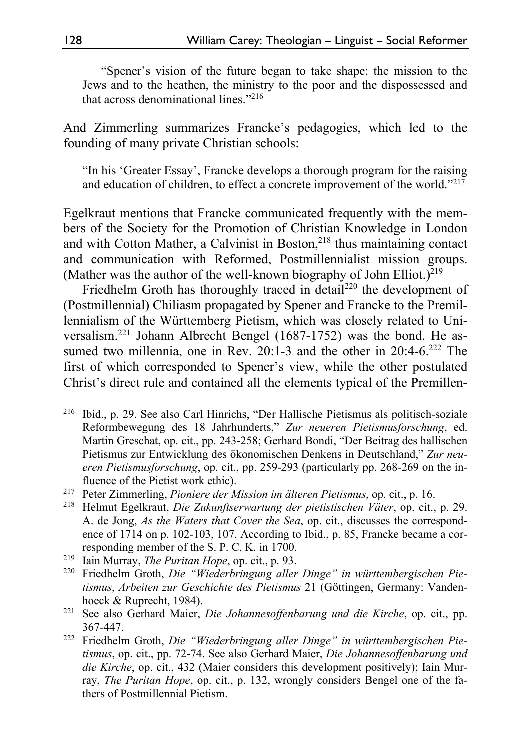"Spener's vision of the future began to take shape: the mission to the Jews and to the heathen, the ministry to the poor and the dispossessed and that across denominational lines."216

And Zimmerling summarizes Francke's pedagogies, which led to the founding of many private Christian schools:

"In his 'Greater Essay', Francke develops a thorough program for the raising and education of children, to effect a concrete improvement of the world."<sup>217</sup>

Egelkraut mentions that Francke communicated frequently with the members of the Society for the Promotion of Christian Knowledge in London and with Cotton Mather, a Calvinist in Boston, $218$  thus maintaining contact and communication with Reformed, Postmillennialist mission groups. (Mather was the author of the well-known biography of John Elliot.)<sup>219</sup>

Friedhelm Groth has thoroughly traced in detail<sup>220</sup> the development of (Postmillennial) Chiliasm propagated by Spener and Francke to the Premillennialism of the Württemberg Pietism, which was closely related to Universalism.221 Johann Albrecht Bengel (1687-1752) was the bond. He assumed two millennia, one in Rev.  $20:1-3$  and the other in  $20:4-6.<sup>222</sup>$  The first of which corresponded to Spener's view, while the other postulated Christ's direct rule and contained all the elements typical of the Premillen-

 $\overline{a}$ 

<sup>216</sup> Ibid., p. 29. See also Carl Hinrichs, "Der Hallische Pietismus als politisch-soziale Reformbewegung des 18 Jahrhunderts," *Zur neueren Pietismusforschung*, ed. Martin Greschat, op. cit., pp. 243-258; Gerhard Bondi, "Der Beitrag des hallischen Pietismus zur Entwicklung des ökonomischen Denkens in Deutschland," *Zur neueren Pietismusforschung*, op. cit., pp. 259-293 (particularly pp. 268-269 on the influence of the Pietist work ethic).

<sup>217</sup> Peter Zimmerling, *Pioniere der Mission im älteren Pietismus*, op. cit., p. 16.

<sup>218</sup> Helmut Egelkraut, *Die Zukunftserwartung der pietistischen Väter*, op. cit., p. 29. A. de Jong, *As the Waters that Cover the Sea*, op. cit., discusses the correspondence of 1714 on p. 102-103, 107. According to Ibid., p. 85, Francke became a corresponding member of the S. P. C. K. in 1700.

<sup>219</sup> Iain Murray, *The Puritan Hope*, op. cit., p. 93.

<sup>220</sup> Friedhelm Groth, *Die "Wiederbringung aller Dinge" in württembergischen Pietismus*, *Arbeiten zur Geschichte des Pietismus* 21 (Göttingen, Germany: Vandenhoeck & Ruprecht, 1984).

<sup>221</sup> See also Gerhard Maier, *Die Johannesoffenbarung und die Kirche*, op. cit., pp. 367-447.

<sup>222</sup> Friedhelm Groth, *Die "Wiederbringung aller Dinge" in württembergischen Pietismus*, op. cit., pp. 72-74. See also Gerhard Maier, *Die Johannesoffenbarung und die Kirche*, op. cit., 432 (Maier considers this development positively); Iain Murray, *The Puritan Hope*, op. cit., p. 132, wrongly considers Bengel one of the fathers of Postmillennial Pietism.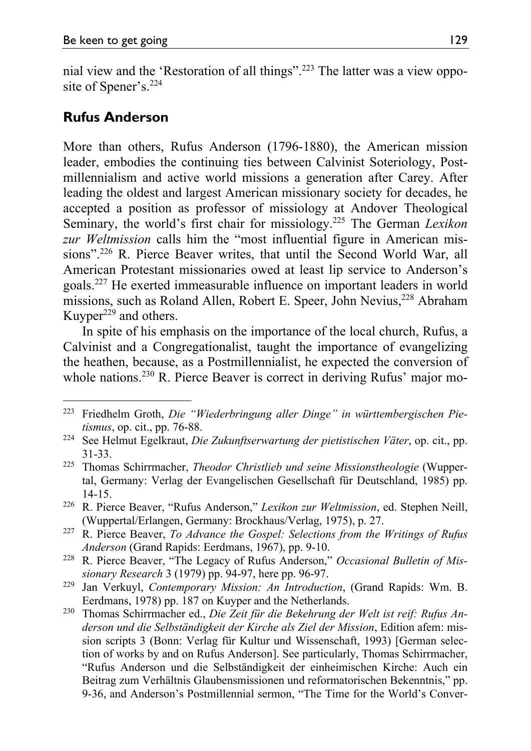nial view and the 'Restoration of all things".223 The latter was a view opposite of Spener's.<sup>224</sup>

#### **Rufus Anderson**

 $\overline{a}$ 

More than others, Rufus Anderson (1796-1880), the American mission leader, embodies the continuing ties between Calvinist Soteriology, Postmillennialism and active world missions a generation after Carey. After leading the oldest and largest American missionary society for decades, he accepted a position as professor of missiology at Andover Theological Seminary, the world's first chair for missiology.225 The German *Lexikon zur Weltmission* calls him the "most influential figure in American missions".226 R. Pierce Beaver writes, that until the Second World War, all American Protestant missionaries owed at least lip service to Anderson's goals.227 He exerted immeasurable influence on important leaders in world missions, such as Roland Allen, Robert E. Speer, John Nevius,<sup>228</sup> Abraham Kuyper<sup>229</sup> and others.

In spite of his emphasis on the importance of the local church, Rufus, a Calvinist and a Congregationalist, taught the importance of evangelizing the heathen, because, as a Postmillennialist, he expected the conversion of whole nations.<sup>230</sup> R. Pierce Beaver is correct in deriving Rufus' major mo-

- 225 Thomas Schirrmacher, *Theodor Christlieb und seine Missionstheologie* (Wuppertal, Germany: Verlag der Evangelischen Gesellschaft für Deutschland, 1985) pp. 14-15.
- 226 R. Pierce Beaver, "Rufus Anderson," *Lexikon zur Weltmission*, ed. Stephen Neill, (Wuppertal/Erlangen, Germany: Brockhaus/Verlag, 1975), p. 27.
- 227 R. Pierce Beaver, *To Advance the Gospel: Selections from the Writings of Rufus Anderson* (Grand Rapids: Eerdmans, 1967), pp. 9-10.
- 228 R. Pierce Beaver, "The Legacy of Rufus Anderson," *Occasional Bulletin of Missionary Research* 3 (1979) pp. 94-97, here pp. 96-97.
- 229 Jan Verkuyl, *Contemporary Mission: An Introduction*, (Grand Rapids: Wm. B. Eerdmans, 1978) pp. 187 on Kuyper and the Netherlands.
- 230 Thomas Schirrmacher ed., *Die Zeit für die Bekehrung der Welt ist reif: Rufus Anderson und die Selbständigkeit der Kirche als Ziel der Mission*, Edition afem: mission scripts 3 (Bonn: Verlag für Kultur und Wissenschaft, 1993) [German selection of works by and on Rufus Anderson]. See particularly, Thomas Schirrmacher, "Rufus Anderson und die Selbständigkeit der einheimischen Kirche: Auch ein Beitrag zum Verhältnis Glaubensmissionen und reformatorischen Bekenntnis," pp. 9-36, and Anderson's Postmillennial sermon, "The Time for the World's Conver-

<sup>223</sup> Friedhelm Groth, *Die "Wiederbringung aller Dinge" in württembergischen Pietismus*, op. cit., pp. 76-88.

<sup>224</sup> See Helmut Egelkraut, *Die Zukunftserwartung der pietistischen Väter*, op. cit., pp. 31-33.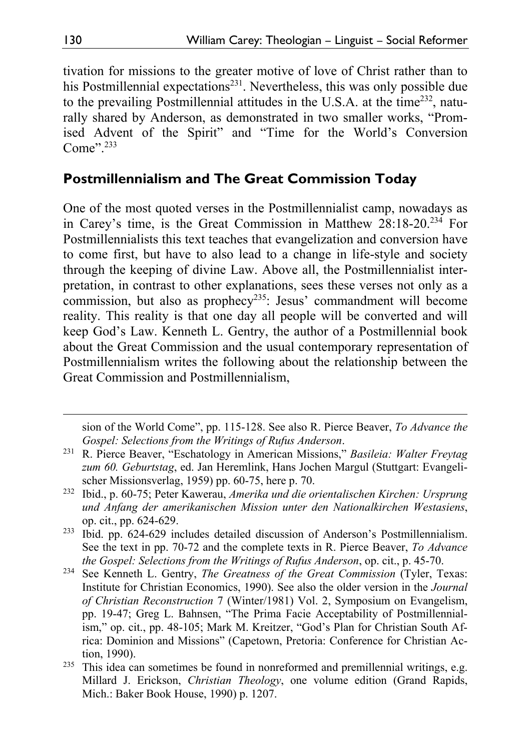tivation for missions to the greater motive of love of Christ rather than to his Postmillennial expectations<sup>231</sup>. Nevertheless, this was only possible due to the prevailing Postmillennial attitudes in the U.S.A. at the time232, naturally shared by Anderson, as demonstrated in two smaller works, "Promised Advent of the Spirit" and "Time for the World's Conversion Come".<sup>233</sup>

### **Postmillennialism and The Great Commission Today**

One of the most quoted verses in the Postmillennialist camp, nowadays as in Carey's time, is the Great Commission in Matthew 28:18-20.234 For Postmillennialists this text teaches that evangelization and conversion have to come first, but have to also lead to a change in life-style and society through the keeping of divine Law. Above all, the Postmillennialist interpretation, in contrast to other explanations, sees these verses not only as a commission, but also as prophecy<sup>235</sup>: Jesus' commandment will become reality. This reality is that one day all people will be converted and will keep God's Law. Kenneth L. Gentry, the author of a Postmillennial book about the Great Commission and the usual contemporary representation of Postmillennialism writes the following about the relationship between the Great Commission and Postmillennialism,

sion of the World Come", pp. 115-128. See also R. Pierce Beaver, *To Advance the* 

*Gospel: Selections from the Writings of Rufus Anderson*. 231 R. Pierce Beaver, "Eschatology in American Missions," *Basileia: Walter Freytag zum 60. Geburtstag*, ed. Jan Heremlink, Hans Jochen Margul (Stuttgart: Evangelischer Missionsverlag, 1959) pp. 60-75, here p. 70.

<sup>232</sup> Ibid., p. 60-75; Peter Kawerau, *Amerika und die orientalischen Kirchen: Ursprung und Anfang der amerikanischen Mission unter den Nationalkirchen Westasiens*, op. cit., pp. 624-629.

<sup>233</sup> Ibid. pp. 624-629 includes detailed discussion of Anderson's Postmillennialism. See the text in pp. 70-72 and the complete texts in R. Pierce Beaver, *To Advance the Gospel: Selections from the Writings of Rufus Anderson*, op. cit., p. 45-70.

<sup>234</sup> See Kenneth L. Gentry, *The Greatness of the Great Commission* (Tyler, Texas: Institute for Christian Economics, 1990). See also the older version in the *Journal of Christian Reconstruction* 7 (Winter/1981) Vol. 2, Symposium on Evangelism, pp. 19-47; Greg L. Bahnsen, "The Prima Facie Acceptability of Postmillennialism," op. cit., pp. 48-105; Mark M. Kreitzer, "God's Plan for Christian South Africa: Dominion and Missions" (Capetown, Pretoria: Conference for Christian Action, 1990).

<sup>&</sup>lt;sup>235</sup> This idea can sometimes be found in nonreformed and premillennial writings, e.g. Millard J. Erickson, *Christian Theology*, one volume edition (Grand Rapids, Mich.: Baker Book House, 1990) p. 1207.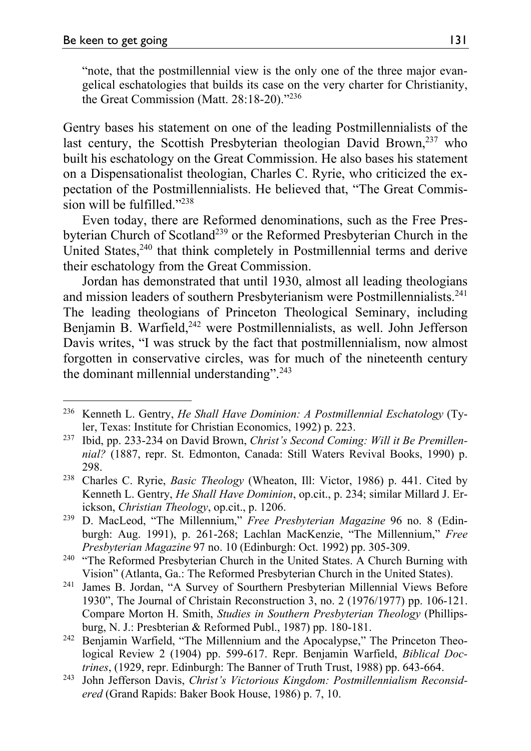$\overline{a}$ 

"note, that the postmillennial view is the only one of the three major evangelical eschatologies that builds its case on the very charter for Christianity, the Great Commission (Matt. 28:18-20)."236

Gentry bases his statement on one of the leading Postmillennialists of the last century, the Scottish Presbyterian theologian David Brown,<sup>237</sup> who built his eschatology on the Great Commission. He also bases his statement on a Dispensationalist theologian, Charles C. Ryrie, who criticized the expectation of the Postmillennialists. He believed that, "The Great Commission will be fulfilled."238

Even today, there are Reformed denominations, such as the Free Presbyterian Church of Scotland<sup>239</sup> or the Reformed Presbyterian Church in the United States, $240$  that think completely in Postmillennial terms and derive their eschatology from the Great Commission.

Jordan has demonstrated that until 1930, almost all leading theologians and mission leaders of southern Presbyterianism were Postmillennialists.<sup>241</sup> The leading theologians of Princeton Theological Seminary, including Benjamin B. Warfield,<sup>242</sup> were Postmillennialists, as well. John Jefferson Davis writes, "I was struck by the fact that postmillennialism, now almost forgotten in conservative circles, was for much of the nineteenth century the dominant millennial understanding".<sup>243</sup>

239 D. MacLeod, "The Millennium," *Free Presbyterian Magazine* 96 no. 8 (Edinburgh: Aug. 1991), p. 261-268; Lachlan MacKenzie, "The Millennium," *Free Presbyterian Magazine* 97 no. 10 (Edinburgh: Oct. 1992) pp. 305-309.

241 James B. Jordan, "A Survey of Sourthern Presbyterian Millennial Views Before 1930", The Journal of Christain Reconstruction 3, no. 2 (1976/1977) pp. 106-121. Compare Morton H. Smith, *Studies in Southern Presbyterian Theology* (Phillipsburg, N. J.: Presbterian & Reformed Publ., 1987) pp. 180-181.

<sup>242</sup> Benjamin Warfield, "The Millennium and the Apocalypse," The Princeton Theological Review 2 (1904) pp. 599-617. Repr. Benjamin Warfield, *Biblical Doctrines*, (1929, repr. Edinburgh: The Banner of Truth Trust, 1988) pp. 643-664.

<sup>236</sup> Kenneth L. Gentry, *He Shall Have Dominion: A Postmillennial Eschatology* (Tyler, Texas: Institute for Christian Economics, 1992) p. 223.

<sup>237</sup> Ibid, pp. 233-234 on David Brown, *Christ's Second Coming: Will it Be Premillennial?* (1887, repr. St. Edmonton, Canada: Still Waters Revival Books, 1990) p. 298.

<sup>238</sup> Charles C. Ryrie, *Basic Theology* (Wheaton, Ill: Victor, 1986) p. 441. Cited by Kenneth L. Gentry, *He Shall Have Dominion*, op.cit., p. 234; similar Millard J. Erickson, *Christian Theology*, op.cit., p. 1206.

<sup>&</sup>lt;sup>240</sup> "The Reformed Presbyterian Church in the United States. A Church Burning with Vision" (Atlanta, Ga.: The Reformed Presbyterian Church in the United States).

<sup>243</sup> John Jefferson Davis, *Christ's Victorious Kingdom: Postmillennialism Reconsidered* (Grand Rapids: Baker Book House, 1986) p. 7, 10.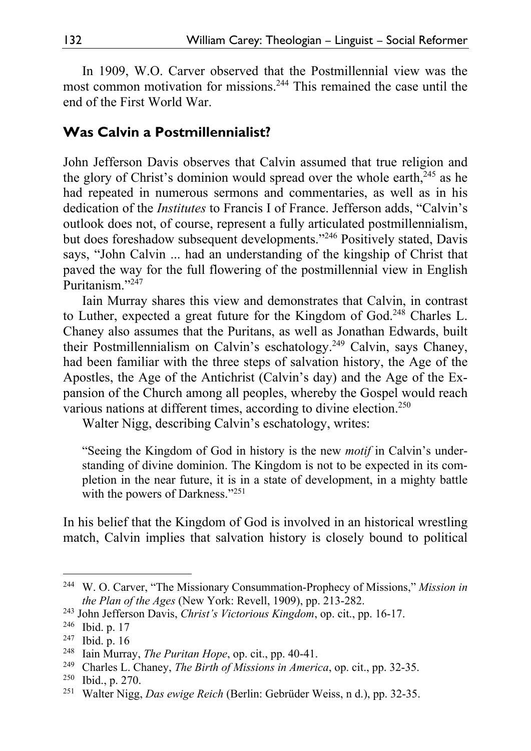In 1909, W.O. Carver observed that the Postmillennial view was the most common motivation for missions.<sup>244</sup> This remained the case until the end of the First World War.

#### **Was Calvin a Postmillennialist?**

John Jefferson Davis observes that Calvin assumed that true religion and the glory of Christ's dominion would spread over the whole earth, $245$  as he had repeated in numerous sermons and commentaries, as well as in his dedication of the *Institutes* to Francis I of France. Jefferson adds, "Calvin's outlook does not, of course, represent a fully articulated postmillennialism, but does foreshadow subsequent developments."246 Positively stated, Davis says, "John Calvin ... had an understanding of the kingship of Christ that paved the way for the full flowering of the postmillennial view in English Puritanism<sup>"247</sup>

Iain Murray shares this view and demonstrates that Calvin, in contrast to Luther, expected a great future for the Kingdom of God.248 Charles L. Chaney also assumes that the Puritans, as well as Jonathan Edwards, built their Postmillennialism on Calvin's eschatology.249 Calvin, says Chaney, had been familiar with the three steps of salvation history, the Age of the Apostles, the Age of the Antichrist (Calvin's day) and the Age of the Expansion of the Church among all peoples, whereby the Gospel would reach various nations at different times, according to divine election.<sup>250</sup>

Walter Nigg, describing Calvin's eschatology, writes:

"Seeing the Kingdom of God in history is the new *motif* in Calvin's understanding of divine dominion. The Kingdom is not to be expected in its completion in the near future, it is in a state of development, in a mighty battle with the powers of Darkness."<sup>251</sup>

In his belief that the Kingdom of God is involved in an historical wrestling match, Calvin implies that salvation history is closely bound to political

<sup>244</sup> W. O. Carver, "The Missionary Consummation-Prophecy of Missions," *Mission in the Plan of the Ages* (New York: Revell, 1909), pp. 213-282.

<sup>243</sup> John Jefferson Davis, *Christ's Victorious Kingdom*, op. cit., pp. 16-17.

<sup>246</sup> Ibid. p. 17

<sup>247</sup> Ibid. p. 16

<sup>248</sup> Iain Murray, *The Puritan Hope*, op. cit., pp. 40-41.

<sup>249</sup> Charles L. Chaney, *The Birth of Missions in America*, op. cit., pp. 32-35.

<sup>250</sup> Ibid., p. 270.

<sup>251</sup> Walter Nigg, *Das ewige Reich* (Berlin: Gebrüder Weiss, n d.), pp. 32-35.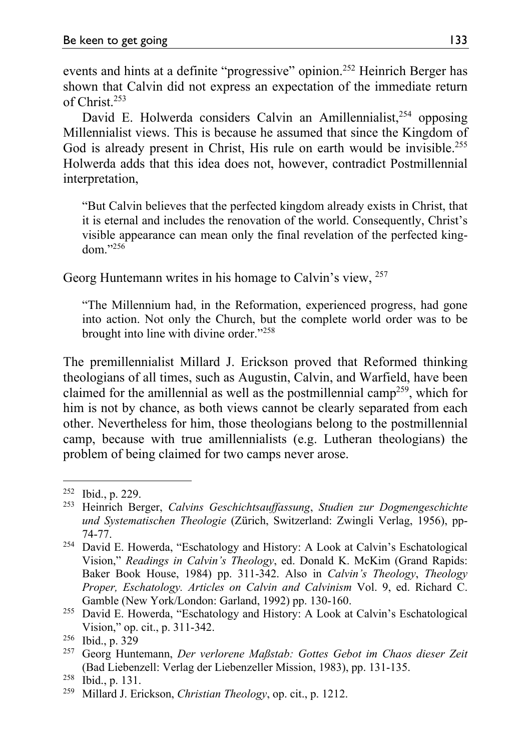events and hints at a definite "progressive" opinion.<sup>252</sup> Heinrich Berger has shown that Calvin did not express an expectation of the immediate return of Christ.253

David E. Holwerda considers Calvin an Amillennialist,  $254$  opposing Millennialist views. This is because he assumed that since the Kingdom of God is already present in Christ, His rule on earth would be invisible.<sup>255</sup> Holwerda adds that this idea does not, however, contradict Postmillennial interpretation,

"But Calvin believes that the perfected kingdom already exists in Christ, that it is eternal and includes the renovation of the world. Consequently, Christ's visible appearance can mean only the final revelation of the perfected kingdom."256

Georg Huntemann writes in his homage to Calvin's view, 257

"The Millennium had, in the Reformation, experienced progress, had gone into action. Not only the Church, but the complete world order was to be brought into line with divine order."258

The premillennialist Millard J. Erickson proved that Reformed thinking theologians of all times, such as Augustin, Calvin, and Warfield, have been claimed for the amillennial as well as the postmillennial camp259, which for him is not by chance, as both views cannot be clearly separated from each other. Nevertheless for him, those theologians belong to the postmillennial camp, because with true amillennialists (e.g. Lutheran theologians) the problem of being claimed for two camps never arose.

<sup>252</sup> Ibid., p. 229.

<sup>253</sup> Heinrich Berger, *Calvins Geschichtsauffassung*, *Studien zur Dogmengeschichte und Systematischen Theologie* (Zürich, Switzerland: Zwingli Verlag, 1956), pp-74-77.

<sup>254</sup> David E. Howerda, "Eschatology and History: A Look at Calvin's Eschatological Vision," *Readings in Calvin's Theology*, ed. Donald K. McKim (Grand Rapids: Baker Book House, 1984) pp. 311-342. Also in *Calvin's Theology*, *Theology Proper, Eschatology. Articles on Calvin and Calvinism* Vol. 9, ed. Richard C. Gamble (New York/London: Garland, 1992) pp. 130-160.

<sup>&</sup>lt;sup>255</sup> David E. Howerda, "Eschatology and History: A Look at Calvin's Eschatological Vision," op. cit., p. 311-342.

<sup>256</sup> Ibid., p. 329

<sup>257</sup> Georg Huntemann, *Der verlorene Maßstab: Gottes Gebot im Chaos dieser Zeit* (Bad Liebenzell: Verlag der Liebenzeller Mission, 1983), pp. 131-135.

 $\frac{258}{259}$  Ibid., p. 131.

<sup>259</sup> Millard J. Erickson, *Christian Theology*, op. cit., p. 1212.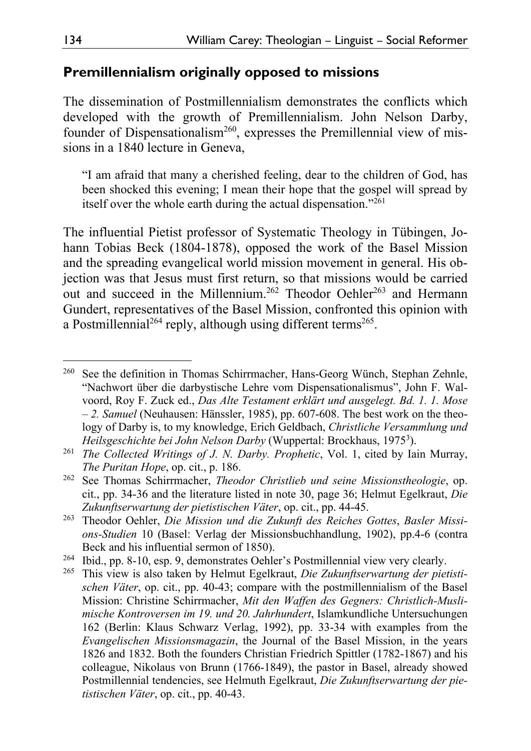### **Premillennialism originally opposed to missions**

The dissemination of Postmillennialism demonstrates the conflicts which developed with the growth of Premillennialism. John Nelson Darby, founder of Dispensationalism<sup>260</sup>, expresses the Premillennial view of missions in a 1840 lecture in Geneva,

"I am afraid that many a cherished feeling, dear to the children of God, has been shocked this evening; I mean their hope that the gospel will spread by itself over the whole earth during the actual dispensation."261

The influential Pietist professor of Systematic Theology in Tübingen, Johann Tobias Beck (1804-1878), opposed the work of the Basel Mission and the spreading evangelical world mission movement in general. His objection was that Jesus must first return, so that missions would be carried out and succeed in the Millennium.<sup>262</sup> Theodor Oehler<sup>263</sup> and Hermann Gundert, representatives of the Basel Mission, confronted this opinion with a Postmillennial<sup>264</sup> reply, although using different terms<sup>265</sup>.

<sup>&</sup>lt;sup>260</sup> See the definition in Thomas Schirrmacher, Hans-Georg Wünch, Stephan Zehnle, "Nachwort über die darbystische Lehre vom Dispensationalismus", John F. Walvoord, Roy F. Zuck ed., *Das Alte Testament erklärt und ausgelegt. Bd. 1. 1. Mose – 2. Samuel* (Neuhausen: Hänssler, 1985), pp. 607-608. The best work on the theology of Darby is, to my knowledge, Erich Geldbach, *Christliche Versammlung und*  Heilsgeschichte bei John Nelson Darby (Wuppertal: Brockhaus, 1975<sup>3</sup>).

<sup>261</sup> *The Collected Writings of J. N. Darby. Prophetic*, Vol. 1, cited by Iain Murray, *The Puritan Hope*, op. cit., p. 186.

<sup>262</sup> See Thomas Schirrmacher, *Theodor Christlieb und seine Missionstheologie*, op. cit., pp. 34-36 and the literature listed in note 30, page 36; Helmut Egelkraut, *Die Zukunftserwartung der pietistischen Väter*, op. cit., pp. 44-45.

<sup>263</sup> Theodor Oehler, *Die Mission und die Zukunft des Reiches Gottes*, *Basler Missions-Studien* 10 (Basel: Verlag der Missionsbuchhandlung, 1902), pp.4-6 (contra Beck and his influential sermon of 1850).

<sup>264</sup> Ibid., pp. 8-10, esp. 9, demonstrates Oehler's Postmillennial view very clearly.

<sup>265</sup> This view is also taken by Helmut Egelkraut, *Die Zukunftserwartung der pietistischen Väter*, op. cit., pp. 40-43; compare with the postmillennialism of the Basel Mission: Christine Schirrmacher, *Mit den Waffen des Gegners: Christlich-Muslimische Kontroversen im 19. und 20. Jahrhundert*, Islamkundliche Untersuchungen 162 (Berlin: Klaus Schwarz Verlag, 1992), pp. 33-34 with examples from the *Evangelischen Missionsmagazin*, the Journal of the Basel Mission, in the years 1826 and 1832. Both the founders Christian Friedrich Spittler (1782-1867) and his colleague, Nikolaus von Brunn (1766-1849), the pastor in Basel, already showed Postmillennial tendencies, see Helmuth Egelkraut, *Die Zukunftserwartung der pietistischen Väter*, op. cit., pp. 40-43.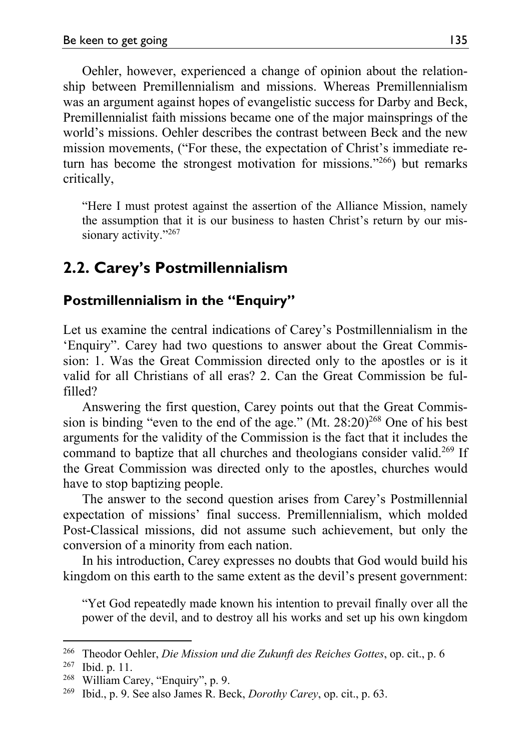Oehler, however, experienced a change of opinion about the relationship between Premillennialism and missions. Whereas Premillennialism was an argument against hopes of evangelistic success for Darby and Beck, Premillennialist faith missions became one of the major mainsprings of the world's missions. Oehler describes the contrast between Beck and the new mission movements, ("For these, the expectation of Christ's immediate return has become the strongest motivation for missions." $266$ ) but remarks critically,

"Here I must protest against the assertion of the Alliance Mission, namely the assumption that it is our business to hasten Christ's return by our missionary activity."267

# **2.2. Carey's Postmillennialism**

### **Postmillennialism in the "Enquiry"**

Let us examine the central indications of Carey's Postmillennialism in the 'Enquiry". Carey had two questions to answer about the Great Commission: 1. Was the Great Commission directed only to the apostles or is it valid for all Christians of all eras? 2. Can the Great Commission be fulfilled?

Answering the first question, Carey points out that the Great Commission is binding "even to the end of the age." (Mt.  $28:20$ )<sup>268</sup> One of his best arguments for the validity of the Commission is the fact that it includes the command to baptize that all churches and theologians consider valid.<sup>269</sup> If the Great Commission was directed only to the apostles, churches would have to stop baptizing people.

The answer to the second question arises from Carey's Postmillennial expectation of missions' final success. Premillennialism, which molded Post-Classical missions, did not assume such achievement, but only the conversion of a minority from each nation.

In his introduction, Carey expresses no doubts that God would build his kingdom on this earth to the same extent as the devil's present government:

"Yet God repeatedly made known his intention to prevail finally over all the power of the devil, and to destroy all his works and set up his own kingdom

<sup>266</sup> Theodor Oehler, *Die Mission und die Zukunft des Reiches Gottes*, op. cit., p. 6

<sup>267</sup> Ibid. p. 11.

 $268$  William Carey, "Enquiry", p. 9.<br> $269$  Thid n 9 See also James R. Be

<sup>269</sup> Ibid., p. 9. See also James R. Beck, *Dorothy Carey*, op. cit., p. 63.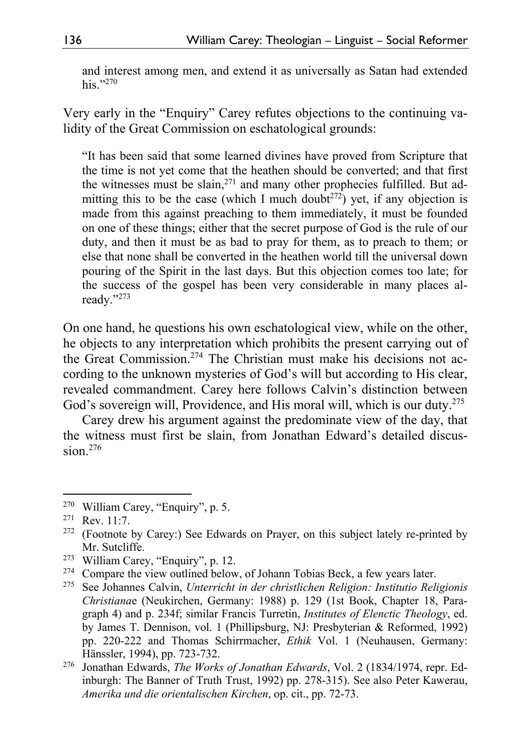and interest among men, and extend it as universally as Satan had extended his."270

Very early in the "Enquiry" Carey refutes objections to the continuing validity of the Great Commission on eschatological grounds:

"It has been said that some learned divines have proved from Scripture that the time is not yet come that the heathen should be converted; and that first the witnesses must be slain, $271$  and many other prophecies fulfilled. But admitting this to be the case (which I much doubt<sup>272</sup>) yet, if any objection is made from this against preaching to them immediately, it must be founded on one of these things; either that the secret purpose of God is the rule of our duty, and then it must be as bad to pray for them, as to preach to them; or else that none shall be converted in the heathen world till the universal down pouring of the Spirit in the last days. But this objection comes too late; for the success of the gospel has been very considerable in many places already."273

On one hand, he questions his own eschatological view, while on the other, he objects to any interpretation which prohibits the present carrying out of the Great Commission.274 The Christian must make his decisions not according to the unknown mysteries of God's will but according to His clear, revealed commandment. Carey here follows Calvin's distinction between God's sovereign will, Providence, and His moral will, which is our duty.<sup>275</sup>

Carey drew his argument against the predominate view of the day, that the witness must first be slain, from Jonathan Edward's detailed discussion. $276$ 

 $270$  William Carey, "Enquiry", p. 5.

<sup>271</sup> Rev. 11:7.

<sup>272 (</sup>Footnote by Carey:) See Edwards on Prayer, on this subject lately re-printed by Mr. Sutcliffe.

<sup>273</sup> William Carey, "Enquiry", p. 12.

<sup>&</sup>lt;sup>274</sup> Compare the view outlined below, of Johann Tobias Beck, a few years later.

<sup>275</sup> See Johannes Calvin, *Unterricht in der christlichen Religion: Institutio Religionis Christiana*e (Neukirchen, Germany: 1988) p. 129 (1st Book, Chapter 18, Paragraph 4) and p. 234f; similar Francis Turretin, *Institutes of Elenctic Theology*, ed. by James T. Dennison, vol. 1 (Phillipsburg, NJ: Presbyterian & Reformed, 1992) pp. 220-222 and Thomas Schirrmacher, *Ethik* Vol. 1 (Neuhausen, Germany: Hänssler, 1994), pp. 723-732.

<sup>276</sup> Jonathan Edwards, *The Works of Jonathan Edwards*, Vol. 2 (1834/1974, repr. Edinburgh: The Banner of Truth Trust, 1992) pp. 278-315). See also Peter Kawerau, *Amerika und die orientalischen Kirchen*, op. cit., pp. 72-73.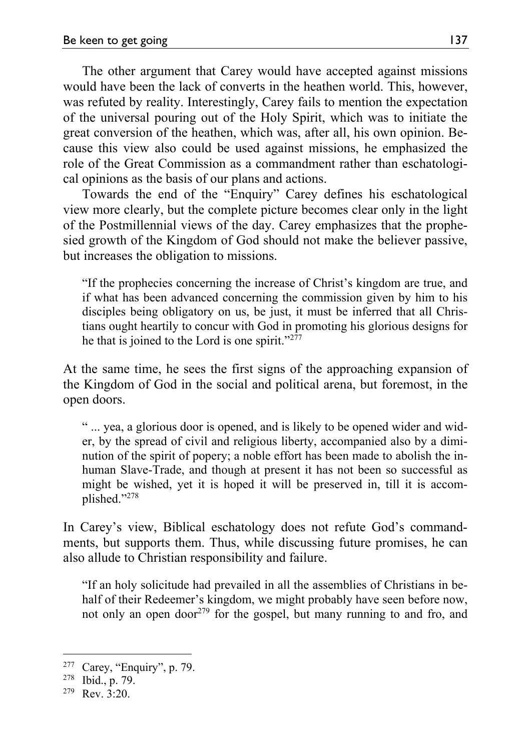The other argument that Carey would have accepted against missions would have been the lack of converts in the heathen world. This, however, was refuted by reality. Interestingly, Carey fails to mention the expectation of the universal pouring out of the Holy Spirit, which was to initiate the great conversion of the heathen, which was, after all, his own opinion. Because this view also could be used against missions, he emphasized the role of the Great Commission as a commandment rather than eschatological opinions as the basis of our plans and actions.

Towards the end of the "Enquiry" Carey defines his eschatological view more clearly, but the complete picture becomes clear only in the light of the Postmillennial views of the day. Carey emphasizes that the prophesied growth of the Kingdom of God should not make the believer passive, but increases the obligation to missions.

"If the prophecies concerning the increase of Christ's kingdom are true, and if what has been advanced concerning the commission given by him to his disciples being obligatory on us, be just, it must be inferred that all Christians ought heartily to concur with God in promoting his glorious designs for he that is joined to the Lord is one spirit."277

At the same time, he sees the first signs of the approaching expansion of the Kingdom of God in the social and political arena, but foremost, in the open doors.

" ... yea, a glorious door is opened, and is likely to be opened wider and wider, by the spread of civil and religious liberty, accompanied also by a diminution of the spirit of popery; a noble effort has been made to abolish the inhuman Slave-Trade, and though at present it has not been so successful as might be wished, yet it is hoped it will be preserved in, till it is accomplished."278

In Carey's view, Biblical eschatology does not refute God's commandments, but supports them. Thus, while discussing future promises, he can also allude to Christian responsibility and failure.

"If an holy solicitude had prevailed in all the assemblies of Christians in behalf of their Redeemer's kingdom, we might probably have seen before now, not only an open door<sup>279</sup> for the gospel, but many running to and fro, and

<sup>277</sup> Carey, "Enquiry", p. 79.

<sup>278</sup> Ibid., p. 79.

<sup>279</sup>  $\text{Rev } 3.20$ .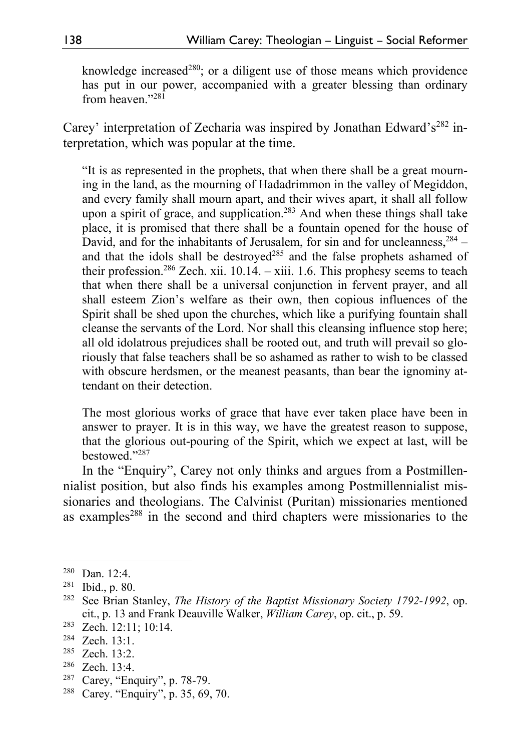knowledge increased<sup>280</sup>; or a diligent use of those means which providence has put in our power, accompanied with a greater blessing than ordinary from heaven."281

Carey' interpretation of Zecharia was inspired by Jonathan Edward's<sup>282</sup> interpretation, which was popular at the time.

"It is as represented in the prophets, that when there shall be a great mourning in the land, as the mourning of Hadadrimmon in the valley of Megiddon, and every family shall mourn apart, and their wives apart, it shall all follow upon a spirit of grace, and supplication.<sup>283</sup> And when these things shall take place, it is promised that there shall be a fountain opened for the house of David, and for the inhabitants of Jerusalem, for sin and for uncleanness,  $284$ and that the idols shall be destroyed<sup>285</sup> and the false prophets ashamed of their profession.<sup>286</sup> Zech. xii.  $10.14$ . – xiii. 1.6. This prophesy seems to teach that when there shall be a universal conjunction in fervent prayer, and all shall esteem Zion's welfare as their own, then copious influences of the Spirit shall be shed upon the churches, which like a purifying fountain shall cleanse the servants of the Lord. Nor shall this cleansing influence stop here; all old idolatrous prejudices shall be rooted out, and truth will prevail so gloriously that false teachers shall be so ashamed as rather to wish to be classed with obscure herdsmen, or the meanest peasants, than bear the ignominy attendant on their detection.

The most glorious works of grace that have ever taken place have been in answer to prayer. It is in this way, we have the greatest reason to suppose, that the glorious out-pouring of the Spirit, which we expect at last, will be bestowed."287

In the "Enquiry", Carey not only thinks and argues from a Postmillennialist position, but also finds his examples among Postmillennialist missionaries and theologians. The Calvinist (Puritan) missionaries mentioned as examples<sup>288</sup> in the second and third chapters were missionaries to the

- 286 Zech. 13:4.
- 287 Carey, "Enquiry", p. 78-79.
- 288 Carey. "Enquiry", p. 35, 69, 70.

<sup>280</sup> Dan. 12:4.

<sup>281</sup> Ibid., p. 80.

<sup>282</sup> See Brian Stanley, *The History of the Baptist Missionary Society 1792-1992*, op. cit., p. 13 and Frank Deauville Walker, *William Carey*, op. cit., p. 59.

<sup>283</sup> Zech. 12:11; 10:14.

<sup>284</sup> Zech. 13:1.

<sup>285</sup> Zech. 13:2.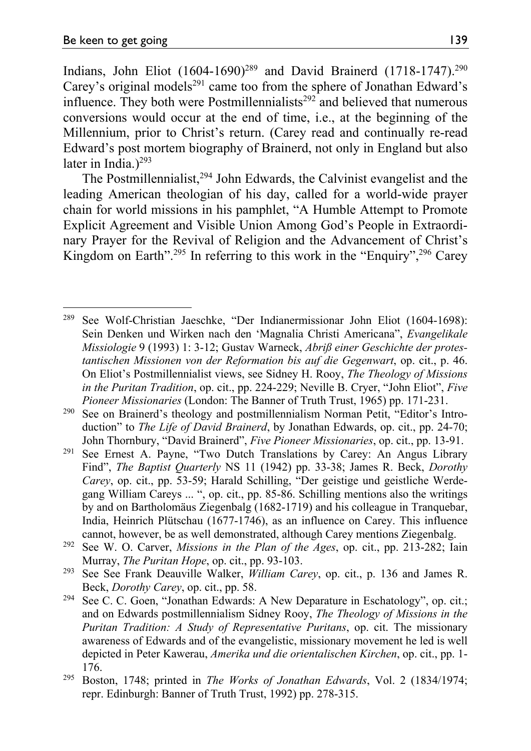Indians, John Eliot  $(1604-1690)^{289}$  and David Brainerd  $(1718-1747).^{290}$ Carey's original models<sup>291</sup> came too from the sphere of Jonathan Edward's influence. They both were Postmillennialists<sup> $292$ </sup> and believed that numerous conversions would occur at the end of time, i.e., at the beginning of the Millennium, prior to Christ's return. (Carey read and continually re-read Edward's post mortem biography of Brainerd, not only in England but also later in India.) $^{293}$ 

The Postmillennialist, $294$  John Edwards, the Calvinist evangelist and the leading American theologian of his day, called for a world-wide prayer chain for world missions in his pamphlet, "A Humble Attempt to Promote Explicit Agreement and Visible Union Among God's People in Extraordinary Prayer for the Revival of Religion and the Advancement of Christ's Kingdom on Earth".<sup>295</sup> In referring to this work in the "Enquiry",<sup>296</sup> Carey

<sup>-</sup>289 See Wolf-Christian Jaeschke, "Der Indianermissionar John Eliot (1604-1698): Sein Denken und Wirken nach den 'Magnalia Christi Americana", *Evangelikale Missiologie* 9 (1993) 1: 3-12; Gustav Warneck, *Abriß einer Geschichte der protestantischen Missionen von der Reformation bis auf die Gegenwart*, op. cit., p. 46. On Eliot's Postmillennialist views, see Sidney H. Rooy, *The Theology of Missions in the Puritan Tradition*, op. cit., pp. 224-229; Neville B. Cryer, "John Eliot", *Five Pioneer Missionaries* (London: The Banner of Truth Trust, 1965) pp. 171-231.

<sup>290</sup> See on Brainerd's theology and postmillennialism Norman Petit, "Editor's Introduction" to *The Life of David Brainerd*, by Jonathan Edwards, op. cit., pp. 24-70; John Thornbury, "David Brainerd", *Five Pioneer Missionaries*, op. cit., pp. 13-91.

<sup>&</sup>lt;sup>291</sup> See Ernest A. Payne, "Two Dutch Translations by Carey: An Angus Library Find", *The Baptist Quarterly* NS 11 (1942) pp. 33-38; James R. Beck, *Dorothy Carey*, op. cit., pp. 53-59; Harald Schilling, "Der geistige und geistliche Werdegang William Careys ... ", op. cit., pp. 85-86. Schilling mentions also the writings by and on Bartholomäus Ziegenbalg (1682-1719) and his colleague in Tranquebar, India, Heinrich Plütschau (1677-1746), as an influence on Carey. This influence cannot, however, be as well demonstrated, although Carey mentions Ziegenbalg.

<sup>292</sup> See W. O. Carver, *Missions in the Plan of the Ages*, op. cit., pp. 213-282; Iain Murray, *The Puritan Hope*, op. cit., pp. 93-103.

<sup>293</sup> See See Frank Deauville Walker, *William Carey*, op. cit., p. 136 and James R. Beck, *Dorothy Carey*, op. cit., pp. 58.

<sup>294</sup> See C. C. Goen, "Jonathan Edwards: A New Deparature in Eschatology", op. cit.; and on Edwards postmillennialism Sidney Rooy, *The Theology of Missions in the Puritan Tradition: A Study of Representative Puritans*, op. cit. The missionary awareness of Edwards and of the evangelistic, missionary movement he led is well depicted in Peter Kawerau, *Amerika und die orientalischen Kirchen*, op. cit., pp. 1- 176.

<sup>295</sup> Boston, 1748; printed in *The Works of Jonathan Edwards*, Vol. 2 (1834/1974; repr. Edinburgh: Banner of Truth Trust, 1992) pp. 278-315.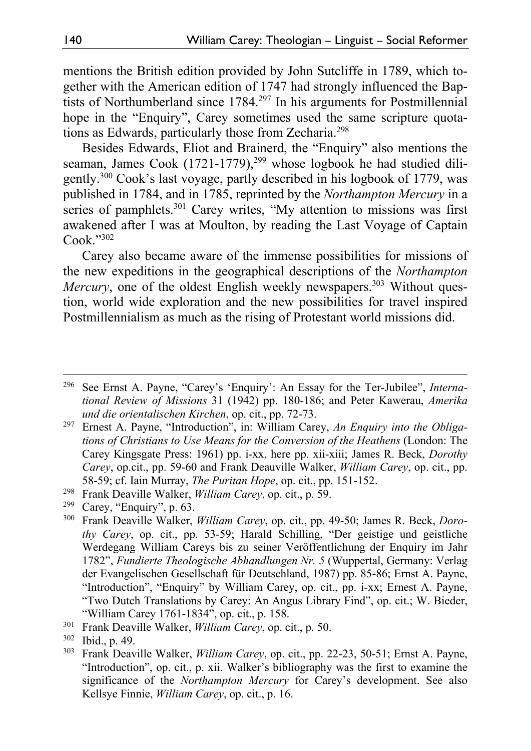mentions the British edition provided by John Sutcliffe in 1789, which together with the American edition of 1747 had strongly influenced the Baptists of Northumberland since 1784.297 In his arguments for Postmillennial hope in the "Enquiry", Carey sometimes used the same scripture quotations as Edwards, particularly those from Zecharia.<sup>298</sup>

Besides Edwards, Eliot and Brainerd, the "Enquiry" also mentions the seaman, James Cook  $(1721-1779)$ ,<sup>299</sup> whose logbook he had studied diligently.300 Cook's last voyage, partly described in his logbook of 1779, was published in 1784, and in 1785, reprinted by the *Northampton Mercury* in a series of pamphlets.<sup>301</sup> Carey writes, "My attention to missions was first awakened after I was at Moulton, by reading the Last Voyage of Captain Cook."302

Carey also became aware of the immense possibilities for missions of the new expeditions in the geographical descriptions of the *Northampton Mercury*, one of the oldest English weekly newspapers.<sup>303</sup> Without question, world wide exploration and the new possibilities for travel inspired Postmillennialism as much as the rising of Protestant world missions did.

<sup>296</sup> See Ernst A. Payne, "Carey's 'Enquiry': An Essay for the Ter-Jubilee", *International Review of Missions* 31 (1942) pp. 180-186; and Peter Kawerau, *Amerika und die orientalischen Kirchen*, op. cit., pp. 72-73.

<sup>297</sup> Ernest A. Payne, "Introduction", in: William Carey, *An Enquiry into the Obligations of Christians to Use Means for the Conversion of the Heathens* (London: The Carey Kingsgate Press: 1961) pp. i-xx, here pp. xii-xiii; James R. Beck, *Dorothy Carey*, op.cit., pp. 59-60 and Frank Deauville Walker, *William Carey*, op. cit., pp. 58-59; cf. Iain Murray, *The Puritan Hope*, op. cit., pp. 151-152.

<sup>298</sup> Frank Deaville Walker, *William Carey*, op. cit., p. 59.

<sup>299</sup> Carey, "Enquiry", p. 63.

<sup>300</sup> Frank Deaville Walker, *William Carey*, op. cit., pp. 49-50; James R. Beck, *Dorothy Carey*, op. cit., pp. 53-59; Harald Schilling, "Der geistige und geistliche Werdegang William Careys bis zu seiner Veröffentlichung der Enquiry im Jahr 1782", *Fundierte Theologische Abhandlungen Nr. 5* (Wuppertal, Germany: Verlag der Evangelischen Gesellschaft für Deutschland, 1987) pp. 85-86; Ernst A. Payne, "Introduction", "Enquiry" by William Carey, op. cit., pp. i-xx; Ernest A. Payne, "Two Dutch Translations by Carey: An Angus Library Find", op. cit.; W. Bieder, "William Carey 1761-1834", op. cit., p. 158.

<sup>301</sup> Frank Deaville Walker, *William Carey*, op. cit., p. 50.

<sup>302</sup> Ibid., p. 49.

<sup>303</sup> Frank Deaville Walker, *William Carey*, op. cit., pp. 22-23, 50-51; Ernst A. Payne, "Introduction", op. cit., p. xii. Walker's bibliography was the first to examine the significance of the *Northampton Mercury* for Carey's development. See also Kellsye Finnie, *William Carey*, op. cit., p. 16.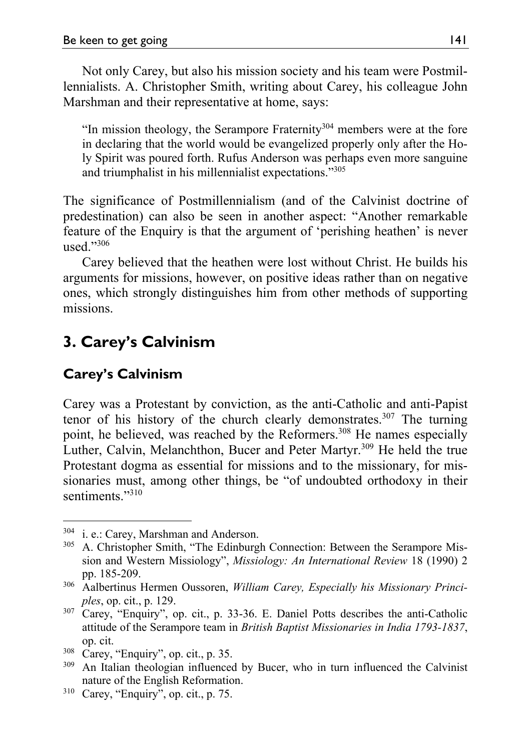Not only Carey, but also his mission society and his team were Postmillennialists. A. Christopher Smith, writing about Carey, his colleague John Marshman and their representative at home, says:

"In mission theology, the Serampore Fraternity<sup>304</sup> members were at the fore in declaring that the world would be evangelized properly only after the Holy Spirit was poured forth. Rufus Anderson was perhaps even more sanguine and triumphalist in his millennialist expectations."305

The significance of Postmillennialism (and of the Calvinist doctrine of predestination) can also be seen in another aspect: "Another remarkable feature of the Enquiry is that the argument of 'perishing heathen' is never used."306

Carey believed that the heathen were lost without Christ. He builds his arguments for missions, however, on positive ideas rather than on negative ones, which strongly distinguishes him from other methods of supporting missions.

# **3. Carey's Calvinism**

# **Carey's Calvinism**

-

Carey was a Protestant by conviction, as the anti-Catholic and anti-Papist tenor of his history of the church clearly demonstrates.<sup>307</sup> The turning point, he believed, was reached by the Reformers.<sup>308</sup> He names especially Luther, Calvin, Melanchthon, Bucer and Peter Martyr.<sup>309</sup> He held the true Protestant dogma as essential for missions and to the missionary, for missionaries must, among other things, be "of undoubted orthodoxy in their sentiments<sup>"310</sup>

<sup>304</sup> i. e.: Carey, Marshman and Anderson.

<sup>305</sup> A. Christopher Smith, "The Edinburgh Connection: Between the Serampore Mission and Western Missiology", *Missiology: An International Review* 18 (1990) 2 pp. 185-209.

<sup>306</sup> Aalbertinus Hermen Oussoren, *William Carey, Especially his Missionary Principles*, op. cit., p. 129.

<sup>307</sup> Carey, "Enquiry", op. cit., p. 33-36. E. Daniel Potts describes the anti-Catholic attitude of the Serampore team in *British Baptist Missionaries in India 1793-1837*, op. cit.

<sup>308</sup> Carey, "Enquiry", op. cit., p. 35.

<sup>309</sup> An Italian theologian influenced by Bucer, who in turn influenced the Calvinist nature of the English Reformation.

<sup>310</sup> Carey, "Enquiry", op. cit., p. 75.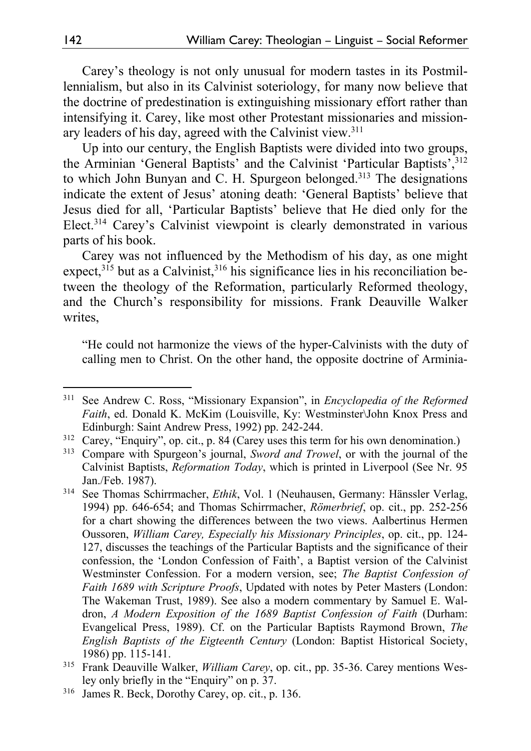Carey's theology is not only unusual for modern tastes in its Postmillennialism, but also in its Calvinist soteriology, for many now believe that the doctrine of predestination is extinguishing missionary effort rather than intensifying it. Carey, like most other Protestant missionaries and missionary leaders of his day, agreed with the Calvinist view. $311$ 

Up into our century, the English Baptists were divided into two groups, the Arminian 'General Baptists' and the Calvinist 'Particular Baptists', <sup>312</sup> to which John Bunyan and C. H. Spurgeon belonged.<sup>313</sup> The designations indicate the extent of Jesus' atoning death: 'General Baptists' believe that Jesus died for all, 'Particular Baptists' believe that He died only for the Elect.314 Carey's Calvinist viewpoint is clearly demonstrated in various parts of his book.

Carey was not influenced by the Methodism of his day, as one might expect, $315$  but as a Calvinist, $316$  his significance lies in his reconciliation between the theology of the Reformation, particularly Reformed theology, and the Church's responsibility for missions. Frank Deauville Walker writes,

"He could not harmonize the views of the hyper-Calvinists with the duty of calling men to Christ. On the other hand, the opposite doctrine of Arminia-

<sup>311</sup> See Andrew C. Ross, "Missionary Expansion", in *Encyclopedia of the Reformed Faith*, ed. Donald K. McKim (Louisville, Ky: Westminster\John Knox Press and Edinburgh: Saint Andrew Press, 1992) pp. 242-244.

<sup>312</sup> Carey, "Enquiry", op. cit., p. 84 (Carey uses this term for his own denomination.)

<sup>313</sup> Compare with Spurgeon's journal, *Sword and Trowel*, or with the journal of the Calvinist Baptists, *Reformation Today*, which is printed in Liverpool (See Nr. 95 Jan./Feb. 1987).

<sup>314</sup> See Thomas Schirrmacher, *Ethik*, Vol. 1 (Neuhausen, Germany: Hänssler Verlag, 1994) pp. 646-654; and Thomas Schirrmacher, *Römerbrief*, op. cit., pp. 252-256 for a chart showing the differences between the two views. Aalbertinus Hermen Oussoren, *William Carey, Especially his Missionary Principles*, op. cit., pp. 124- 127, discusses the teachings of the Particular Baptists and the significance of their confession, the 'London Confession of Faith', a Baptist version of the Calvinist Westminster Confession. For a modern version, see; *The Baptist Confession of Faith 1689 with Scripture Proofs*, Updated with notes by Peter Masters (London: The Wakeman Trust, 1989). See also a modern commentary by Samuel E. Waldron, *A Modern Exposition of the 1689 Baptist Confession of Faith* (Durham: Evangelical Press, 1989). Cf. on the Particular Baptists Raymond Brown, *The English Baptists of the Eigteenth Century* (London: Baptist Historical Society, 1986) pp. 115-141.

<sup>315</sup> Frank Deauville Walker, *William Carey*, op. cit., pp. 35-36. Carey mentions Wesley only briefly in the "Enquiry" on p. 37.

<sup>316</sup> James R. Beck, Dorothy Carey, op. cit., p. 136.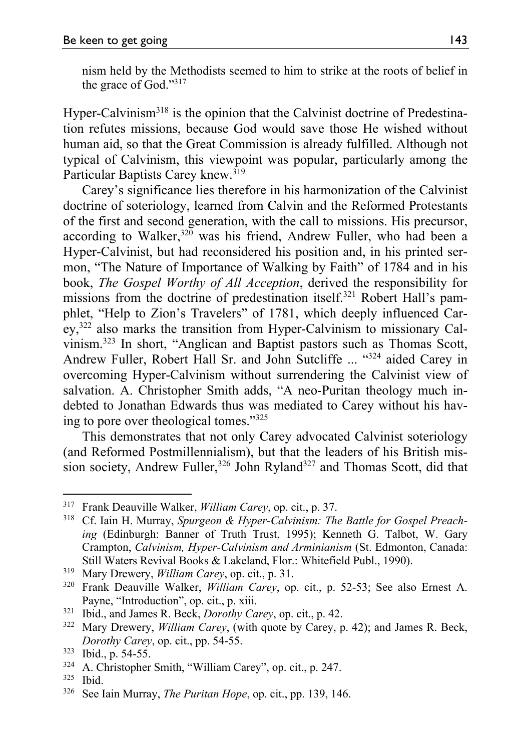nism held by the Methodists seemed to him to strike at the roots of belief in the grace of God."317

Hyper-Calvinism<sup>318</sup> is the opinion that the Calvinist doctrine of Predestination refutes missions, because God would save those He wished without human aid, so that the Great Commission is already fulfilled. Although not typical of Calvinism, this viewpoint was popular, particularly among the Particular Baptists Carey knew.<sup>319</sup>

Carey's significance lies therefore in his harmonization of the Calvinist doctrine of soteriology, learned from Calvin and the Reformed Protestants of the first and second generation, with the call to missions. His precursor, according to Walker,  $320$  was his friend, Andrew Fuller, who had been a Hyper-Calvinist, but had reconsidered his position and, in his printed sermon, "The Nature of Importance of Walking by Faith" of 1784 and in his book, *The Gospel Worthy of All Acception*, derived the responsibility for missions from the doctrine of predestination itself.<sup>321</sup> Robert Hall's pamphlet, "Help to Zion's Travelers" of 1781, which deeply influenced Carey,322 also marks the transition from Hyper-Calvinism to missionary Calvinism.323 In short, "Anglican and Baptist pastors such as Thomas Scott, Andrew Fuller, Robert Hall Sr. and John Sutcliffe ... "324 aided Carey in overcoming Hyper-Calvinism without surrendering the Calvinist view of salvation. A. Christopher Smith adds, "A neo-Puritan theology much indebted to Jonathan Edwards thus was mediated to Carey without his having to pore over theological tomes."325

This demonstrates that not only Carey advocated Calvinist soteriology (and Reformed Postmillennialism), but that the leaders of his British mission society, Andrew Fuller,  $326$  John Ryland $327$  and Thomas Scott, did that

<sup>317</sup> Frank Deauville Walker, *William Carey*, op. cit., p. 37.

<sup>318</sup> Cf. Iain H. Murray, *Spurgeon & Hyper-Calvinism: The Battle for Gospel Preaching* (Edinburgh: Banner of Truth Trust, 1995); Kenneth G. Talbot, W. Gary Crampton, *Calvinism, Hyper-Calvinism and Arminianism* (St. Edmonton, Canada: Still Waters Revival Books & Lakeland, Flor.: Whitefield Publ., 1990).

<sup>319</sup> Mary Drewery, *William Carey*, op. cit., p. 31.

<sup>320</sup> Frank Deauville Walker, *William Carey*, op. cit., p. 52-53; See also Ernest A. Payne, "Introduction", op. cit., p. xiii.

<sup>321</sup> Ibid., and James R. Beck, *Dorothy Carey*, op. cit., p. 42.

<sup>322</sup> Mary Drewery, *William Carey*, (with quote by Carey, p. 42); and James R. Beck, *Dorothy Carey*, op. cit., pp. 54-55.

<sup>323</sup> Ibid., p. 54-55.

<sup>324</sup> A. Christopher Smith, "William Carey", op. cit., p. 247.

<sup>325</sup> Ibid.

<sup>326</sup> See Iain Murray, *The Puritan Hope*, op. cit., pp. 139, 146.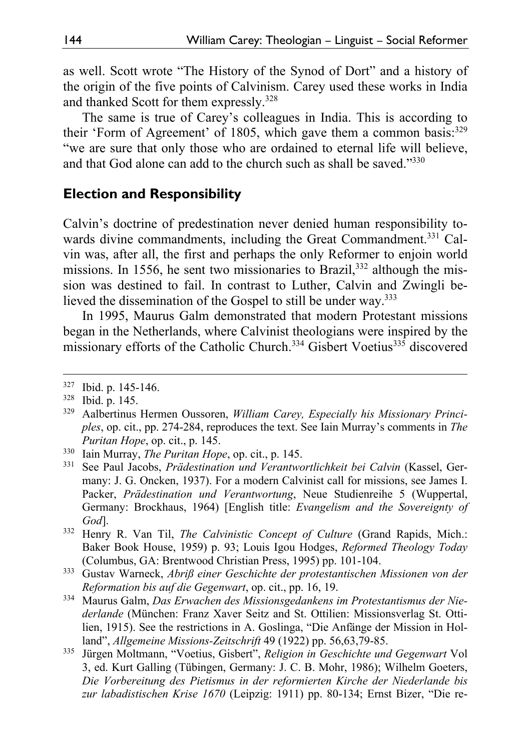as well. Scott wrote "The History of the Synod of Dort" and a history of the origin of the five points of Calvinism. Carey used these works in India and thanked Scott for them expressly.328

The same is true of Carey's colleagues in India. This is according to their 'Form of Agreement' of 1805, which gave them a common basis:  $329$ "we are sure that only those who are ordained to eternal life will believe, and that God alone can add to the church such as shall be saved."330

## **Election and Responsibility**

Calvin's doctrine of predestination never denied human responsibility towards divine commandments, including the Great Commandment.<sup>331</sup> Calvin was, after all, the first and perhaps the only Reformer to enjoin world missions. In 1556, he sent two missionaries to Brazil,  $332$  although the mission was destined to fail. In contrast to Luther, Calvin and Zwingli believed the dissemination of the Gospel to still be under way.<sup>333</sup>

In 1995, Maurus Galm demonstrated that modern Protestant missions began in the Netherlands, where Calvinist theologians were inspired by the missionary efforts of the Catholic Church.<sup>334</sup> Gisbert Voetius<sup>335</sup> discovered

- 330 Iain Murray, *The Puritan Hope*, op. cit., p. 145.
- 331 See Paul Jacobs, *Prädestination und Verantwortlichkeit bei Calvin* (Kassel, Germany: J. G. Oncken, 1937). For a modern Calvinist call for missions, see James I. Packer, *Prädestination und Verantwortung*, Neue Studienreihe 5 (Wuppertal, Germany: Brockhaus, 1964) [English title: *Evangelism and the Sovereignty of God*].
- 332 Henry R. Van Til, *The Calvinistic Concept of Culture* (Grand Rapids, Mich.: Baker Book House, 1959) p. 93; Louis Igou Hodges, *Reformed Theology Today* (Columbus, GA: Brentwood Christian Press, 1995) pp. 101-104.
- 333 Gustav Warneck, *Abriß einer Geschichte der protestantischen Missionen von der Reformation bis auf die Gegenwart*, op. cit., pp. 16, 19.
- 334 Maurus Galm, *Das Erwachen des Missionsgedankens im Protestantismus der Niederlande* (München: Franz Xaver Seitz and St. Ottilien: Missionsverlag St. Ottilien, 1915). See the restrictions in A. Goslinga, "Die Anfänge der Mission in Holland", *Allgemeine Missions-Zeitschrift* 49 (1922) pp. 56,63,79-85.
- 335 Jürgen Moltmann, "Voetius, Gisbert", *Religion in Geschichte und Gegenwart* Vol 3, ed. Kurt Galling (Tübingen, Germany: J. C. B. Mohr, 1986); Wilhelm Goeters, *Die Vorbereitung des Pietismus in der reformierten Kirche der Niederlande bis zur labadistischen Krise 1670* (Leipzig: 1911) pp. 80-134; Ernst Bizer, "Die re-

<sup>327</sup> Ibid. p. 145-146.

<sup>328</sup> Ibid. p. 145.

<sup>329</sup> Aalbertinus Hermen Oussoren, *William Carey, Especially his Missionary Principles*, op. cit., pp. 274-284, reproduces the text. See Iain Murray's comments in *The Puritan Hope*, op. cit., p. 145.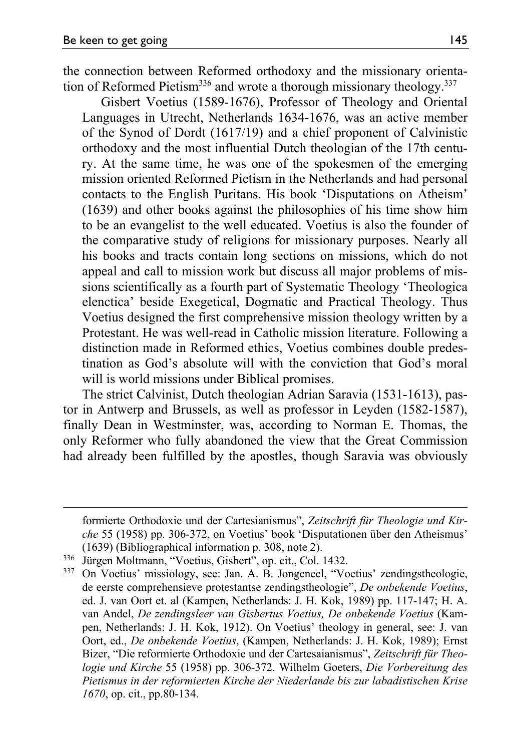-

the connection between Reformed orthodoxy and the missionary orientation of Reformed Pietism<sup>336</sup> and wrote a thorough missionary theology.<sup>337</sup>

Gisbert Voetius (1589-1676), Professor of Theology and Oriental Languages in Utrecht, Netherlands 1634-1676, was an active member of the Synod of Dordt (1617/19) and a chief proponent of Calvinistic orthodoxy and the most influential Dutch theologian of the 17th century. At the same time, he was one of the spokesmen of the emerging mission oriented Reformed Pietism in the Netherlands and had personal contacts to the English Puritans. His book 'Disputations on Atheism' (1639) and other books against the philosophies of his time show him to be an evangelist to the well educated. Voetius is also the founder of the comparative study of religions for missionary purposes. Nearly all his books and tracts contain long sections on missions, which do not appeal and call to mission work but discuss all major problems of missions scientifically as a fourth part of Systematic Theology 'Theologica elenctica' beside Exegetical, Dogmatic and Practical Theology. Thus Voetius designed the first comprehensive mission theology written by a Protestant. He was well-read in Catholic mission literature. Following a distinction made in Reformed ethics, Voetius combines double predestination as God's absolute will with the conviction that God's moral will is world missions under Biblical promises.

The strict Calvinist, Dutch theologian Adrian Saravia (1531-1613), pastor in Antwerp and Brussels, as well as professor in Leyden (1582-1587), finally Dean in Westminster, was, according to Norman E. Thomas, the only Reformer who fully abandoned the view that the Great Commission had already been fulfilled by the apostles, though Saravia was obviously

formierte Orthodoxie und der Cartesianismus", *Zeitschrift für Theologie und Kirche* 55 (1958) pp. 306-372, on Voetius' book 'Disputationen über den Atheismus' (1639) (Bibliographical information p. 308, note 2).

<sup>336</sup> Jürgen Moltmann, "Voetius, Gisbert", op. cit., Col. 1432.

<sup>337</sup> On Voetius' missiology, see: Jan. A. B. Jongeneel, "Voetius' zendingstheologie, de eerste comprehensieve protestantse zendingstheologie", *De onbekende Voetius*, ed. J. van Oort et. al (Kampen, Netherlands: J. H. Kok, 1989) pp. 117-147; H. A. van Andel, *De zendingsleer van Gisbertus Voetius, De onbekende Voetius* (Kampen, Netherlands: J. H. Kok, 1912). On Voetius' theology in general, see: J. van Oort, ed., *De onbekende Voetius*, (Kampen, Netherlands: J. H. Kok, 1989); Ernst Bizer, "Die reformierte Orthodoxie und der Cartesaianismus", *Zeitschrift für Theologie und Kirche* 55 (1958) pp. 306-372. Wilhelm Goeters, *Die Vorbereitung des Pietismus in der reformierten Kirche der Niederlande bis zur labadistischen Krise 1670*, op. cit., pp.80-134.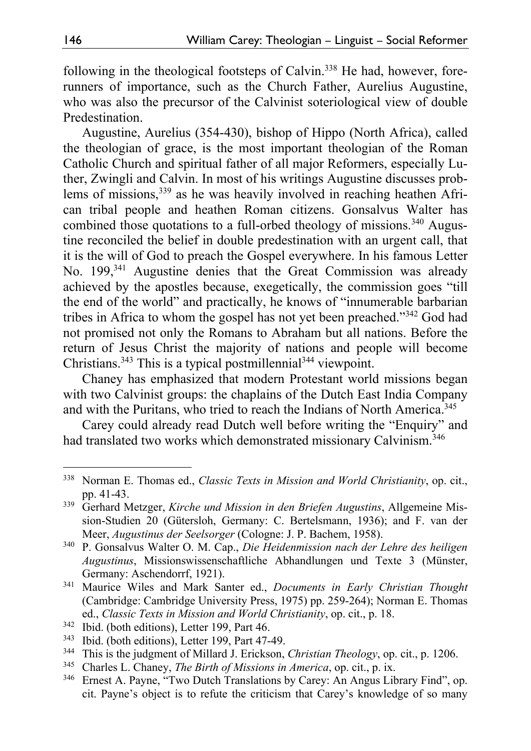following in the theological footsteps of Calvin.<sup>338</sup> He had, however, forerunners of importance, such as the Church Father, Aurelius Augustine, who was also the precursor of the Calvinist soteriological view of double Predestination.

Augustine, Aurelius (354-430), bishop of Hippo (North Africa), called the theologian of grace, is the most important theologian of the Roman Catholic Church and spiritual father of all major Reformers, especially Luther, Zwingli and Calvin. In most of his writings Augustine discusses problems of missions,<sup>339</sup> as he was heavily involved in reaching heathen African tribal people and heathen Roman citizens. Gonsalvus Walter has combined those quotations to a full-orbed theology of missions.<sup>340</sup> Augustine reconciled the belief in double predestination with an urgent call, that it is the will of God to preach the Gospel everywhere. In his famous Letter No. 199,<sup>341</sup> Augustine denies that the Great Commission was already achieved by the apostles because, exegetically, the commission goes "till the end of the world" and practically, he knows of "innumerable barbarian tribes in Africa to whom the gospel has not yet been preached."342 God had not promised not only the Romans to Abraham but all nations. Before the return of Jesus Christ the majority of nations and people will become Christians. $343$  This is a typical postmillennial  $344$  viewpoint.

Chaney has emphasized that modern Protestant world missions began with two Calvinist groups: the chaplains of the Dutch East India Company and with the Puritans, who tried to reach the Indians of North America.<sup>345</sup>

Carey could already read Dutch well before writing the "Enquiry" and had translated two works which demonstrated missionary Calvinism.<sup>346</sup>

<sup>338</sup> Norman E. Thomas ed., *Classic Texts in Mission and World Christianity*, op. cit., pp. 41-43.

<sup>339</sup> Gerhard Metzger, *Kirche und Mission in den Briefen Augustins*, Allgemeine Mission-Studien 20 (Gütersloh, Germany: C. Bertelsmann, 1936); and F. van der Meer, *Augustinus der Seelsorger* (Cologne: J. P. Bachem, 1958).

<sup>340</sup> P. Gonsalvus Walter O. M. Cap., *Die Heidenmission nach der Lehre des heiligen Augustinus*, Missionswissenschaftliche Abhandlungen und Texte 3 (Münster, Germany: Aschendorrf, 1921).

<sup>341</sup> Maurice Wiles and Mark Santer ed., *Documents in Early Christian Thought* (Cambridge: Cambridge University Press, 1975) pp. 259-264); Norman E. Thomas ed., *Classic Texts in Mission and World Christianity*, op. cit., p. 18.

<sup>342</sup> Ibid. (both editions), Letter 199, Part 46.

<sup>343</sup> Ibid. (both editions), Letter 199, Part 47-49.

<sup>344</sup> This is the judgment of Millard J. Erickson, *Christian Theology*, op. cit., p. 1206.

<sup>345</sup> Charles L. Chaney, *The Birth of Missions in America*, op. cit., p. ix.

<sup>346</sup> Ernest A. Payne, "Two Dutch Translations by Carey: An Angus Library Find", op. cit. Payne's object is to refute the criticism that Carey's knowledge of so many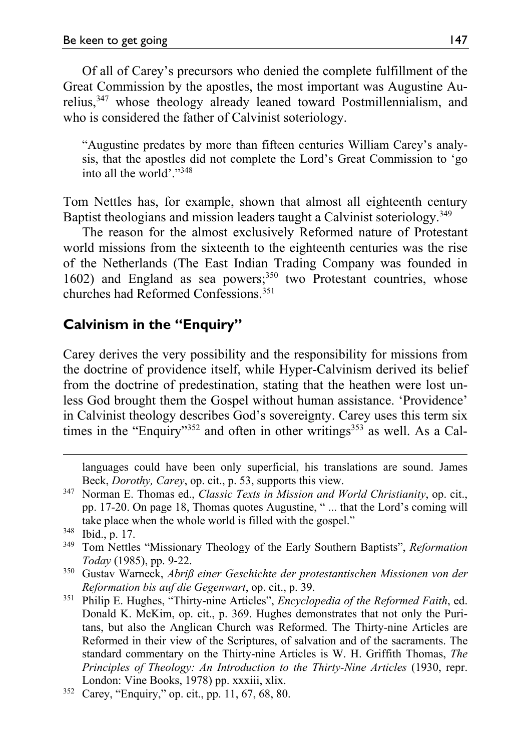Of all of Carey's precursors who denied the complete fulfillment of the Great Commission by the apostles, the most important was Augustine Aurelius,347 whose theology already leaned toward Postmillennialism, and who is considered the father of Calvinist soteriology.

"Augustine predates by more than fifteen centuries William Carey's analysis, that the apostles did not complete the Lord's Great Commission to 'go into all the world'."348

Tom Nettles has, for example, shown that almost all eighteenth century Baptist theologians and mission leaders taught a Calvinist soteriology.<sup>349</sup>

The reason for the almost exclusively Reformed nature of Protestant world missions from the sixteenth to the eighteenth centuries was the rise of the Netherlands (The East Indian Trading Company was founded in 1602) and England as sea powers;  $350$  two Protestant countries, whose churches had Reformed Confessions.351

## **Calvinism in the "Enquiry"**

Carey derives the very possibility and the responsibility for missions from the doctrine of providence itself, while Hyper-Calvinism derived its belief from the doctrine of predestination, stating that the heathen were lost unless God brought them the Gospel without human assistance. 'Providence' in Calvinist theology describes God's sovereignty. Carey uses this term six times in the "Enquiry"<sup>352</sup> and often in other writings<sup>353</sup> as well. As a Cal-

languages could have been only superficial, his translations are sound. James Beck, *Dorothy, Carey*, op. cit., p. 53, supports this view.

347 Norman E. Thomas ed., *Classic Texts in Mission and World Christianity*, op. cit., pp. 17-20. On page 18, Thomas quotes Augustine, " ... that the Lord's coming will take place when the whole world is filled with the gospel."

348 Ibid., p. 17.

- 349 Tom Nettles "Missionary Theology of the Early Southern Baptists", *Reformation Today* (1985), pp. 9-22.
- 350 Gustav Warneck, *Abriß einer Geschichte der protestantischen Missionen von der Reformation bis auf die Gegenwart*, op. cit., p. 39.
- 351 Philip E. Hughes, "Thirty-nine Articles", *Encyclopedia of the Reformed Faith*, ed. Donald K. McKim, op. cit., p. 369. Hughes demonstrates that not only the Puritans, but also the Anglican Church was Reformed. The Thirty-nine Articles are Reformed in their view of the Scriptures, of salvation and of the sacraments. The standard commentary on the Thirty-nine Articles is W. H. Griffith Thomas, *The Principles of Theology: An Introduction to the Thirty-Nine Articles* (1930, repr. London: Vine Books, 1978) pp. xxxiii, xlix.

<sup>352</sup> Carey, "Enquiry," op. cit., pp. 11, 67, 68, 80.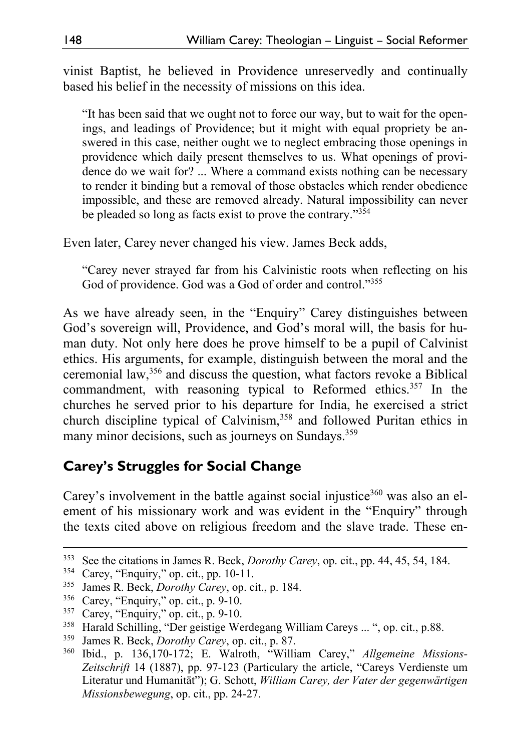vinist Baptist, he believed in Providence unreservedly and continually based his belief in the necessity of missions on this idea.

"It has been said that we ought not to force our way, but to wait for the openings, and leadings of Providence; but it might with equal propriety be answered in this case, neither ought we to neglect embracing those openings in providence which daily present themselves to us. What openings of providence do we wait for? ... Where a command exists nothing can be necessary to render it binding but a removal of those obstacles which render obedience impossible, and these are removed already. Natural impossibility can never be pleaded so long as facts exist to prove the contrary."354

Even later, Carey never changed his view. James Beck adds,

"Carey never strayed far from his Calvinistic roots when reflecting on his God of providence. God was a God of order and control."<sup>355</sup>

As we have already seen, in the "Enquiry" Carey distinguishes between God's sovereign will, Providence, and God's moral will, the basis for human duty. Not only here does he prove himself to be a pupil of Calvinist ethics. His arguments, for example, distinguish between the moral and the ceremonial law,356 and discuss the question, what factors revoke a Biblical commandment, with reasoning typical to Reformed ethics.<sup>357</sup> In the churches he served prior to his departure for India, he exercised a strict church discipline typical of Calvinism,<sup>358</sup> and followed Puritan ethics in many minor decisions, such as journeys on Sundays.<sup>359</sup>

## **Carey's Struggles for Social Change**

Carey's involvement in the battle against social injustice<sup>360</sup> was also an element of his missionary work and was evident in the "Enquiry" through the texts cited above on religious freedom and the slave trade. These en-

<sup>&</sup>lt;sup>353</sup> See the citations in James R. Beck, *Dorothy Carey*, op. cit., pp. 44, 45, 54, 184.<br><sup>354</sup> Carey "Enquiry" op. cit., pp. 10-11

Carey, "Enquiry," op. cit., pp. 10-11.

<sup>355</sup> James R. Beck, *Dorothy Carey*, op. cit., p. 184.

 $^{356}$  Carey, "Enquiry," op. cit., p. 9-10.<br> $^{357}$  Carey "Enquiry" on cit n 9-10

Carey, "Enquiry," op. cit., p. 9-10.

<sup>358</sup> Harald Schilling, "Der geistige Werdegang William Careys ... ", op. cit., p.88.

<sup>359</sup> James R. Beck, *Dorothy Carey*, op. cit., p. 87.

<sup>360</sup> Ibid., p. 136,170-172; E. Walroth, "William Carey," *Allgemeine Missions-Zeitschrift* 14 (1887), pp. 97-123 (Particulary the article, "Careys Verdienste um Literatur und Humanität"); G. Schott, *William Carey, der Vater der gegenwärtigen Missionsbewegung*, op. cit., pp. 24-27.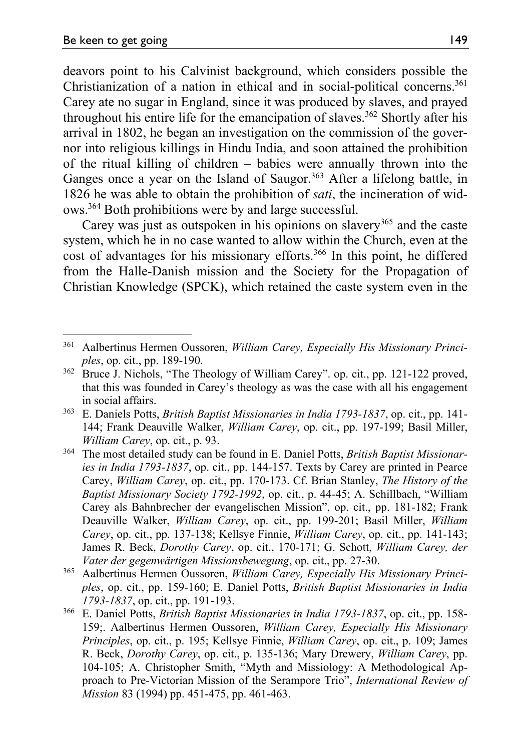-

deavors point to his Calvinist background, which considers possible the Christianization of a nation in ethical and in social-political concerns.<sup>361</sup> Carey ate no sugar in England, since it was produced by slaves, and prayed throughout his entire life for the emancipation of slaves.<sup>362</sup> Shortly after his arrival in 1802, he began an investigation on the commission of the governor into religious killings in Hindu India, and soon attained the prohibition of the ritual killing of children – babies were annually thrown into the Ganges once a year on the Island of Saugor.<sup>363</sup> After a lifelong battle, in 1826 he was able to obtain the prohibition of *sati*, the incineration of widows.364 Both prohibitions were by and large successful.

Carey was just as outspoken in his opinions on slavery $365$  and the caste system, which he in no case wanted to allow within the Church, even at the cost of advantages for his missionary efforts.<sup>366</sup> In this point, he differed from the Halle-Danish mission and the Society for the Propagation of Christian Knowledge (SPCK), which retained the caste system even in the

<sup>361</sup> Aalbertinus Hermen Oussoren, *William Carey, Especially His Missionary Principles*, op. cit., pp. 189-190.

<sup>362</sup> Bruce J. Nichols, "The Theology of William Carey". op. cit., pp. 121-122 proved, that this was founded in Carey's theology as was the case with all his engagement in social affairs.

<sup>363</sup> E. Daniels Potts, *British Baptist Missionaries in India 1793-1837*, op. cit., pp. 141- 144; Frank Deauville Walker, *William Carey*, op. cit., pp. 197-199; Basil Miller, *William Carey*, op. cit., p. 93.

<sup>364</sup> The most detailed study can be found in E. Daniel Potts, *British Baptist Missionaries in India 1793-1837*, op. cit., pp. 144-157. Texts by Carey are printed in Pearce Carey, *William Carey*, op. cit., pp. 170-173. Cf. Brian Stanley, *The History of the Baptist Missionary Society 1792-1992*, op. cit., p. 44-45; A. Schillbach, "William Carey als Bahnbrecher der evangelischen Mission", op. cit., pp. 181-182; Frank Deauville Walker, *William Carey*, op. cit., pp. 199-201; Basil Miller, *William Carey*, op. cit., pp. 137-138; Kellsye Finnie, *William Carey*, op. cit., pp. 141-143; James R. Beck, *Dorothy Carey*, op. cit., 170-171; G. Schott, *William Carey, der Vater der gegenwärtigen Missionsbewegung*, op. cit., pp. 27-30.

<sup>365</sup> Aalbertinus Hermen Oussoren, *William Carey, Especially His Missionary Principles*, op. cit., pp. 159-160; E. Daniel Potts, *British Baptist Missionaries in India 1793-1837*, op. cit., pp. 191-193.

<sup>366</sup> E. Daniel Potts, *British Baptist Missionaries in India 1793-1837*, op. cit., pp. 158- 159;. Aalbertinus Hermen Oussoren, *William Carey, Especially His Missionary Principles*, op. cit., p. 195; Kellsye Finnie, *William Carey*, op. cit., p. 109; James R. Beck, *Dorothy Carey*, op. cit., p. 135-136; Mary Drewery, *William Carey*, pp. 104-105; A. Christopher Smith, "Myth and Missiology: A Methodological Approach to Pre-Victorian Mission of the Serampore Trio", *International Review of Mission* 83 (1994) pp. 451-475, pp. 461-463.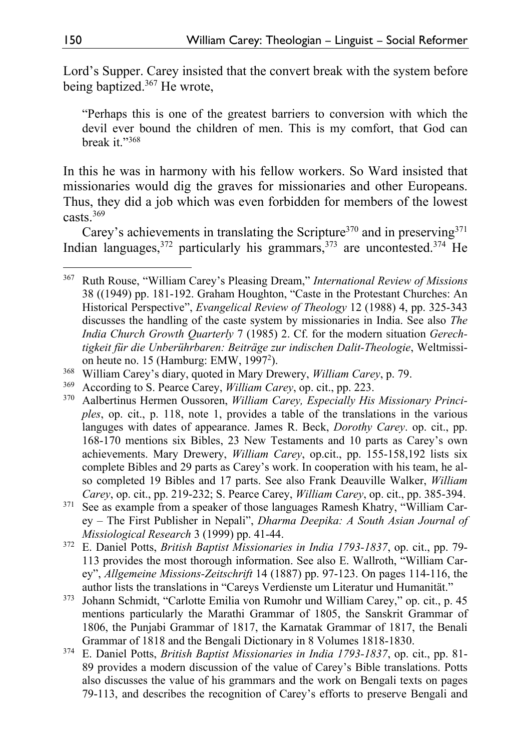Lord's Supper. Carey insisted that the convert break with the system before being baptized.<sup>367</sup> He wrote,

"Perhaps this is one of the greatest barriers to conversion with which the devil ever bound the children of men. This is my comfort, that God can break it." $368$ 

In this he was in harmony with his fellow workers. So Ward insisted that missionaries would dig the graves for missionaries and other Europeans. Thus, they did a job which was even forbidden for members of the lowest casts.369

Carey's achievements in translating the Scripture<sup>370</sup> and in preserving<sup>371</sup> Indian languages,  $372$  particularly his grammars,  $373$  are uncontested.  $374$  He

<sup>367</sup> Ruth Rouse, "William Carey's Pleasing Dream," *International Review of Missions* 38 ((1949) pp. 181-192. Graham Houghton, "Caste in the Protestant Churches: An Historical Perspective", *Evangelical Review of Theology* 12 (1988) 4, pp. 325-343 discusses the handling of the caste system by missionaries in India. See also *The India Church Growth Quarterly* 7 (1985) 2. Cf. for the modern situation *Gerechtigkeit für die Unberührbaren: Beiträge zur indischen Dalit-Theologie*, Weltmission heute no. 15 (Hamburg: EMW, 19972 ).

<sup>&</sup>lt;sup>368</sup> William Carey's diary, quoted in Mary Drewery, *William Carey*, p. 79.<br><sup>369</sup> According to S. Pearce Carey, *William Carey*, on cit, pp. 223.

<sup>369</sup> According to S. Pearce Carey, *William Carey*, op. cit., pp. 223.

<sup>370</sup> Aalbertinus Hermen Oussoren, *William Carey, Especially His Missionary Principles*, op. cit., p. 118, note 1, provides a table of the translations in the various languges with dates of appearance. James R. Beck, *Dorothy Carey*. op. cit., pp. 168-170 mentions six Bibles, 23 New Testaments and 10 parts as Carey's own achievements. Mary Drewery, *William Carey*, op.cit., pp. 155-158,192 lists six complete Bibles and 29 parts as Carey's work. In cooperation with his team, he also completed 19 Bibles and 17 parts. See also Frank Deauville Walker, *William Carey*, op. cit., pp. 219-232; S. Pearce Carey, *William Carey*, op. cit., pp. 385-394.

<sup>&</sup>lt;sup>371</sup> See as example from a speaker of those languages Ramesh Khatry, "William Carey – The First Publisher in Nepali", *Dharma Deepika: A South Asian Journal of Missiological Research* 3 (1999) pp. 41-44.

<sup>372</sup> E. Daniel Potts, *British Baptist Missionaries in India 1793-1837*, op. cit., pp. 79- 113 provides the most thorough information. See also E. Wallroth, "William Carey", *Allgemeine Missions-Zeitschrift* 14 (1887) pp. 97-123. On pages 114-116, the author lists the translations in "Careys Verdienste um Literatur und Humanität."

<sup>373</sup> Johann Schmidt, "Carlotte Emilia von Rumohr und William Carey," op. cit., p. 45 mentions particularly the Marathi Grammar of 1805, the Sanskrit Grammar of 1806, the Punjabi Grammar of 1817, the Karnatak Grammar of 1817, the Benali Grammar of 1818 and the Bengali Dictionary in 8 Volumes 1818-1830.

<sup>374</sup> E. Daniel Potts, *British Baptist Missionaries in India 1793-1837*, op. cit., pp. 81- 89 provides a modern discussion of the value of Carey's Bible translations. Potts also discusses the value of his grammars and the work on Bengali texts on pages 79-113, and describes the recognition of Carey's efforts to preserve Bengali and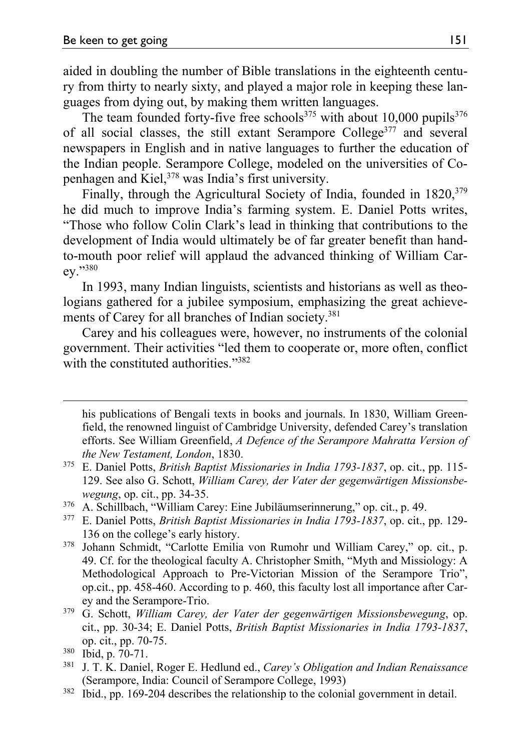aided in doubling the number of Bible translations in the eighteenth century from thirty to nearly sixty, and played a major role in keeping these languages from dying out, by making them written languages.

The team founded forty-five free schools<sup>375</sup> with about 10,000 pupils<sup>376</sup> of all social classes, the still extant Serampore College<sup>377</sup> and several newspapers in English and in native languages to further the education of the Indian people. Serampore College, modeled on the universities of Copenhagen and Kiel,<sup>378</sup> was India's first university.

Finally, through the Agricultural Society of India, founded in  $1820$ ,  $379$ he did much to improve India's farming system. E. Daniel Potts writes, "Those who follow Colin Clark's lead in thinking that contributions to the development of India would ultimately be of far greater benefit than handto-mouth poor relief will applaud the advanced thinking of William Carey."380

In 1993, many Indian linguists, scientists and historians as well as theologians gathered for a jubilee symposium, emphasizing the great achievements of Carey for all branches of Indian society.<sup>381</sup>

Carey and his colleagues were, however, no instruments of the colonial government. Their activities "led them to cooperate or, more often, conflict with the constituted authorities."<sup>382</sup>

his publications of Bengali texts in books and journals. In 1830, William Greenfield, the renowned linguist of Cambridge University, defended Carey's translation efforts. See William Greenfield, *A Defence of the Serampore Mahratta Version of the New Testament, London*, 1830.

- 376 A. Schillbach, "William Carey: Eine Jubiläumserinnerung," op. cit., p. 49.
- 377 E. Daniel Potts, *British Baptist Missionaries in India 1793-1837*, op. cit., pp. 129- 136 on the college's early history.
- 378 Johann Schmidt, "Carlotte Emilia von Rumohr und William Carey," op. cit., p. 49. Cf. for the theological faculty A. Christopher Smith, "Myth and Missiology: A Methodological Approach to Pre-Victorian Mission of the Serampore Trio", op.cit., pp. 458-460. According to p. 460, this faculty lost all importance after Carey and the Serampore-Trio.
- 379 G. Schott, *William Carey, der Vater der gegenwärtigen Missionsbewegung*, op. cit., pp. 30-34; E. Daniel Potts, *British Baptist Missionaries in India 1793-1837*, op. cit., pp. 70-75.
- 380 Ibid, p. 70-71.

 $\overline{a}$ 

- 381 J. T. K. Daniel, Roger E. Hedlund ed., *Carey's Obligation and Indian Renaissance* (Serampore, India: Council of Serampore College, 1993)
- <sup>382</sup> Ibid., pp. 169-204 describes the relationship to the colonial government in detail.

<sup>375</sup> E. Daniel Potts, *British Baptist Missionaries in India 1793-1837*, op. cit., pp. 115- 129. See also G. Schott, *William Carey, der Vater der gegenwärtigen Missionsbewegung*, op. cit., pp. 34-35.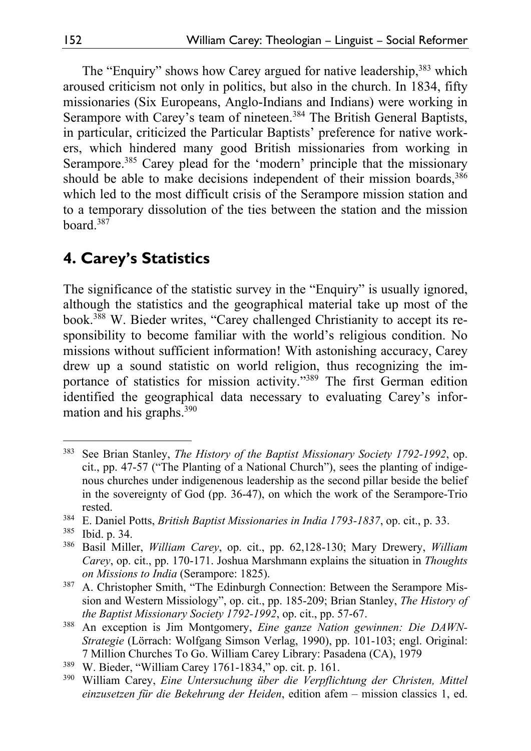The "Enquiry" shows how Carey argued for native leadership,<sup>383</sup> which aroused criticism not only in politics, but also in the church. In 1834, fifty missionaries (Six Europeans, Anglo-Indians and Indians) were working in Serampore with Carey's team of nineteen.<sup>384</sup> The British General Baptists, in particular, criticized the Particular Baptists' preference for native workers, which hindered many good British missionaries from working in Serampore.<sup>385</sup> Carey plead for the 'modern' principle that the missionary should be able to make decisions independent of their mission boards,<sup>386</sup> which led to the most difficult crisis of the Serampore mission station and to a temporary dissolution of the ties between the station and the mission board.387

## **4. Carey's Statistics**

The significance of the statistic survey in the "Enquiry" is usually ignored, although the statistics and the geographical material take up most of the book.388 W. Bieder writes, "Carey challenged Christianity to accept its responsibility to become familiar with the world's religious condition. No missions without sufficient information! With astonishing accuracy, Carey drew up a sound statistic on world religion, thus recognizing the importance of statistics for mission activity."389 The first German edition identified the geographical data necessary to evaluating Carey's information and his graphs.<sup>390</sup>

-

<sup>387</sup> A. Christopher Smith, "The Edinburgh Connection: Between the Serampore Mission and Western Missiology", op. cit., pp. 185-209; Brian Stanley, *The History of the Baptist Missionary Society 1792-1992*, op. cit., pp. 57-67.

388 An exception is Jim Montgomery, *Eine ganze Nation gewinnen: Die DAWN-Strategie* (Lörrach: Wolfgang Simson Verlag, 1990), pp. 101-103; engl. Original: 7 Million Churches To Go. William Carey Library: Pasadena (CA), 1979

<sup>383</sup> See Brian Stanley, *The History of the Baptist Missionary Society 1792-1992*, op. cit., pp. 47-57 ("The Planting of a National Church"), sees the planting of indigenous churches under indigenenous leadership as the second pillar beside the belief in the sovereignty of God (pp. 36-47), on which the work of the Serampore-Trio rested.

<sup>384</sup> E. Daniel Potts, *British Baptist Missionaries in India 1793-1837*, op. cit., p. 33.

<sup>385</sup> Ibid. p. 34.

<sup>386</sup> Basil Miller, *William Carey*, op. cit., pp. 62,128-130; Mary Drewery, *William Carey*, op. cit., pp. 170-171. Joshua Marshmann explains the situation in *Thoughts on Missions to India* (Serampore: 1825).

<sup>389</sup> W. Bieder, "William Carey 1761-1834," op. cit. p. 161.

<sup>390</sup> William Carey, *Eine Untersuchung über die Verpflichtung der Christen, Mittel einzusetzen für die Bekehrung der Heiden*, edition afem – mission classics 1, ed.